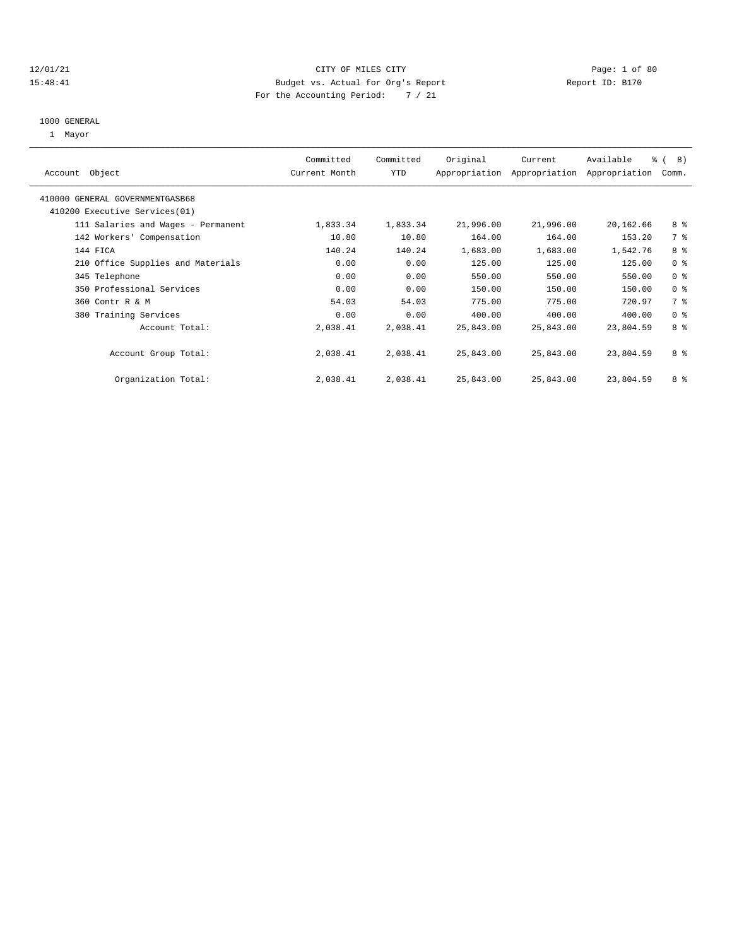#### 12/01/21 CITY OF MILES CITY Page: 1 of 80 15:48:41 Budget vs. Actual for Org's Report Report ID: B170 For the Accounting Period: 7 / 21

# 1000 GENERAL

1 Mayor

| Object<br>Account                  | Committed<br>Current Month | Committed<br><b>YTD</b> | Original  | Current<br>Appropriation Appropriation | Available<br>Appropriation | $\frac{6}{6}$ ( 8)<br>Comm. |
|------------------------------------|----------------------------|-------------------------|-----------|----------------------------------------|----------------------------|-----------------------------|
| 410000 GENERAL GOVERNMENTGASB68    |                            |                         |           |                                        |                            |                             |
| 410200 Executive Services(01)      |                            |                         |           |                                        |                            |                             |
| 111 Salaries and Wages - Permanent | 1,833.34                   | 1,833.34                | 21,996.00 | 21,996.00                              | 20,162.66                  | 8 %                         |
| 142 Workers' Compensation          | 10.80                      | 10.80                   | 164.00    | 164.00                                 | 153.20                     | 7 %                         |
| 144 FICA                           | 140.24                     | 140.24                  | 1,683.00  | 1,683.00                               | 1,542.76                   | 8%                          |
| 210 Office Supplies and Materials  | 0.00                       | 0.00                    | 125.00    | 125.00                                 | 125.00                     | 0 <sup>8</sup>              |
| 345 Telephone                      | 0.00                       | 0.00                    | 550.00    | 550.00                                 | 550.00                     | 0 <sup>8</sup>              |
| 350 Professional Services          | 0.00                       | 0.00                    | 150.00    | 150.00                                 | 150.00                     | 0 <sup>8</sup>              |
| 360 Contr R & M                    | 54.03                      | 54.03                   | 775.00    | 775.00                                 | 720.97                     | 7 %                         |
| 380 Training Services              | 0.00                       | 0.00                    | 400.00    | 400.00                                 | 400.00                     | 0 <sup>8</sup>              |
| Account Total:                     | 2,038.41                   | 2,038.41                | 25,843.00 | 25,843.00                              | 23,804.59                  | 8 %                         |
| Account Group Total:               | 2,038.41                   | 2,038.41                | 25,843.00 | 25,843.00                              | 23,804.59                  | 8 %                         |
| Organization Total:                | 2,038.41                   | 2,038.41                | 25,843.00 | 25,843.00                              | 23,804.59                  | 8 %                         |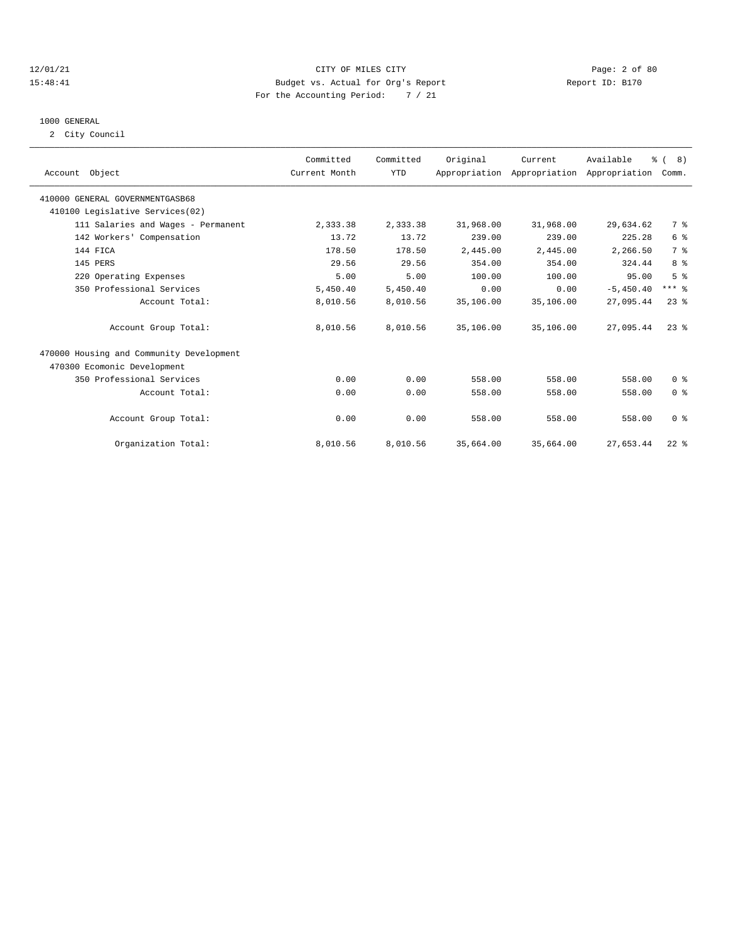#### 12/01/21 CITY OF MILES CITY Page: 2 of 80 15:48:41 Budget vs. Actual for Org's Report Report ID: B170 For the Accounting Period: 7 / 21

# 1000 GENERAL

2 City Council

| Account Object                           | Committed<br>Current Month | Committed<br><b>YTD</b> | Original  | Current   | Available<br>Appropriation Appropriation Appropriation | % (8)<br>Comm. |  |
|------------------------------------------|----------------------------|-------------------------|-----------|-----------|--------------------------------------------------------|----------------|--|
| 410000 GENERAL GOVERNMENTGASB68          |                            |                         |           |           |                                                        |                |  |
| 410100 Legislative Services(02)          |                            |                         |           |           |                                                        |                |  |
| 111 Salaries and Wages - Permanent       | 2,333.38                   | 2,333.38                | 31,968.00 | 31,968.00 | 29,634.62                                              | 7 %            |  |
| 142 Workers' Compensation                | 13.72                      | 13.72                   | 239.00    | 239.00    | 225.28                                                 | 6 <sup>°</sup> |  |
| 144 FICA                                 | 178.50                     | 178.50                  | 2,445.00  | 2,445.00  | 2,266.50                                               | 7 <sup>°</sup> |  |
| 145 PERS                                 | 29.56                      | 29.56                   | 354.00    | 354.00    | 324.44                                                 | 8 %            |  |
| 220 Operating Expenses                   | 5.00                       | 5.00                    | 100.00    | 100.00    | 95.00                                                  | 5 <sup>8</sup> |  |
| 350 Professional Services                | 5,450.40                   | 5,450.40                | 0.00      | 0.00      | $-5,450.40$                                            | $***$ $%$      |  |
| Account Total:                           | 8,010.56                   | 8,010.56                | 35,106.00 | 35,106.00 | 27,095.44                                              | $23$ $%$       |  |
| Account Group Total:                     | 8,010.56                   | 8,010.56                | 35,106.00 | 35,106.00 | 27,095.44                                              | $23$ $%$       |  |
| 470000 Housing and Community Development |                            |                         |           |           |                                                        |                |  |
| 470300 Ecomonic Development              |                            |                         |           |           |                                                        |                |  |
| 350 Professional Services                | 0.00                       | 0.00                    | 558.00    | 558.00    | 558.00                                                 | 0 <sup>8</sup> |  |
| Account Total:                           | 0.00                       | 0.00                    | 558.00    | 558.00    | 558.00                                                 | 0 <sup>8</sup> |  |
| Account Group Total:                     | 0.00                       | 0.00                    | 558.00    | 558.00    | 558.00                                                 | 0 <sup>8</sup> |  |
| Organization Total:                      | 8,010.56                   | 8,010.56                | 35,664.00 | 35,664.00 | 27,653.44                                              | $22$ %         |  |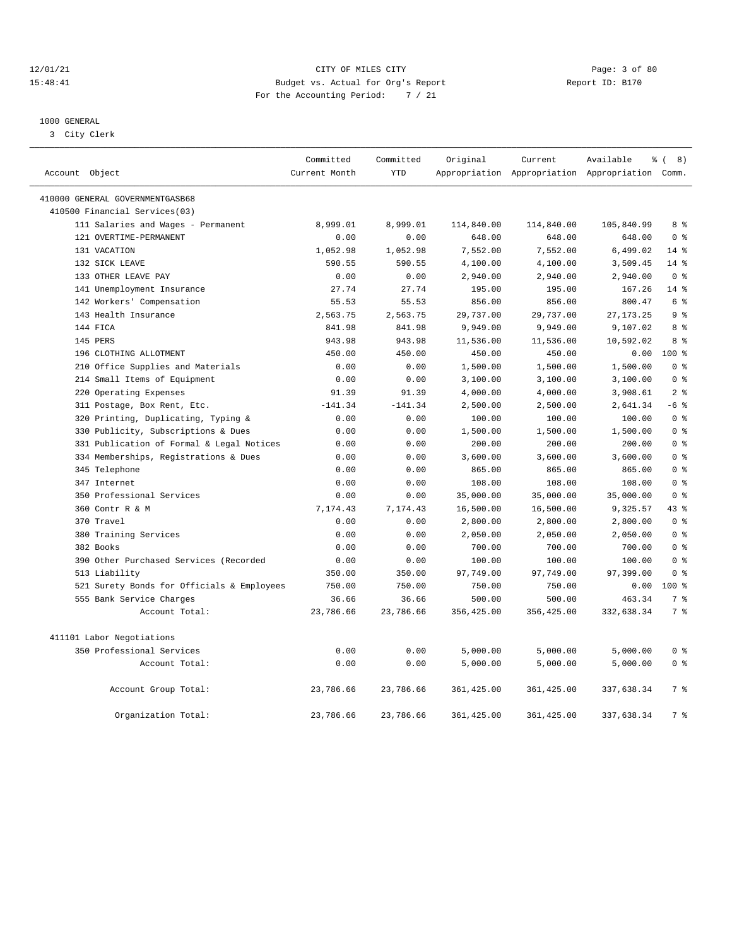#### 12/01/21 CITY OF MILES CITY Page: 3 of 80 15:48:41 Budget vs. Actual for Org's Report Report ID: B170 For the Accounting Period: 7 / 21

————————————————————————————————————————————————————————————————————————————————————————————————————————————————————————————————————

### 1000 GENERAL

3 City Clerk

| Account Object                             | Committed<br>Current Month | Committed<br><b>YTD</b> | Original    | Current     | Available<br>Appropriation Appropriation Appropriation Comm. | ී (<br>8)      |
|--------------------------------------------|----------------------------|-------------------------|-------------|-------------|--------------------------------------------------------------|----------------|
|                                            |                            |                         |             |             |                                                              |                |
| 410000 GENERAL GOVERNMENTGASB68            |                            |                         |             |             |                                                              |                |
| 410500 Financial Services(03)              |                            |                         |             |             |                                                              |                |
| 111 Salaries and Wages - Permanent         | 8,999.01                   | 8,999.01                | 114,840.00  | 114,840.00  | 105,840.99                                                   | 8 %            |
| 121 OVERTIME-PERMANENT                     | 0.00                       | 0.00                    | 648.00      | 648.00      | 648.00                                                       | 0 <sup>8</sup> |
| 131 VACATION                               | 1,052.98                   | 1,052.98                | 7,552.00    | 7,552.00    | 6,499.02                                                     | $14*$          |
| 132 SICK LEAVE                             | 590.55                     | 590.55                  | 4,100.00    | 4,100.00    | 3,509.45                                                     | $14$ %         |
| 133 OTHER LEAVE PAY                        | 0.00                       | 0.00                    | 2,940.00    | 2,940.00    | 2,940.00                                                     | 0 <sup>8</sup> |
| 141 Unemployment Insurance                 | 27.74                      | 27.74                   | 195.00      | 195.00      | 167.26                                                       | $14$ %         |
| 142 Workers' Compensation                  | 55.53                      | 55.53                   | 856.00      | 856.00      | 800.47                                                       | 6 %            |
| 143 Health Insurance                       | 2,563.75                   | 2,563.75                | 29,737.00   | 29,737.00   | 27, 173. 25                                                  | 9 <sup>8</sup> |
| 144 FICA                                   | 841.98                     | 841.98                  | 9,949.00    | 9,949.00    | 9,107.02                                                     | 8 %            |
| 145 PERS                                   | 943.98                     | 943.98                  | 11,536.00   | 11,536.00   | 10,592.02                                                    | 8 %            |
| 196 CLOTHING ALLOTMENT                     | 450.00                     | 450.00                  | 450.00      | 450.00      | 0.00                                                         | 100 %          |
| 210 Office Supplies and Materials          | 0.00                       | 0.00                    | 1,500.00    | 1,500.00    | 1,500.00                                                     | 0 <sup>8</sup> |
| 214 Small Items of Equipment               | 0.00                       | 0.00                    | 3,100.00    | 3,100.00    | 3,100.00                                                     | 0 <sup>8</sup> |
| 220 Operating Expenses                     | 91.39                      | 91.39                   | 4,000.00    | 4,000.00    | 3,908.61                                                     | 2 <sup>8</sup> |
| 311 Postage, Box Rent, Etc.                | $-141.34$                  | $-141.34$               | 2,500.00    | 2,500.00    | 2,641.34                                                     | $-6$ %         |
| 320 Printing, Duplicating, Typing &        | 0.00                       | 0.00                    | 100.00      | 100.00      | 100.00                                                       | 0 <sup>8</sup> |
| 330 Publicity, Subscriptions & Dues        | 0.00                       | 0.00                    | 1,500.00    | 1,500.00    | 1,500.00                                                     | 0 <sup>8</sup> |
| 331 Publication of Formal & Legal Notices  | 0.00                       | 0.00                    | 200.00      | 200.00      | 200.00                                                       | 0 <sup>8</sup> |
| 334 Memberships, Registrations & Dues      | 0.00                       | 0.00                    | 3,600.00    | 3,600.00    | 3,600.00                                                     | 0 <sup>8</sup> |
| 345 Telephone                              | 0.00                       | 0.00                    | 865.00      | 865.00      | 865.00                                                       | 0 <sup>8</sup> |
| 347 Internet                               | 0.00                       | 0.00                    | 108.00      | 108.00      | 108.00                                                       | 0 <sup>8</sup> |
| 350 Professional Services                  | 0.00                       | 0.00                    | 35,000.00   | 35,000.00   | 35,000.00                                                    | 0 <sup>8</sup> |
| 360 Contr R & M                            | 7,174.43                   | 7,174.43                | 16,500.00   | 16,500.00   | 9,325.57                                                     | 43 %           |
| 370 Travel                                 | 0.00                       | 0.00                    | 2,800.00    | 2,800.00    | 2,800.00                                                     | 0 <sup>8</sup> |
| 380 Training Services                      | 0.00                       | 0.00                    | 2,050.00    | 2,050.00    | 2,050.00                                                     | 0 <sup>8</sup> |
| 382 Books                                  | 0.00                       | 0.00                    | 700.00      | 700.00      | 700.00                                                       | 0 <sup>8</sup> |
| 390 Other Purchased Services (Recorded     | 0.00                       | 0.00                    | 100.00      | 100.00      | 100.00                                                       | 0 <sup>8</sup> |
| 513 Liability                              | 350.00                     | 350.00                  | 97,749.00   | 97,749.00   | 97,399.00                                                    | 0 <sup>8</sup> |
| 521 Surety Bonds for Officials & Employees | 750.00                     | 750.00                  | 750.00      | 750.00      | 0.00                                                         | $100*$         |
| 555 Bank Service Charges                   | 36.66                      | 36.66                   | 500.00      | 500.00      | 463.34                                                       | 7 %            |
| Account Total:                             | 23,786.66                  | 23,786.66               | 356,425.00  | 356,425.00  | 332,638.34                                                   | 7 <sup>°</sup> |
| 411101 Labor Negotiations                  |                            |                         |             |             |                                                              |                |
| 350 Professional Services                  | 0.00                       | 0.00                    | 5,000.00    | 5,000.00    | 5,000.00                                                     | 0 <sup>8</sup> |
| Account Total:                             | 0.00                       | 0.00                    | 5,000.00    | 5,000.00    | 5,000.00                                                     | 0 <sup>8</sup> |
| Account Group Total:                       | 23,786.66                  | 23,786.66               | 361,425.00  | 361,425.00  | 337,638.34                                                   | 7 <sup>8</sup> |
| Organization Total:                        | 23,786.66                  | 23,786.66               | 361, 425.00 | 361, 425.00 | 337,638.34                                                   | 7 %            |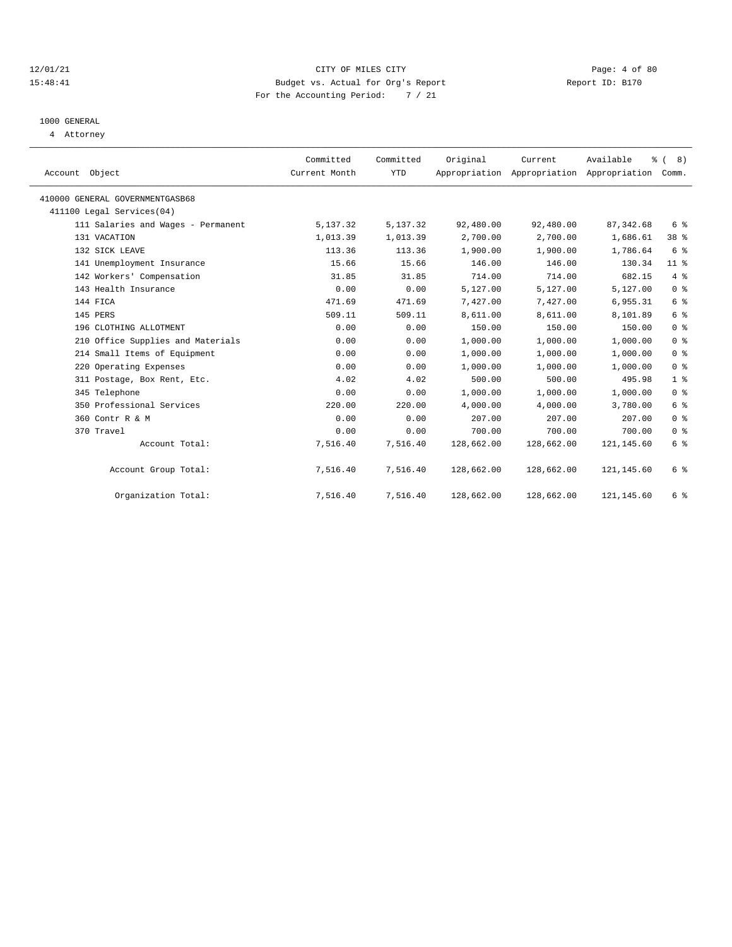#### 12/01/21 CITY OF MILES CITY Page: 4 of 80 15:48:41 Budget vs. Actual for Org's Report Report ID: B170 For the Accounting Period: 7 / 21

# 1000 GENERAL

4 Attorney

| Account Object                  |                                    | Committed<br>Current Month | Committed<br><b>YTD</b> | Original   | Current    | Available<br>Appropriation Appropriation Appropriation | $\frac{6}{6}$ ( 8)<br>Comm. |
|---------------------------------|------------------------------------|----------------------------|-------------------------|------------|------------|--------------------------------------------------------|-----------------------------|
| 410000 GENERAL GOVERNMENTGASB68 |                                    |                            |                         |            |            |                                                        |                             |
| 411100 Legal Services(04)       |                                    |                            |                         |            |            |                                                        |                             |
|                                 | 111 Salaries and Wages - Permanent | 5,137.32                   | 5,137.32                | 92,480.00  | 92,480.00  | 87, 342.68                                             | 6 %                         |
| 131 VACATION                    |                                    | 1,013.39                   | 1,013.39                | 2,700.00   | 2,700.00   | 1,686.61                                               | 38 %                        |
| 132 SICK LEAVE                  |                                    | 113.36                     | 113.36                  | 1,900.00   | 1,900.00   | 1,786.64                                               | 6 %                         |
|                                 | 141 Unemployment Insurance         | 15.66                      | 15.66                   | 146.00     | 146.00     | 130.34                                                 | 11 <sup>8</sup>             |
|                                 | 142 Workers' Compensation          | 31.85                      | 31.85                   | 714.00     | 714.00     | 682.15                                                 | $4\degree$                  |
| 143 Health Insurance            |                                    | 0.00                       | 0.00                    | 5,127.00   | 5,127.00   | 5,127.00                                               | 0 <sup>8</sup>              |
| 144 FICA                        |                                    | 471.69                     | 471.69                  | 7,427.00   | 7,427.00   | 6,955.31                                               | 6 %                         |
| 145 PERS                        |                                    | 509.11                     | 509.11                  | 8,611.00   | 8,611.00   | 8,101.89                                               | 6 %                         |
| 196 CLOTHING ALLOTMENT          |                                    | 0.00                       | 0.00                    | 150.00     | 150.00     | 150.00                                                 | 0 <sup>8</sup>              |
|                                 | 210 Office Supplies and Materials  | 0.00                       | 0.00                    | 1,000.00   | 1,000.00   | 1,000.00                                               | 0 <sup>8</sup>              |
|                                 | 214 Small Items of Equipment       | 0.00                       | 0.00                    | 1,000.00   | 1,000.00   | 1,000.00                                               | 0 <sup>8</sup>              |
| 220 Operating Expenses          |                                    | 0.00                       | 0.00                    | 1,000.00   | 1,000.00   | 1,000.00                                               | 0 <sup>8</sup>              |
|                                 | 311 Postage, Box Rent, Etc.        | 4.02                       | 4.02                    | 500.00     | 500.00     | 495.98                                                 | 1 <sup>8</sup>              |
| 345 Telephone                   |                                    | 0.00                       | 0.00                    | 1,000.00   | 1,000.00   | 1,000.00                                               | 0 <sup>8</sup>              |
|                                 | 350 Professional Services          | 220.00                     | 220.00                  | 4,000.00   | 4,000.00   | 3,780.00                                               | 6 %                         |
| 360 Contr R & M                 |                                    | 0.00                       | 0.00                    | 207.00     | 207.00     | 207.00                                                 | 0 <sup>8</sup>              |
| 370 Travel                      |                                    | 0.00                       | 0.00                    | 700.00     | 700.00     | 700.00                                                 | 0 <sup>8</sup>              |
|                                 | Account Total:                     | 7,516.40                   | 7,516.40                | 128,662.00 | 128,662.00 | 121, 145.60                                            | 6 %                         |
|                                 | Account Group Total:               | 7,516.40                   | 7,516.40                | 128,662.00 | 128,662.00 | 121, 145.60                                            | 6 %                         |
|                                 | Organization Total:                | 7,516.40                   | 7,516.40                | 128,662.00 | 128,662.00 | 121,145.60                                             | 6 %                         |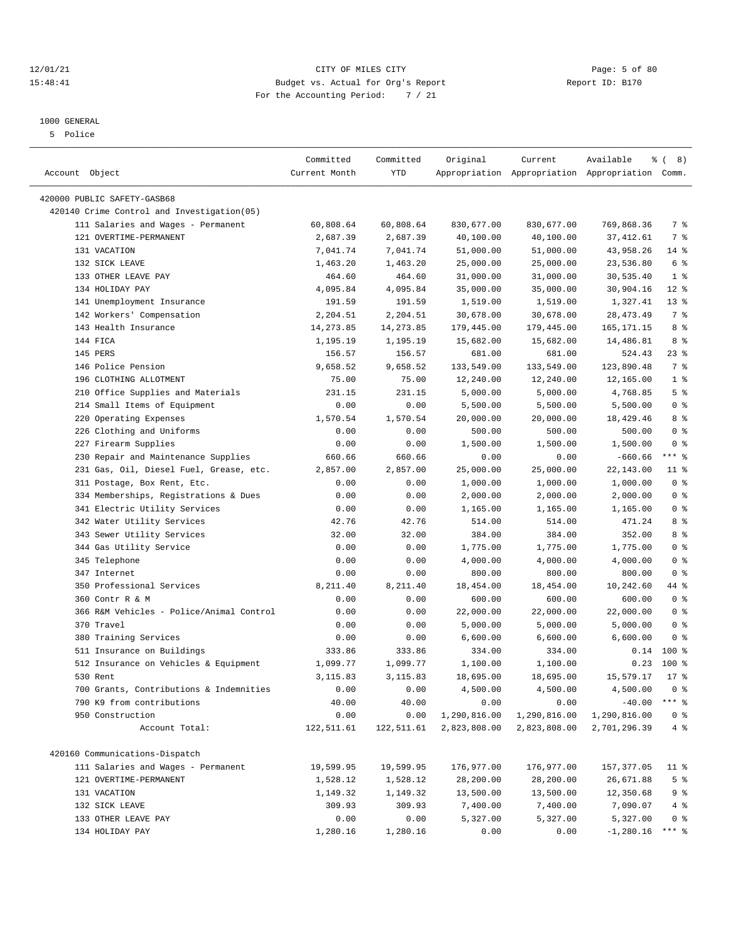### 12/01/21 CITY OF MILES CITY Page: 5 of 80 15:48:41 Budget vs. Actual for Org's Report Report ID: B170 For the Accounting Period: 7 / 21

————————————————————————————————————————————————————————————————————————————————————————————————————————————————————————————————————

## 1000 GENERAL

5 Police

|                                            | Committed     | Committed  | Original     | Current               | Available                                       | $\frac{6}{6}$ ( 8) |
|--------------------------------------------|---------------|------------|--------------|-----------------------|-------------------------------------------------|--------------------|
| Account Object                             | Current Month | YTD        |              |                       | Appropriation Appropriation Appropriation Comm. |                    |
| 420000 PUBLIC SAFETY-GASB68                |               |            |              |                       |                                                 |                    |
| 420140 Crime Control and Investigation(05) |               |            |              |                       |                                                 |                    |
| 111 Salaries and Wages - Permanent         | 60,808.64     | 60,808.64  | 830,677.00   | 830,677.00            | 769,868.36                                      | 7 %                |
| 121 OVERTIME-PERMANENT                     | 2,687.39      | 2,687.39   | 40,100.00    | 40,100.00             | 37, 412.61                                      | 7 %                |
| 131 VACATION                               | 7,041.74      | 7,041.74   | 51,000.00    | 51,000.00             | 43,958.26                                       | 14 %               |
| 132 SICK LEAVE                             | 1,463.20      | 1,463.20   | 25,000.00    | 25,000.00             | 23,536.80                                       | 6 %                |
| 133 OTHER LEAVE PAY                        | 464.60        | 464.60     | 31,000.00    | 31,000.00             | 30,535.40                                       | $1$ %              |
| 134 HOLIDAY PAY                            | 4,095.84      | 4,095.84   | 35,000.00    | 35,000.00             | 30,904.16                                       | $12*$              |
| 141 Unemployment Insurance                 | 191.59        | 191.59     |              |                       | 1,327.41                                        | $13*$              |
| 142 Workers' Compensation                  | 2,204.51      | 2,204.51   | 1,519.00     | 1,519.00<br>30,678.00 | 28, 473.49                                      | 7 %                |
|                                            |               |            | 30,678.00    |                       |                                                 | 8 %                |
| 143 Health Insurance                       | 14,273.85     | 14, 273.85 | 179,445.00   | 179,445.00            | 165, 171. 15                                    | 8 %                |
| 144 FICA                                   | 1,195.19      | 1,195.19   | 15,682.00    | 15,682.00             | 14,486.81                                       |                    |
| 145 PERS                                   | 156.57        | 156.57     | 681.00       | 681.00                | 524.43                                          | $23$ %             |
| 146 Police Pension                         | 9,658.52      | 9,658.52   | 133,549.00   | 133,549.00            | 123,890.48                                      | 7 %                |
| 196 CLOTHING ALLOTMENT                     | 75.00         | 75.00      | 12,240.00    | 12,240.00             | 12,165.00                                       | 1 <sup>8</sup>     |
| 210 Office Supplies and Materials          | 231.15        | 231.15     | 5,000.00     | 5,000.00              | 4,768.85                                        | 5 <sup>8</sup>     |
| 214 Small Items of Equipment               | 0.00          | 0.00       | 5,500.00     | 5,500.00              | 5,500.00                                        | 0 <sup>8</sup>     |
| 220 Operating Expenses                     | 1,570.54      | 1,570.54   | 20,000.00    | 20,000.00             | 18,429.46                                       | 8 %                |
| 226 Clothing and Uniforms                  | 0.00          | 0.00       | 500.00       | 500.00                | 500.00                                          | 0 <sup>8</sup>     |
| 227 Firearm Supplies                       | 0.00          | 0.00       | 1,500.00     | 1,500.00              | 1,500.00                                        | 0 <sup>8</sup>     |
| 230 Repair and Maintenance Supplies        | 660.66        | 660.66     | 0.00         | 0.00                  | $-660.66$                                       | $***$ $-$          |
| 231 Gas, Oil, Diesel Fuel, Grease, etc.    | 2,857.00      | 2,857.00   | 25,000.00    | 25,000.00             | 22,143.00                                       | $11$ %             |
| 311 Postage, Box Rent, Etc.                | 0.00          | 0.00       | 1,000.00     | 1,000.00              | 1,000.00                                        | 0 <sup>8</sup>     |
| 334 Memberships, Registrations & Dues      | 0.00          | 0.00       | 2,000.00     | 2,000.00              | 2,000.00                                        | 0 <sup>8</sup>     |
| 341 Electric Utility Services              | 0.00          | 0.00       | 1,165.00     | 1,165.00              | 1,165.00                                        | 0 <sup>8</sup>     |
| 342 Water Utility Services                 | 42.76         | 42.76      | 514.00       | 514.00                | 471.24                                          | 8 %                |
| 343 Sewer Utility Services                 | 32.00         | 32.00      | 384.00       | 384.00                | 352.00                                          | 8 %                |
| 344 Gas Utility Service                    | 0.00          | 0.00       | 1,775.00     | 1,775.00              | 1,775.00                                        | 0 <sup>8</sup>     |
| 345 Telephone                              | 0.00          | 0.00       | 4,000.00     | 4,000.00              | 4,000.00                                        | 0 <sup>8</sup>     |
| 347 Internet                               | 0.00          | 0.00       | 800.00       | 800.00                | 800.00                                          | 0 <sup>8</sup>     |
| 350 Professional Services                  | 8,211.40      | 8,211.40   | 18,454.00    | 18,454.00             | 10,242.60                                       | 44 %               |
| 360 Contr R & M                            | 0.00          | 0.00       | 600.00       | 600.00                | 600.00                                          | 0 <sup>8</sup>     |
| 366 R&M Vehicles - Police/Animal Control   | 0.00          | 0.00       | 22,000.00    | 22,000.00             | 22,000.00                                       | 0 <sup>8</sup>     |
| 370 Travel                                 | 0.00          | 0.00       | 5,000.00     | 5,000.00              | 5,000.00                                        | 0 <sup>8</sup>     |
| 380 Training Services                      | 0.00          | 0.00       | 6,600.00     | 6,600.00              | 6,600.00                                        | 0 <sup>8</sup>     |
| 511 Insurance on Buildings                 | 333.86        | 333.86     | 334.00       | 334.00                |                                                 | $0.14$ 100 %       |
| 512 Insurance on Vehicles & Equipment      | 1,099.77      | 1,099.77   | 1,100.00     | 1,100.00              | 0.23                                            | 100 %              |
| 530 Rent                                   | 3, 115.83     | 3, 115.83  | 18,695.00    | 18,695.00             | 15,579.17                                       | $17*$              |
| 700 Grants, Contributions & Indemnities    | 0.00          | 0.00       | 4,500.00     | 4,500.00              | 4,500.00 0 %                                    |                    |
| 790 K9 from contributions                  | 40.00         | 40.00      | 0.00         | 0.00                  | $-40.00$                                        | *** 응              |
| 950 Construction                           | 0.00          | 0.00       | 1,290,816.00 | 1,290,816.00          | 1,290,816.00                                    | 0 <sup>8</sup>     |
| Account Total:                             | 122,511.61    | 122,511.61 | 2,823,808.00 | 2,823,808.00          | 2,701,296.39                                    | 4%                 |
| 420160 Communications-Dispatch             |               |            |              |                       |                                                 |                    |
| 111 Salaries and Wages - Permanent         | 19,599.95     | 19,599.95  | 176,977.00   | 176,977.00            | 157,377.05                                      | $11$ %             |
| 121 OVERTIME-PERMANENT                     | 1,528.12      | 1,528.12   | 28,200.00    | 28,200.00             | 26,671.88                                       | 5 <sup>8</sup>     |
| 131 VACATION                               | 1,149.32      | 1,149.32   | 13,500.00    | 13,500.00             | 12,350.68                                       | 9 %                |
| 132 SICK LEAVE                             | 309.93        | 309.93     | 7,400.00     | 7,400.00              | 7,090.07                                        | 4%                 |
| 133 OTHER LEAVE PAY                        | 0.00          | 0.00       | 5,327.00     | 5,327.00              | 5,327.00                                        | 0 <sup>8</sup>     |
| 134 HOLIDAY PAY                            | 1,280.16      | 1,280.16   | 0.00         | 0.00                  | $-1,280.16$ *** \$                              |                    |
|                                            |               |            |              |                       |                                                 |                    |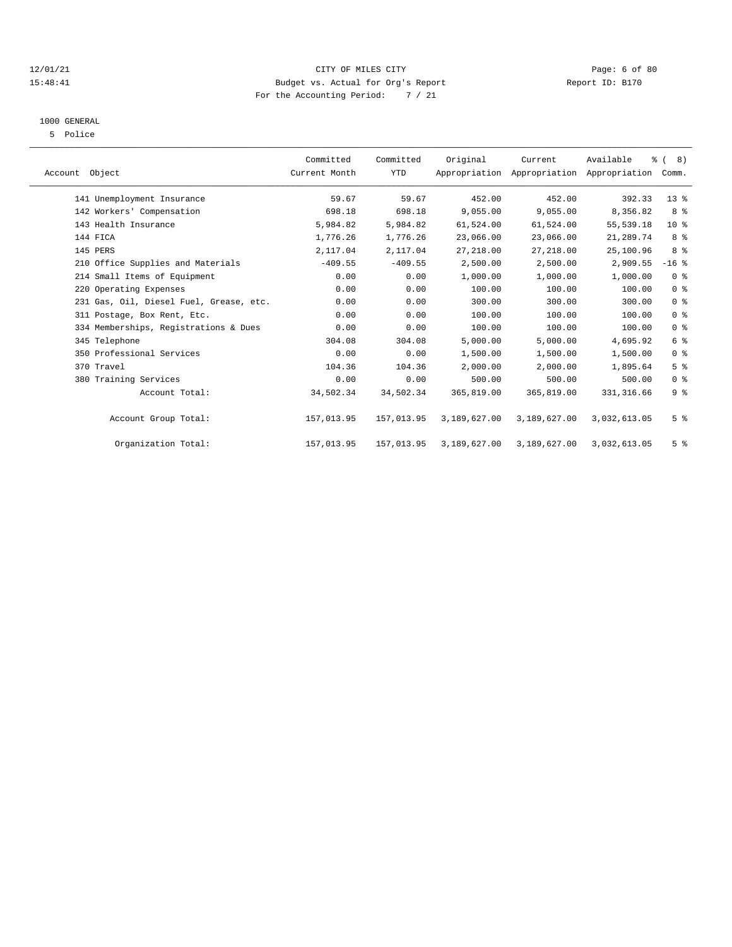#### 12/01/21 CITY OF MILES CITY Page: 6 of 80 15:48:41 Budget vs. Actual for Org's Report Report ID: B170 For the Accounting Period: 7 / 21

## 1000 GENERAL

5 Police

| Account Object                          | Committed<br>Current Month | Committed<br><b>YTD</b> | Original     | Current<br>Appropriation Appropriation Appropriation Comm. | Available    | $\frac{6}{6}$ ( 8) |  |
|-----------------------------------------|----------------------------|-------------------------|--------------|------------------------------------------------------------|--------------|--------------------|--|
| 141 Unemployment Insurance              | 59.67                      | 59.67                   | 452.00       | 452.00                                                     | 392.33       | 13 <sup>8</sup>    |  |
| 142 Workers' Compensation               | 698.18                     | 698.18                  | 9,055.00     | 9,055.00                                                   | 8,356.82     | 8 %                |  |
| 143 Health Insurance                    | 5,984.82                   | 5,984.82                | 61,524.00    | 61,524.00                                                  | 55, 539.18   | $10*$              |  |
| 144 FICA                                | 1,776.26                   | 1,776.26                | 23,066.00    | 23,066.00                                                  | 21,289.74    | 8 %                |  |
| 145 PERS                                | 2,117.04                   | 2,117.04                | 27, 218.00   | 27, 218.00                                                 | 25,100.96    | 8 %                |  |
| 210 Office Supplies and Materials       | $-409.55$                  | $-409.55$               | 2,500.00     | 2,500.00                                                   | 2,909.55     | $-16$ %            |  |
| 214 Small Items of Equipment            | 0.00                       | 0.00                    | 1,000.00     | 1,000.00                                                   | 1,000.00     | 0 <sup>8</sup>     |  |
| 220 Operating Expenses                  | 0.00                       | 0.00                    | 100.00       | 100.00                                                     | 100.00       | 0 <sup>8</sup>     |  |
| 231 Gas, Oil, Diesel Fuel, Grease, etc. | 0.00                       | 0.00                    | 300.00       | 300.00                                                     | 300.00       | 0 <sup>8</sup>     |  |
| 311 Postage, Box Rent, Etc.             | 0.00                       | 0.00                    | 100.00       | 100.00                                                     | 100.00       | 0 <sup>8</sup>     |  |
| 334 Memberships, Registrations & Dues   | 0.00                       | 0.00                    | 100.00       | 100.00                                                     | 100.00       | 0 <sup>8</sup>     |  |
| 345 Telephone                           | 304.08                     | 304.08                  | 5,000.00     | 5,000.00                                                   | 4,695.92     | $6\degree$         |  |
| 350 Professional Services               | 0.00                       | 0.00                    | 1,500.00     | 1,500.00                                                   | 1,500.00     | 0 <sup>8</sup>     |  |
| 370 Travel                              | 104.36                     | 104.36                  | 2,000.00     | 2,000.00                                                   | 1,895.64     | 5 <sup>8</sup>     |  |
| 380 Training Services                   | 0.00                       | 0.00                    | 500.00       | 500.00                                                     | 500.00       | 0 <sup>8</sup>     |  |
| Account Total:                          | 34,502.34                  | 34,502.34               | 365,819.00   | 365,819.00                                                 | 331, 316.66  | 9 <sup>8</sup>     |  |
| Account Group Total:                    | 157,013.95                 | 157,013.95              | 3,189,627.00 | 3,189,627.00                                               | 3,032,613.05 | 5 <sup>8</sup>     |  |
| Organization Total:                     | 157,013.95                 | 157,013.95              | 3,189,627.00 | 3,189,627.00                                               | 3,032,613.05 | 5 <sup>8</sup>     |  |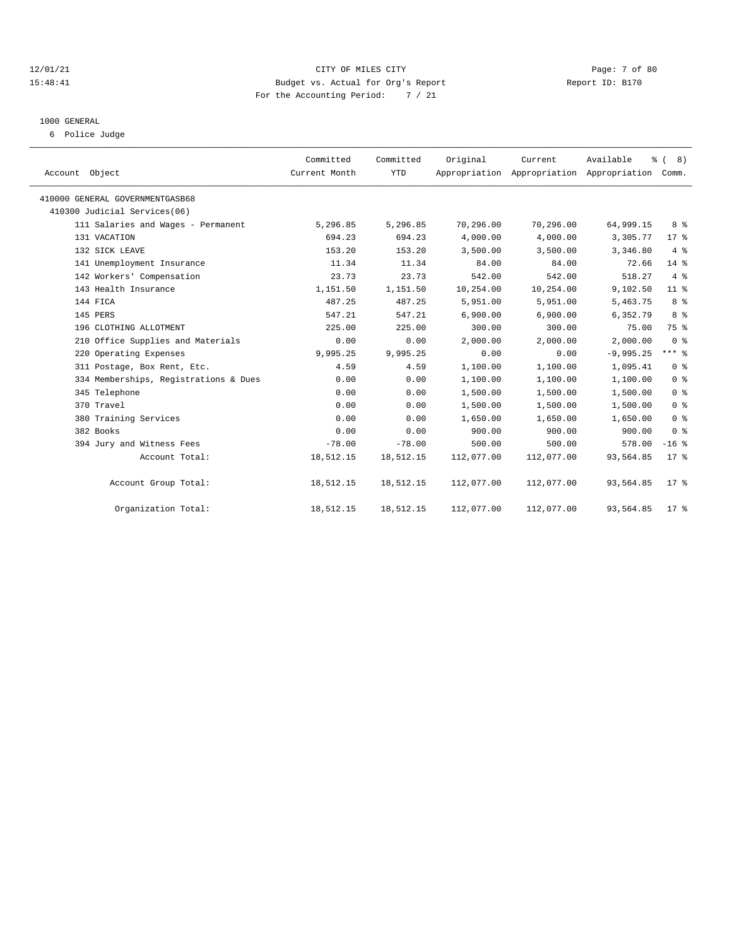#### 12/01/21 CITY OF MILES CITY Page: 7 of 80 15:48:41 Budget vs. Actual for Org's Report Report ID: B170 For the Accounting Period: 7 / 21

### 1000 GENERAL

6 Police Judge

| Account Object                        | Committed<br>Current Month | Committed<br><b>YTD</b> | Original   | Current    | Available<br>Appropriation Appropriation Appropriation Comm. | $\frac{6}{6}$ ( 8) |
|---------------------------------------|----------------------------|-------------------------|------------|------------|--------------------------------------------------------------|--------------------|
| 410000 GENERAL GOVERNMENTGASB68       |                            |                         |            |            |                                                              |                    |
| 410300 Judicial Services(06)          |                            |                         |            |            |                                                              |                    |
| 111 Salaries and Wages - Permanent    | 5,296.85                   | 5,296.85                | 70,296.00  | 70,296.00  | 64,999.15                                                    | 8 %                |
| 131 VACATION                          | 694.23                     | 694.23                  | 4,000.00   | 4,000.00   | 3,305.77                                                     | $17*$              |
| 132 SICK LEAVE                        | 153.20                     | 153.20                  | 3,500.00   | 3,500.00   | 3,346.80                                                     | 4%                 |
| 141 Unemployment Insurance            | 11.34                      | 11.34                   | 84.00      | 84.00      | 72.66                                                        | $14*$              |
| 142 Workers' Compensation             | 23.73                      | 23.73                   | 542.00     | 542.00     | 518.27                                                       | 4%                 |
| 143 Health Insurance                  | 1,151.50                   | 1,151.50                | 10,254.00  | 10,254.00  | 9,102.50                                                     | 11 <sup>8</sup>    |
| 144 FICA                              | 487.25                     | 487.25                  | 5,951.00   | 5,951.00   | 5,463.75                                                     | 8 %                |
| 145 PERS                              | 547.21                     | 547.21                  | 6.900.00   | 6.900.00   | 6,352.79                                                     | 8 <sup>8</sup>     |
| 196 CLOTHING ALLOTMENT                | 225.00                     | 225.00                  | 300.00     | 300.00     | 75.00                                                        | 75 %               |
| 210 Office Supplies and Materials     | 0.00                       | 0.00                    | 2,000.00   | 2,000.00   | 2,000.00                                                     | 0 <sup>8</sup>     |
| 220 Operating Expenses                | 9,995.25                   | 9,995.25                | 0.00       | 0.00       | $-9,995.25$                                                  | $***$ 8            |
| 311 Postage, Box Rent, Etc.           | 4.59                       | 4.59                    | 1,100.00   | 1,100.00   | 1,095.41                                                     | 0 <sup>8</sup>     |
| 334 Memberships, Registrations & Dues | 0.00                       | 0.00                    | 1,100.00   | 1,100.00   | 1,100.00                                                     | 0 <sup>8</sup>     |
| 345 Telephone                         | 0.00                       | 0.00                    | 1,500.00   | 1,500.00   | 1,500.00                                                     | 0 <sup>8</sup>     |
| 370 Travel                            | 0.00                       | 0.00                    | 1,500.00   | 1,500.00   | 1,500.00                                                     | 0 <sup>8</sup>     |
| 380 Training Services                 | 0.00                       | 0.00                    | 1,650.00   | 1,650.00   | 1,650.00                                                     | 0 <sup>8</sup>     |
| 382 Books                             | 0.00                       | 0.00                    | 900.00     | 900.00     | 900.00                                                       | 0 <sup>8</sup>     |
| 394 Jury and Witness Fees             | $-78.00$                   | $-78.00$                | 500.00     | 500.00     | 578.00                                                       | $-16$ %            |
| Account Total:                        | 18,512.15                  | 18,512.15               | 112,077.00 | 112,077.00 | 93,564.85                                                    | $17*$              |
| Account Group Total:                  | 18,512.15                  | 18,512.15               | 112,077.00 | 112,077.00 | 93,564.85                                                    | $17*$              |
| Organization Total:                   | 18,512.15                  | 18,512.15               | 112,077.00 | 112,077.00 | 93,564.85                                                    | 17 <sup>8</sup>    |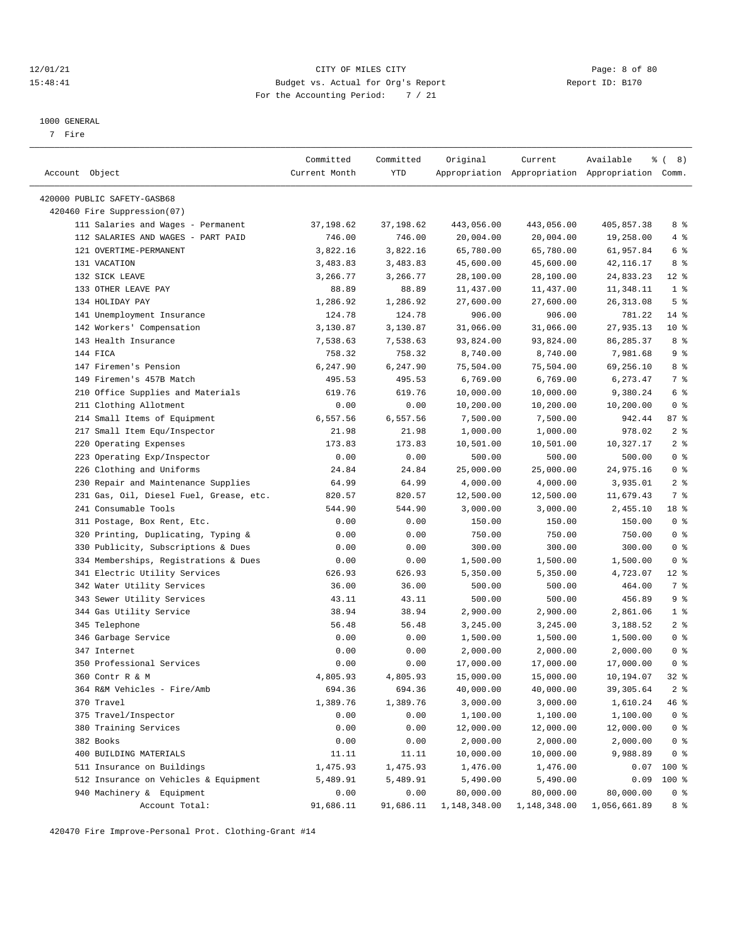#### 12/01/21 CITY OF MILES CITY Page: 8 of 80 15:48:41 Budget vs. Actual for Org's Report Report ID: B170 For the Accounting Period: 7 / 21

————————————————————————————————————————————————————————————————————————————————————————————————————————————————————————————————————

#### 1000 GENERAL

7 Fire

|                                                                          | Committed     | Committed | Original     | Current                                         | Available    | ී (<br>8)                |
|--------------------------------------------------------------------------|---------------|-----------|--------------|-------------------------------------------------|--------------|--------------------------|
| Account Object                                                           | Current Month | YTD       |              | Appropriation Appropriation Appropriation Comm. |              |                          |
|                                                                          |               |           |              |                                                 |              |                          |
| 420000 PUBLIC SAFETY-GASB68<br>420460 Fire Suppression(07)               |               |           |              |                                                 |              |                          |
|                                                                          | 37,198.62     |           | 443,056.00   | 443,056.00                                      | 405,857.38   | 8 %                      |
| 111 Salaries and Wages - Permanent<br>112 SALARIES AND WAGES - PART PAID |               | 37,198.62 | 20,004.00    |                                                 |              | 4%                       |
| 121 OVERTIME-PERMANENT                                                   | 746.00        | 746.00    |              | 20,004.00                                       | 19,258.00    |                          |
|                                                                          | 3,822.16      | 3,822.16  | 65,780.00    | 65,780.00                                       | 61,957.84    | 6 %                      |
| 131 VACATION<br>132 SICK LEAVE                                           | 3,483.83      | 3,483.83  | 45,600.00    | 45,600.00<br>28,100.00                          | 42, 116. 17  | 8 %                      |
|                                                                          | 3,266.77      | 3,266.77  | 28,100.00    |                                                 | 24,833.23    | $12$ %<br>1 <sup>8</sup> |
| 133 OTHER LEAVE PAY<br>134 HOLIDAY PAY                                   | 88.89         | 88.89     | 11,437.00    | 11,437.00                                       | 11,348.11    |                          |
|                                                                          | 1,286.92      | 1,286.92  | 27,600.00    | 27,600.00                                       | 26, 313.08   | 5 <sup>8</sup>           |
| 141 Unemployment Insurance                                               | 124.78        | 124.78    | 906.00       | 906.00                                          | 781.22       | $14$ %                   |
| 142 Workers' Compensation                                                | 3,130.87      | 3,130.87  | 31,066.00    | 31,066.00                                       | 27,935.13    | $10*$                    |
| 143 Health Insurance                                                     | 7,538.63      | 7,538.63  | 93,824.00    | 93,824.00                                       | 86, 285. 37  | 8 %                      |
| 144 FICA                                                                 | 758.32        | 758.32    | 8,740.00     | 8,740.00                                        | 7,981.68     | 9%                       |
| 147 Firemen's Pension                                                    | 6,247.90      | 6,247.90  | 75,504.00    | 75,504.00                                       | 69,256.10    | 8 %                      |
| 149 Firemen's 457B Match                                                 | 495.53        | 495.53    | 6,769.00     | 6,769.00                                        | 6,273.47     | 7 %                      |
| 210 Office Supplies and Materials                                        | 619.76        | 619.76    | 10,000.00    | 10,000.00                                       | 9,380.24     | 6 %                      |
| 211 Clothing Allotment                                                   | 0.00          | 0.00      | 10,200.00    | 10,200.00                                       | 10,200.00    | 0 <sup>8</sup>           |
| 214 Small Items of Equipment                                             | 6,557.56      | 6,557.56  | 7,500.00     | 7,500.00                                        | 942.44       | 87 %                     |
| 217 Small Item Equ/Inspector                                             | 21.98         | 21.98     | 1,000.00     | 1,000.00                                        | 978.02       | 2 <sup>8</sup>           |
| 220 Operating Expenses                                                   | 173.83        | 173.83    | 10,501.00    | 10,501.00                                       | 10,327.17    | 2 <sup>8</sup>           |
| 223 Operating Exp/Inspector                                              | 0.00          | 0.00      | 500.00       | 500.00                                          | 500.00       | 0 <sup>8</sup>           |
| 226 Clothing and Uniforms                                                | 24.84         | 24.84     | 25,000.00    | 25,000.00                                       | 24,975.16    | 0 <sup>8</sup>           |
| 230 Repair and Maintenance Supplies                                      | 64.99         | 64.99     | 4,000.00     | 4,000.00                                        | 3,935.01     | 2 <sup>8</sup>           |
| 231 Gas, Oil, Diesel Fuel, Grease, etc.                                  | 820.57        | 820.57    | 12,500.00    | 12,500.00                                       | 11,679.43    | 7 %                      |
| 241 Consumable Tools                                                     | 544.90        | 544.90    | 3,000.00     | 3,000.00                                        | 2,455.10     | 18 %                     |
| 311 Postage, Box Rent, Etc.                                              | 0.00          | 0.00      | 150.00       | 150.00                                          | 150.00       | 0 <sup>8</sup>           |
| 320 Printing, Duplicating, Typing &                                      | 0.00          | 0.00      | 750.00       | 750.00                                          | 750.00       | 0 <sup>8</sup>           |
| 330 Publicity, Subscriptions & Dues                                      | 0.00          | 0.00      | 300.00       | 300.00                                          | 300.00       | 0 <sup>8</sup>           |
| 334 Memberships, Registrations & Dues                                    | 0.00          | 0.00      | 1,500.00     | 1,500.00                                        | 1,500.00     | 0 <sup>8</sup>           |
| 341 Electric Utility Services                                            | 626.93        | 626.93    | 5,350.00     | 5,350.00                                        | 4,723.07     | $12*$                    |
| 342 Water Utility Services                                               | 36.00         | 36.00     | 500.00       | 500.00                                          | 464.00       | 7 %                      |
| 343 Sewer Utility Services                                               | 43.11         | 43.11     | 500.00       | 500.00                                          | 456.89       | 9%                       |
| 344 Gas Utility Service                                                  | 38.94         | 38.94     | 2,900.00     | 2,900.00                                        | 2,861.06     | 1 <sup>8</sup>           |
| 345 Telephone                                                            | 56.48         | 56.48     | 3,245.00     | 3,245.00                                        | 3,188.52     | 2 <sup>8</sup>           |
| 346 Garbage Service                                                      | 0.00          | 0.00      | 1,500.00     | 1,500.00                                        | 1,500.00     | 0 <sup>8</sup>           |
| 347 Internet                                                             | 0.00          | 0.00      | 2,000.00     | 2,000.00                                        | 2,000.00     | 0 <sup>8</sup>           |
| 350 Professional Services                                                | 0.00          | 0.00      | 17,000.00    | 17,000.00                                       | 17,000.00    | 0 <sup>8</sup>           |
| 360 Contr R & M                                                          | 4,805.93      | 4,805.93  | 15,000.00    | 15,000.00                                       | 10,194.07    | 32 %                     |
| 364 R&M Vehicles - Fire/Amb                                              | 694.36        | 694.36    | 40,000.00    | 40,000.00                                       | 39,305.64    | 2 <sup>8</sup>           |
| 370 Travel                                                               | 1,389.76      | 1,389.76  | 3,000.00     | 3,000.00                                        | 1,610.24     | 46 %                     |
| 375 Travel/Inspector                                                     | 0.00          | 0.00      | 1,100.00     | 1,100.00                                        | 1,100.00     | 0 <sup>8</sup>           |
| 380 Training Services                                                    | 0.00          | 0.00      | 12,000.00    | 12,000.00                                       | 12,000.00    | 0 <sup>8</sup>           |
| 382 Books                                                                | 0.00          | 0.00      | 2,000.00     | 2,000.00                                        | 2,000.00     | 0 <sup>8</sup>           |
| 400 BUILDING MATERIALS                                                   | 11.11         | 11.11     | 10,000.00    | 10,000.00                                       | 9,988.89     | 0 <sup>8</sup>           |
| 511 Insurance on Buildings                                               | 1,475.93      | 1,475.93  | 1,476.00     | 1,476.00                                        | 0.07         | 100 %                    |
| 512 Insurance on Vehicles & Equipment                                    | 5,489.91      | 5,489.91  | 5,490.00     | 5,490.00                                        | 0.09         | 100 %                    |
| 940 Machinery & Equipment                                                | 0.00          | 0.00      | 80,000.00    | 80,000.00                                       | 80,000.00    | 0 <sup>8</sup>           |
| Account Total:                                                           | 91,686.11     | 91,686.11 | 1,148,348.00 | 1,148,348.00                                    | 1,056,661.89 | 8 %                      |

420470 Fire Improve-Personal Prot. Clothing-Grant #14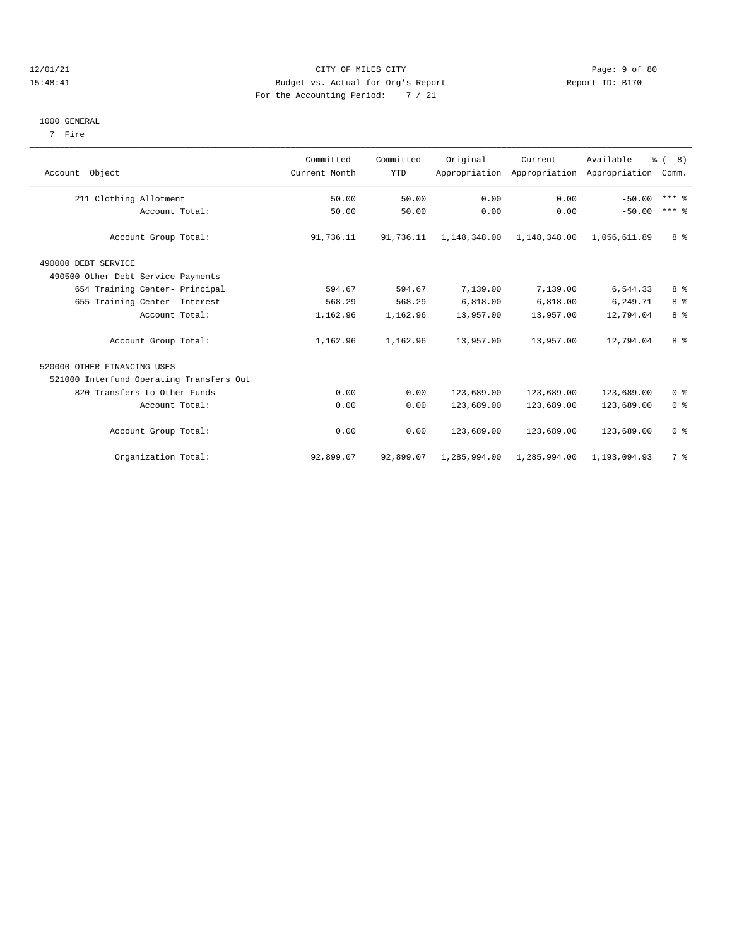#### 12/01/21 CITY OF MILES CITY Page: 9 of 80 15:48:41 Budget vs. Actual for Org's Report Report ID: B170 For the Accounting Period: 7 / 21

#### 1000 GENERAL

7 Fire

| Account Object                           | Committed<br>Current Month | Committed<br><b>YTD</b> | Original     | Current      | Available<br>Appropriation Appropriation Appropriation Comm. | $\frac{6}{9}$ ( 8) |
|------------------------------------------|----------------------------|-------------------------|--------------|--------------|--------------------------------------------------------------|--------------------|
| 211 Clothing Allotment                   | 50.00                      | 50.00                   | 0.00         | 0.00         | $-50.00$                                                     | $***$ 8            |
| Account Total:                           | 50.00                      | 50.00                   | 0.00         | 0.00         | $-50.00$                                                     | $***$ 8            |
| Account Group Total:                     | 91,736.11                  | 91,736.11               | 1,148,348.00 | 1,148,348.00 | 1,056,611.89                                                 | 8 %                |
| 490000 DEBT SERVICE                      |                            |                         |              |              |                                                              |                    |
| 490500 Other Debt Service Payments       |                            |                         |              |              |                                                              |                    |
| 654 Training Center- Principal           | 594.67                     | 594.67                  | 7,139.00     | 7,139.00     | 6,544.33                                                     | 8 %                |
| 655 Training Center- Interest            | 568.29                     | 568.29                  | 6,818.00     | 6,818.00     | 6,249.71                                                     | 8 <sup>8</sup>     |
| Account Total:                           | 1,162.96                   | 1,162.96                | 13,957.00    | 13,957.00    | 12,794.04                                                    | 8%                 |
| Account Group Total:                     | 1,162.96                   | 1,162.96                | 13,957.00    | 13,957.00    | 12,794.04                                                    | 8 %                |
| 520000 OTHER FINANCING USES              |                            |                         |              |              |                                                              |                    |
| 521000 Interfund Operating Transfers Out |                            |                         |              |              |                                                              |                    |
| 820 Transfers to Other Funds             | 0.00                       | 0.00                    | 123,689.00   | 123,689.00   | 123,689.00                                                   | 0 <sup>8</sup>     |
| Account Total:                           | 0.00                       | 0.00                    | 123,689.00   | 123,689.00   | 123,689.00                                                   | 0 <sup>8</sup>     |
| Account Group Total:                     | 0.00                       | 0.00                    | 123,689.00   | 123,689.00   | 123,689.00                                                   | 0 <sup>8</sup>     |
| Organization Total:                      | 92,899.07                  | 92,899.07               | 1,285,994.00 | 1,285,994.00 | 1,193,094.93                                                 | 7 %                |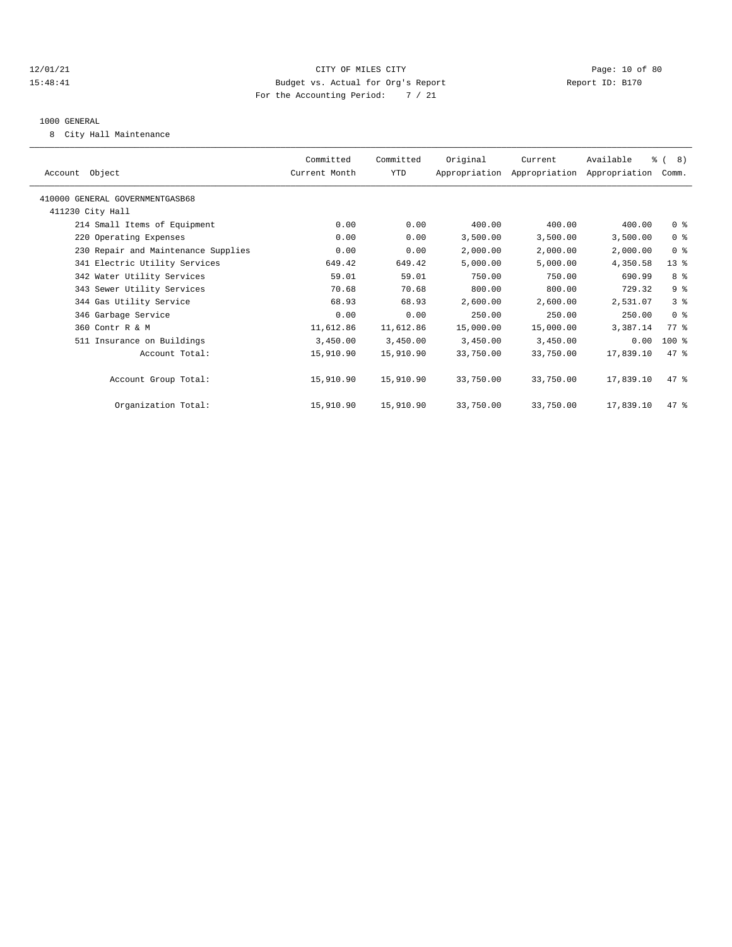#### 12/01/21 Page: 10 of 80 15:48:41 Budget vs. Actual for Org's Report Report ID: B170 For the Accounting Period: 7 / 21

#### 1000 GENERAL

8 City Hall Maintenance

| Account Object                      | Committed<br>Current Month | Committed<br><b>YTD</b> | Original  | Current<br>Appropriation Appropriation Appropriation | Available | $\frac{6}{6}$ ( 8)<br>Comm. |  |
|-------------------------------------|----------------------------|-------------------------|-----------|------------------------------------------------------|-----------|-----------------------------|--|
| 410000 GENERAL GOVERNMENTGASB68     |                            |                         |           |                                                      |           |                             |  |
| 411230 City Hall                    |                            |                         |           |                                                      |           |                             |  |
| 214 Small Items of Equipment        | 0.00                       | 0.00                    | 400.00    | 400.00                                               | 400.00    | 0 <sup>8</sup>              |  |
| 220 Operating Expenses              | 0.00                       | 0.00                    | 3,500.00  | 3,500.00                                             | 3,500.00  | 0 <sup>8</sup>              |  |
| 230 Repair and Maintenance Supplies | 0.00                       | 0.00                    | 2,000.00  | 2,000.00                                             | 2,000.00  | 0 <sup>8</sup>              |  |
| 341 Electric Utility Services       | 649.42                     | 649.42                  | 5,000.00  | 5,000.00                                             | 4,350.58  | $13*$                       |  |
| 342 Water Utility Services          | 59.01                      | 59.01                   | 750.00    | 750.00                                               | 690.99    | 8%                          |  |
| 343 Sewer Utility Services          | 70.68                      | 70.68                   | 800.00    | 800.00                                               | 729.32    | 9 <sup>8</sup>              |  |
| 344 Gas Utility Service             | 68.93                      | 68.93                   | 2,600.00  | 2,600.00                                             | 2,531.07  | 3%                          |  |
| 346 Garbage Service                 | 0.00                       | 0.00                    | 250.00    | 250.00                                               | 250.00    | 0 <sup>8</sup>              |  |
| 360 Contr R & M                     | 11,612.86                  | 11,612.86               | 15,000.00 | 15,000.00                                            | 3,387.14  | 77.8                        |  |
| 511 Insurance on Buildings          | 3,450.00                   | 3,450.00                | 3,450.00  | 3,450.00                                             | 0.00      | 100 %                       |  |
| Account Total:                      | 15,910.90                  | 15,910.90               | 33,750.00 | 33,750.00                                            | 17,839.10 | 47.8                        |  |
| Account Group Total:                | 15,910.90                  | 15,910.90               | 33,750.00 | 33,750.00                                            | 17,839.10 | 47.8                        |  |
| Organization Total:                 | 15,910.90                  | 15,910.90               | 33,750.00 | 33,750.00                                            | 17,839.10 | 47.8                        |  |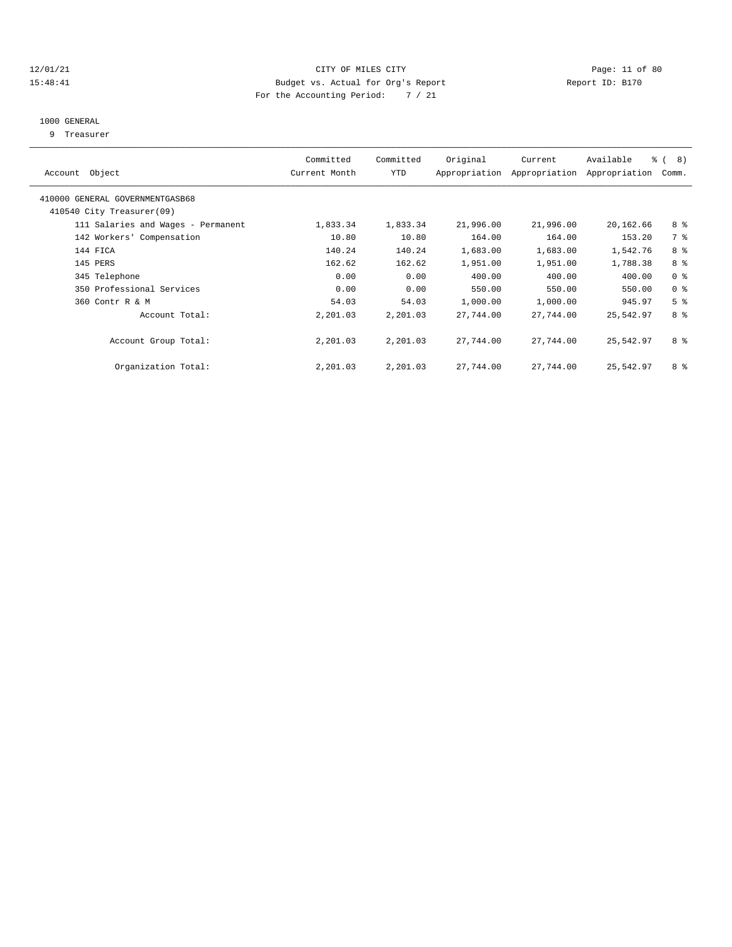#### 12/01/21 Page: 11 of 80 15:48:41 Budget vs. Actual for Org's Report Report ID: B170 For the Accounting Period: 7 / 21

### 1000 GENERAL

9 Treasurer

| Account Object                                               | Committed<br>Current Month | Committed<br><b>YTD</b> | Original  | Current<br>Appropriation Appropriation | Available<br>Appropriation | $\frac{6}{6}$ ( 8)<br>Comm. |  |
|--------------------------------------------------------------|----------------------------|-------------------------|-----------|----------------------------------------|----------------------------|-----------------------------|--|
| 410000 GENERAL GOVERNMENTGASB68<br>410540 City Treasurer(09) |                            |                         |           |                                        |                            |                             |  |
| 111 Salaries and Wages - Permanent                           | 1,833.34                   | 1,833.34                | 21,996.00 | 21,996.00                              | 20,162.66                  | 8 %                         |  |
| 142 Workers' Compensation                                    | 10.80                      | 10.80                   | 164.00    | 164.00                                 | 153.20                     | 7 %                         |  |
| 144 FICA                                                     | 140.24                     | 140.24                  | 1,683.00  | 1,683.00                               | 1,542.76                   | 8%                          |  |
| 145 PERS                                                     | 162.62                     | 162.62                  | 1,951.00  | 1,951.00                               | 1,788.38                   | 8 %                         |  |
| 345 Telephone                                                | 0.00                       | 0.00                    | 400.00    | 400.00                                 | 400.00                     | 0 <sup>8</sup>              |  |
| 350 Professional Services                                    | 0.00                       | 0.00                    | 550.00    | 550.00                                 | 550.00                     | 0 <sup>8</sup>              |  |
| 360 Contr R & M                                              | 54.03                      | 54.03                   | 1,000.00  | 1,000.00                               | 945.97                     | 5 <sup>8</sup>              |  |
| Account Total:                                               | 2,201.03                   | 2,201.03                | 27,744.00 | 27,744.00                              | 25,542.97                  | 8%                          |  |
| Account Group Total:                                         | 2,201.03                   | 2,201.03                | 27,744.00 | 27,744.00                              | 25,542.97                  | 8 %                         |  |
| Organization Total:                                          | 2,201.03                   | 2,201.03                | 27,744.00 | 27,744.00                              | 25,542.97                  | 8 %                         |  |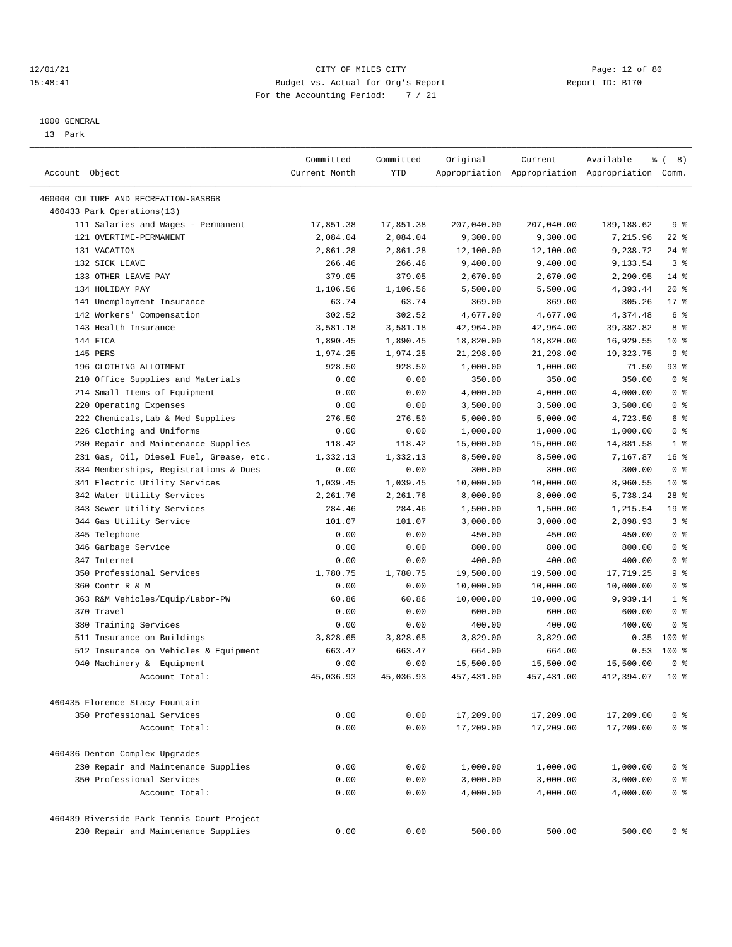#### 12/01/21 Page: 12 of 80 15:48:41 Budget vs. Actual for Org's Report Report ID: B170 For the Accounting Period: 7 / 21

————————————————————————————————————————————————————————————————————————————————————————————————————————————————————————————————————

## 1000 GENERAL

13 Park

| Account Object                                                      | Committed<br>Current Month | Committed<br><b>YTD</b> | Original            | Current    | Available<br>Appropriation Appropriation Appropriation Comm. | % (8)           |  |
|---------------------------------------------------------------------|----------------------------|-------------------------|---------------------|------------|--------------------------------------------------------------|-----------------|--|
| 460000 CULTURE AND RECREATION-GASB68                                |                            |                         |                     |            |                                                              |                 |  |
| 460433 Park Operations(13)                                          |                            |                         |                     |            |                                                              |                 |  |
| 111 Salaries and Wages - Permanent                                  | 17,851.38                  | 17,851.38               | 207,040.00          | 207,040.00 | 189, 188.62                                                  | 9 <sup>8</sup>  |  |
| 121 OVERTIME-PERMANENT                                              | 2,084.04                   | 2,084.04                | 9,300.00            | 9,300.00   | 7,215.96                                                     | $22$ %          |  |
| 131 VACATION                                                        | 2,861.28                   | 2,861.28                | 12,100.00           | 12,100.00  | 9,238.72                                                     | 24%             |  |
| 132 SICK LEAVE                                                      | 266.46                     | 266.46                  | 9,400.00            | 9,400.00   | 9,133.54                                                     | 3 <sup>8</sup>  |  |
| 133 OTHER LEAVE PAY                                                 | 379.05                     | 379.05                  | 2,670.00            | 2,670.00   | 2,290.95                                                     | $14$ %          |  |
| 134 HOLIDAY PAY                                                     | 1,106.56                   | 1,106.56                | 5,500.00            | 5,500.00   | 4,393.44                                                     | 20%             |  |
| 141 Unemployment Insurance                                          | 63.74                      | 63.74                   | 369.00              | 369.00     | 305.26                                                       | $17*$           |  |
| 142 Workers' Compensation                                           | 302.52                     | 302.52                  | 4,677.00            | 4,677.00   | 4,374.48                                                     | 6 %             |  |
| 143 Health Insurance                                                | 3,581.18                   | 3,581.18                | 42,964.00           | 42,964.00  | 39, 382.82                                                   | 8 %             |  |
| 144 FICA                                                            | 1,890.45                   | 1,890.45                | 18,820.00           | 18,820.00  | 16,929.55                                                    | $10*$           |  |
| 145 PERS                                                            | 1,974.25                   | 1,974.25                | 21,298.00           | 21,298.00  | 19,323.75                                                    | 9 <sup>8</sup>  |  |
| 196 CLOTHING ALLOTMENT                                              | 928.50                     | 928.50                  | 1,000.00            | 1,000.00   | 71.50                                                        | 93 %            |  |
| 210 Office Supplies and Materials                                   | 0.00                       | 0.00                    | 350.00              | 350.00     | 350.00                                                       | 0 <sup>8</sup>  |  |
| 214 Small Items of Equipment                                        | 0.00                       | 0.00                    | 4,000.00            | 4,000.00   | 4,000.00                                                     | 0 <sup>8</sup>  |  |
| 220 Operating Expenses                                              | 0.00                       | 0.00                    | 3,500.00            | 3,500.00   | 3,500.00                                                     | 0 <sup>8</sup>  |  |
| 222 Chemicals, Lab & Med Supplies                                   | 276.50                     | 276.50                  | 5,000.00            | 5,000.00   | 4,723.50                                                     | 6 %             |  |
| 226 Clothing and Uniforms                                           | 0.00                       | 0.00                    | 1,000.00            | 1,000.00   | 1,000.00                                                     | 0 <sup>8</sup>  |  |
| 230 Repair and Maintenance Supplies                                 | 118.42                     | 118.42                  | 15,000.00           | 15,000.00  | 14,881.58                                                    | 1 <sup>8</sup>  |  |
| 231 Gas, Oil, Diesel Fuel, Grease, etc.                             | 1,332.13                   | 1,332.13                | 8,500.00            | 8,500.00   | 7,167.87                                                     | 16 <sup>8</sup> |  |
| 334 Memberships, Registrations & Dues                               | 0.00                       | 0.00                    | 300.00              | 300.00     | 300.00                                                       | 0 <sup>8</sup>  |  |
| 341 Electric Utility Services                                       | 1,039.45                   | 1,039.45                | 10,000.00           | 10,000.00  | 8,960.55                                                     | $10*$           |  |
| 342 Water Utility Services                                          | 2,261.76                   | 2,261.76                | 8,000.00            | 8,000.00   | 5,738.24                                                     | $28$ %          |  |
| 343 Sewer Utility Services                                          | 284.46                     | 284.46                  | 1,500.00            | 1,500.00   | 1,215.54                                                     | 19 %            |  |
| 344 Gas Utility Service                                             | 101.07                     | 101.07                  | 3,000.00            | 3,000.00   | 2,898.93                                                     | 3 <sup>8</sup>  |  |
| 345 Telephone                                                       | 0.00                       | 0.00                    | 450.00              | 450.00     | 450.00                                                       | 0 <sup>8</sup>  |  |
| 346 Garbage Service                                                 | 0.00                       | 0.00                    | 800.00              | 800.00     | 800.00                                                       | 0 <sup>8</sup>  |  |
| 347 Internet                                                        | 0.00                       | 0.00                    | 400.00              | 400.00     | 400.00                                                       | 0 <sup>8</sup>  |  |
| 350 Professional Services                                           | 1,780.75                   | 1,780.75                | 19,500.00           | 19,500.00  | 17,719.25                                                    | 9%              |  |
| 360 Contr R & M                                                     | 0.00                       | 0.00                    | 10,000.00           | 10,000.00  | 10,000.00                                                    | 0 <sup>8</sup>  |  |
|                                                                     | 60.86                      | 60.86                   |                     |            | 9,939.14                                                     | 1 <sup>8</sup>  |  |
| 363 R&M Vehicles/Equip/Labor-PW<br>370 Travel                       | 0.00                       | 0.00                    | 10,000.00<br>600.00 | 10,000.00  | 600.00                                                       | 0 <sup>8</sup>  |  |
|                                                                     |                            |                         |                     | 600.00     |                                                              | 0 <sup>8</sup>  |  |
| 380 Training Services                                               | 0.00                       | 0.00                    | 400.00              | 400.00     | 400.00                                                       | $100*$          |  |
| 511 Insurance on Buildings<br>512 Insurance on Vehicles & Equipment | 3,828.65                   | 3,828.65                | 3,829.00            | 3,829.00   | 0.35                                                         | 100 %           |  |
|                                                                     | 663.47                     | 663.47                  | 664.00              | 664.00     | 0.53                                                         |                 |  |
| 940 Machinery & Equipment                                           | 0.00                       | 0.00                    | 15,500.00           | 15,500.00  | 15,500.00                                                    | 0 <sup>8</sup>  |  |
| Account Total:                                                      | 45,036.93                  | 45,036.93               | 457,431.00          | 457,431.00 | 412,394.07                                                   | $10*$           |  |
| 460435 Florence Stacy Fountain                                      |                            |                         |                     |            |                                                              |                 |  |
| 350 Professional Services                                           | 0.00                       | 0.00                    | 17,209.00           | 17,209.00  | 17,209.00                                                    | 0 <sup>8</sup>  |  |
| Account Total:                                                      | 0.00                       | 0.00                    | 17,209.00           | 17,209.00  | 17,209.00                                                    | 0 <sup>8</sup>  |  |
| 460436 Denton Complex Upgrades                                      |                            |                         |                     |            |                                                              |                 |  |
| 230 Repair and Maintenance Supplies                                 | 0.00                       | 0.00                    | 1,000.00            | 1,000.00   | 1,000.00                                                     | 0 <sup>8</sup>  |  |
| 350 Professional Services                                           | 0.00                       | 0.00                    | 3,000.00            | 3,000.00   | 3,000.00                                                     | 0 <sup>8</sup>  |  |
| Account Total:                                                      | 0.00                       | 0.00                    | 4,000.00            | 4,000.00   | 4,000.00                                                     | 0 <sup>8</sup>  |  |
| 460439 Riverside Park Tennis Court Project                          |                            |                         |                     |            |                                                              |                 |  |
| 230 Repair and Maintenance Supplies                                 | 0.00                       | 0.00                    | 500.00              | 500.00     | 500.00                                                       | 0 <sup>8</sup>  |  |
|                                                                     |                            |                         |                     |            |                                                              |                 |  |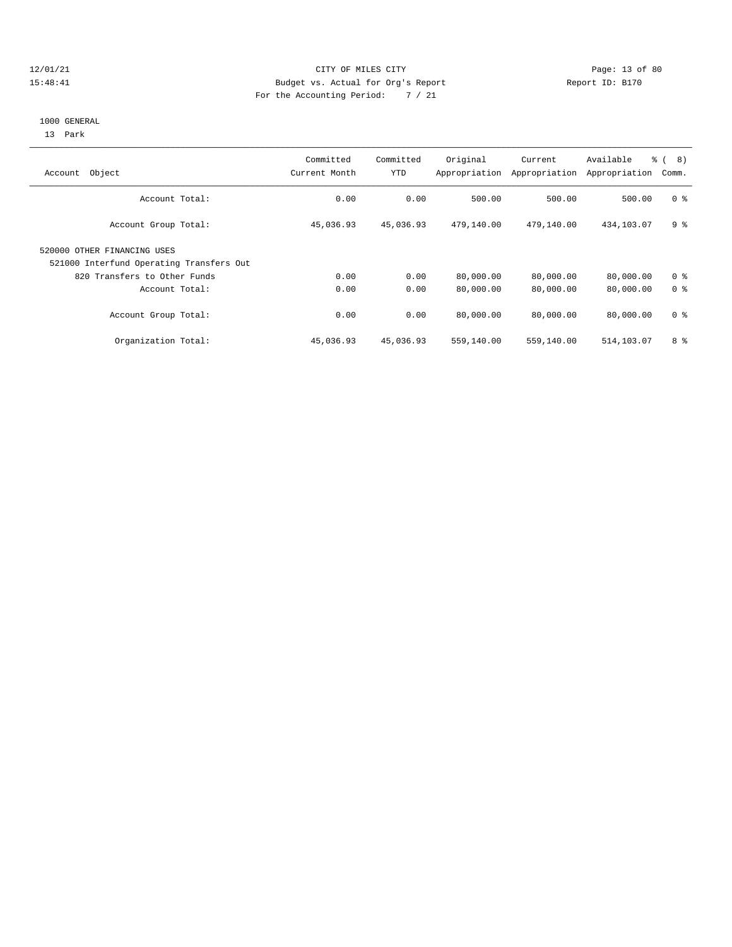### 12/01/21 Page: 13 of 80 15:48:41 Budget vs. Actual for Org's Report Report ID: B170 For the Accounting Period: 7 / 21

#### 1000 GENERAL

13 Park

| Object<br>Account                                                       | Committed<br>Current Month | Committed<br>YTD | Original<br>Appropriation | Current<br>Appropriation | Available<br>Appropriation | $\approx$ (<br>8)<br>Comm. |
|-------------------------------------------------------------------------|----------------------------|------------------|---------------------------|--------------------------|----------------------------|----------------------------|
| Account Total:                                                          | 0.00                       | 0.00             | 500.00                    | 500.00                   | 500.00                     | 0 <sup>8</sup>             |
| Account Group Total:                                                    | 45,036.93                  | 45,036.93        | 479,140.00                | 479,140.00               | 434, 103.07                | 9 %                        |
| 520000 OTHER FINANCING USES<br>521000 Interfund Operating Transfers Out |                            |                  |                           |                          |                            |                            |
| 820 Transfers to Other Funds                                            | 0.00                       | 0.00             | 80,000.00                 | 80,000.00                | 80,000.00                  | 0 <sup>8</sup>             |
| Account Total:                                                          | 0.00                       | 0.00             | 80,000.00                 | 80,000.00                | 80,000.00                  | 0 <sup>8</sup>             |
| Account Group Total:                                                    | 0.00                       | 0.00             | 80,000.00                 | 80,000.00                | 80,000.00                  | 0 <sup>8</sup>             |
| Organization Total:                                                     | 45,036.93                  | 45,036.93        | 559,140.00                | 559,140.00               | 514,103.07                 | 8 %                        |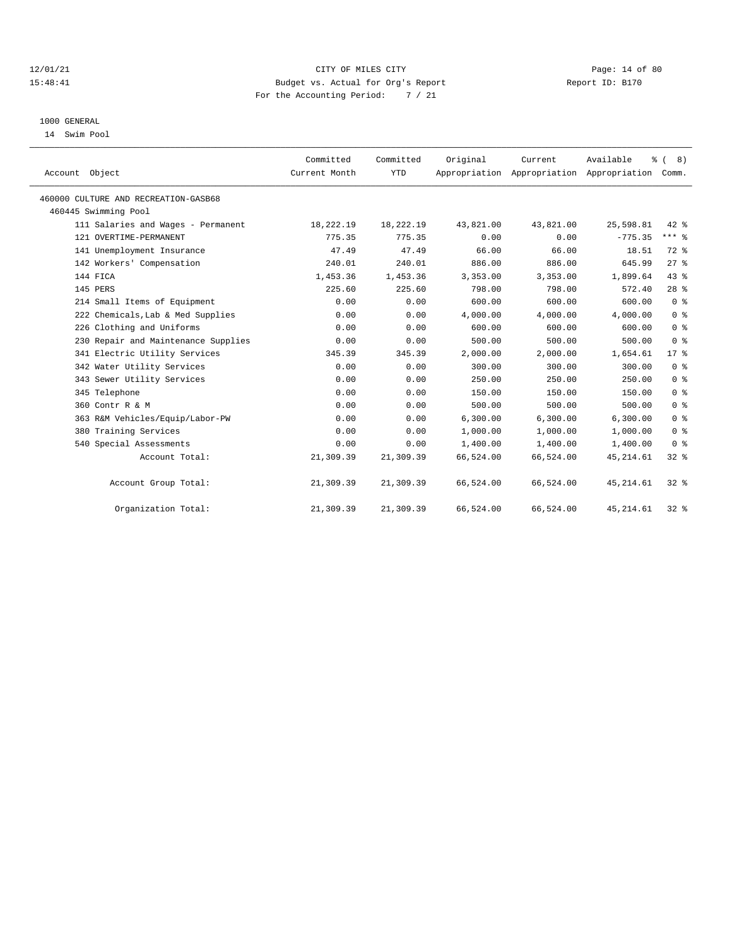#### 12/01/21 Page: 14 of 80 15:48:41 Budget vs. Actual for Org's Report Report ID: B170 For the Accounting Period: 7 / 21

### 1000 GENERAL

14 Swim Pool

| Account Object                       |                                     | Committed<br>Current Month | Committed<br><b>YTD</b> | Original  | Current<br>Appropriation Appropriation Appropriation Comm. | Available  | $\frac{6}{9}$ ( 8) |
|--------------------------------------|-------------------------------------|----------------------------|-------------------------|-----------|------------------------------------------------------------|------------|--------------------|
| 460000 CULTURE AND RECREATION-GASB68 |                                     |                            |                         |           |                                                            |            |                    |
| 460445 Swimming Pool                 |                                     |                            |                         |           |                                                            |            |                    |
|                                      | 111 Salaries and Wages - Permanent  | 18,222.19                  | 18,222.19               | 43,821.00 | 43,821.00                                                  | 25,598.81  | $42*$              |
| 121 OVERTIME-PERMANENT               |                                     | 775.35                     | 775.35                  | 0.00      | 0.00                                                       | $-775.35$  | $***$ $8$          |
| 141 Unemployment Insurance           |                                     | 47.49                      | 47.49                   | 66.00     | 66.00                                                      | 18.51      | 72 %               |
| 142 Workers' Compensation            |                                     | 240.01                     | 240.01                  | 886.00    | 886.00                                                     | 645.99     | $27$ %             |
| 144 FICA                             |                                     | 1,453.36                   | 1,453.36                | 3,353.00  | 3,353.00                                                   | 1,899.64   | 43%                |
| 145 PERS                             |                                     | 225.60                     | 225.60                  | 798.00    | 798.00                                                     | 572.40     | $28$ %             |
| 214 Small Items of Equipment         |                                     | 0.00                       | 0.00                    | 600.00    | 600.00                                                     | 600.00     | 0 <sup>8</sup>     |
|                                      | 222 Chemicals, Lab & Med Supplies   | 0.00                       | 0.00                    | 4,000.00  | 4,000.00                                                   | 4,000.00   | 0 <sup>8</sup>     |
| 226 Clothing and Uniforms            |                                     | 0.00                       | 0.00                    | 600.00    | 600.00                                                     | 600.00     | 0 <sup>8</sup>     |
|                                      | 230 Repair and Maintenance Supplies | 0.00                       | 0.00                    | 500.00    | 500.00                                                     | 500.00     | 0 <sup>8</sup>     |
|                                      | 341 Electric Utility Services       | 345.39                     | 345.39                  | 2,000.00  | 2,000.00                                                   | 1,654.61   | 17.8               |
| 342 Water Utility Services           |                                     | 0.00                       | 0.00                    | 300.00    | 300.00                                                     | 300.00     | 0 <sup>8</sup>     |
| 343 Sewer Utility Services           |                                     | 0.00                       | 0.00                    | 250.00    | 250.00                                                     | 250.00     | 0 <sup>8</sup>     |
| 345 Telephone                        |                                     | 0.00                       | 0.00                    | 150.00    | 150.00                                                     | 150.00     | 0 <sup>8</sup>     |
| 360 Contr R & M                      |                                     | 0.00                       | 0.00                    | 500.00    | 500.00                                                     | 500.00     | 0 <sup>8</sup>     |
|                                      | 363 R&M Vehicles/Equip/Labor-PW     | 0.00                       | 0.00                    | 6,300.00  | 6,300.00                                                   | 6, 300.00  | 0 <sup>8</sup>     |
| 380 Training Services                |                                     | 0.00                       | 0.00                    | 1,000.00  | 1,000.00                                                   | 1,000.00   | 0 <sup>8</sup>     |
| 540 Special Assessments              |                                     | 0.00                       | 0.00                    | 1,400.00  | 1,400.00                                                   | 1,400.00   | 0 <sup>8</sup>     |
|                                      | Account Total:                      | 21,309.39                  | 21,309.39               | 66,524.00 | 66,524.00                                                  | 45, 214.61 | $32*$              |
|                                      | Account Group Total:                | 21,309.39                  | 21,309.39               | 66,524.00 | 66,524.00                                                  | 45, 214.61 | 32%                |
|                                      | Organization Total:                 | 21,309.39                  | 21,309.39               | 66,524.00 | 66,524.00                                                  | 45, 214.61 | 32%                |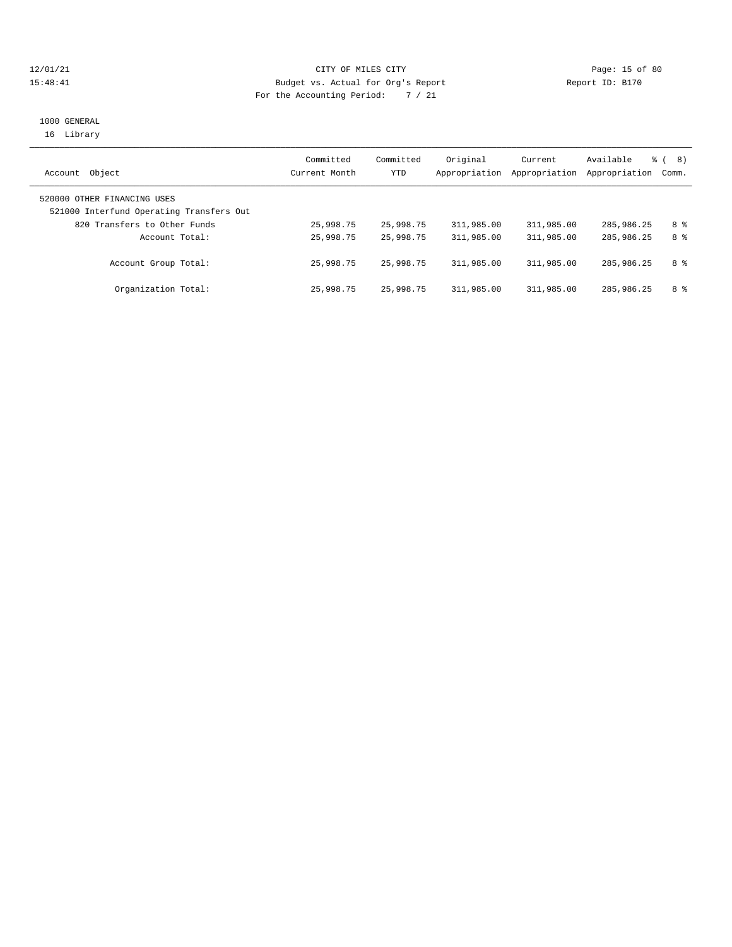#### 12/01/21 Page: 15 of 80 15:48:41 Budget vs. Actual for Org's Report Report ID: B170 For the Accounting Period: 7 / 21

## 1000 GENERAL 16 Library

| Object<br>Account                                                       | Committed<br>Current Month | Committed<br>YTD | Original<br>Appropriation | Current<br>Appropriation | Available<br>Appropriation | 8)<br>ී (<br>Comm. |
|-------------------------------------------------------------------------|----------------------------|------------------|---------------------------|--------------------------|----------------------------|--------------------|
| 520000 OTHER FINANCING USES<br>521000 Interfund Operating Transfers Out |                            |                  |                           |                          |                            |                    |
| 820 Transfers to Other Funds                                            | 25,998.75                  | 25,998.75        | 311,985.00                | 311,985.00               | 285,986.25                 | 8 %                |
| Account Total:                                                          | 25,998.75                  | 25,998.75        | 311,985.00                | 311,985.00               | 285,986.25                 | 8 %                |
| Account Group Total:                                                    | 25,998.75                  | 25,998.75        | 311,985.00                | 311,985.00               | 285,986.25                 | 8 %                |
| Organization Total:                                                     | 25,998.75                  | 25,998.75        | 311,985.00                | 311,985.00               | 285,986.25                 | 8 %                |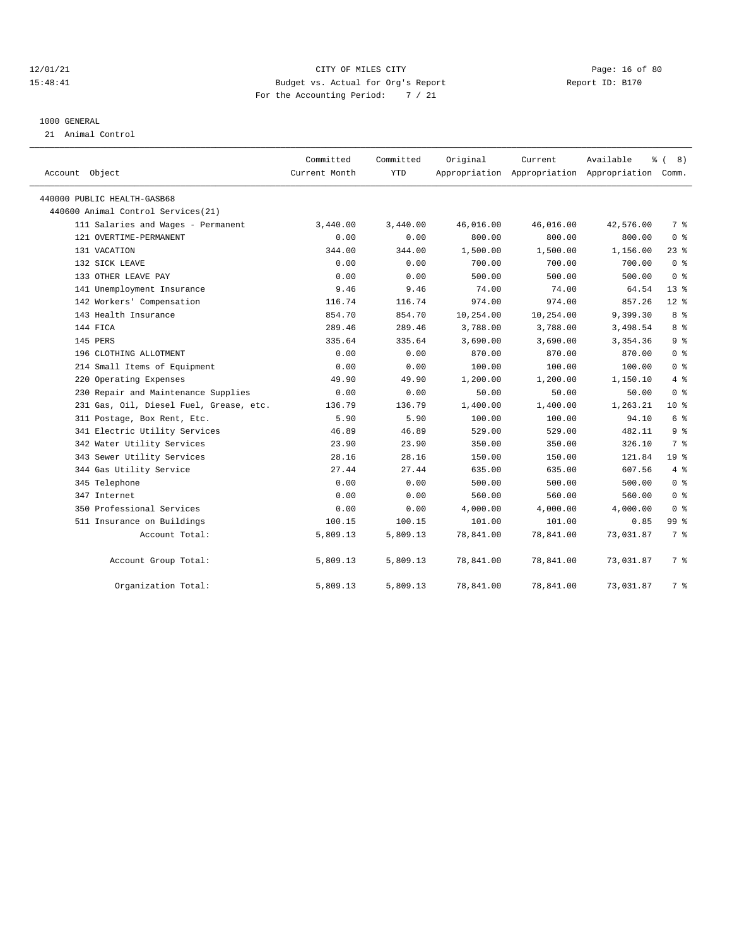#### 12/01/21 Page: 16 of 80 15:48:41 Budget vs. Actual for Org's Report Report ID: B170 For the Accounting Period: 7 / 21

#### 1000 GENERAL

21 Animal Control

|                                         | Committed     | Committed  | Original  | Current   | Available                                       | <sub>රි</sub> ( 8 ) |
|-----------------------------------------|---------------|------------|-----------|-----------|-------------------------------------------------|---------------------|
| Account Object                          | Current Month | <b>YTD</b> |           |           | Appropriation Appropriation Appropriation Comm. |                     |
| 440000 PUBLIC HEALTH-GASB68             |               |            |           |           |                                                 |                     |
| 440600 Animal Control Services (21)     |               |            |           |           |                                                 |                     |
| 111 Salaries and Wages - Permanent      | 3,440.00      | 3,440.00   | 46,016.00 | 46,016.00 | 42,576.00                                       | 7 %                 |
| 121 OVERTIME-PERMANENT                  | 0.00          | 0.00       | 800.00    | 800.00    | 800.00                                          | 0 <sup>8</sup>      |
| 131 VACATION                            | 344.00        | 344.00     | 1,500.00  | 1,500.00  | 1,156.00                                        | 238                 |
| 132 SICK LEAVE                          | 0.00          | 0.00       | 700.00    | 700.00    | 700.00                                          | 0 <sup>8</sup>      |
| 133 OTHER LEAVE PAY                     | 0.00          | 0.00       | 500.00    | 500.00    | 500.00                                          | 0 <sup>8</sup>      |
| 141 Unemployment Insurance              | 9.46          | 9.46       | 74.00     | 74.00     | 64.54                                           | $13*$               |
| 142 Workers' Compensation               | 116.74        | 116.74     | 974.00    | 974.00    | 857.26                                          | $12*$               |
| 143 Health Insurance                    | 854.70        | 854.70     | 10,254.00 | 10,254.00 | 9,399.30                                        | 8 %                 |
| 144 FICA                                | 289.46        | 289.46     | 3,788.00  | 3,788.00  | 3,498.54                                        | 8 %                 |
| 145 PERS                                | 335.64        | 335.64     | 3,690.00  | 3,690.00  | 3,354.36                                        | 9 <sup>8</sup>      |
| 196 CLOTHING ALLOTMENT                  | 0.00          | 0.00       | 870.00    | 870.00    | 870.00                                          | 0 <sup>8</sup>      |
| 214 Small Items of Equipment            | 0.00          | 0.00       | 100.00    | 100.00    | 100.00                                          | 0 <sup>8</sup>      |
| 220 Operating Expenses                  | 49.90         | 49.90      | 1,200.00  | 1,200.00  | 1,150.10                                        | 4%                  |
| 230 Repair and Maintenance Supplies     | 0.00          | 0.00       | 50.00     | 50.00     | 50.00                                           | 0 <sup>8</sup>      |
| 231 Gas, Oil, Diesel Fuel, Grease, etc. | 136.79        | 136.79     | 1,400.00  | 1,400.00  | 1,263.21                                        | $10*$               |
| 311 Postage, Box Rent, Etc.             | 5.90          | 5.90       | 100.00    | 100.00    | 94.10                                           | 6 %                 |
| 341 Electric Utility Services           | 46.89         | 46.89      | 529.00    | 529.00    | 482.11                                          | 9%                  |
| 342 Water Utility Services              | 23.90         | 23.90      | 350.00    | 350.00    | 326.10                                          | 7 <sup>°</sup>      |
| 343 Sewer Utility Services              | 28.16         | 28.16      | 150.00    | 150.00    | 121.84                                          | 19 <sup>°</sup>     |
| 344 Gas Utility Service                 | 27.44         | 27.44      | 635.00    | 635.00    | 607.56                                          | 4%                  |
| 345 Telephone                           | 0.00          | 0.00       | 500.00    | 500.00    | 500.00                                          | 0 <sup>8</sup>      |
| 347 Internet                            | 0.00          | 0.00       | 560.00    | 560.00    | 560.00                                          | 0 <sup>8</sup>      |
| 350 Professional Services               | 0.00          | 0.00       | 4,000.00  | 4,000.00  | 4,000.00                                        | 0 <sup>8</sup>      |
| 511 Insurance on Buildings              | 100.15        | 100.15     | 101.00    | 101.00    | 0.85                                            | 99 <sub>8</sub>     |
| Account Total:                          | 5,809.13      | 5,809.13   | 78,841.00 | 78,841.00 | 73,031.87                                       | 7 <sup>°</sup>      |
| Account Group Total:                    | 5,809.13      | 5,809.13   | 78,841.00 | 78,841.00 | 73,031.87                                       | 7 %                 |
| Organization Total:                     | 5,809.13      | 5,809.13   | 78,841.00 | 78,841.00 | 73,031.87                                       | 7 %                 |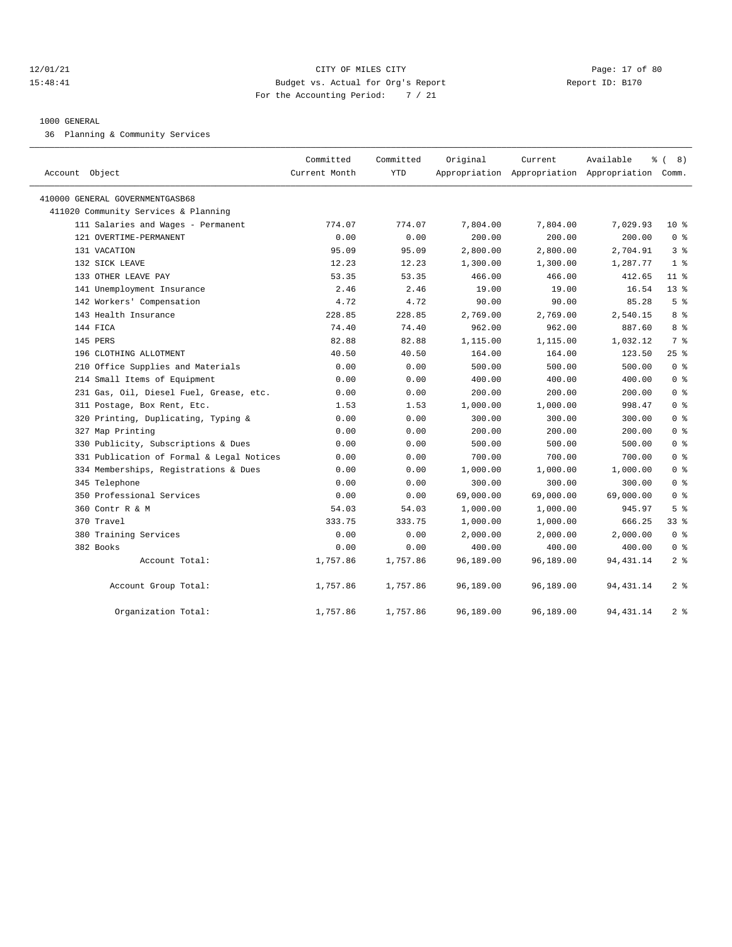#### 12/01/21 Page: 17 of 80 15:48:41 Budget vs. Actual for Org's Report Report ID: B170 For the Accounting Period: 7 / 21

#### 1000 GENERAL

36 Planning & Community Services

| Account Object                            | Committed<br>Current Month | Committed<br><b>YTD</b> | Original  | Current   | Available<br>Appropriation Appropriation Appropriation Comm. | $\frac{6}{6}$ ( 8) |
|-------------------------------------------|----------------------------|-------------------------|-----------|-----------|--------------------------------------------------------------|--------------------|
| 410000 GENERAL GOVERNMENTGASB68           |                            |                         |           |           |                                                              |                    |
| 411020 Community Services & Planning      |                            |                         |           |           |                                                              |                    |
| 111 Salaries and Wages - Permanent        | 774.07                     | 774.07                  | 7,804.00  | 7,804.00  | 7,029.93                                                     | $10*$              |
| 121 OVERTIME-PERMANENT                    | 0.00                       | 0.00                    | 200.00    | 200.00    | 200.00                                                       | 0 <sup>8</sup>     |
| 131 VACATION                              | 95.09                      | 95.09                   | 2,800.00  | 2,800.00  | 2,704.91                                                     | 3%                 |
| 132 SICK LEAVE                            | 12.23                      | 12.23                   | 1,300.00  | 1,300.00  | 1,287.77                                                     | 1 <sup>8</sup>     |
| 133 OTHER LEAVE PAY                       | 53.35                      | 53.35                   | 466.00    | 466.00    | 412.65                                                       | $11$ %             |
| 141 Unemployment Insurance                | 2.46                       | 2.46                    | 19.00     | 19.00     | 16.54                                                        | $13*$              |
| 142 Workers' Compensation                 | 4.72                       | 4.72                    | 90.00     | 90.00     | 85.28                                                        | 5 <sup>8</sup>     |
| 143 Health Insurance                      | 228.85                     | 228.85                  | 2,769.00  | 2,769.00  | 2,540.15                                                     | 8 <sup>8</sup>     |
| 144 FICA                                  | 74.40                      | 74.40                   | 962.00    | 962.00    | 887.60                                                       | 8 %                |
| 145 PERS                                  | 82.88                      | 82.88                   | 1,115.00  | 1,115.00  | 1,032.12                                                     | 7 %                |
| 196 CLOTHING ALLOTMENT                    | 40.50                      | 40.50                   | 164.00    | 164.00    | 123.50                                                       | 25%                |
| 210 Office Supplies and Materials         | 0.00                       | 0.00                    | 500.00    | 500.00    | 500.00                                                       | 0 <sup>8</sup>     |
| 214 Small Items of Equipment              | 0.00                       | 0.00                    | 400.00    | 400.00    | 400.00                                                       | 0 <sup>8</sup>     |
| 231 Gas, Oil, Diesel Fuel, Grease, etc.   | 0.00                       | 0.00                    | 200.00    | 200.00    | 200.00                                                       | 0 <sup>8</sup>     |
| 311 Postage, Box Rent, Etc.               | 1.53                       | 1.53                    | 1,000.00  | 1,000.00  | 998.47                                                       | 0 <sup>8</sup>     |
| 320 Printing, Duplicating, Typing &       | 0.00                       | 0.00                    | 300.00    | 300.00    | 300.00                                                       | 0 <sup>8</sup>     |
| 327 Map Printing                          | 0.00                       | 0.00                    | 200.00    | 200.00    | 200.00                                                       | 0 <sup>8</sup>     |
| 330 Publicity, Subscriptions & Dues       | 0.00                       | 0.00                    | 500.00    | 500.00    | 500.00                                                       | 0 <sup>8</sup>     |
| 331 Publication of Formal & Legal Notices | 0.00                       | 0.00                    | 700.00    | 700.00    | 700.00                                                       | 0 <sup>8</sup>     |
| 334 Memberships, Registrations & Dues     | 0.00                       | 0.00                    | 1,000.00  | 1,000.00  | 1,000.00                                                     | 0 <sup>8</sup>     |
| 345 Telephone                             | 0.00                       | 0.00                    | 300.00    | 300.00    | 300.00                                                       | 0 <sup>8</sup>     |
| 350 Professional Services                 | 0.00                       | 0.00                    | 69,000.00 | 69,000.00 | 69,000.00                                                    | 0 <sup>8</sup>     |
| 360 Contr R & M                           | 54.03                      | 54.03                   | 1,000.00  | 1,000.00  | 945.97                                                       | 5 <sup>8</sup>     |
| 370 Travel                                | 333.75                     | 333.75                  | 1,000.00  | 1,000.00  | 666.25                                                       | 338                |
| 380 Training Services                     | 0.00                       | 0.00                    | 2,000.00  | 2,000.00  | 2,000.00                                                     | 0 <sup>8</sup>     |
| 382 Books                                 | 0.00                       | 0.00                    | 400.00    | 400.00    | 400.00                                                       | 0 <sup>8</sup>     |
| Account Total:                            | 1,757.86                   | 1,757.86                | 96,189.00 | 96,189.00 | 94, 431.14                                                   | 2 <sup>8</sup>     |
| Account Group Total:                      | 1,757.86                   | 1,757.86                | 96,189.00 | 96,189.00 | 94, 431.14                                                   | 2 <sup>8</sup>     |
| Organization Total:                       | 1,757.86                   | 1,757.86                | 96,189.00 | 96,189.00 | 94, 431.14                                                   | 2 <sup>8</sup>     |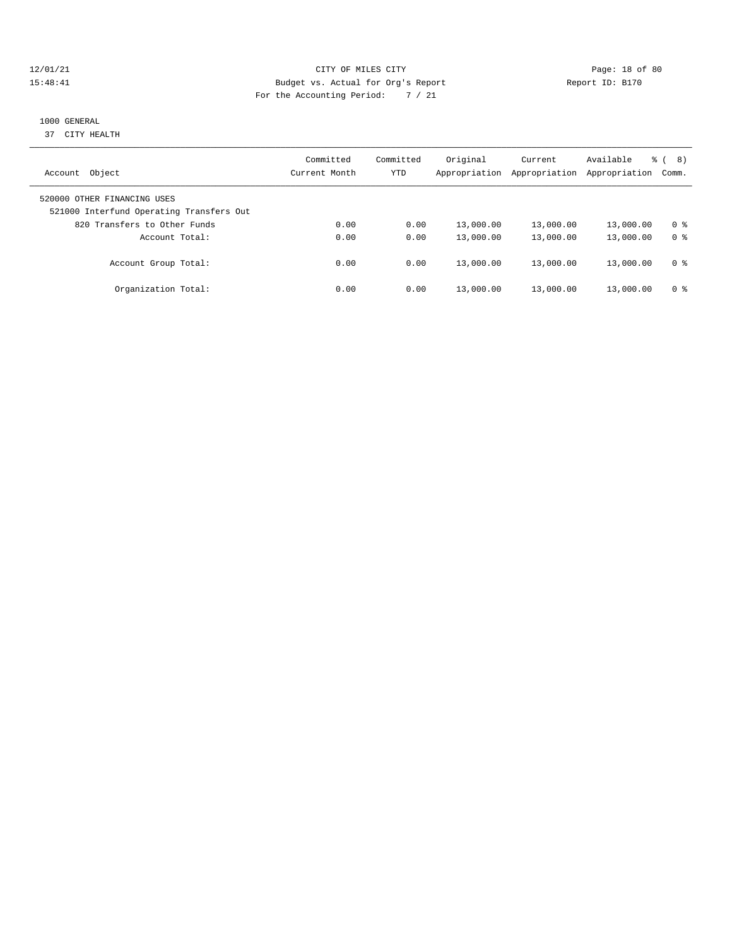#### 12/01/21 Page: 18 of 80 15:48:41 Budget vs. Actual for Org's Report Report ID: B170 For the Accounting Period: 7 / 21

# 1000 GENERAL

37 CITY HEALTH

| Object<br>Account                                                       | Committed<br>Current Month | Committed<br>YTD | Original<br>Appropriation | Current<br>Appropriation | Available<br>Appropriation | 8)<br>$\approx$ 1<br>Comm. |
|-------------------------------------------------------------------------|----------------------------|------------------|---------------------------|--------------------------|----------------------------|----------------------------|
| 520000 OTHER FINANCING USES<br>521000 Interfund Operating Transfers Out |                            |                  |                           |                          |                            |                            |
| 820 Transfers to Other Funds                                            | 0.00                       | 0.00             | 13,000.00                 | 13,000.00                | 13,000.00                  | 0 <sup>8</sup>             |
| Account Total:                                                          | 0.00                       | 0.00             | 13,000.00                 | 13,000.00                | 13,000.00                  | 0 <sup>8</sup>             |
| Account Group Total:                                                    | 0.00                       | 0.00             | 13,000.00                 | 13,000.00                | 13,000.00                  | 0 <sup>8</sup>             |
| Organization Total:                                                     | 0.00                       | 0.00             | 13,000.00                 | 13,000.00                | 13,000.00                  | 0 %                        |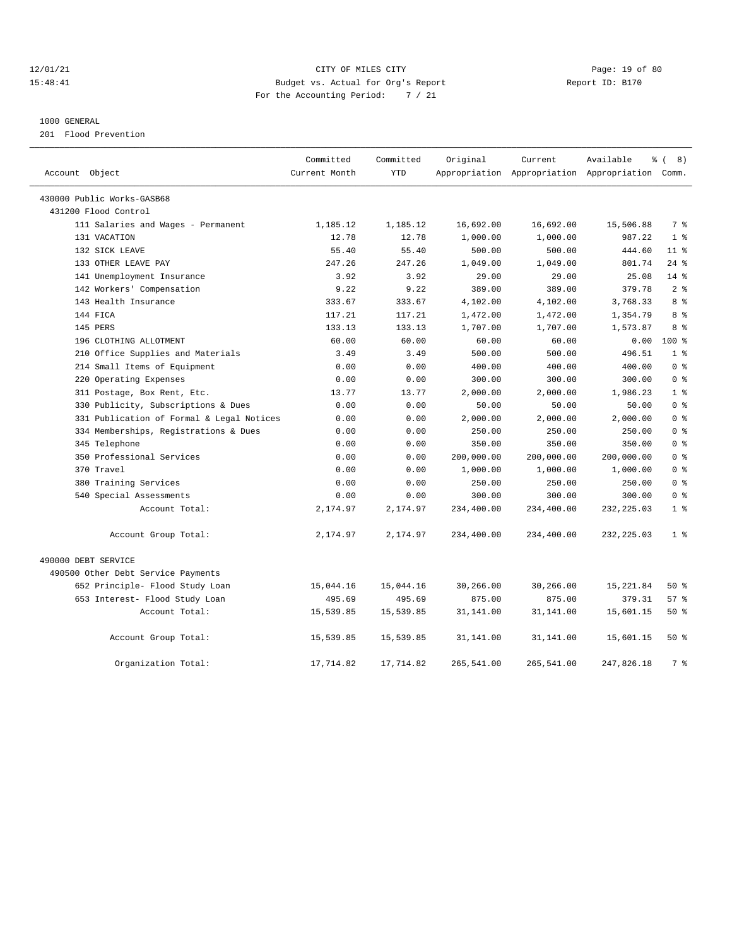#### 12/01/21 Page: 19 of 80 15:48:41 Budget vs. Actual for Org's Report Report ID: B170 For the Accounting Period: 7 / 21

#### 1000 GENERAL

201 Flood Prevention

| Account Object                            | Committed<br>Current Month | Committed<br><b>YTD</b> | Original   | Current    | Available<br>Appropriation Appropriation Appropriation Comm. | <sub>රි</sub> ( 8 ) |
|-------------------------------------------|----------------------------|-------------------------|------------|------------|--------------------------------------------------------------|---------------------|
| 430000 Public Works-GASB68                |                            |                         |            |            |                                                              |                     |
| 431200 Flood Control                      |                            |                         |            |            |                                                              |                     |
| 111 Salaries and Wages - Permanent        | 1,185.12                   | 1,185.12                | 16,692.00  | 16,692.00  | 15,506.88                                                    | 7 %                 |
| 131 VACATION                              | 12.78                      | 12.78                   | 1,000.00   | 1,000.00   | 987.22                                                       | 1 <sup>8</sup>      |
| 132 SICK LEAVE                            | 55.40                      | 55.40                   | 500.00     | 500.00     | 444.60                                                       | $11$ %              |
| 133 OTHER LEAVE PAY                       | 247.26                     | 247.26                  | 1,049.00   | 1,049.00   | 801.74                                                       | $24$ %              |
| 141 Unemployment Insurance                | 3.92                       | 3.92                    | 29.00      | 29.00      | 25.08                                                        | $14*$               |
| 142 Workers' Compensation                 | 9.22                       | 9.22                    | 389.00     | 389.00     | 379.78                                                       | 2 <sup>8</sup>      |
| 143 Health Insurance                      | 333.67                     | 333.67                  | 4,102.00   | 4,102.00   | 3,768.33                                                     | 8 %                 |
| 144 FICA                                  | 117.21                     | 117.21                  | 1,472.00   | 1,472.00   | 1,354.79                                                     | 8 %                 |
| 145 PERS                                  | 133.13                     | 133.13                  | 1,707.00   | 1,707.00   | 1,573.87                                                     | 8 %                 |
| 196 CLOTHING ALLOTMENT                    | 60.00                      | 60.00                   | 60.00      | 60.00      | 0.00                                                         | 100 %               |
| 210 Office Supplies and Materials         | 3.49                       | 3.49                    | 500.00     | 500.00     | 496.51                                                       | 1 <sup>8</sup>      |
| 214 Small Items of Equipment              | 0.00                       | 0.00                    | 400.00     | 400.00     | 400.00                                                       | 0 <sup>8</sup>      |
| 220 Operating Expenses                    | 0.00                       | 0.00                    | 300.00     | 300.00     | 300.00                                                       | 0 <sup>8</sup>      |
| 311 Postage, Box Rent, Etc.               | 13.77                      | 13.77                   | 2,000.00   | 2,000.00   | 1,986.23                                                     | 1 <sup>8</sup>      |
| 330 Publicity, Subscriptions & Dues       | 0.00                       | 0.00                    | 50.00      | 50.00      | 50.00                                                        | 0 <sup>8</sup>      |
| 331 Publication of Formal & Legal Notices | 0.00                       | 0.00                    | 2,000.00   | 2,000.00   | 2,000.00                                                     | 0 <sup>8</sup>      |
| 334 Memberships, Registrations & Dues     | 0.00                       | 0.00                    | 250.00     | 250.00     | 250.00                                                       | 0 <sup>8</sup>      |
| 345 Telephone                             | 0.00                       | 0.00                    | 350.00     | 350.00     | 350.00                                                       | 0 <sup>8</sup>      |
| 350 Professional Services                 | 0.00                       | 0.00                    | 200,000.00 | 200,000.00 | 200,000.00                                                   | 0 <sup>8</sup>      |
| 370 Travel                                | 0.00                       | 0.00                    | 1,000.00   | 1,000.00   | 1,000.00                                                     | 0 <sup>8</sup>      |
| 380 Training Services                     | 0.00                       | 0.00                    | 250.00     | 250.00     | 250.00                                                       | 0 <sup>8</sup>      |
| 540 Special Assessments                   | 0.00                       | 0.00                    | 300.00     | 300.00     | 300.00                                                       | 0 <sup>8</sup>      |
| Account Total:                            | 2,174.97                   | 2,174.97                | 234,400.00 | 234,400.00 | 232, 225.03                                                  | 1 <sup>8</sup>      |
| Account Group Total:                      | 2,174.97                   | 2,174.97                | 234,400.00 | 234,400.00 | 232, 225.03                                                  | 1 <sup>8</sup>      |
| 490000 DEBT SERVICE                       |                            |                         |            |            |                                                              |                     |
| 490500 Other Debt Service Payments        |                            |                         |            |            |                                                              |                     |
| 652 Principle- Flood Study Loan           | 15,044.16                  | 15,044.16               | 30,266.00  | 30,266.00  | 15,221.84                                                    | 50%                 |
| 653 Interest- Flood Study Loan            | 495.69                     | 495.69                  | 875.00     | 875.00     | 379.31                                                       | 57%                 |
| Account Total:                            | 15,539.85                  | 15,539.85               | 31,141.00  | 31,141.00  | 15,601.15                                                    | $50*$               |
| Account Group Total:                      | 15,539.85                  | 15,539.85               | 31,141.00  | 31,141.00  | 15,601.15                                                    | $50*$               |
| Organization Total:                       | 17,714.82                  | 17,714.82               | 265,541.00 | 265,541.00 | 247,826.18                                                   | 7 %                 |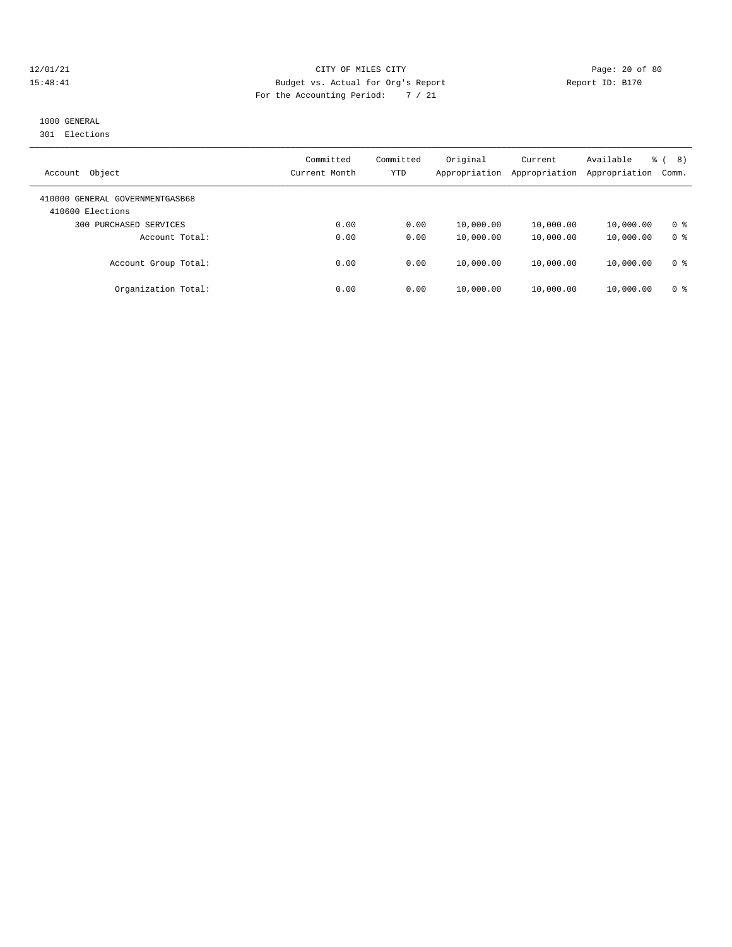#### 12/01/21 Page: 20 of 80 15:48:41 Budget vs. Actual for Org's Report Report ID: B170 For the Accounting Period: 7 / 21

# 1000 GENERAL

301 Elections

| Object<br>Account                                   | Committed<br>Current Month | Committed<br><b>YTD</b> | Original<br>Appropriation | Current<br>Appropriation | Available<br>Appropriation | 8)<br>ී (<br>Comm. |
|-----------------------------------------------------|----------------------------|-------------------------|---------------------------|--------------------------|----------------------------|--------------------|
| 410000 GENERAL GOVERNMENTGASB68<br>410600 Elections |                            |                         |                           |                          |                            |                    |
| PURCHASED SERVICES<br>300                           | 0.00                       | 0.00                    | 10,000.00                 | 10,000.00                | 10,000.00                  | 0 <sup>8</sup>     |
| Account Total:                                      | 0.00                       | 0.00                    | 10,000.00                 | 10,000.00                | 10,000.00                  | 0 <sup>8</sup>     |
| Account Group Total:                                | 0.00                       | 0.00                    | 10,000.00                 | 10,000.00                | 10,000.00                  | 0 <sup>8</sup>     |
| Organization Total:                                 | 0.00                       | 0.00                    | 10,000.00                 | 10,000.00                | 10,000.00                  | 0 %                |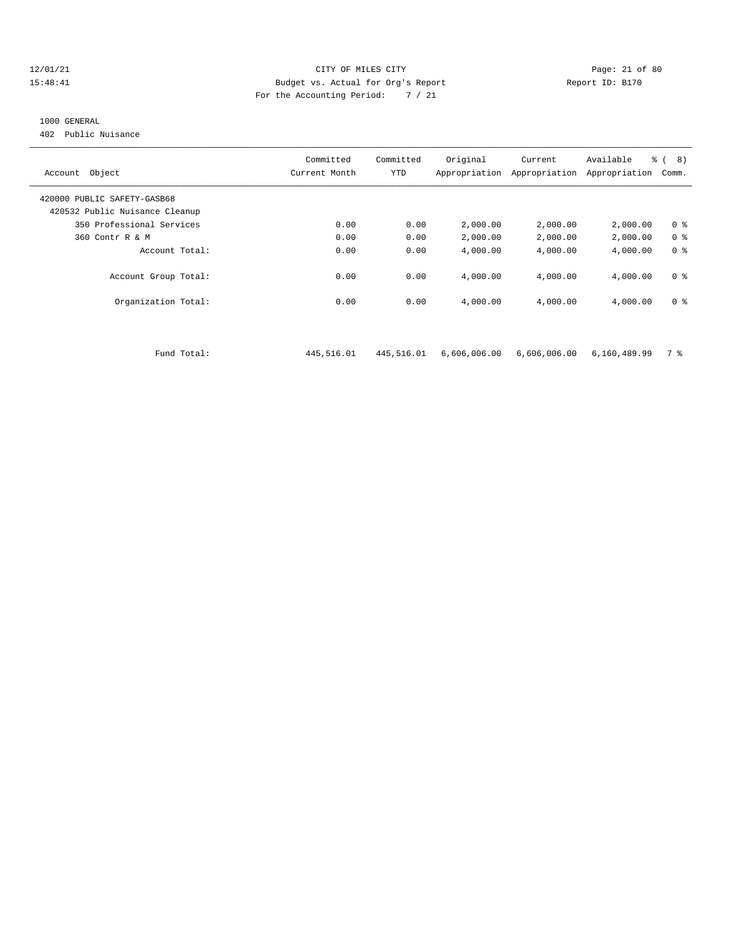#### 12/01/21 Page: 21 of 80 15:48:41 Budget vs. Actual for Org's Report Report ID: B170 For the Accounting Period: 7 / 21

#### 1000 GENERAL

402 Public Nuisance

| Object<br>Account              | Committed<br>Current Month | Committed<br>YTD | Original<br>Appropriation | Current<br>Appropriation | Available<br>Appropriation | $\frac{6}{6}$ ( 8)<br>Comm. |
|--------------------------------|----------------------------|------------------|---------------------------|--------------------------|----------------------------|-----------------------------|
| 420000 PUBLIC SAFETY-GASB68    |                            |                  |                           |                          |                            |                             |
| 420532 Public Nuisance Cleanup |                            |                  |                           |                          |                            |                             |
| 350 Professional Services      | 0.00                       | 0.00             | 2,000.00                  | 2,000.00                 | 2,000.00                   | 0 <sup>8</sup>              |
| 360 Contr R & M                | 0.00                       | 0.00             | 2,000.00                  | 2,000.00                 | 2,000.00                   | 0 <sup>8</sup>              |
| Account Total:                 | 0.00                       | 0.00             | 4,000.00                  | 4,000.00                 | 4,000.00                   | 0 <sup>8</sup>              |
| Account Group Total:           | 0.00                       | 0.00             | 4,000.00                  | 4,000.00                 | 4,000.00                   | 0 <sup>8</sup>              |
| Organization Total:            | 0.00                       | 0.00             | 4,000.00                  | 4,000.00                 | 4,000.00                   | 0 <sup>8</sup>              |
|                                |                            |                  |                           |                          |                            |                             |
| Fund Total:                    | 445,516.01                 | 445,516.01       | 6,606,006.00              | 6,606,006.00             | 6,160,489.99               | 7 %                         |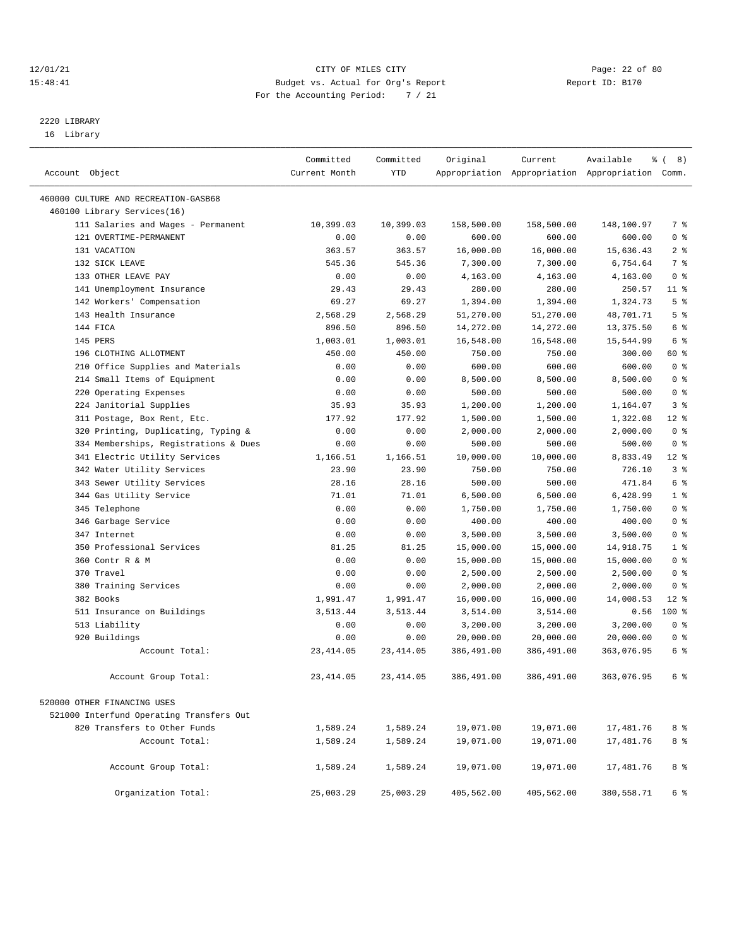#### 12/01/21 Page: 22 of 80<br>15:48:41 Page: 22 of 80<br>15:48:41 Budget vs. Actual for Org's Report Report Report ID: B170 15:48:41 Budget vs. Actual for Org's Report For the Accounting Period: 7 / 21

————————————————————————————————————————————————————————————————————————————————————————————————————————————————————————————————————

# 2220 LIBRARY

16 Library

|                                                   | Committed      | Committed      | Original              | Current               | Available                                       | ී (<br>8)             |
|---------------------------------------------------|----------------|----------------|-----------------------|-----------------------|-------------------------------------------------|-----------------------|
| Account Object                                    | Current Month  | <b>YTD</b>     |                       |                       | Appropriation Appropriation Appropriation Comm. |                       |
|                                                   |                |                |                       |                       |                                                 |                       |
| 460000 CULTURE AND RECREATION-GASB68              |                |                |                       |                       |                                                 |                       |
| 460100 Library Services(16)                       |                |                |                       |                       |                                                 |                       |
| 111 Salaries and Wages - Permanent                | 10,399.03      | 10,399.03      | 158,500.00            | 158,500.00            | 148,100.97                                      | 7 %                   |
| 121 OVERTIME-PERMANENT                            | 0.00           | 0.00           | 600.00                | 600.00                | 600.00                                          | 0 <sup>8</sup>        |
| 131 VACATION                                      | 363.57         | 363.57         | 16,000.00             | 16,000.00             | 15,636.43                                       | 2 <sup>8</sup>        |
| 132 SICK LEAVE                                    | 545.36         | 545.36         | 7,300.00              | 7,300.00<br>4,163.00  | 6,754.64                                        | 7 %<br>0 <sup>8</sup> |
| 133 OTHER LEAVE PAY                               | 0.00           | 0.00           | 4,163.00              |                       | 4,163.00                                        | $11$ %                |
| 141 Unemployment Insurance                        | 29.43<br>69.27 | 29.43<br>69.27 | 280.00                | 280.00                | 250.57                                          | 5 <sup>8</sup>        |
| 142 Workers' Compensation<br>143 Health Insurance | 2,568.29       | 2,568.29       | 1,394.00<br>51,270.00 | 1,394.00<br>51,270.00 | 1,324.73                                        | 5 <sup>8</sup>        |
| 144 FICA                                          | 896.50         | 896.50         | 14,272.00             | 14,272.00             | 48,701.71<br>13, 375.50                         | 6 %                   |
| 145 PERS                                          | 1,003.01       | 1,003.01       | 16,548.00             | 16,548.00             | 15,544.99                                       | 6 %                   |
| 196 CLOTHING ALLOTMENT                            | 450.00         | 450.00         | 750.00                | 750.00                | 300.00                                          | 60 %                  |
| 210 Office Supplies and Materials                 | 0.00           | 0.00           | 600.00                | 600.00                | 600.00                                          | 0 <sup>8</sup>        |
| 214 Small Items of Equipment                      | 0.00           | 0.00           | 8,500.00              | 8,500.00              | 8,500.00                                        | 0 <sup>8</sup>        |
| 220 Operating Expenses                            | 0.00           | 0.00           | 500.00                | 500.00                | 500.00                                          | 0 <sup>8</sup>        |
| 224 Janitorial Supplies                           | 35.93          | 35.93          | 1,200.00              | 1,200.00              | 1,164.07                                        | 3%                    |
| 311 Postage, Box Rent, Etc.                       | 177.92         | 177.92         | 1,500.00              | 1,500.00              | 1,322.08                                        | $12*$                 |
| 320 Printing, Duplicating, Typing &               | 0.00           | 0.00           | 2,000.00              | 2,000.00              | 2,000.00                                        | 0 <sup>8</sup>        |
| 334 Memberships, Registrations & Dues             | 0.00           | 0.00           | 500.00                | 500.00                | 500.00                                          | 0 <sup>8</sup>        |
| 341 Electric Utility Services                     | 1,166.51       | 1,166.51       | 10,000.00             | 10,000.00             | 8,833.49                                        | $12*$                 |
| 342 Water Utility Services                        | 23.90          | 23.90          | 750.00                | 750.00                | 726.10                                          | 3%                    |
| 343 Sewer Utility Services                        | 28.16          | 28.16          | 500.00                | 500.00                | 471.84                                          | 6 %                   |
| 344 Gas Utility Service                           | 71.01          | 71.01          | 6,500.00              | 6,500.00              | 6,428.99                                        | 1 <sup>8</sup>        |
| 345 Telephone                                     | 0.00           | 0.00           | 1,750.00              | 1,750.00              | 1,750.00                                        | 0 <sup>8</sup>        |
| 346 Garbage Service                               | 0.00           | 0.00           | 400.00                | 400.00                | 400.00                                          | 0 <sup>8</sup>        |
| 347 Internet                                      | 0.00           | 0.00           | 3,500.00              | 3,500.00              | 3,500.00                                        | 0 <sup>8</sup>        |
| 350 Professional Services                         | 81.25          | 81.25          | 15,000.00             | 15,000.00             | 14,918.75                                       | 1 <sup>8</sup>        |
| 360 Contr R & M                                   | 0.00           | 0.00           | 15,000.00             | 15,000.00             | 15,000.00                                       | 0 <sup>8</sup>        |
| 370 Travel                                        | 0.00           | 0.00           | 2,500.00              | 2,500.00              | 2,500.00                                        | 0 <sup>8</sup>        |
| 380 Training Services                             | 0.00           | 0.00           | 2,000.00              | 2,000.00              | 2,000.00                                        | 0 <sup>8</sup>        |
| 382 Books                                         | 1,991.47       | 1,991.47       | 16,000.00             | 16,000.00             | 14,008.53                                       | $12*$                 |
| 511 Insurance on Buildings                        | 3,513.44       | 3,513.44       | 3,514.00              | 3,514.00              | 0.56                                            | 100 %                 |
| 513 Liability                                     | 0.00           | 0.00           | 3,200.00              | 3,200.00              | 3,200.00                                        | 0 <sup>8</sup>        |
| 920 Buildings                                     | 0.00           | 0.00           | 20,000.00             | 20,000.00             | 20,000.00                                       | 0 <sup>8</sup>        |
| Account Total:                                    | 23, 414.05     | 23, 414.05     | 386,491.00            | 386,491.00            | 363,076.95                                      | 6 %                   |
| Account Group Total:                              | 23, 414.05     | 23, 414.05     | 386,491.00            | 386,491.00            | 363,076.95                                      | 6 %                   |
|                                                   |                |                |                       |                       |                                                 |                       |
| 520000 OTHER FINANCING USES                       |                |                |                       |                       |                                                 |                       |
| 521000 Interfund Operating Transfers Out          |                |                |                       |                       |                                                 |                       |
| 820 Transfers to Other Funds                      | 1,589.24       | 1,589.24       | 19,071.00             | 19,071.00             | 17,481.76                                       | 8 %                   |
| Account Total:                                    | 1,589.24       | 1,589.24       | 19,071.00             | 19,071.00             | 17,481.76                                       | 8 %                   |
| Account Group Total:                              | 1,589.24       | 1,589.24       | 19,071.00             | 19,071.00             | 17,481.76                                       | 8 %                   |
| Organization Total:                               | 25,003.29      | 25,003.29      | 405,562.00            | 405,562.00            | 380,558.71                                      | 6 %                   |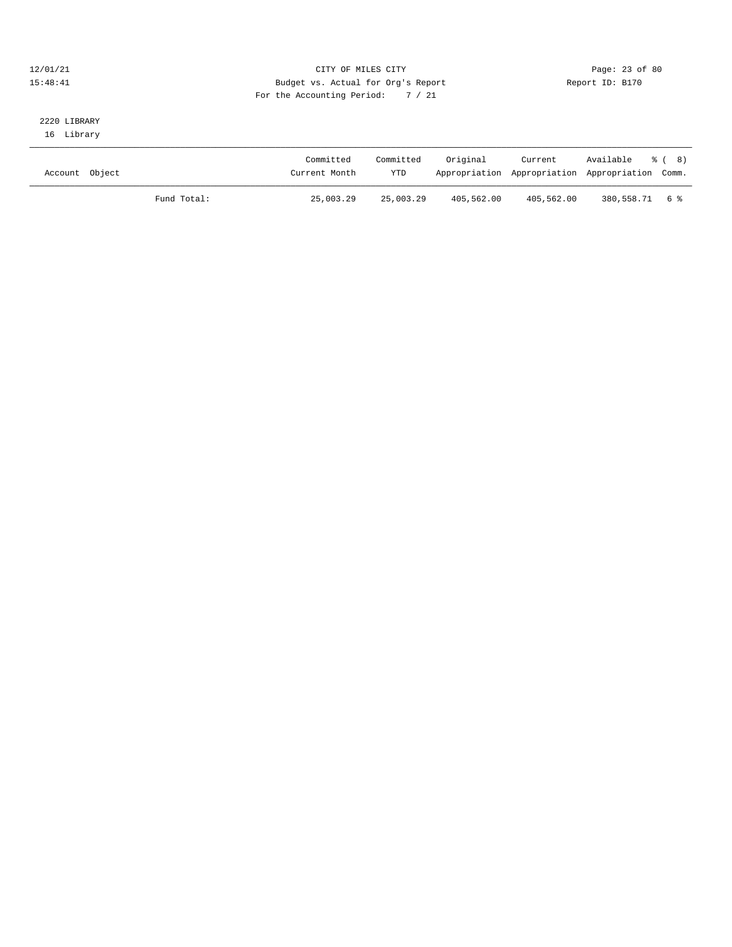#### 12/01/21 Page: 23 of 80 15:48:41 Budget vs. Actual for Org's Report Report ID: B170 For the Accounting Period: 7 / 21

### 2220 LIBRARY 16 Library

| Account Object |             | Committed<br>Current Month | Committed<br><b>YTD</b> | Original   | Current<br>Appropriation Appropriation Appropriation Comm. | Available % (8) |  |
|----------------|-------------|----------------------------|-------------------------|------------|------------------------------------------------------------|-----------------|--|
|                | Fund Total: | 25,003.29                  | 25,003.29               | 405,562.00 | 405,562.00                                                 | 380,558.71 6 %  |  |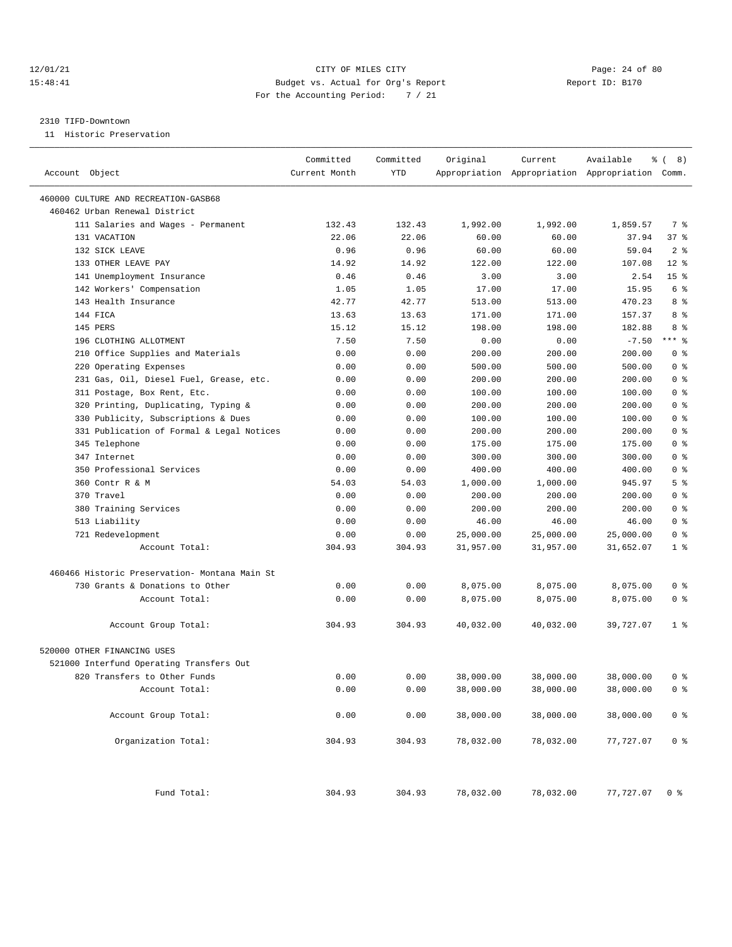#### 12/01/21 Page: 24 of 80 15:48:41 Budget vs. Actual for Org's Report Report ID: B170 For the Accounting Period: 7 / 21

#### 2310 TIFD-Downtown

11 Historic Preservation

| Account Object                                | Committed<br>Current Month | Committed<br>YTD | Original  | Current   | Available<br>Appropriation Appropriation Appropriation Comm. | ී (<br>8)       |
|-----------------------------------------------|----------------------------|------------------|-----------|-----------|--------------------------------------------------------------|-----------------|
| 460000 CULTURE AND RECREATION-GASB68          |                            |                  |           |           |                                                              |                 |
| 460462 Urban Renewal District                 |                            |                  |           |           |                                                              |                 |
| 111 Salaries and Wages - Permanent            | 132.43                     | 132.43           | 1,992.00  | 1,992.00  | 1,859.57                                                     | 7 %             |
| 131 VACATION                                  | 22.06                      | 22.06            | 60.00     | 60.00     | 37.94                                                        | 37%             |
| 132 SICK LEAVE                                | 0.96                       | 0.96             | 60.00     | 60.00     | 59.04                                                        | 2 <sup>8</sup>  |
| 133 OTHER LEAVE PAY                           | 14.92                      | 14.92            | 122.00    | 122.00    | 107.08                                                       | $12*$           |
| 141 Unemployment Insurance                    | 0.46                       | 0.46             | 3.00      | 3.00      | 2.54                                                         | 15 <sup>°</sup> |
| 142 Workers' Compensation                     | 1.05                       | 1.05             | 17.00     | 17.00     | 15.95                                                        | 6 %             |
| 143 Health Insurance                          | 42.77                      | 42.77            | 513.00    | 513.00    | 470.23                                                       | 8 %             |
| 144 FICA                                      | 13.63                      | 13.63            | 171.00    | 171.00    | 157.37                                                       | 8 %             |
| 145 PERS                                      | 15.12                      | 15.12            | 198.00    | 198.00    | 182.88                                                       | 8 %             |
| 196 CLOTHING ALLOTMENT                        | 7.50                       | 7.50             | 0.00      | 0.00      | $-7.50$                                                      | $***$ $%$       |
| 210 Office Supplies and Materials             | 0.00                       | 0.00             | 200.00    | 200.00    | 200.00                                                       | 0 <sup>8</sup>  |
| 220 Operating Expenses                        | 0.00                       | 0.00             | 500.00    | 500.00    | 500.00                                                       | 0 <sup>8</sup>  |
| 231 Gas, Oil, Diesel Fuel, Grease, etc.       | 0.00                       | 0.00             | 200.00    | 200.00    | 200.00                                                       | 0 <sup>8</sup>  |
| 311 Postage, Box Rent, Etc.                   | 0.00                       | 0.00             | 100.00    | 100.00    | 100.00                                                       | 0 <sup>8</sup>  |
| 320 Printing, Duplicating, Typing &           | 0.00                       | 0.00             | 200.00    | 200.00    | 200.00                                                       | 0 <sup>8</sup>  |
| 330 Publicity, Subscriptions & Dues           | 0.00                       | 0.00             | 100.00    | 100.00    | 100.00                                                       | 0 <sup>8</sup>  |
| 331 Publication of Formal & Legal Notices     | 0.00                       | 0.00             | 200.00    | 200.00    | 200.00                                                       | 0 <sup>8</sup>  |
| 345 Telephone                                 | 0.00                       | 0.00             | 175.00    | 175.00    | 175.00                                                       | 0 <sup>8</sup>  |
| 347 Internet                                  | 0.00                       | 0.00             | 300.00    | 300.00    | 300.00                                                       | 0 <sup>8</sup>  |
| 350 Professional Services                     | 0.00                       | 0.00             | 400.00    | 400.00    | 400.00                                                       | 0 <sup>8</sup>  |
| 360 Contr R & M                               | 54.03                      | 54.03            | 1,000.00  | 1,000.00  | 945.97                                                       | 5 <sup>8</sup>  |
| 370 Travel                                    | 0.00                       | 0.00             | 200.00    | 200.00    | 200.00                                                       | 0 <sup>8</sup>  |
| 380 Training Services                         | 0.00                       | 0.00             | 200.00    | 200.00    | 200.00                                                       | 0 <sup>8</sup>  |
| 513 Liability                                 | 0.00                       | 0.00             | 46.00     | 46.00     | 46.00                                                        | 0 <sup>8</sup>  |
| 721 Redevelopment                             | 0.00                       | 0.00             | 25,000.00 | 25,000.00 | 25,000.00                                                    | 0 <sup>8</sup>  |
| Account Total:                                | 304.93                     | 304.93           | 31,957.00 | 31,957.00 | 31,652.07                                                    | 1 <sup>8</sup>  |
|                                               |                            |                  |           |           |                                                              |                 |
| 460466 Historic Preservation- Montana Main St |                            |                  |           |           |                                                              |                 |
| 730 Grants & Donations to Other               | 0.00                       | 0.00             | 8,075.00  | 8,075.00  | 8,075.00                                                     | 0 <sup>8</sup>  |
| Account Total:                                | 0.00                       | 0.00             | 8,075.00  | 8,075.00  | 8,075.00                                                     | 0 <sup>8</sup>  |
| Account Group Total:                          | 304.93                     | 304.93           | 40,032.00 | 40,032.00 | 39,727.07                                                    | 1 <sup>8</sup>  |
| 520000 OTHER FINANCING USES                   |                            |                  |           |           |                                                              |                 |
| 521000 Interfund Operating Transfers Out      |                            |                  |           |           |                                                              |                 |
| 820 Transfers to Other Funds                  | 0.00                       | 0.00             | 38,000.00 | 38,000.00 | 38,000.00                                                    | 0 %             |
| Account Total:                                | 0.00                       | 0.00             | 38,000.00 | 38,000.00 | 38,000.00                                                    | 0 <sup>8</sup>  |
| Account Group Total:                          | 0.00                       | 0.00             | 38,000.00 | 38,000.00 | 38,000.00                                                    | 0 <sup>8</sup>  |
| Organization Total:                           | 304.93                     | 304.93           | 78,032.00 | 78,032.00 | 77,727.07                                                    | 0 <sup>8</sup>  |
| Fund Total:                                   | 304.93                     | 304.93           | 78,032.00 | 78,032.00 | 77,727.07                                                    | 0 <sup>8</sup>  |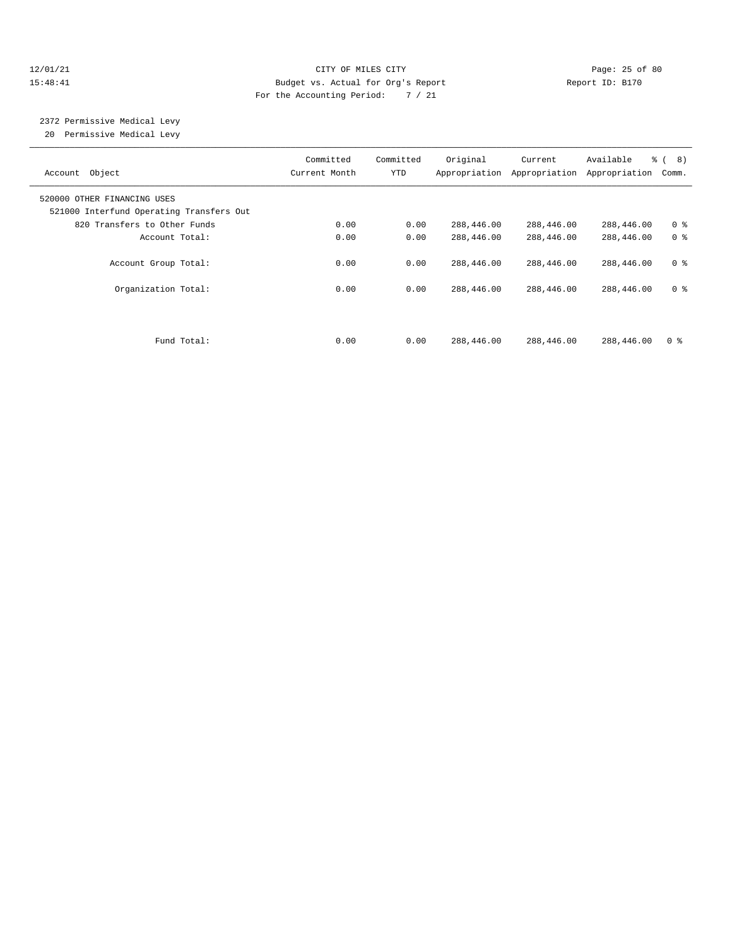#### 12/01/21 Page: 25 of 80 15:48:41 Budget vs. Actual for Org's Report Report ID: B170 For the Accounting Period: 7 / 21

# 2372 Permissive Medical Levy

20 Permissive Medical Levy

| Account Object                                                          | Committed<br>Current Month | Committed<br><b>YTD</b> | Original                 | Current<br>Appropriation Appropriation | Available<br>Appropriation | $\frac{6}{6}$ ( 8)<br>Comm.      |  |
|-------------------------------------------------------------------------|----------------------------|-------------------------|--------------------------|----------------------------------------|----------------------------|----------------------------------|--|
| 520000 OTHER FINANCING USES<br>521000 Interfund Operating Transfers Out |                            |                         |                          |                                        |                            |                                  |  |
| 820 Transfers to Other Funds                                            | 0.00                       | 0.00                    | 288,446.00               | 288,446.00                             | 288,446.00                 | 0 <sup>8</sup>                   |  |
| Account Total:                                                          | 0.00                       | 0.00                    | 288,446.00               | 288,446.00                             | 288,446.00                 | 0 <sup>8</sup>                   |  |
| Account Group Total:<br>Organization Total:                             | 0.00<br>0.00               | 0.00<br>0.00            | 288,446.00<br>288,446.00 | 288,446.00<br>288,446.00               | 288,446.00<br>288,446.00   | 0 <sup>8</sup><br>0 <sup>8</sup> |  |
| Fund Total:                                                             | 0.00                       | 0.00                    | 288,446.00               | 288,446.00                             | 288,446.00                 | 0 <sup>8</sup>                   |  |
|                                                                         |                            |                         |                          |                                        |                            |                                  |  |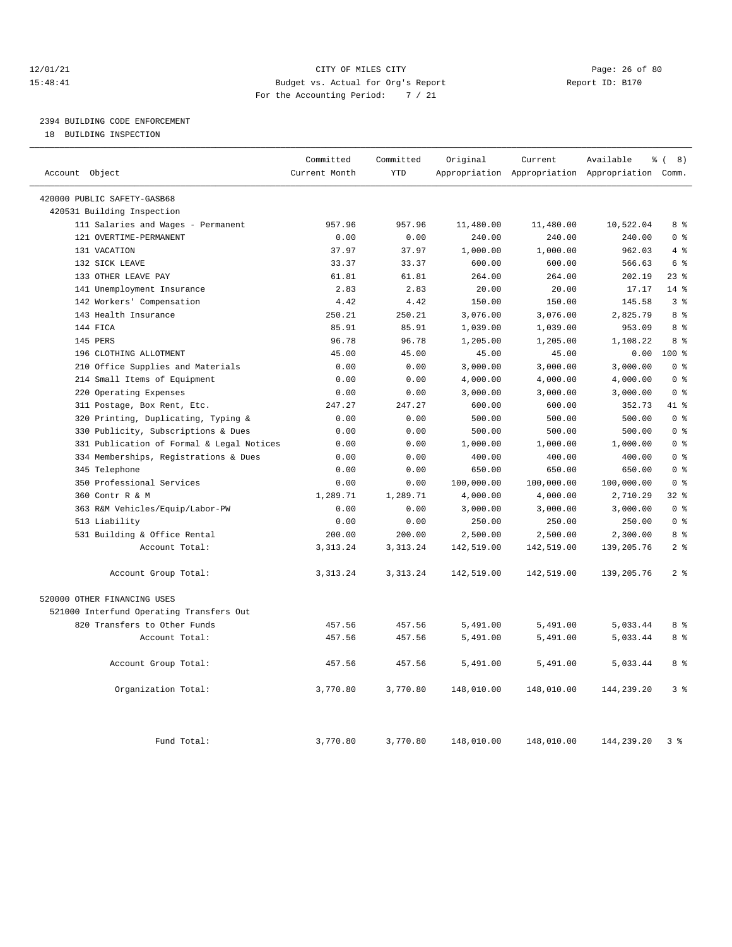#### 12/01/21 Page: 26 of 80 15:48:41 Budget vs. Actual for Org's Report Report ID: B170 For the Accounting Period: 7 / 21

# 2394 BUILDING CODE ENFORCEMENT

18 BUILDING INSPECTION

| Account Object                            | Committed<br>Current Month | Committed<br><b>YTD</b> | Original   | Current    | Available<br>Appropriation Appropriation Appropriation Comm. | $\frac{6}{6}$ ( 8) |
|-------------------------------------------|----------------------------|-------------------------|------------|------------|--------------------------------------------------------------|--------------------|
|                                           |                            |                         |            |            |                                                              |                    |
| 420000 PUBLIC SAFETY-GASB68               |                            |                         |            |            |                                                              |                    |
| 420531 Building Inspection                |                            |                         |            |            |                                                              |                    |
| 111 Salaries and Wages - Permanent        | 957.96                     | 957.96                  | 11,480.00  | 11,480.00  | 10,522.04                                                    | 8 <sup>8</sup>     |
| 121 OVERTIME-PERMANENT                    | 0.00                       | 0.00                    | 240.00     | 240.00     | 240.00                                                       | 0 <sup>8</sup>     |
| 131 VACATION                              | 37.97                      | 37.97                   | 1,000.00   | 1,000.00   | 962.03                                                       | 4%                 |
| 132 SICK LEAVE                            | 33.37                      | 33.37                   | 600.00     | 600.00     | 566.63                                                       | 6 <sup>8</sup>     |
| 133 OTHER LEAVE PAY                       | 61.81                      | 61.81                   | 264.00     | 264.00     | 202.19                                                       | 23%                |
| 141 Unemployment Insurance                | 2.83                       | 2.83                    | 20.00      | 20.00      | 17.17                                                        | $14$ %             |
| 142 Workers' Compensation                 | 4.42                       | 4.42                    | 150.00     | 150.00     | 145.58                                                       | 3%                 |
| 143 Health Insurance                      | 250.21                     | 250.21                  | 3,076.00   | 3,076.00   | 2,825.79                                                     | 8 %                |
| 144 FICA                                  | 85.91                      | 85.91                   | 1,039.00   | 1,039.00   | 953.09                                                       | 8 %                |
| 145 PERS                                  | 96.78                      | 96.78                   | 1,205.00   | 1,205.00   | 1,108.22                                                     | 8 %                |
| 196 CLOTHING ALLOTMENT                    | 45.00                      | 45.00                   | 45.00      | 45.00      | 0.00                                                         | 100%               |
| 210 Office Supplies and Materials         | 0.00                       | 0.00                    | 3,000.00   | 3,000.00   | 3,000.00                                                     | 0 <sup>8</sup>     |
| 214 Small Items of Equipment              | 0.00                       | 0.00                    | 4,000.00   | 4,000.00   | 4,000.00                                                     | 0 <sup>8</sup>     |
| Operating Expenses<br>220                 | 0.00                       | 0.00                    | 3,000.00   | 3,000.00   | 3,000.00                                                     | 0 <sup>8</sup>     |
| 311 Postage, Box Rent, Etc.               | 247.27                     | 247.27                  | 600.00     | 600.00     | 352.73                                                       | 41 %               |
| 320 Printing, Duplicating, Typing &       | 0.00                       | 0.00                    | 500.00     | 500.00     | 500.00                                                       | 0 <sup>8</sup>     |
| 330 Publicity, Subscriptions & Dues       | 0.00                       | 0.00                    | 500.00     | 500.00     | 500.00                                                       | 0 <sup>8</sup>     |
| 331 Publication of Formal & Legal Notices | 0.00                       | 0.00                    | 1,000.00   | 1,000.00   | 1,000.00                                                     | 0 <sup>8</sup>     |
| 334 Memberships, Registrations & Dues     | 0.00                       | 0.00                    | 400.00     | 400.00     | 400.00                                                       | 0 <sup>8</sup>     |
| 345 Telephone                             | 0.00                       | 0.00                    | 650.00     | 650.00     | 650.00                                                       | 0 <sup>8</sup>     |
| 350 Professional Services                 | 0.00                       | 0.00                    | 100,000.00 | 100,000.00 | 100,000.00                                                   | 0 <sup>8</sup>     |
| 360 Contr R & M                           | 1,289.71                   | 1,289.71                | 4,000.00   | 4,000.00   | 2,710.29                                                     | 32%                |
| 363 R&M Vehicles/Equip/Labor-PW           | 0.00                       | 0.00                    | 3,000.00   | 3,000.00   | 3,000.00                                                     | 0 <sup>8</sup>     |
| 513 Liability                             | 0.00                       | 0.00                    | 250.00     | 250.00     | 250.00                                                       | 0 <sup>8</sup>     |
| 531 Building & Office Rental              | 200.00                     | 200.00                  | 2,500.00   | 2,500.00   | 2,300.00                                                     | 8%                 |
| Account Total:                            | 3, 313. 24                 | 3, 313. 24              | 142,519.00 | 142,519.00 | 139, 205. 76                                                 | 2 <sup>8</sup>     |
| Account Group Total:                      | 3, 313.24                  | 3, 313. 24              | 142,519.00 | 142,519.00 | 139, 205. 76                                                 | 2 <sup>8</sup>     |
| 520000 OTHER FINANCING USES               |                            |                         |            |            |                                                              |                    |
| 521000 Interfund Operating Transfers Out  |                            |                         |            |            |                                                              |                    |
| 820 Transfers to Other Funds              | 457.56                     | 457.56                  | 5,491.00   | 5,491.00   | 5,033.44                                                     | 8 %                |
| Account Total:                            | 457.56                     | 457.56                  | 5,491.00   | 5,491.00   | 5,033.44                                                     | 8 %                |
| Account Group Total:                      | 457.56                     | 457.56                  | 5,491.00   | 5,491.00   | 5,033.44                                                     | 8 %                |
| Organization Total:                       | 3,770.80                   | 3,770.80                | 148,010.00 | 148,010.00 | 144,239.20                                                   | 3%                 |
| Fund Total:                               | 3,770.80                   | 3,770.80                | 148,010.00 | 148,010.00 | 144,239.20                                                   | 3%                 |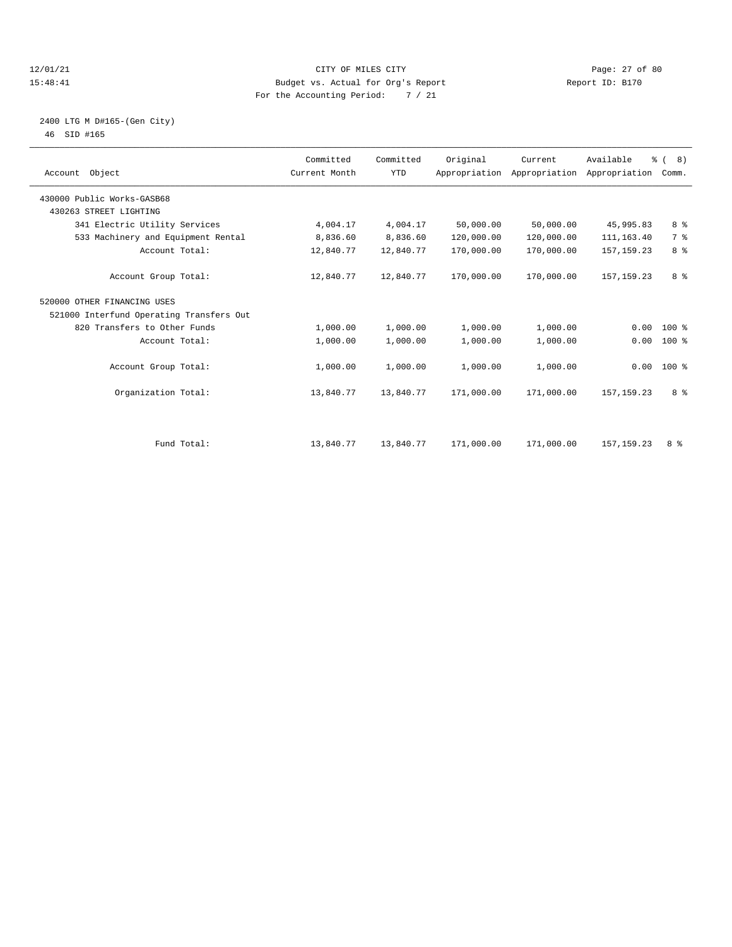#### 12/01/21 Page: 27 of 80<br>15:48:41 CITY OF MILES CITY PAGE PAGE: 27 of 80<br>15:48:41 Budget vs. Actual for Org's Report Page: 27 of 80 15:48:41 Budget vs. Actual for Org's Report For the Accounting Period: 7 / 21

### 2400 LTG M D#165-(Gen City) 46 SID #165

| Account Object                           | Committed<br>Current Month | Committed<br><b>YTD</b> | Original   | Current<br>Appropriation Appropriation | Available<br>Appropriation | % (8)<br>Comm. |  |
|------------------------------------------|----------------------------|-------------------------|------------|----------------------------------------|----------------------------|----------------|--|
| 430000 Public Works-GASB68               |                            |                         |            |                                        |                            |                |  |
| 430263 STREET LIGHTING                   |                            |                         |            |                                        |                            |                |  |
| 341 Electric Utility Services            | 4,004.17                   | 4,004.17                | 50,000.00  | 50,000.00                              | 45,995.83                  | 8 %            |  |
| 533 Machinery and Equipment Rental       | 8,836.60                   | 8,836.60                | 120,000.00 | 120,000.00                             | 111, 163.40                | 7 %            |  |
| Account Total:                           | 12,840.77                  | 12,840.77               | 170,000.00 | 170,000.00                             | 157, 159. 23               | 8 %            |  |
| Account Group Total:                     | 12,840.77                  | 12,840.77               | 170,000.00 | 170,000.00                             | 157, 159. 23               | 8 %            |  |
| 520000 OTHER FINANCING USES              |                            |                         |            |                                        |                            |                |  |
| 521000 Interfund Operating Transfers Out |                            |                         |            |                                        |                            |                |  |
| 820 Transfers to Other Funds             | 1,000.00                   | 1,000.00                | 1,000.00   | 1,000.00                               | 0.00                       | $100*$         |  |
| Account Total:                           | 1,000.00                   | 1,000.00                | 1,000.00   | 1,000.00                               | 0.00                       | 100 %          |  |
| Account Group Total:                     | 1,000.00                   | 1,000.00                | 1,000.00   | 1,000.00                               |                            | $0.00 100$ %   |  |
| Organization Total:                      | 13,840.77                  | 13,840.77               | 171,000.00 | 171,000.00                             | 157, 159. 23               | 8 %            |  |
|                                          |                            |                         |            |                                        |                            |                |  |
| Fund Total:                              | 13,840.77                  | 13,840.77               | 171,000.00 | 171,000.00                             | 157, 159.23                | 8 %            |  |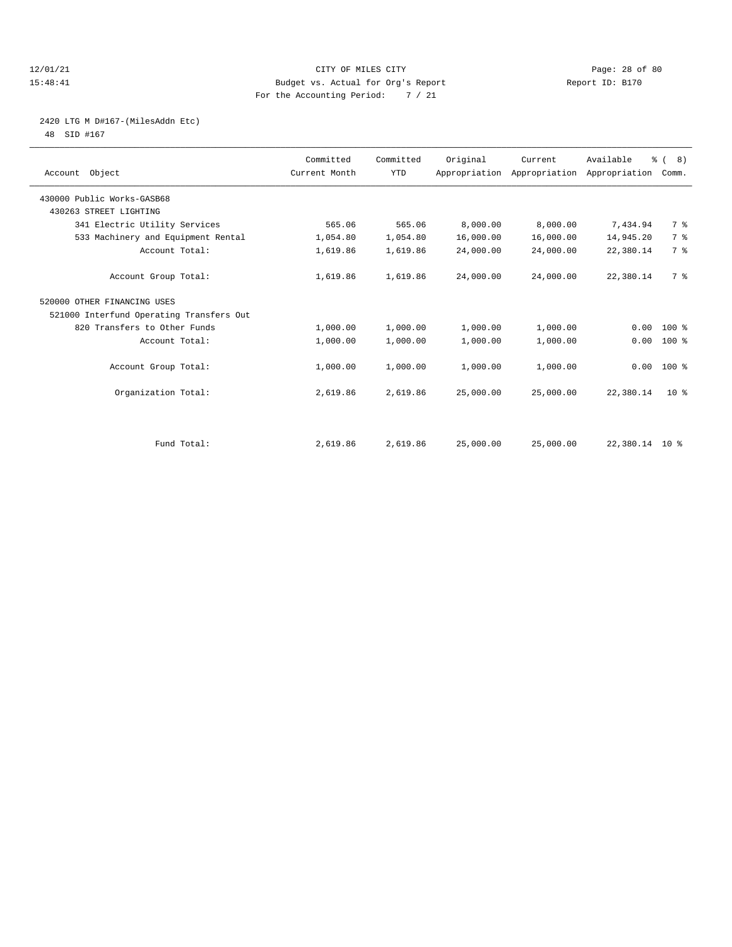#### 12/01/21 Page: 28 of 80<br>15:48:41 CITY OF MILES CITY PAGE PAGE: 28 of 80<br>15:48:41 Page: 28 of 80 15:48:41 Budget vs. Actual for Org's Report For the Accounting Period: 7 / 21

# 2420 LTG M D#167-(MilesAddn Etc)

48 SID #167

| Account Object                           | Committed<br>Current Month | Committed<br><b>YTD</b> | Original  | Current<br>Appropriation Appropriation Appropriation | Available      | % (8)<br>Comm. |  |
|------------------------------------------|----------------------------|-------------------------|-----------|------------------------------------------------------|----------------|----------------|--|
| 430000 Public Works-GASB68               |                            |                         |           |                                                      |                |                |  |
| 430263 STREET LIGHTING                   |                            |                         |           |                                                      |                |                |  |
| 341 Electric Utility Services            | 565.06                     | 565.06                  | 8,000.00  | 8,000.00                                             | 7,434.94       | 7 %            |  |
| 533 Machinery and Equipment Rental       | 1,054.80                   | 1,054.80                | 16,000.00 | 16,000.00                                            | 14,945.20      | 7 <sup>°</sup> |  |
| Account Total:                           | 1,619.86                   | 1,619.86                | 24,000.00 | 24,000.00                                            | 22,380.14      | 7 <sup>°</sup> |  |
| Account Group Total:                     | 1,619.86                   | 1,619.86                | 24,000.00 | 24,000.00                                            | 22,380.14      | 7 %            |  |
| 520000 OTHER FINANCING USES              |                            |                         |           |                                                      |                |                |  |
| 521000 Interfund Operating Transfers Out |                            |                         |           |                                                      |                |                |  |
| 820 Transfers to Other Funds             | 1,000.00                   | 1,000.00                | 1,000.00  | 1,000.00                                             | 0.00           | $100*$         |  |
| Account Total:                           | 1,000.00                   | 1,000.00                | 1,000.00  | 1,000.00                                             | 0.00           | 100 %          |  |
| Account Group Total:                     | 1,000.00                   | 1,000.00                | 1,000.00  | 1,000.00                                             | 0.00           | $100*$         |  |
| Organization Total:                      | 2,619.86                   | 2,619.86                | 25,000.00 | 25,000.00                                            | 22,380.14      | $10*$          |  |
|                                          |                            |                         |           |                                                      |                |                |  |
| Fund Total:                              | 2,619.86                   | 2,619.86                | 25,000.00 | 25,000.00                                            | 22,380.14 10 % |                |  |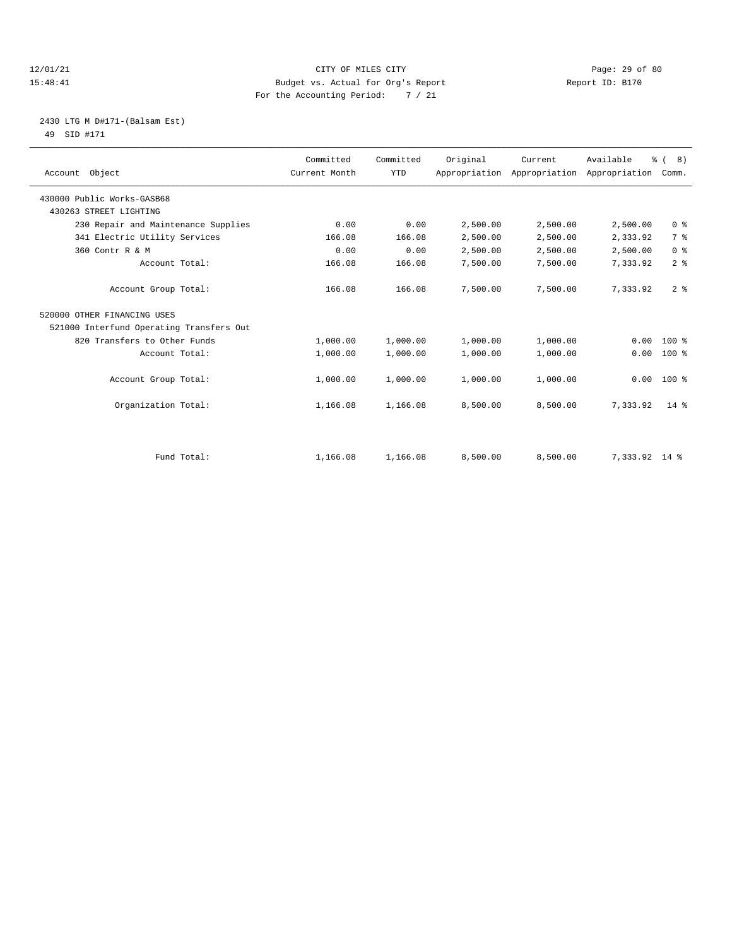#### 12/01/21 Page: 29 of 80<br>
12/01/21 Page: 29 of 80<br>
Budget vs. Actual for Org's Report Physics (Report ID: B170 15:48:41 Budget vs. Actual for Org's Report For the Accounting Period: 7 / 21

#### 2430 LTG M D#171-(Balsam Est) 49 SID #171

| Account Object                           | Committed<br>Current Month | Committed<br><b>YTD</b> | Original | Current<br>Appropriation Appropriation | Available<br>Appropriation Comm. | $\frac{6}{6}$ ( 8) |  |
|------------------------------------------|----------------------------|-------------------------|----------|----------------------------------------|----------------------------------|--------------------|--|
| 430000 Public Works-GASB68               |                            |                         |          |                                        |                                  |                    |  |
| 430263 STREET LIGHTING                   |                            |                         |          |                                        |                                  |                    |  |
| 230 Repair and Maintenance Supplies      | 0.00                       | 0.00                    | 2,500.00 | 2,500.00                               | 2,500.00                         | 0 <sup>8</sup>     |  |
| 341 Electric Utility Services            | 166.08                     | 166.08                  | 2,500.00 | 2,500.00                               | 2,333.92                         | 7 <sup>°</sup>     |  |
| 360 Contr R & M                          | 0.00                       | 0.00                    | 2,500.00 | 2,500.00                               | 2,500.00                         | 0 <sup>8</sup>     |  |
| Account Total:                           | 166.08                     | 166.08                  | 7,500.00 | 7,500.00                               | 7,333.92                         | 2 <sup>8</sup>     |  |
| Account Group Total:                     | 166.08                     | 166.08                  | 7,500.00 | 7,500.00                               | 7,333.92                         | 2 <sup>8</sup>     |  |
| 520000 OTHER FINANCING USES              |                            |                         |          |                                        |                                  |                    |  |
| 521000 Interfund Operating Transfers Out |                            |                         |          |                                        |                                  |                    |  |
| 820 Transfers to Other Funds             | 1,000.00                   | 1,000.00                | 1,000.00 | 1,000.00                               | 0.00                             | $100*$             |  |
| Account Total:                           | 1,000.00                   | 1,000.00                | 1,000.00 | 1,000.00                               | 0.00                             | $100*$             |  |
| Account Group Total:                     | 1,000.00                   | 1,000.00                | 1,000.00 | 1,000.00                               | 0.00                             | $100$ %            |  |
| Organization Total:                      | 1,166.08                   | 1,166.08                | 8,500.00 | 8,500.00                               | 7,333.92                         | $14*$              |  |
|                                          |                            |                         |          |                                        |                                  |                    |  |
| Fund Total:                              | 1,166.08                   | 1,166.08                | 8,500.00 | 8,500.00                               | 7,333.92 14 %                    |                    |  |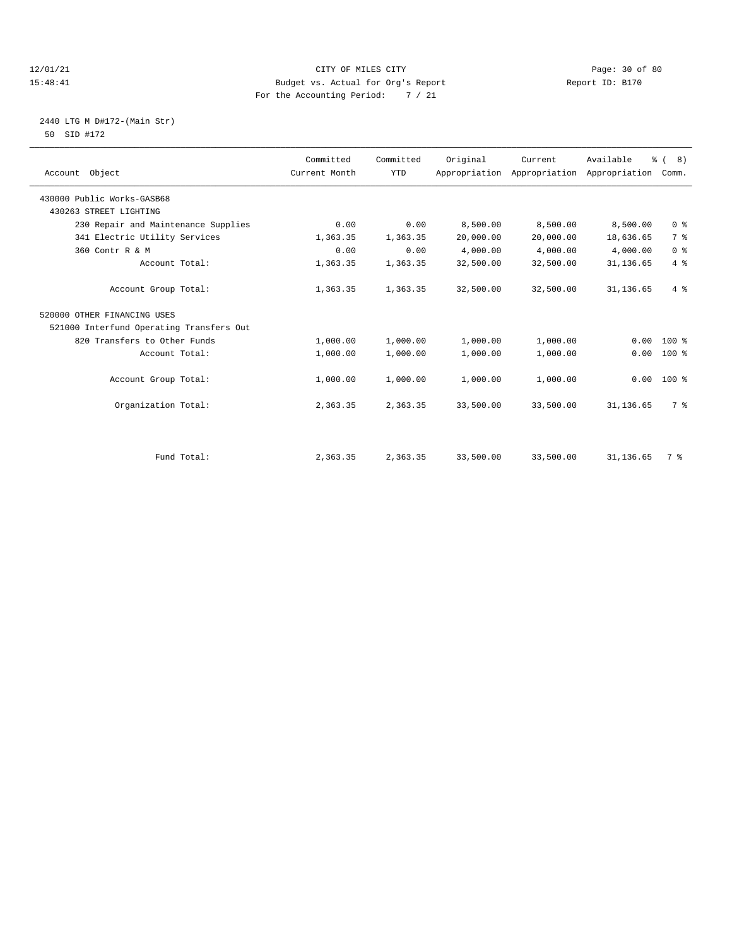#### 12/01/21 Page: 30 of 80<br>15:48:41 CITY OF MILES CITY PAGE PAGE: 15:48:41<br>15:48:41 Budget vs. Actual for Org's Report Page: 19170 15:48:41 Budget vs. Actual for Org's Report For the Accounting Period: 7 / 21

#### 2440 LTG M D#172-(Main Str) 50 SID #172

| Account Object                           | Committed<br>Current Month | Committed<br><b>YTD</b> | Original  | Current<br>Appropriation Appropriation | Available<br>Appropriation Comm. | $\frac{6}{6}$ ( 8) |  |
|------------------------------------------|----------------------------|-------------------------|-----------|----------------------------------------|----------------------------------|--------------------|--|
| 430000 Public Works-GASB68               |                            |                         |           |                                        |                                  |                    |  |
| 430263 STREET LIGHTING                   |                            |                         |           |                                        |                                  |                    |  |
| 230 Repair and Maintenance Supplies      | 0.00                       | 0.00                    | 8,500.00  | 8,500.00                               | 8,500.00                         | 0 <sup>8</sup>     |  |
| 341 Electric Utility Services            | 1,363.35                   | 1,363.35                | 20,000.00 | 20,000.00                              | 18,636.65                        | 7 %                |  |
| 360 Contr R & M                          | 0.00                       | 0.00                    | 4,000.00  | 4,000.00                               | 4,000.00                         | 0 <sup>8</sup>     |  |
| Account Total:                           | 1,363.35                   | 1,363.35                | 32,500.00 | 32,500.00                              | 31,136.65                        | 4%                 |  |
| Account Group Total:                     | 1,363.35                   | 1,363.35                | 32,500.00 | 32,500.00                              | 31, 136.65                       | 4%                 |  |
| 520000 OTHER FINANCING USES              |                            |                         |           |                                        |                                  |                    |  |
| 521000 Interfund Operating Transfers Out |                            |                         |           |                                        |                                  |                    |  |
| 820 Transfers to Other Funds             | 1,000.00                   | 1,000.00                | 1,000.00  | 1,000.00                               | 0.00                             | $100*$             |  |
| Account Total:                           | 1,000.00                   | 1,000.00                | 1,000.00  | 1,000.00                               | 0.00                             | $100*$             |  |
| Account Group Total:                     | 1,000.00                   | 1,000.00                | 1,000.00  | 1,000.00                               | 0.00                             | $100*$             |  |
| Organization Total:                      | 2,363.35                   | 2,363.35                | 33,500.00 | 33,500.00                              | 31, 136.65                       | 7 %                |  |
|                                          |                            |                         |           |                                        |                                  |                    |  |
| Fund Total:                              | 2,363.35                   | 2,363.35                | 33,500.00 | 33,500.00                              | 31, 136.65                       | 7 %                |  |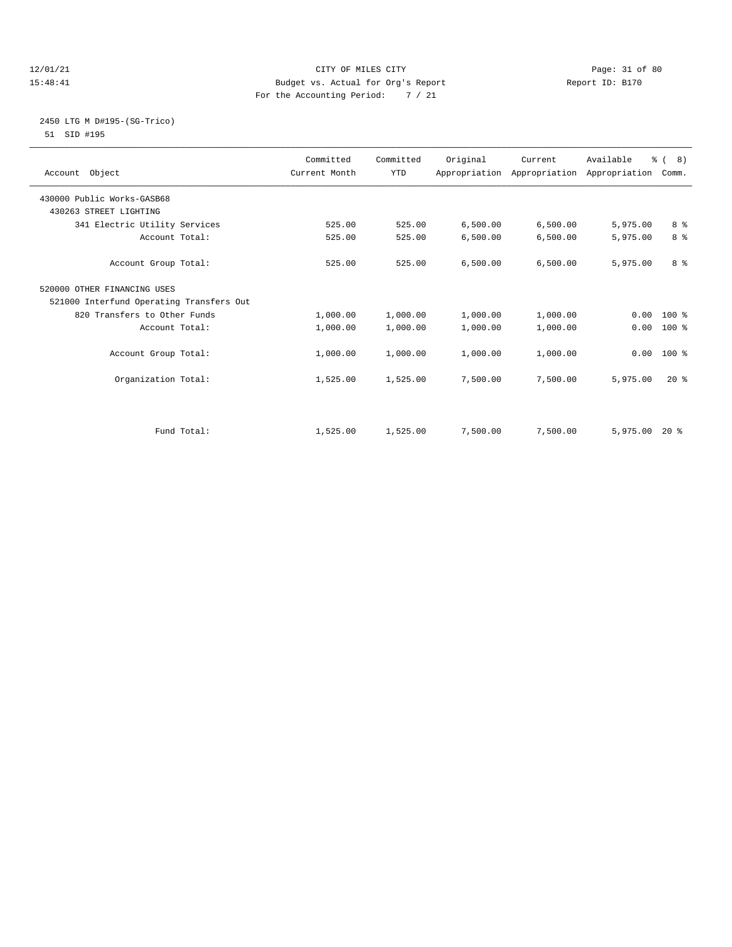#### 12/01/21 Page: 31 of 80<br>15:48:41 CITY OF MILES CITY PAGE PAGE: 31 of 80<br>15:48:41 Budget vs. Actual for Org's Report Page: 21 of 80 15:48:41 Budget vs. Actual for Org's Report For the Accounting Period: 7 / 21

### 2450 LTG M D#195-(SG-Trico) 51 SID #195

| Account Object                           | Committed<br>Current Month | Committed<br><b>YTD</b> | Original | Current<br>Appropriation Appropriation Appropriation Comm. | Available | $\frac{6}{6}$ ( 8) |  |
|------------------------------------------|----------------------------|-------------------------|----------|------------------------------------------------------------|-----------|--------------------|--|
| 430000 Public Works-GASB68               |                            |                         |          |                                                            |           |                    |  |
| 430263 STREET LIGHTING                   |                            |                         |          |                                                            |           |                    |  |
| 341 Electric Utility Services            | 525.00                     | 525.00                  | 6,500.00 | 6,500.00                                                   | 5,975.00  | 8 %                |  |
| Account Total:                           | 525.00                     | 525.00                  | 6,500.00 | 6,500.00                                                   | 5,975.00  | 8 %                |  |
| Account Group Total:                     | 525.00                     | 525.00                  | 6,500.00 | 6,500.00                                                   | 5,975.00  | 8 %                |  |
| 520000 OTHER FINANCING USES              |                            |                         |          |                                                            |           |                    |  |
| 521000 Interfund Operating Transfers Out |                            |                         |          |                                                            |           |                    |  |
| 820 Transfers to Other Funds             | 1,000.00                   | 1,000.00                | 1,000.00 | 1,000.00                                                   | 0.00      | $100*$             |  |
| Account Total:                           | 1,000.00                   | 1,000.00                | 1,000.00 | 1,000.00                                                   | 0.00      | 100 %              |  |
| Account Group Total:                     | 1,000.00                   | 1,000.00                | 1,000.00 | 1,000.00                                                   |           | $0.00$ 100 %       |  |
| Organization Total:                      | 1,525.00                   | 1,525.00                | 7,500.00 | 7,500.00                                                   | 5,975.00  | $20*$              |  |
|                                          |                            |                         |          |                                                            |           |                    |  |
| Fund Total:                              | 1,525.00                   | 1,525.00                | 7,500.00 | 7,500.00                                                   | 5,975.00  | $20*$              |  |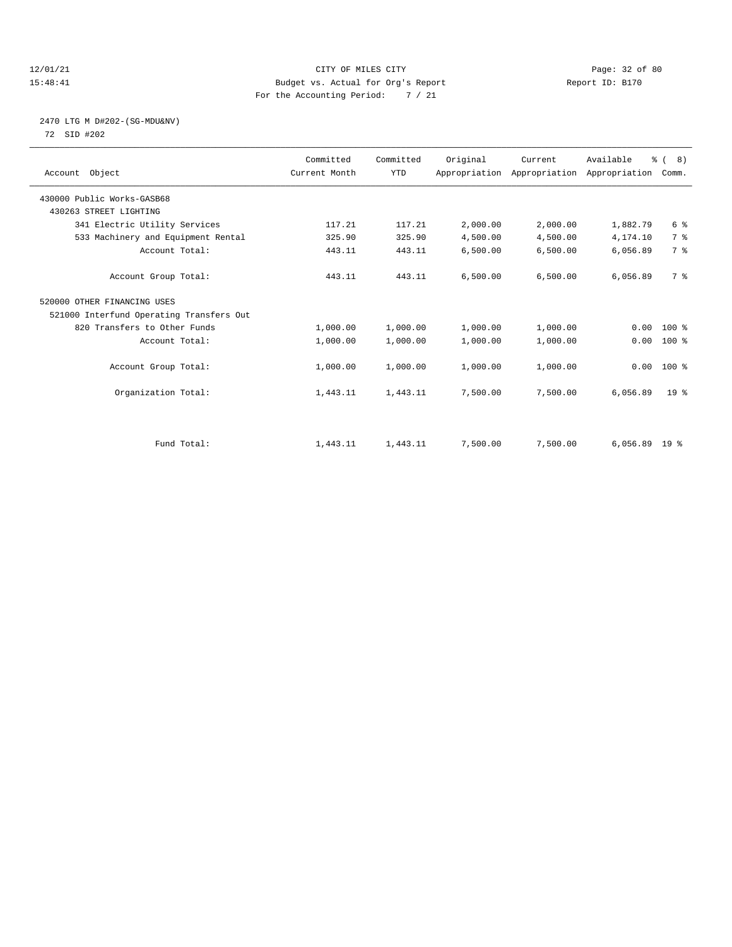#### 12/01/21 Page: 32 of 80<br>15:48:41 CITY OF MILES CITY PAGE PAGE: 13 of 80<br>15:48:41 Budget vs. Actual for Org's Report Page: 12 Page: 12.0 15:48:41 Budget vs. Actual for Org's Report For the Accounting Period: 7 / 21

#### 2470 LTG M D#202-(SG-MDU&NV) 72 SID #202

| Account Object                           | Committed<br>Current Month | Committed<br><b>YTD</b> | Original | Current<br>Appropriation Appropriation Appropriation | Available       | % (8)<br>Comm.  |  |
|------------------------------------------|----------------------------|-------------------------|----------|------------------------------------------------------|-----------------|-----------------|--|
| 430000 Public Works-GASB68               |                            |                         |          |                                                      |                 |                 |  |
| 430263 STREET LIGHTING                   |                            |                         |          |                                                      |                 |                 |  |
| 341 Electric Utility Services            | 117.21                     | 117.21                  | 2,000.00 | 2,000.00                                             | 1,882.79        | 6 %             |  |
| 533 Machinery and Equipment Rental       | 325.90                     | 325.90                  | 4,500.00 | 4,500.00                                             | 4,174.10        | 7 <sup>°</sup>  |  |
| Account Total:                           | 443.11                     | 443.11                  | 6,500.00 | 6,500.00                                             | 6,056.89        | 7 <sup>°</sup>  |  |
| Account Group Total:                     | 443.11                     | 443.11                  | 6,500.00 | 6,500.00                                             | 6,056.89        | 7 %             |  |
| 520000 OTHER FINANCING USES              |                            |                         |          |                                                      |                 |                 |  |
| 521000 Interfund Operating Transfers Out |                            |                         |          |                                                      |                 |                 |  |
| 820 Transfers to Other Funds             | 1,000.00                   | 1,000.00                | 1,000.00 | 1,000.00                                             | 0.00            | $100*$          |  |
| Account Total:                           | 1,000.00                   | 1,000.00                | 1,000.00 | 1,000.00                                             | 0.00            | 100 %           |  |
| Account Group Total:                     | 1,000.00                   | 1,000.00                | 1,000.00 | 1,000.00                                             |                 | $0.00 100$ %    |  |
| Organization Total:                      | 1,443.11                   | 1,443.11                | 7,500.00 | 7,500.00                                             | 6,056.89        | 19 <sup>°</sup> |  |
|                                          |                            |                         |          |                                                      |                 |                 |  |
| Fund Total:                              | 1,443.11                   | 1,443.11                | 7,500.00 | 7,500.00                                             | $6,056.89$ 19 % |                 |  |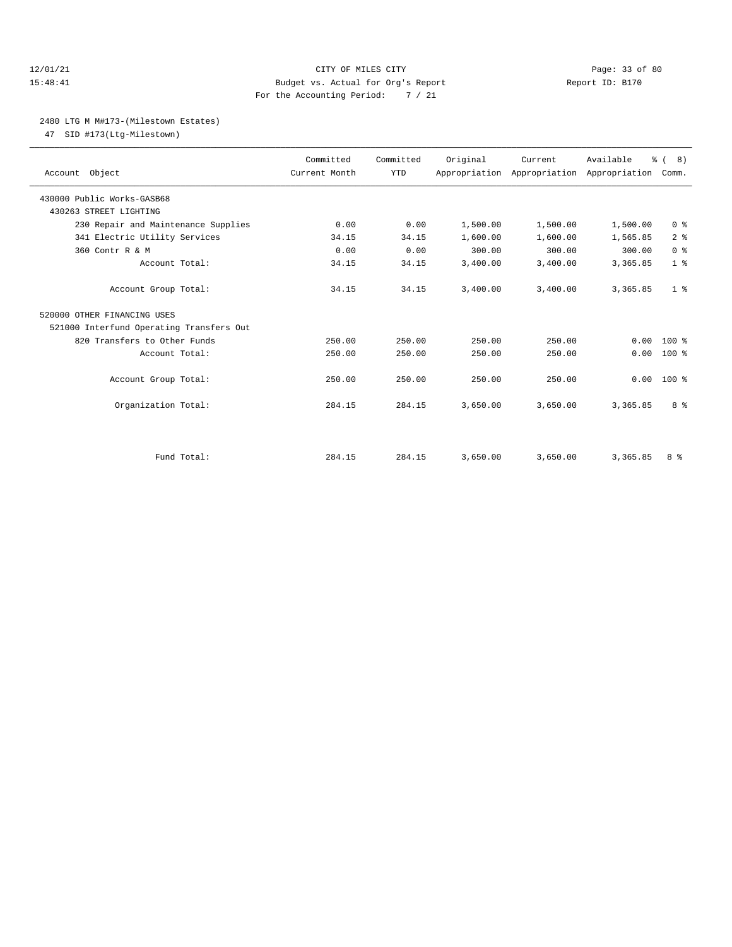#### 12/01/21 Page: 33 of 80 15:48:41 Budget vs. Actual for Org's Report Report ID: B170 For the Accounting Period: 7 / 21

### 2480 LTG M M#173-(Milestown Estates)

47 SID #173(Ltg-Milestown)

| Account Object                           | Committed<br>Current Month | Committed<br><b>YTD</b> | Original | Current<br>Appropriation Appropriation Appropriation Comm. | Available | % ( 8)         |
|------------------------------------------|----------------------------|-------------------------|----------|------------------------------------------------------------|-----------|----------------|
| 430000 Public Works-GASB68               |                            |                         |          |                                                            |           |                |
| 430263 STREET LIGHTING                   |                            |                         |          |                                                            |           |                |
| 230 Repair and Maintenance Supplies      | 0.00                       | 0.00                    | 1,500.00 | 1,500.00                                                   | 1,500.00  | 0 <sup>8</sup> |
| 341 Electric Utility Services            | 34.15                      | 34.15                   | 1,600.00 | 1,600.00                                                   | 1,565.85  | 2 <sup>8</sup> |
| 360 Contr R & M                          | 0.00                       | 0.00                    | 300.00   | 300.00                                                     | 300.00    | 0 <sup>8</sup> |
| Account Total:                           | 34.15                      | 34.15                   | 3,400.00 | 3,400.00                                                   | 3,365.85  | 1 <sup>8</sup> |
| Account Group Total:                     | 34.15                      | 34.15                   | 3,400.00 | 3,400.00                                                   | 3,365.85  | 1 <sup>8</sup> |
| 520000 OTHER FINANCING USES              |                            |                         |          |                                                            |           |                |
| 521000 Interfund Operating Transfers Out |                            |                         |          |                                                            |           |                |
| 820 Transfers to Other Funds             | 250.00                     | 250.00                  | 250.00   | 250.00                                                     | 0.00      | $100*$         |
| Account Total:                           | 250.00                     | 250.00                  | 250.00   | 250.00                                                     | 0.00      | $100*$         |
| Account Group Total:                     | 250.00                     | 250.00                  | 250.00   | 250.00                                                     | 0.00      | $100*$         |
| Organization Total:                      | 284.15                     | 284.15                  | 3,650.00 | 3,650.00                                                   | 3,365.85  | 8 <sup>8</sup> |
|                                          |                            |                         |          |                                                            |           |                |
| Fund Total:                              | 284.15                     | 284.15                  | 3,650.00 | 3,650.00                                                   | 3,365.85  | 8 %            |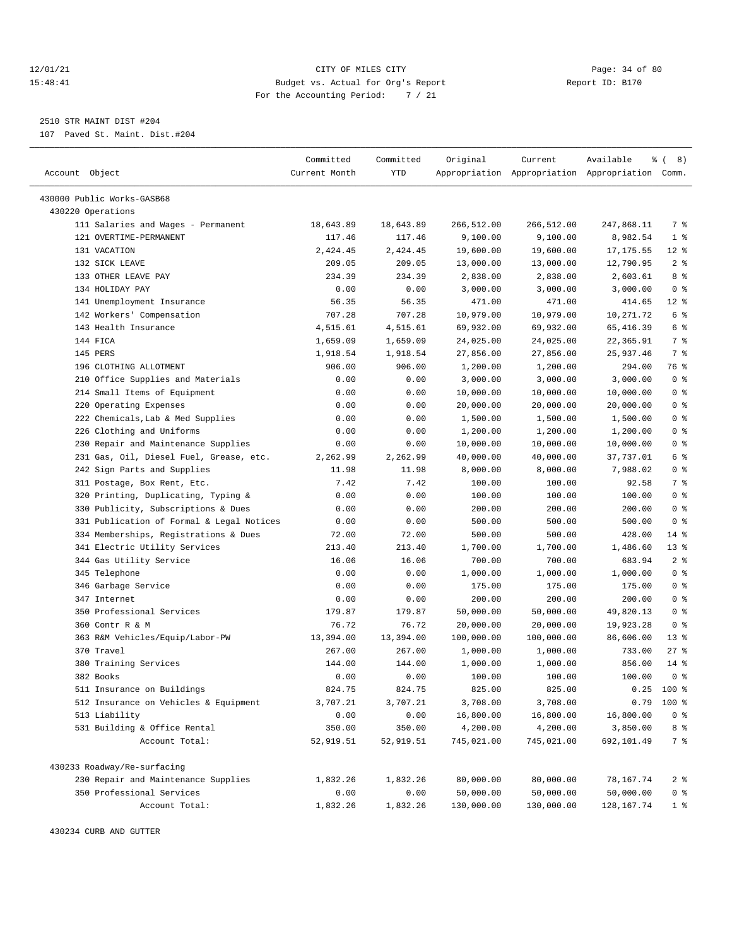#### 12/01/21 Page: 34 of 80 15:48:41 Budget vs. Actual for Org's Report Report ID: B170 For the Accounting Period: 7 / 21

————————————————————————————————————————————————————————————————————————————————————————————————————————————————————————————————————

2510 STR MAINT DIST #204

107 Paved St. Maint. Dist.#204

|                                           | Committed     | Committed     | Original   | Current    | Available                                       | <b>% (8)</b>            |
|-------------------------------------------|---------------|---------------|------------|------------|-------------------------------------------------|-------------------------|
| Account Object                            | Current Month | <b>YTD</b>    |            |            | Appropriation Appropriation Appropriation Comm. |                         |
|                                           |               |               |            |            |                                                 |                         |
| 430000 Public Works-GASB68                |               |               |            |            |                                                 |                         |
| 430220 Operations                         |               |               |            |            |                                                 |                         |
| 111 Salaries and Wages - Permanent        | 18,643.89     | 18,643.89     | 266,512.00 | 266,512.00 | 247,868.11                                      | 7 %                     |
| 121 OVERTIME-PERMANENT                    | 117.46        | 117.46        | 9,100.00   | 9,100.00   | 8,982.54                                        | 1 <sup>8</sup>          |
| 131 VACATION                              | 2,424.45      | 2,424.45      | 19,600.00  | 19,600.00  | 17, 175.55                                      | $12*$                   |
| 132 SICK LEAVE                            | 209.05        | 209.05        | 13,000.00  | 13,000.00  | 12,790.95                                       | 2 <sup>8</sup><br>8 %   |
| 133 OTHER LEAVE PAY<br>134 HOLIDAY PAY    | 234.39        | 234.39        | 2,838.00   | 2,838.00   | 2,603.61                                        |                         |
|                                           | 0.00          | 0.00<br>56.35 | 3,000.00   | 3,000.00   | 3,000.00                                        | 0 <sup>8</sup><br>$12*$ |
| 141 Unemployment Insurance                | 56.35         |               | 471.00     | 471.00     | 414.65                                          | 6 %                     |
| 142 Workers' Compensation                 | 707.28        | 707.28        | 10,979.00  | 10,979.00  | 10,271.72                                       | 6 %                     |
| 143 Health Insurance                      | 4,515.61      | 4,515.61      | 69,932.00  | 69,932.00  | 65, 416.39                                      | 7 %                     |
| 144 FICA                                  | 1,659.09      | 1,659.09      | 24,025.00  | 24,025.00  | 22,365.91                                       |                         |
| 145 PERS                                  | 1,918.54      | 1,918.54      | 27,856.00  | 27,856.00  | 25,937.46                                       | 7 %                     |
| 196 CLOTHING ALLOTMENT                    | 906.00        | 906.00        | 1,200.00   | 1,200.00   | 294.00                                          | 76 %                    |
| 210 Office Supplies and Materials         | 0.00          | 0.00          | 3,000.00   | 3,000.00   | 3,000.00                                        | 0 <sup>8</sup>          |
| 214 Small Items of Equipment              | 0.00          | 0.00          | 10,000.00  | 10,000.00  | 10,000.00                                       | 0 <sup>8</sup>          |
| 220 Operating Expenses                    | 0.00          | 0.00          | 20,000.00  | 20,000.00  | 20,000.00                                       | 0 <sup>8</sup>          |
| 222 Chemicals, Lab & Med Supplies         | 0.00          | 0.00          | 1,500.00   | 1,500.00   | 1,500.00                                        | 0 <sup>8</sup>          |
| 226 Clothing and Uniforms                 | 0.00          | 0.00          | 1,200.00   | 1,200.00   | 1,200.00                                        | 0 <sup>8</sup>          |
| 230 Repair and Maintenance Supplies       | 0.00          | 0.00          | 10,000.00  | 10,000.00  | 10,000.00                                       | 0 <sup>8</sup>          |
| 231 Gas, Oil, Diesel Fuel, Grease, etc.   | 2,262.99      | 2,262.99      | 40,000.00  | 40,000.00  | 37,737.01                                       | 6 %                     |
| 242 Sign Parts and Supplies               | 11.98         | 11.98         | 8,000.00   | 8,000.00   | 7,988.02                                        | 0 <sup>8</sup>          |
| 311 Postage, Box Rent, Etc.               | 7.42          | 7.42          | 100.00     | 100.00     | 92.58                                           | 7 %                     |
| 320 Printing, Duplicating, Typing &       | 0.00          | 0.00          | 100.00     | 100.00     | 100.00                                          | 0 <sup>8</sup>          |
| 330 Publicity, Subscriptions & Dues       | 0.00          | 0.00          | 200.00     | 200.00     | 200.00                                          | 0 <sup>8</sup>          |
| 331 Publication of Formal & Legal Notices | 0.00          | 0.00          | 500.00     | 500.00     | 500.00                                          | 0 <sup>8</sup>          |
| 334 Memberships, Registrations & Dues     | 72.00         | 72.00         | 500.00     | 500.00     | 428.00                                          | $14$ %                  |
| 341 Electric Utility Services             | 213.40        | 213.40        | 1,700.00   | 1,700.00   | 1,486.60                                        | $13*$                   |
| 344 Gas Utility Service                   | 16.06         | 16.06         | 700.00     | 700.00     | 683.94                                          | 2 <sup>8</sup>          |
| 345 Telephone                             | 0.00          | 0.00          | 1,000.00   | 1,000.00   | 1,000.00                                        | 0 <sup>8</sup>          |
| 346 Garbage Service                       | 0.00          | 0.00          | 175.00     | 175.00     | 175.00                                          | 0 <sup>8</sup>          |
| 347 Internet                              | 0.00          | 0.00          | 200.00     | 200.00     | 200.00                                          | 0 <sup>8</sup>          |
| 350 Professional Services                 | 179.87        | 179.87        | 50,000.00  | 50,000.00  | 49,820.13                                       | 0 <sup>8</sup>          |
| 360 Contr R & M                           | 76.72         | 76.72         | 20,000.00  | 20,000.00  | 19,923.28                                       | 0 <sup>8</sup>          |
| 363 R&M Vehicles/Equip/Labor-PW           | 13,394.00     | 13,394.00     | 100,000.00 | 100,000.00 | 86,606.00                                       | $13*$                   |
| 370 Travel                                | 267.00        | 267.00        | 1,000.00   | 1,000.00   | 733.00                                          | $27$ %                  |
| 380 Training Services                     | 144.00        | 144.00        | 1,000.00   | 1,000.00   | 856.00                                          | $14$ %                  |
| 382 Books                                 | 0.00          | 0.00          | 100.00     | 100.00     | 100.00                                          | 0 <sup>8</sup>          |
| 511 Insurance on Buildings                | 824.75        | 824.75        | 825.00     | 825.00     | 0.25                                            | 100 %                   |
| 512 Insurance on Vehicles & Equipment     | 3,707.21      | 3,707.21      | 3,708.00   | 3,708.00   | 0.79                                            | 100 %                   |
| 513 Liability                             | 0.00          | 0.00          | 16,800.00  | 16,800.00  | 16,800.00                                       | 0 <sup>8</sup>          |
| 531 Building & Office Rental              | 350.00        | 350.00        | 4,200.00   | 4,200.00   | 3,850.00                                        | 8 %                     |
| Account Total:                            | 52,919.51     | 52,919.51     | 745,021.00 | 745,021.00 | 692,101.49                                      | 7 %                     |
| 430233 Roadway/Re-surfacing               |               |               |            |            |                                                 |                         |
| 230 Repair and Maintenance Supplies       | 1,832.26      | 1,832.26      | 80,000.00  | 80,000.00  | 78,167.74                                       | 2 <sub>8</sub>          |
| 350 Professional Services                 | 0.00          | 0.00          | 50,000.00  | 50,000.00  | 50,000.00                                       | 0 <sup>8</sup>          |
| Account Total:                            | 1,832.26      | 1,832.26      | 130,000.00 | 130,000.00 | 128, 167. 74                                    | $1$ %                   |
|                                           |               |               |            |            |                                                 |                         |

430234 CURB AND GUTTER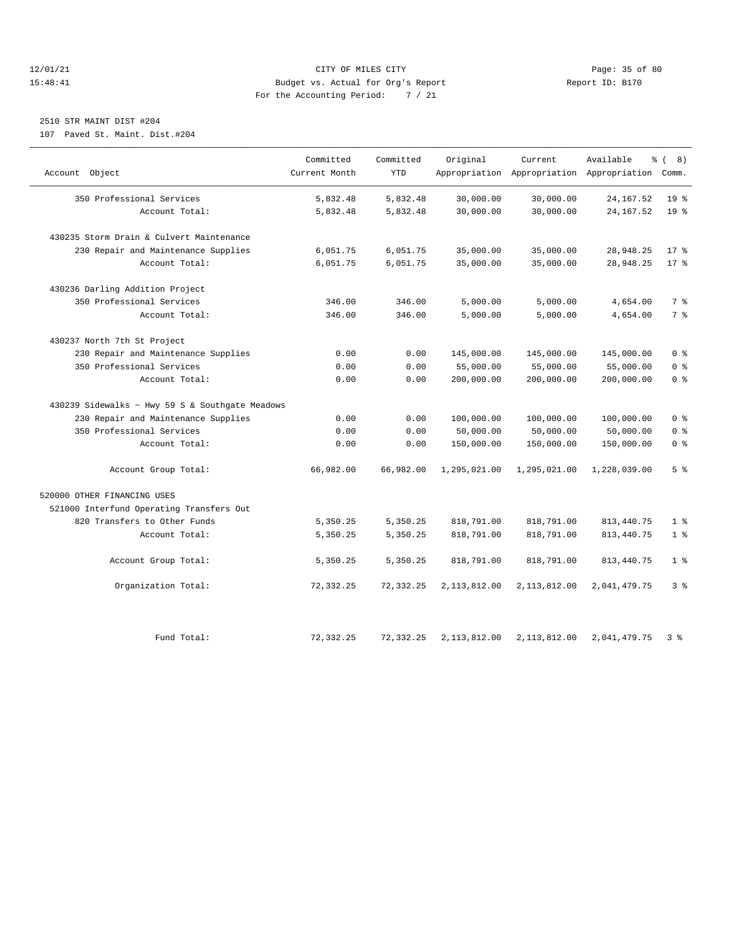#### 12/01/21 Page: 35 of 80<br>15:48:41 CITY OF MILES CITY PAGE PAGE: 15 of 80<br>15:48:41 Budget vs. Actual for Org's Report Page: 15 of 10: B170 15:48:41 Budget vs. Actual for Org's Report For the Accounting Period: 7 / 21

# 2510 STR MAINT DIST #204

107 Paved St. Maint. Dist.#204

|                                                 | Committed     | Committed  | Original     | Current      | Available                                       | % (8)           |
|-------------------------------------------------|---------------|------------|--------------|--------------|-------------------------------------------------|-----------------|
| Account Object                                  | Current Month | <b>YTD</b> |              |              | Appropriation Appropriation Appropriation Comm. |                 |
| 350 Professional Services                       | 5,832.48      | 5,832.48   | 30,000.00    | 30,000.00    | 24, 167.52                                      | 19 <sup>8</sup> |
| Account Total:                                  | 5,832.48      | 5,832.48   | 30,000.00    | 30,000.00    | 24, 167.52                                      | 19 <sup>°</sup> |
|                                                 |               |            |              |              |                                                 |                 |
| 430235 Storm Drain & Culvert Maintenance        |               |            |              |              |                                                 |                 |
| 230 Repair and Maintenance Supplies             | 6,051.75      | 6,051.75   | 35,000.00    | 35,000.00    | 28,948.25                                       | $17*$           |
| Account Total:                                  | 6,051.75      | 6,051.75   | 35,000.00    | 35,000.00    | 28,948.25                                       | $17*$           |
| 430236 Darling Addition Project                 |               |            |              |              |                                                 |                 |
| 350 Professional Services                       | 346.00        | 346.00     | 5,000.00     | 5,000.00     | 4,654.00                                        | 7 %             |
| Account Total:                                  | 346.00        | 346.00     | 5,000.00     | 5,000.00     | 4,654.00                                        | 7 %             |
| 430237 North 7th St Project                     |               |            |              |              |                                                 |                 |
| 230 Repair and Maintenance Supplies             | 0.00          | 0.00       | 145,000.00   | 145,000.00   | 145,000.00                                      | 0 <sup>8</sup>  |
| 350 Professional Services                       | 0.00          | 0.00       | 55,000.00    | 55,000.00    | 55,000.00                                       | 0 <sup>8</sup>  |
| Account Total:                                  | 0.00          | 0.00       | 200,000.00   | 200,000.00   | 200,000.00                                      | 0 <sup>8</sup>  |
| 430239 Sidewalks ~ Hwy 59 S & Southgate Meadows |               |            |              |              |                                                 |                 |
| 230 Repair and Maintenance Supplies             | 0.00          | 0.00       | 100,000.00   | 100,000.00   | 100,000.00                                      | 0 <sup>8</sup>  |
| 350 Professional Services                       | 0.00          | 0.00       | 50,000.00    | 50,000.00    | 50,000.00                                       | 0 <sup>8</sup>  |
| Account Total:                                  | 0.00          | 0.00       | 150,000.00   | 150,000.00   | 150,000.00                                      | 0 <sup>8</sup>  |
| Account Group Total:                            | 66,982.00     | 66,982.00  | 1,295,021.00 | 1,295,021.00 | 1,228,039.00                                    | 5 <sup>8</sup>  |
| 520000 OTHER FINANCING USES                     |               |            |              |              |                                                 |                 |
| 521000 Interfund Operating Transfers Out        |               |            |              |              |                                                 |                 |
| 820 Transfers to Other Funds                    | 5,350.25      | 5,350.25   | 818,791.00   | 818,791.00   | 813, 440. 75                                    | 1 <sup>8</sup>  |
| Account Total:                                  | 5,350.25      | 5,350.25   | 818,791.00   | 818,791.00   | 813, 440. 75                                    | 1 <sup>8</sup>  |
| Account Group Total:                            | 5,350.25      | 5,350.25   | 818,791.00   | 818,791.00   | 813, 440. 75                                    | 1 <sup>8</sup>  |
| Organization Total:                             | 72,332.25     | 72,332.25  | 2,113,812.00 | 2,113,812.00 | 2,041,479.75                                    | 3%              |
| Fund Total:                                     | 72, 332.25    | 72,332.25  | 2,113,812.00 | 2,113,812.00 | 2,041,479.75                                    | 3%              |
|                                                 |               |            |              |              |                                                 |                 |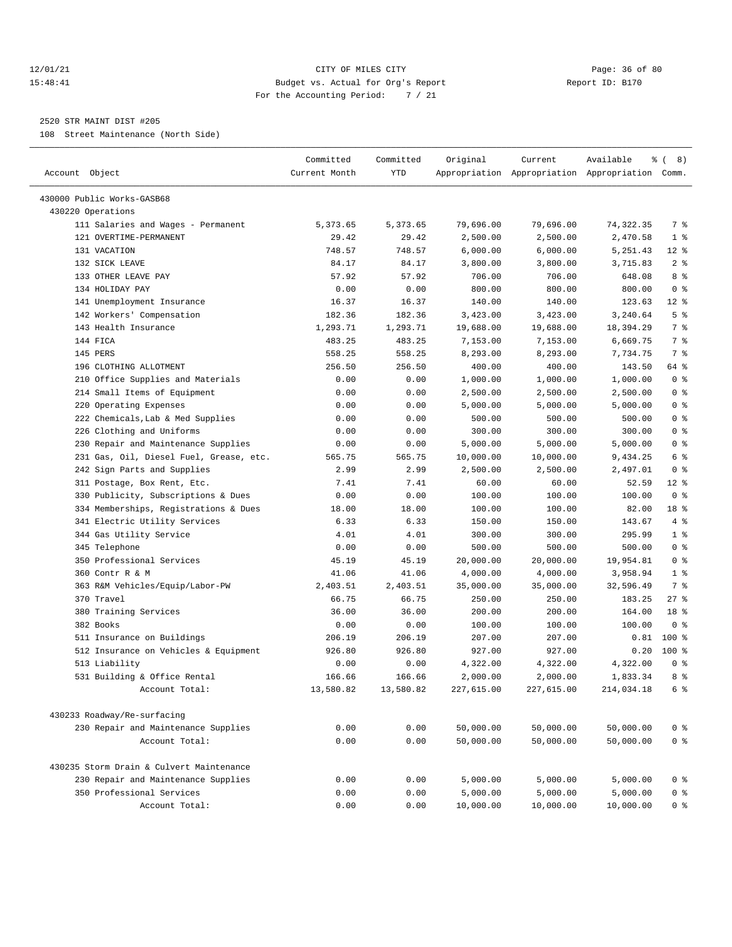#### 12/01/21 Page: 36 of 80 15:48:41 Budget vs. Actual for Org's Report Report ID: B170 For the Accounting Period: 7 / 21

————————————————————————————————————————————————————————————————————————————————————————————————————————————————————————————————————

#### 2520 STR MAINT DIST #205

108 Street Maintenance (North Side)

|                                                         | Committed     | Committed  | Original   | Current    | Available                                       | ွေ<br>(8)             |
|---------------------------------------------------------|---------------|------------|------------|------------|-------------------------------------------------|-----------------------|
| Account Object                                          | Current Month | <b>YTD</b> |            |            | Appropriation Appropriation Appropriation Comm. |                       |
| 430000 Public Works-GASB68                              |               |            |            |            |                                                 |                       |
|                                                         |               |            |            |            |                                                 |                       |
| 430220 Operations<br>111 Salaries and Wages - Permanent | 5,373.65      |            | 79,696.00  | 79,696.00  |                                                 | 7 %                   |
| 121 OVERTIME-PERMANENT                                  |               | 5,373.65   |            |            | 74,322.35                                       |                       |
|                                                         | 29.42         | 29.42      | 2,500.00   | 2,500.00   | 2,470.58                                        | $1$ %                 |
| 131 VACATION                                            | 748.57        | 748.57     | 6,000.00   | 6,000.00   | 5, 251.43                                       | $12*$                 |
| 132 SICK LEAVE                                          | 84.17         | 84.17      | 3,800.00   | 3,800.00   | 3,715.83                                        | 2 <sup>8</sup><br>8 % |
| 133 OTHER LEAVE PAY                                     | 57.92         | 57.92      | 706.00     | 706.00     | 648.08                                          |                       |
| 134 HOLIDAY PAY                                         | 0.00          | 0.00       | 800.00     | 800.00     | 800.00                                          | 0 <sup>8</sup>        |
| 141 Unemployment Insurance                              | 16.37         | 16.37      | 140.00     | 140.00     | 123.63                                          | $12$ %                |
| 142 Workers' Compensation                               | 182.36        | 182.36     | 3,423.00   | 3,423.00   | 3,240.64                                        | 5 <sup>8</sup>        |
| 143 Health Insurance                                    | 1,293.71      | 1,293.71   | 19,688.00  | 19,688.00  | 18,394.29                                       | 7 %                   |
| 144 FICA                                                | 483.25        | 483.25     | 7,153.00   | 7,153.00   | 6,669.75                                        | 7 %                   |
| 145 PERS                                                | 558.25        | 558.25     | 8,293.00   | 8,293.00   | 7,734.75                                        | 7 %                   |
| 196 CLOTHING ALLOTMENT                                  | 256.50        | 256.50     | 400.00     | 400.00     | 143.50                                          | 64 %                  |
| 210 Office Supplies and Materials                       | 0.00          | 0.00       | 1,000.00   | 1,000.00   | 1,000.00                                        | 0 <sup>8</sup>        |
| 214 Small Items of Equipment                            | 0.00          | 0.00       | 2,500.00   | 2,500.00   | 2,500.00                                        | 0 <sup>8</sup>        |
| 220 Operating Expenses                                  | 0.00          | 0.00       | 5,000.00   | 5,000.00   | 5,000.00                                        | 0 <sup>8</sup>        |
| 222 Chemicals, Lab & Med Supplies                       | 0.00          | 0.00       | 500.00     | 500.00     | 500.00                                          | 0 <sup>8</sup>        |
| 226 Clothing and Uniforms                               | 0.00          | 0.00       | 300.00     | 300.00     | 300.00                                          | 0 <sup>8</sup>        |
| 230 Repair and Maintenance Supplies                     | 0.00          | 0.00       | 5,000.00   | 5,000.00   | 5,000.00                                        | 0 <sup>8</sup>        |
| 231 Gas, Oil, Diesel Fuel, Grease, etc.                 | 565.75        | 565.75     | 10,000.00  | 10,000.00  | 9,434.25                                        | 6 %                   |
| 242 Sign Parts and Supplies                             | 2.99          | 2.99       | 2,500.00   | 2,500.00   | 2,497.01                                        | 0 <sup>8</sup>        |
| 311 Postage, Box Rent, Etc.                             | 7.41          | 7.41       | 60.00      | 60.00      | 52.59                                           | $12*$                 |
| 330 Publicity, Subscriptions & Dues                     | 0.00          | 0.00       | 100.00     | 100.00     | 100.00                                          | 0 <sup>8</sup>        |
| 334 Memberships, Registrations & Dues                   | 18.00         | 18.00      | 100.00     | 100.00     | 82.00                                           | 18 %                  |
| 341 Electric Utility Services                           | 6.33          | 6.33       | 150.00     | 150.00     | 143.67                                          | 4%                    |
| 344 Gas Utility Service                                 | 4.01          | 4.01       | 300.00     | 300.00     | 295.99                                          | 1 <sup>8</sup>        |
| 345 Telephone                                           | 0.00          | 0.00       | 500.00     | 500.00     | 500.00                                          | 0 <sup>8</sup>        |
| 350 Professional Services                               | 45.19         | 45.19      | 20,000.00  | 20,000.00  | 19,954.81                                       | 0 <sup>8</sup>        |
| 360 Contr R & M                                         | 41.06         | 41.06      | 4,000.00   | 4,000.00   | 3,958.94                                        | 1 <sup>8</sup>        |
| 363 R&M Vehicles/Equip/Labor-PW                         | 2,403.51      | 2,403.51   | 35,000.00  | 35,000.00  | 32,596.49                                       | 7 %                   |
| 370 Travel                                              | 66.75         | 66.75      | 250.00     | 250.00     | 183.25                                          | $27$ %                |
| 380 Training Services                                   | 36.00         | 36.00      | 200.00     | 200.00     | 164.00                                          | 18 %                  |
| 382 Books                                               | 0.00          | 0.00       | 100.00     | 100.00     | 100.00                                          | 0 <sup>8</sup>        |
| 511 Insurance on Buildings                              | 206.19        | 206.19     | 207.00     | 207.00     | 0.81                                            | $100*$                |
| 512 Insurance on Vehicles & Equipment                   | 926.80        | 926.80     | 927.00     | 927.00     | 0.20                                            | $100*$                |
| 513 Liability                                           | 0.00          | 0.00       | 4,322.00   | 4,322.00   | 4,322.00                                        | 0 <sup>8</sup>        |
| 531 Building & Office Rental                            | 166.66        | 166.66     | 2,000.00   | 2,000.00   | 1,833.34                                        | 8 %                   |
| Account Total:                                          | 13,580.82     | 13,580.82  | 227,615.00 | 227,615,00 | 214,034.18                                      | 6 %                   |
| 430233 Roadway/Re-surfacing                             |               |            |            |            |                                                 |                       |
| 230 Repair and Maintenance Supplies                     | 0.00          | 0.00       | 50,000.00  | 50,000.00  | 50,000.00                                       | 0 <sup>8</sup>        |
| Account Total:                                          | 0.00          | 0.00       | 50,000.00  | 50,000.00  | 50,000.00                                       | 0 <sup>8</sup>        |
|                                                         |               |            |            |            |                                                 |                       |
| 430235 Storm Drain & Culvert Maintenance                |               |            |            |            |                                                 |                       |
| 230 Repair and Maintenance Supplies                     | 0.00          | 0.00       | 5,000.00   | 5,000.00   | 5,000.00                                        | 0 <sup>8</sup>        |
| 350 Professional Services                               | 0.00          | 0.00       | 5,000.00   | 5,000.00   | 5,000.00                                        | 0 <sup>8</sup>        |
| Account Total:                                          | 0.00          | 0.00       | 10,000.00  | 10,000.00  | 10,000.00                                       | 0 <sup>8</sup>        |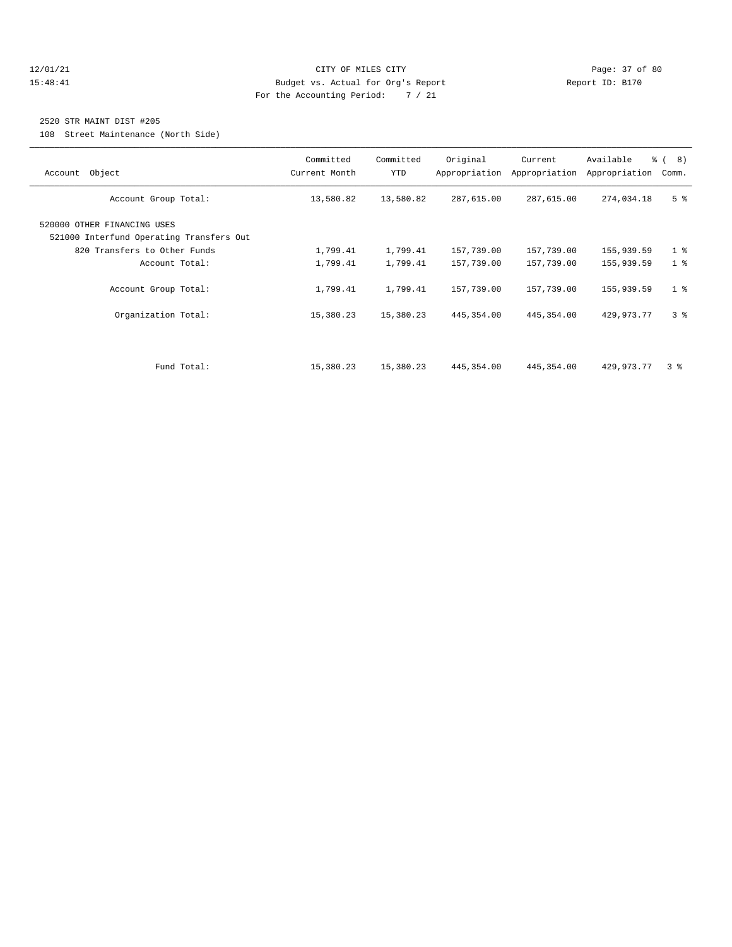#### 12/01/21 Page: 37 of 80 15:48:41 Budget vs. Actual for Org's Report Changer Report ID: B170 For the Accounting Period: 7 / 21

#### 2520 STR MAINT DIST #205

108 Street Maintenance (North Side)

| Account Object                                                          | Committed<br>Current Month | Committed<br>YTD | Original<br>Appropriation | Current<br>Appropriation | Available<br>Appropriation | $\frac{6}{6}$ ( 8)<br>Comm. |
|-------------------------------------------------------------------------|----------------------------|------------------|---------------------------|--------------------------|----------------------------|-----------------------------|
| Account Group Total:                                                    | 13,580.82                  | 13,580.82        | 287,615.00                | 287,615.00               | 274,034.18                 | 5 <sup>8</sup>              |
| 520000 OTHER FINANCING USES<br>521000 Interfund Operating Transfers Out |                            |                  |                           |                          |                            |                             |
| 820 Transfers to Other Funds                                            | 1,799.41                   | 1,799.41         | 157,739.00                | 157,739.00               | 155,939.59                 | 1 <sup>8</sup>              |
| Account Total:                                                          | 1,799.41                   | 1,799.41         | 157,739.00                | 157,739.00               | 155,939.59                 | 1 <sup>8</sup>              |
| Account Group Total:                                                    | 1,799.41                   | 1,799.41         | 157,739.00                | 157,739.00               | 155,939.59                 | 1 <sup>8</sup>              |
| Organization Total:                                                     | 15,380.23                  | 15,380.23        | 445, 354.00               | 445, 354.00              | 429, 973. 77               | 3 <sup>8</sup>              |
|                                                                         |                            |                  |                           |                          |                            |                             |
| Fund Total:                                                             | 15,380.23                  | 15,380.23        | 445, 354.00               | 445, 354.00              | 429,973.77                 | 3 <sup>8</sup>              |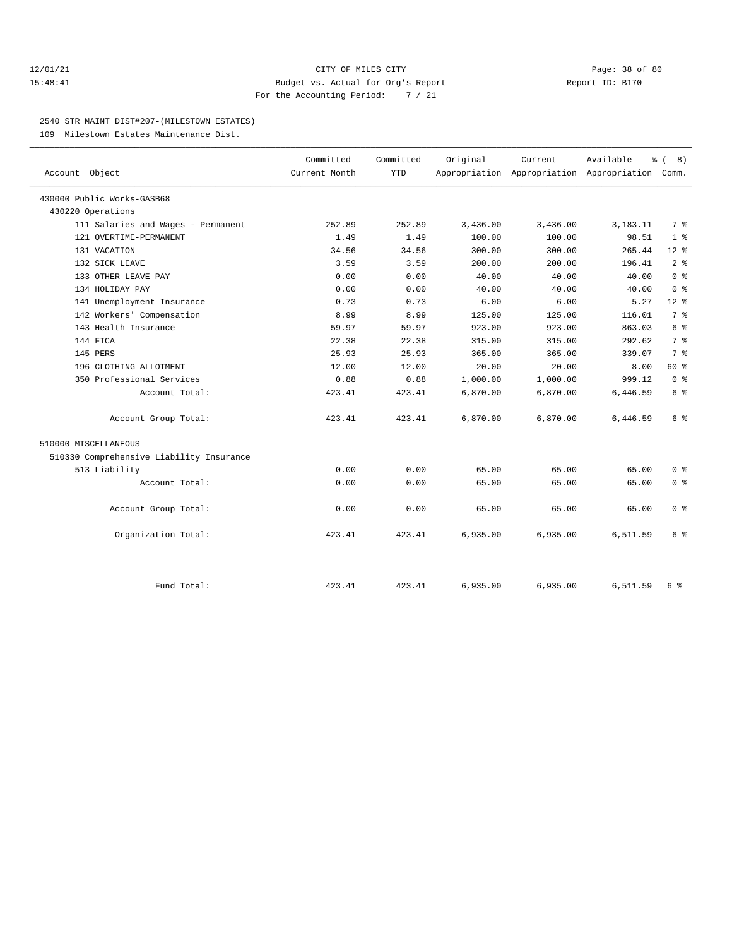#### 12/01/21 Page: 38 of 80 15:48:41 Budget vs. Actual for Org's Report Report ID: B170 For the Accounting Period: 7 / 21

#### 2540 STR MAINT DIST#207-(MILESTOWN ESTATES)

109 Milestown Estates Maintenance Dist.

|                                          | Committed     | Committed  | Original | Current  | Available                                       | ී (<br>8)               |
|------------------------------------------|---------------|------------|----------|----------|-------------------------------------------------|-------------------------|
| Account Object                           | Current Month | <b>YTD</b> |          |          | Appropriation Appropriation Appropriation Comm. |                         |
| 430000 Public Works-GASB68               |               |            |          |          |                                                 |                         |
| 430220 Operations                        |               |            |          |          |                                                 |                         |
| 111 Salaries and Wages - Permanent       | 252.89        | 252.89     | 3,436.00 | 3,436.00 | 3,183.11                                        | 7 %                     |
| 121 OVERTIME-PERMANENT                   | 1.49          | 1.49       | 100.00   | 100.00   | 98.51                                           | 1 <sup>8</sup>          |
| 131 VACATION                             | 34.56         | 34.56      | 300.00   | 300.00   | 265.44                                          | $12*$                   |
| 132 SICK LEAVE                           | 3.59          | 3.59       | 200.00   | 200.00   | 196.41                                          | 2 <sup>°</sup>          |
| 133 OTHER LEAVE PAY                      | 0.00          | 0.00       | 40.00    | 40.00    | 40.00                                           | 0 <sup>8</sup>          |
| 134 HOLIDAY PAY                          | 0.00          | 0.00       | 40.00    | 40.00    | 40.00                                           | $0 \text{ }$ $\text{ }$ |
| 141 Unemployment Insurance               | 0.73          | 0.73       | 6.00     | 6.00     | 5.27                                            | $12*$                   |
| 142 Workers' Compensation                | 8.99          | 8.99       | 125.00   | 125.00   | 116.01                                          | 7 <sup>°</sup>          |
| 143 Health Insurance                     | 59.97         | 59.97      | 923.00   | 923.00   | 863.03                                          | 6 %                     |
| 144 FICA                                 | 22.38         | 22.38      | 315.00   | 315.00   | 292.62                                          | 7 %                     |
| 145 PERS                                 | 25.93         | 25.93      | 365.00   | 365.00   | 339.07                                          | 7 %                     |
| 196 CLOTHING ALLOTMENT                   | 12.00         | 12.00      | 20.00    | 20.00    | 8.00                                            | 60 %                    |
| 350 Professional Services                | 0.88          | 0.88       | 1,000.00 | 1,000.00 | 999.12                                          | $0 \text{ }$ $\text{ }$ |
| Account Total:                           | 423.41        | 423.41     | 6,870.00 | 6,870.00 | 6,446.59                                        | 6 %                     |
| Account Group Total:                     | 423.41        | 423.41     | 6,870.00 | 6,870.00 | 6,446.59                                        | 6 %                     |
| 510000 MISCELLANEOUS                     |               |            |          |          |                                                 |                         |
| 510330 Comprehensive Liability Insurance |               |            |          |          |                                                 |                         |
| 513 Liability                            | 0.00          | 0.00       | 65.00    | 65.00    | 65.00                                           | 0 <sup>8</sup>          |
| Account Total:                           | 0.00          | 0.00       | 65.00    | 65.00    | 65.00                                           | 0 <sup>8</sup>          |
| Account Group Total:                     | 0.00          | 0.00       | 65.00    | 65.00    | 65.00                                           | 0 <sup>8</sup>          |
| Organization Total:                      | 423.41        | 423.41     | 6,935.00 | 6,935.00 | 6,511.59                                        | 6 %                     |
|                                          |               |            |          |          |                                                 |                         |
| Fund Total:                              | 423.41        | 423.41     | 6,935.00 | 6,935.00 | 6,511.59                                        | 6 %                     |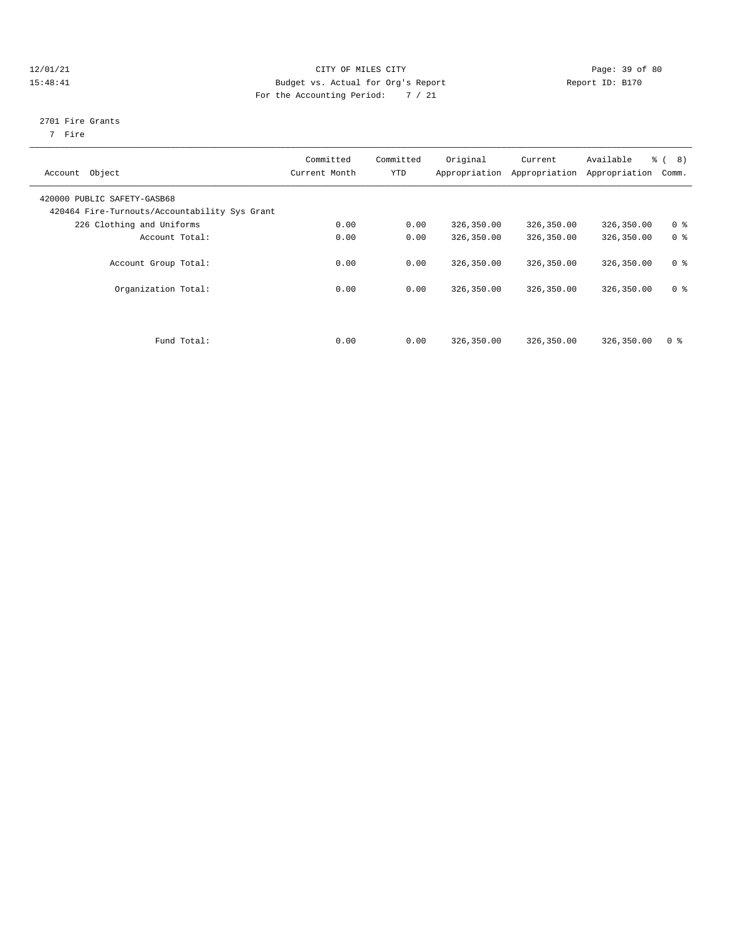#### 12/01/21 Page: 39 of 80 15:48:41 Budget vs. Actual for Org's Report Report ID: B170 For the Accounting Period: 7 / 21

#### 2701 Fire Grants

7 Fire

| Object<br>Account                                                            | Committed<br>Current Month | Committed<br>YTD | Original   | Current<br>Appropriation Appropriation | Available<br>Appropriation | $\frac{6}{6}$ ( 8)<br>Comm. |  |
|------------------------------------------------------------------------------|----------------------------|------------------|------------|----------------------------------------|----------------------------|-----------------------------|--|
| 420000 PUBLIC SAFETY-GASB68<br>420464 Fire-Turnouts/Accountability Sys Grant |                            |                  |            |                                        |                            |                             |  |
| 226 Clothing and Uniforms                                                    | 0.00                       | 0.00             | 326,350.00 | 326,350.00                             | 326,350.00                 | 0 <sup>8</sup>              |  |
| Account Total:                                                               | 0.00                       | 0.00             | 326,350.00 | 326,350.00                             | 326,350.00                 | 0 <sup>8</sup>              |  |
| Account Group Total:                                                         | 0.00                       | 0.00             | 326,350.00 | 326,350.00                             | 326,350.00                 | 0 <sup>8</sup>              |  |
| Organization Total:                                                          | 0.00                       | 0.00             | 326,350.00 | 326,350.00                             | 326,350.00                 | 0 <sup>8</sup>              |  |
| Fund Total:                                                                  | 0.00                       | 0.00             | 326,350.00 | 326,350.00                             | 326,350.00                 | 0 <sup>8</sup>              |  |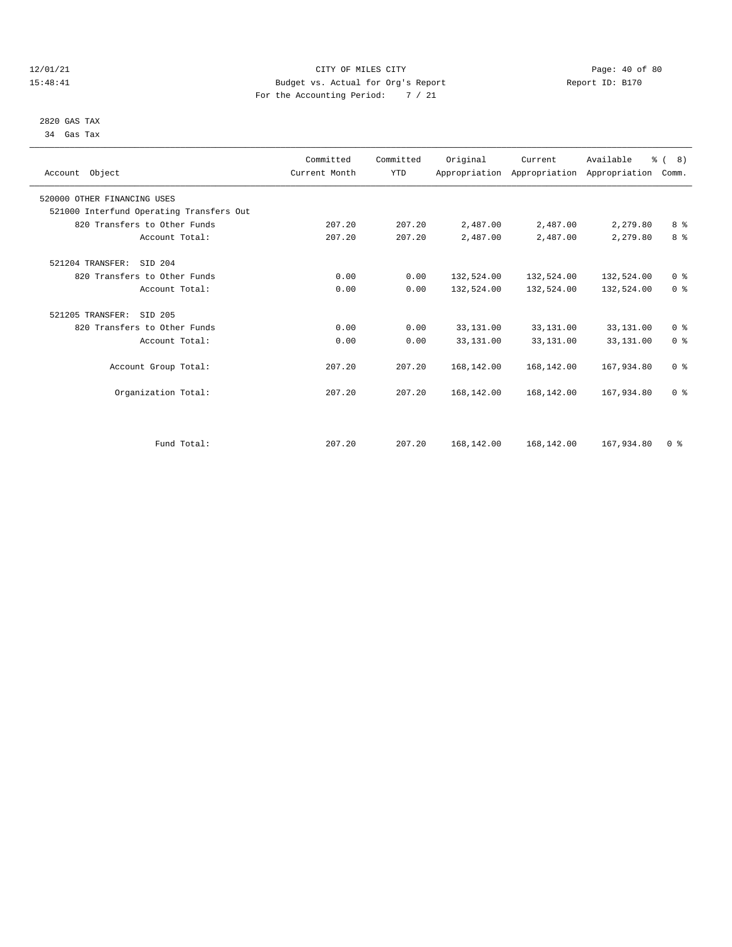#### 12/01/21 Page: 40 of 80 15:48:41 Budget vs. Actual for Org's Report Report ID: B170 For the Accounting Period: 7 / 21

#### 2820 GAS TAX 34 Gas Tax

| Account Object                           | Committed<br>Current Month | Committed<br><b>YTD</b> | Original   | Current    | Available<br>Appropriation Appropriation Appropriation | $\frac{6}{6}$ ( 8 )<br>Comm. |  |
|------------------------------------------|----------------------------|-------------------------|------------|------------|--------------------------------------------------------|------------------------------|--|
| 520000 OTHER FINANCING USES              |                            |                         |            |            |                                                        |                              |  |
| 521000 Interfund Operating Transfers Out |                            |                         |            |            |                                                        |                              |  |
| 820 Transfers to Other Funds             | 207.20                     | 207.20                  | 2,487.00   | 2,487.00   | 2,279.80                                               | 8 %                          |  |
| Account Total:                           | 207.20                     | 207.20                  | 2,487.00   | 2,487.00   | 2,279.80                                               | 8 %                          |  |
| 521204 TRANSFER:<br>SID 204              |                            |                         |            |            |                                                        |                              |  |
| 820 Transfers to Other Funds             | 0.00                       | 0.00                    | 132,524.00 | 132,524.00 | 132,524.00                                             | 0 <sup>8</sup>               |  |
| Account Total:                           | 0.00                       | 0.00                    | 132,524.00 | 132,524.00 | 132,524.00                                             | 0 <sup>8</sup>               |  |
| 521205 TRANSFER:<br>SID 205              |                            |                         |            |            |                                                        |                              |  |
| 820 Transfers to Other Funds             | 0.00                       | 0.00                    | 33,131.00  | 33,131.00  | 33,131.00                                              | 0 <sup>8</sup>               |  |
| Account Total:                           | 0.00                       | 0.00                    | 33,131.00  | 33,131.00  | 33,131.00                                              | 0 <sup>8</sup>               |  |
| Account Group Total:                     | 207.20                     | 207.20                  | 168,142.00 | 168,142.00 | 167,934.80                                             | 0 <sup>8</sup>               |  |
| Organization Total:                      | 207.20                     | 207.20                  | 168,142.00 | 168,142.00 | 167,934.80                                             | 0 <sup>8</sup>               |  |
|                                          |                            |                         |            |            |                                                        |                              |  |
| Fund Total:                              | 207.20                     | 207.20                  | 168,142.00 | 168,142.00 | 167,934.80                                             | 0 <sup>8</sup>               |  |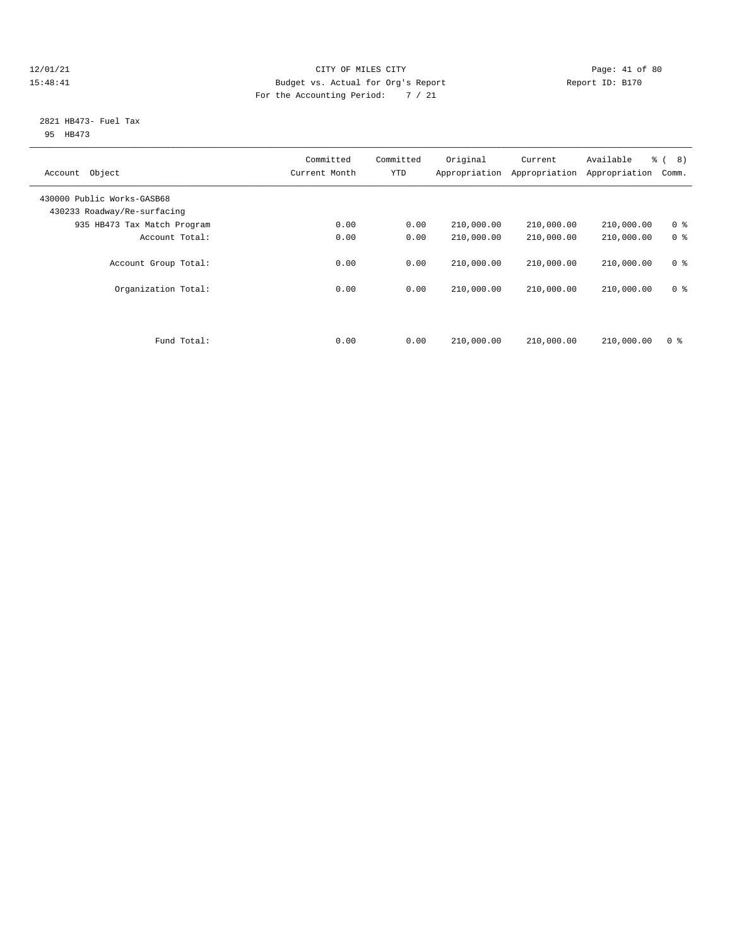#### 12/01/21 Page: 41 of 80 15:48:41 Budget vs. Actual for Org's Report Report ID: B170 For the Accounting Period: 7 / 21

#### 2821 HB473- Fuel Tax 95 HB473

| Object<br>Account                                         | Committed<br>Current Month | Committed<br><b>YTD</b> | Original<br>Appropriation | Current<br>Appropriation | Available<br>Appropriation | $\frac{6}{6}$ ( 8)<br>Comm.      |  |
|-----------------------------------------------------------|----------------------------|-------------------------|---------------------------|--------------------------|----------------------------|----------------------------------|--|
| 430000 Public Works-GASB68<br>430233 Roadway/Re-surfacing |                            |                         |                           |                          |                            |                                  |  |
| 935 HB473 Tax Match Program                               | 0.00                       | 0.00                    | 210,000.00                | 210,000.00               | 210,000.00                 | 0 <sup>8</sup>                   |  |
| Account Total:                                            | 0.00                       | 0.00                    | 210,000.00                | 210,000.00               | 210,000.00                 | 0 <sup>8</sup>                   |  |
| Account Group Total:<br>Organization Total:               | 0.00<br>0.00               | 0.00<br>0.00            | 210,000.00<br>210,000.00  | 210,000.00<br>210,000.00 | 210,000.00<br>210,000.00   | 0 <sup>8</sup><br>0 <sup>8</sup> |  |
|                                                           |                            |                         |                           |                          |                            |                                  |  |
|                                                           |                            |                         |                           |                          |                            |                                  |  |
| Fund Total:                                               | 0.00                       | 0.00                    | 210,000.00                | 210,000.00               | 210,000.00                 | 0 <sup>8</sup>                   |  |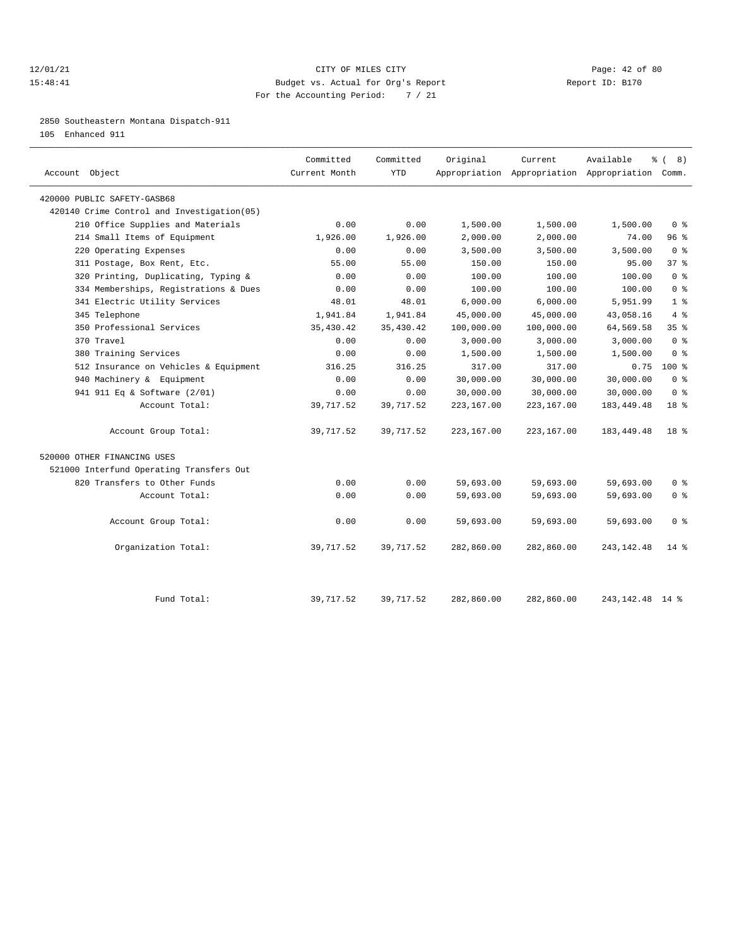#### 12/01/21 Page: 42 of 80 15:48:41 Budget vs. Actual for Org's Report Report ID: B170 For the Accounting Period: 7 / 21

2850 Southeastern Montana Dispatch-911

105 Enhanced 911

| Account Object                             | Committed<br>Current Month | Committed<br><b>YTD</b> | Original   | Current    | Available<br>Appropriation Appropriation Appropriation Comm. | <sub>රි</sub> ( 8 ) |
|--------------------------------------------|----------------------------|-------------------------|------------|------------|--------------------------------------------------------------|---------------------|
| 420000 PUBLIC SAFETY-GASB68                |                            |                         |            |            |                                                              |                     |
| 420140 Crime Control and Investigation(05) |                            |                         |            |            |                                                              |                     |
| 210 Office Supplies and Materials          | 0.00                       | 0.00                    | 1,500.00   | 1,500.00   | 1,500.00                                                     | 0 <sup>8</sup>      |
| 214 Small Items of Equipment               | 1,926.00                   | 1,926.00                | 2,000.00   | 2,000.00   | 74.00                                                        | 96%                 |
| 220 Operating Expenses                     | 0.00                       | 0.00                    | 3,500.00   | 3,500.00   | 3,500.00                                                     | 0 <sup>8</sup>      |
| 311 Postage, Box Rent, Etc.                | 55.00                      | 55.00                   | 150.00     | 150.00     | 95.00                                                        | 37%                 |
| 320 Printing, Duplicating, Typing &        | 0.00                       | 0.00                    | 100.00     | 100.00     | 100.00                                                       | 0 <sup>8</sup>      |
| 334 Memberships, Registrations & Dues      | 0.00                       | 0.00                    | 100.00     | 100.00     | 100.00                                                       | 0 <sup>8</sup>      |
| 341 Electric Utility Services              | 48.01                      | 48.01                   | 6,000.00   | 6,000.00   | 5,951.99                                                     | 1 <sup>8</sup>      |
| 345 Telephone                              | 1,941.84                   | 1,941.84                | 45,000.00  | 45,000.00  | 43,058.16                                                    | 4%                  |
| 350 Professional Services                  | 35,430.42                  | 35, 430.42              | 100,000.00 | 100,000.00 | 64,569.58                                                    | 35 <sup>8</sup>     |
| 370 Travel                                 | 0.00                       | 0.00                    | 3,000.00   | 3,000.00   | 3,000.00                                                     | 0 <sup>8</sup>      |
| 380 Training Services                      | 0.00                       | 0.00                    | 1,500.00   | 1,500.00   | 1,500.00                                                     | 0 <sup>8</sup>      |
| 512 Insurance on Vehicles & Equipment      | 316.25                     | 316.25                  | 317.00     | 317.00     | 0.75                                                         | $100*$              |
| 940 Machinery & Equipment                  | 0.00                       | 0.00                    | 30,000.00  | 30,000.00  | 30,000.00                                                    | 0 <sup>8</sup>      |
| 941 911 Eq & Software (2/01)               | 0.00                       | 0.00                    | 30,000.00  | 30,000.00  | 30,000.00                                                    | 0 <sup>8</sup>      |
| Account Total:                             | 39,717.52                  | 39,717.52               | 223,167.00 | 223,167.00 | 183, 449. 48                                                 | 18 <sup>8</sup>     |
| Account Group Total:                       | 39,717.52                  | 39,717.52               | 223,167.00 | 223,167.00 | 183, 449. 48                                                 | 18 <sup>8</sup>     |
| 520000 OTHER FINANCING USES                |                            |                         |            |            |                                                              |                     |
| 521000 Interfund Operating Transfers Out   |                            |                         |            |            |                                                              |                     |
| 820 Transfers to Other Funds               | 0.00                       | 0.00                    | 59,693.00  | 59,693.00  | 59,693.00                                                    | 0 <sup>8</sup>      |
| Account Total:                             | 0.00                       | 0.00                    | 59,693.00  | 59,693.00  | 59,693.00                                                    | 0 <sup>8</sup>      |
| Account Group Total:                       | 0.00                       | 0.00                    | 59,693.00  | 59,693.00  | 59,693.00                                                    | 0 <sup>8</sup>      |
| Organization Total:                        | 39,717.52                  | 39,717.52               | 282,860.00 | 282,860.00 | 243, 142. 48                                                 | $14*$               |
| Fund Total:                                | 39,717.52                  | 39,717.52               | 282,860.00 | 282,860.00 | 243, 142, 48 14 %                                            |                     |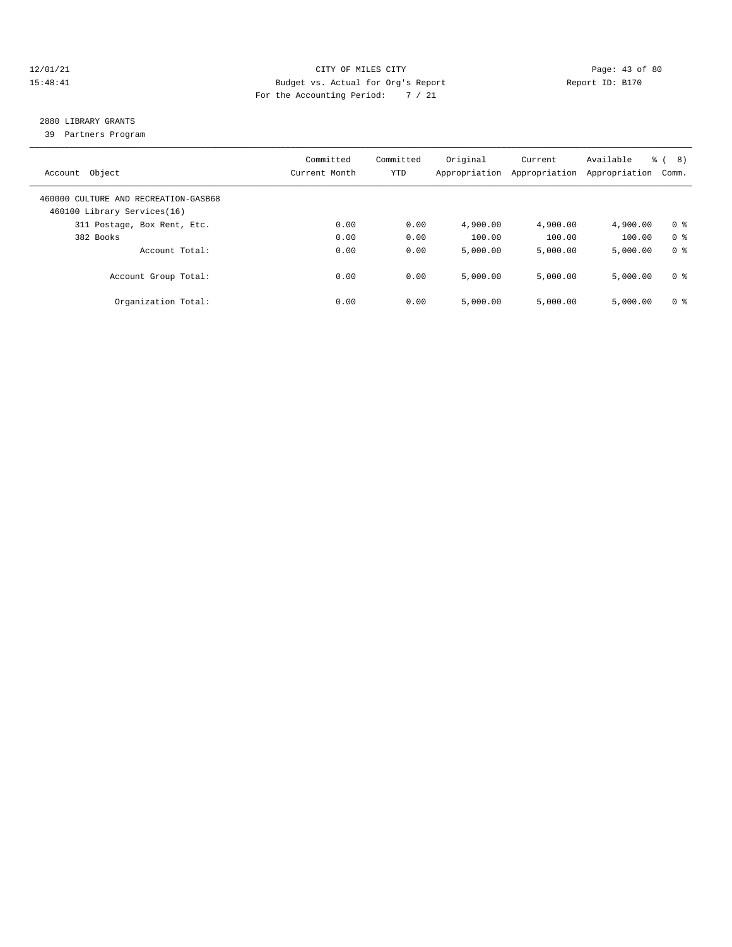#### 12/01/21 Page: 43 of 80 15:48:41 Budget vs. Actual for Org's Report Report ID: B170 For the Accounting Period: 7 / 21

## 2880 LIBRARY GRANTS

39 Partners Program

| Object<br>Account                                                   | Committed<br>Current Month | Committed<br>YTD | Original<br>Appropriation | Current<br>Appropriation | Available<br>Appropriation | $\frac{6}{6}$ (<br>8)<br>Comm. |
|---------------------------------------------------------------------|----------------------------|------------------|---------------------------|--------------------------|----------------------------|--------------------------------|
| 460000 CULTURE AND RECREATION-GASB68<br>460100 Library Services(16) |                            |                  |                           |                          |                            |                                |
| 311 Postage, Box Rent, Etc.                                         | 0.00                       | 0.00             | 4,900.00                  | 4,900.00                 | 4,900.00                   | 0 <sup>8</sup>                 |
| 382 Books                                                           | 0.00                       | 0.00             | 100.00                    | 100.00                   | 100.00                     | 0 <sup>8</sup>                 |
| Account Total:                                                      | 0.00                       | 0.00             | 5.000.00                  | 5,000.00                 | 5,000.00                   | 0 <sup>8</sup>                 |
| Account Group Total:                                                | 0.00                       | 0.00             | 5.000.00                  | 5,000.00                 | 5,000.00                   | 0 <sup>8</sup>                 |
| Organization Total:                                                 | 0.00                       | 0.00             | 5.000.00                  | 5,000.00                 | 5,000.00                   | 0 <sup>8</sup>                 |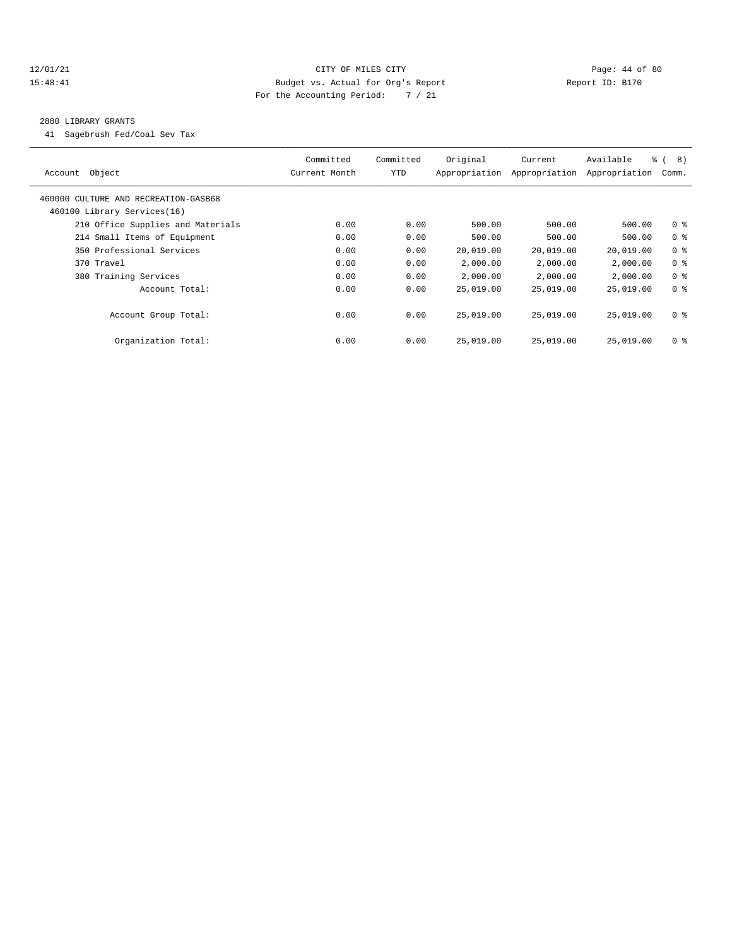#### 12/01/21 Page: 44 of 80 15:48:41 Budget vs. Actual for Org's Report Report ID: B170 For the Accounting Period: 7 / 21

#### 2880 LIBRARY GRANTS

41 Sagebrush Fed/Coal Sev Tax

| Object<br>Account                                                   | Committed<br>Current Month | Committed<br>YTD | Original<br>Appropriation | Current<br>Appropriation | Available<br>Appropriation | $\approx$ (<br>8)<br>Comm. |
|---------------------------------------------------------------------|----------------------------|------------------|---------------------------|--------------------------|----------------------------|----------------------------|
| 460000 CULTURE AND RECREATION-GASB68<br>460100 Library Services(16) |                            |                  |                           |                          |                            |                            |
| 210 Office Supplies and Materials                                   | 0.00                       | 0.00             | 500.00                    | 500.00                   | 500.00                     | 0 <sup>8</sup>             |
| 214 Small Items of Equipment                                        | 0.00                       | 0.00             | 500.00                    | 500.00                   | 500.00                     | 0 <sup>8</sup>             |
| 350 Professional Services                                           | 0.00                       | 0.00             | 20,019.00                 | 20,019.00                | 20,019.00                  | 0 <sup>8</sup>             |
| 370 Travel                                                          | 0.00                       | 0.00             | 2,000.00                  | 2,000.00                 | 2,000.00                   | 0 <sup>8</sup>             |
| 380 Training Services                                               | 0.00                       | 0.00             | 2,000.00                  | 2,000.00                 | 2,000.00                   | 0 <sup>8</sup>             |
| Account Total:                                                      | 0.00                       | 0.00             | 25,019.00                 | 25,019.00                | 25,019.00                  | 0 <sup>8</sup>             |
| Account Group Total:                                                | 0.00                       | 0.00             | 25,019.00                 | 25,019.00                | 25,019.00                  | 0 <sup>8</sup>             |
| Organization Total:                                                 | 0.00                       | 0.00             | 25,019.00                 | 25,019.00                | 25,019.00                  | 0 <sup>8</sup>             |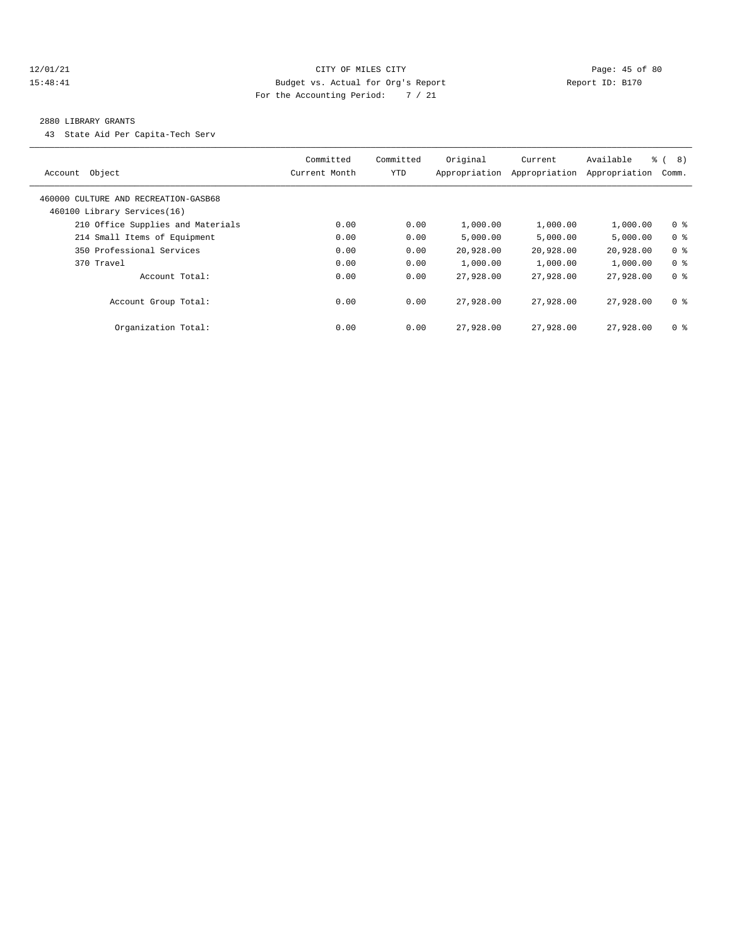#### 12/01/21 Page: 45 of 80 15:48:41 Budget vs. Actual for Org's Report Report ID: B170 For the Accounting Period: 7 / 21

#### 2880 LIBRARY GRANTS

43 State Aid Per Capita-Tech Serv

| Account Object                                                      | Committed<br>Current Month | Committed<br><b>YTD</b> | Original<br>Appropriation | Current<br>Appropriation | Available<br>Appropriation | ී (<br>8)<br>Comm. |
|---------------------------------------------------------------------|----------------------------|-------------------------|---------------------------|--------------------------|----------------------------|--------------------|
| 460000 CULTURE AND RECREATION-GASB68<br>460100 Library Services(16) |                            |                         |                           |                          |                            |                    |
| 210 Office Supplies and Materials                                   | 0.00                       | 0.00                    | 1,000.00                  | 1,000.00                 | 1,000.00                   | 0 <sup>8</sup>     |
| 214 Small Items of Equipment                                        | 0.00                       | 0.00                    | 5.000.00                  | 5,000.00                 | 5.000.00                   | 0 <sup>8</sup>     |
| 350 Professional Services                                           | 0.00                       | 0.00                    | 20,928.00                 | 20,928.00                | 20,928.00                  | 0 <sup>8</sup>     |
| 370 Travel                                                          | 0.00                       | 0.00                    | 1,000.00                  | 1,000.00                 | 1,000.00                   | 0 <sup>8</sup>     |
| Account Total:                                                      | 0.00                       | 0.00                    | 27,928.00                 | 27,928.00                | 27,928.00                  | 0 <sup>8</sup>     |
| Account Group Total:                                                | 0.00                       | 0.00                    | 27,928.00                 | 27,928,00                | 27,928,00                  | 0 <sup>8</sup>     |
| Organization Total:                                                 | 0.00                       | 0.00                    | 27,928.00                 | 27,928.00                | 27,928.00                  | 0 <sup>8</sup>     |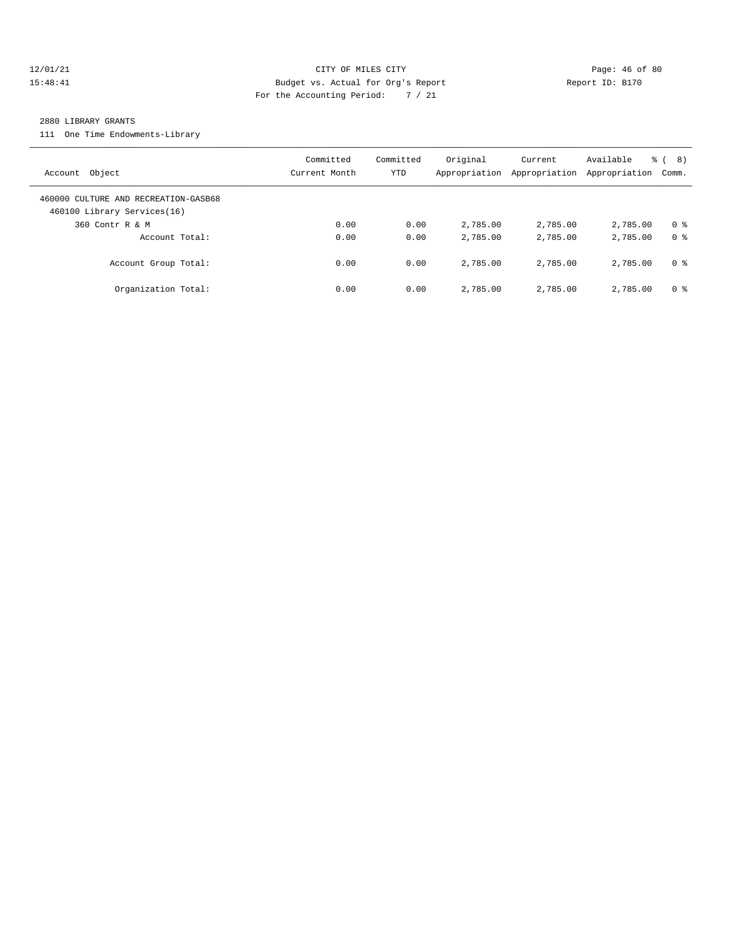#### 12/01/21 Page: 46 of 80 15:48:41 Budget vs. Actual for Org's Report Report ID: B170 For the Accounting Period: 7 / 21

#### 2880 LIBRARY GRANTS

111 One Time Endowments-Library

| Account Object                                                      | Committed<br>Current Month | Committed<br><b>YTD</b> | Original<br>Appropriation | Current<br>Appropriation | Available<br>Appropriation | $\frac{6}{6}$ ( 8)<br>Comm. |
|---------------------------------------------------------------------|----------------------------|-------------------------|---------------------------|--------------------------|----------------------------|-----------------------------|
| 460000 CULTURE AND RECREATION-GASB68<br>460100 Library Services(16) |                            |                         |                           |                          |                            |                             |
| 360 Contr R & M                                                     | 0.00                       | 0.00                    | 2,785.00                  | 2,785.00                 | 2,785.00                   | 0 <sup>8</sup>              |
| Account Total:                                                      | 0.00                       | 0.00                    | 2,785.00                  | 2,785.00                 | 2,785.00                   | 0 %                         |
| Account Group Total:                                                | 0.00                       | 0.00                    | 2,785.00                  | 2,785.00                 | 2,785.00                   | 0 %                         |
| Organization Total:                                                 | 0.00                       | 0.00                    | 2,785.00                  | 2,785.00                 | 2,785.00                   | 0 %                         |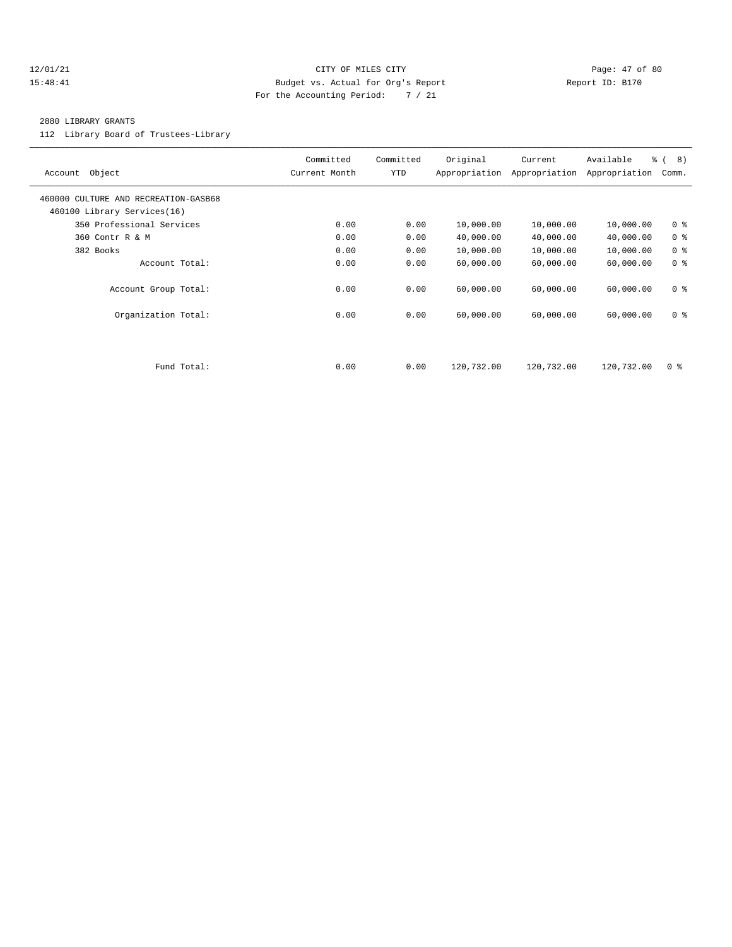#### 12/01/21 Page: 47 of 80 15:48:41 Budget vs. Actual for Org's Report Report ID: B170 For the Accounting Period: 7 / 21

#### 2880 LIBRARY GRANTS

112 Library Board of Trustees-Library

| Object<br>Account                                                   | Committed<br>Current Month | Committed<br>YTD | Original<br>Appropriation | Current<br>Appropriation | Available<br>Appropriation | $\frac{6}{6}$ ( 8)<br>Comm. |
|---------------------------------------------------------------------|----------------------------|------------------|---------------------------|--------------------------|----------------------------|-----------------------------|
| 460000 CULTURE AND RECREATION-GASB68<br>460100 Library Services(16) |                            |                  |                           |                          |                            |                             |
| 350 Professional Services                                           | 0.00                       | 0.00             | 10,000.00                 | 10,000.00                | 10,000.00                  | 0 <sup>8</sup>              |
| 360 Contr R & M                                                     | 0.00                       | 0.00             | 40,000.00                 | 40,000.00                | 40,000.00                  | 0 <sup>8</sup>              |
| 382 Books                                                           | 0.00                       | 0.00             | 10,000.00                 | 10,000.00                | 10,000.00                  | 0 <sup>8</sup>              |
| Account Total:                                                      | 0.00                       | 0.00             | 60,000.00                 | 60,000.00                | 60,000.00                  | 0 <sup>8</sup>              |
| Account Group Total:                                                | 0.00                       | 0.00             | 60,000.00                 | 60,000.00                | 60,000.00                  | 0 <sup>8</sup>              |
| Organization Total:                                                 | 0.00                       | 0.00             | 60,000.00                 | 60,000.00                | 60,000.00                  | 0 <sup>8</sup>              |
|                                                                     |                            |                  |                           |                          |                            |                             |
| Fund Total:                                                         | 0.00                       | 0.00             | 120,732.00                | 120,732.00               | 120,732.00                 | 0 <sup>8</sup>              |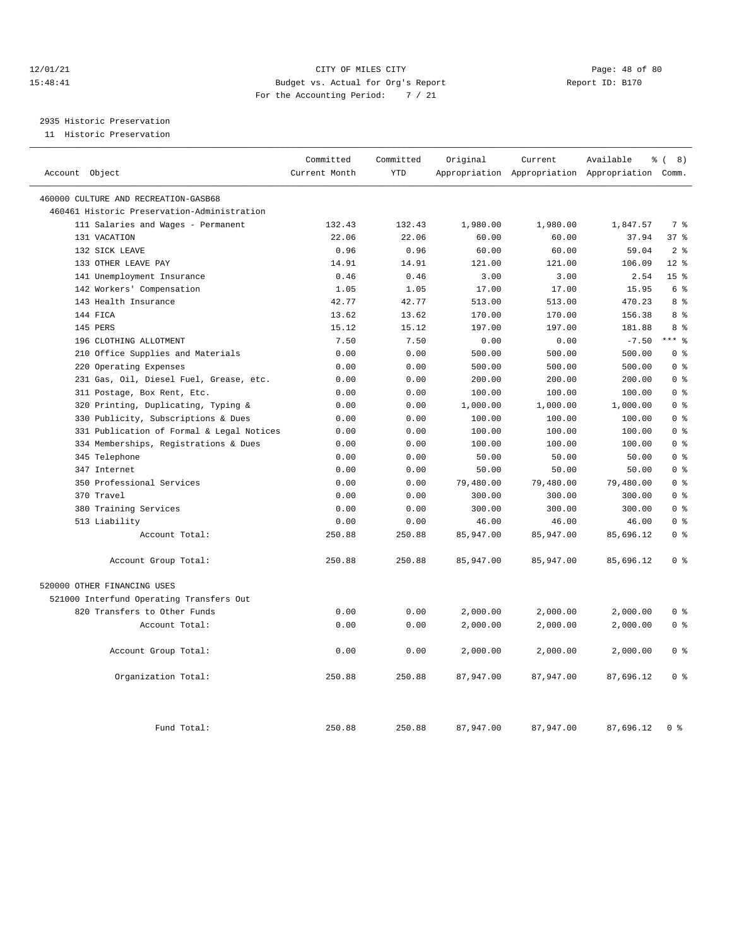#### 12/01/21 Page: 48 of 80 15:48:41 Budget vs. Actual for Org's Report Report ID: B170 For the Accounting Period: 7 / 21

## 2935 Historic Preservation

11 Historic Preservation

| Account Object                              | Committed<br>Current Month | Committed<br><b>YTD</b> | Original  | Current   | Available<br>Appropriation Appropriation Appropriation Comm. | ී (<br>8)       |
|---------------------------------------------|----------------------------|-------------------------|-----------|-----------|--------------------------------------------------------------|-----------------|
|                                             |                            |                         |           |           |                                                              |                 |
| 460000 CULTURE AND RECREATION-GASB68        |                            |                         |           |           |                                                              |                 |
| 460461 Historic Preservation-Administration |                            |                         |           |           |                                                              |                 |
| 111 Salaries and Wages - Permanent          | 132.43                     | 132.43                  | 1,980.00  | 1,980.00  | 1,847.57                                                     | 7 %             |
| 131 VACATION                                | 22.06                      | 22.06                   | 60.00     | 60.00     | 37.94                                                        | 37%             |
| 132 SICK LEAVE                              | 0.96                       | 0.96                    | 60.00     | 60.00     | 59.04                                                        | 2 <sup>8</sup>  |
| 133 OTHER LEAVE PAY                         | 14.91                      | 14.91                   | 121.00    | 121.00    | 106.09                                                       | $12*$           |
| 141 Unemployment Insurance                  | 0.46                       | 0.46                    | 3.00      | 3.00      | 2.54                                                         | 15 <sup>8</sup> |
| 142 Workers' Compensation                   | 1.05                       | 1.05                    | 17.00     | 17.00     | 15.95                                                        | 6 %             |
| 143 Health Insurance                        | 42.77                      | 42.77                   | 513.00    | 513.00    | 470.23                                                       | 8 %             |
| 144 FICA                                    | 13.62                      | 13.62                   | 170.00    | 170.00    | 156.38                                                       | 8 %             |
| 145 PERS                                    | 15.12                      | 15.12                   | 197.00    | 197.00    | 181.88                                                       | 8 %             |
| 196 CLOTHING ALLOTMENT                      | 7.50                       | 7.50                    | 0.00      | 0.00      | $-7.50$                                                      | $***$ $%$       |
| 210 Office Supplies and Materials           | 0.00                       | 0.00                    | 500.00    | 500.00    | 500.00                                                       | 0 <sup>8</sup>  |
| 220 Operating Expenses                      | 0.00                       | 0.00                    | 500.00    | 500.00    | 500.00                                                       | 0 <sup>8</sup>  |
| 231 Gas, Oil, Diesel Fuel, Grease, etc.     | 0.00                       | 0.00                    | 200.00    | 200.00    | 200.00                                                       | 0 <sup>8</sup>  |
| 311 Postage, Box Rent, Etc.                 | 0.00                       | 0.00                    | 100.00    | 100.00    | 100.00                                                       | 0 <sup>8</sup>  |
| 320 Printing, Duplicating, Typing &         | 0.00                       | 0.00                    | 1,000.00  | 1,000.00  | 1,000.00                                                     | 0 <sup>8</sup>  |
| 330 Publicity, Subscriptions & Dues         | 0.00                       | 0.00                    | 100.00    | 100.00    | 100.00                                                       | 0 <sup>8</sup>  |
| 331 Publication of Formal & Legal Notices   | 0.00                       | 0.00                    | 100.00    | 100.00    | 100.00                                                       | 0 <sup>8</sup>  |
| 334 Memberships, Registrations & Dues       | 0.00                       | 0.00                    | 100.00    | 100.00    | 100.00                                                       | 0 <sup>8</sup>  |
| 345 Telephone                               | 0.00                       | 0.00                    | 50.00     | 50.00     | 50.00                                                        | 0 <sup>8</sup>  |
| 347 Internet                                | 0.00                       | 0.00                    | 50.00     | 50.00     | 50.00                                                        | 0 <sup>8</sup>  |
| 350 Professional Services                   | 0.00                       | 0.00                    | 79,480.00 | 79,480.00 | 79,480.00                                                    | 0 <sup>8</sup>  |
| 370 Travel                                  | 0.00                       | 0.00                    | 300.00    | 300.00    | 300.00                                                       | 0 <sup>8</sup>  |
| 380 Training Services                       | 0.00                       | 0.00                    | 300.00    | 300.00    | 300.00                                                       | 0 <sup>8</sup>  |
| 513 Liability                               | 0.00                       | 0.00                    | 46.00     | 46.00     | 46.00                                                        | 0 <sup>8</sup>  |
| Account Total:                              | 250.88                     | 250.88                  | 85,947.00 | 85,947.00 | 85,696.12                                                    | 0 <sup>8</sup>  |
| Account Group Total:                        | 250.88                     | 250.88                  | 85,947.00 | 85,947.00 | 85,696.12                                                    | 0 <sup>8</sup>  |
| 520000 OTHER FINANCING USES                 |                            |                         |           |           |                                                              |                 |
| 521000 Interfund Operating Transfers Out    |                            |                         |           |           |                                                              |                 |
| 820 Transfers to Other Funds                | 0.00                       | 0.00                    | 2,000.00  | 2,000.00  | 2,000.00                                                     | 0 <sup>8</sup>  |
| Account Total:                              | 0.00                       | 0.00                    | 2,000.00  | 2,000.00  | 2,000.00                                                     | 0 <sup>8</sup>  |
| Account Group Total:                        | 0.00                       | 0.00                    | 2,000.00  | 2,000.00  | 2,000.00                                                     | 0 <sup>8</sup>  |
| Organization Total:                         | 250.88                     | 250.88                  | 87,947.00 | 87,947.00 | 87,696.12                                                    | 0 <sup>8</sup>  |
| Fund Total:                                 | 250.88                     | 250.88                  | 87,947.00 | 87,947.00 | 87,696.12                                                    | 0 <sup>8</sup>  |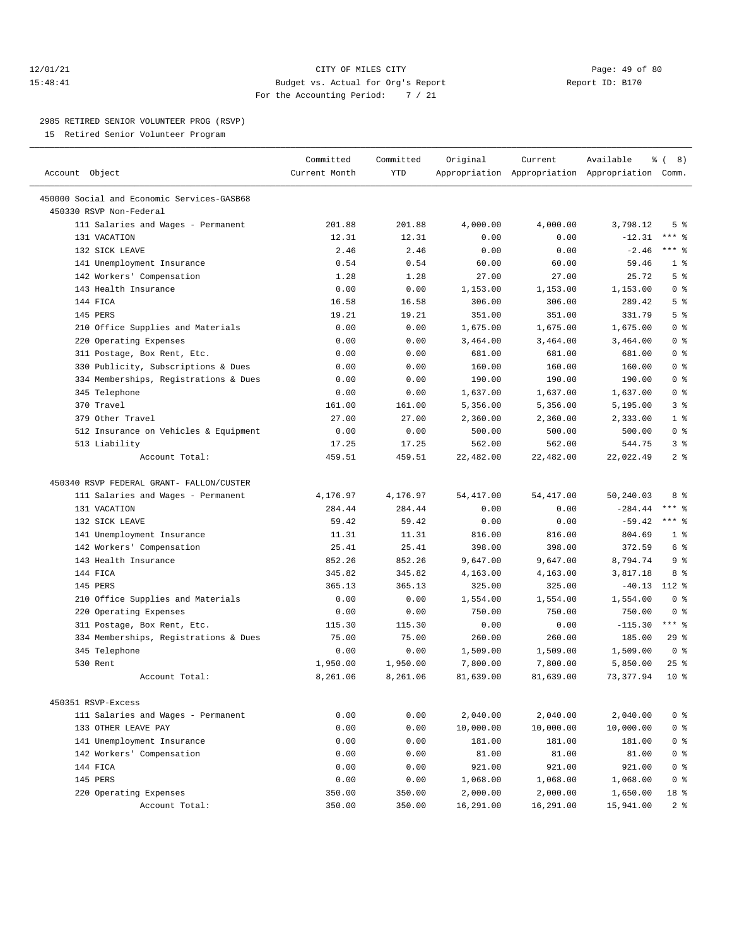#### 12/01/21 Page: 49 of 80 15:48:41 Budget vs. Actual for Org's Report Report ID: B170 For the Accounting Period: 7 / 21

————————————————————————————————————————————————————————————————————————————————————————————————————————————————————————————————————

#### 2985 RETIRED SENIOR VOLUNTEER PROG (RSVP)

15 Retired Senior Volunteer Program

|                                            | Committed     | Committed | Original   | Current    | Available                                       | နွ<br>8)<br>$\left($ |
|--------------------------------------------|---------------|-----------|------------|------------|-------------------------------------------------|----------------------|
| Account Object                             | Current Month | YTD       |            |            | Appropriation Appropriation Appropriation Comm. |                      |
| 450000 Social and Economic Services-GASB68 |               |           |            |            |                                                 |                      |
| 450330 RSVP Non-Federal                    |               |           |            |            |                                                 |                      |
| 111 Salaries and Wages - Permanent         | 201.88        | 201.88    | 4,000.00   | 4,000.00   | 3,798.12                                        | 5 <sup>8</sup>       |
| 131 VACATION                               | 12.31         | 12.31     | 0.00       | 0.00       | $-12.31$                                        | $***$ $%$            |
| 132 SICK LEAVE                             | 2.46          | 2.46      | 0.00       | 0.00       | $-2.46$                                         | $***$ 8              |
| 141 Unemployment Insurance                 | 0.54          | 0.54      | 60.00      | 60.00      | 59.46                                           | 1 <sup>8</sup>       |
| 142 Workers' Compensation                  | 1.28          | 1.28      | 27.00      | 27.00      | 25.72                                           | 5 <sup>°</sup>       |
| 143 Health Insurance                       | 0.00          | 0.00      | 1,153.00   | 1,153.00   | 1,153.00                                        | 0 <sup>8</sup>       |
| 144 FICA                                   | 16.58         | 16.58     | 306.00     | 306.00     | 289.42                                          | 5 <sup>8</sup>       |
| 145 PERS                                   | 19.21         | 19.21     | 351.00     | 351.00     | 331.79                                          | 5 <sup>8</sup>       |
| 210 Office Supplies and Materials          | 0.00          | 0.00      | 1,675.00   | 1,675.00   | 1,675.00                                        | 0 <sup>8</sup>       |
| 220 Operating Expenses                     | 0.00          | 0.00      | 3,464.00   | 3,464.00   | 3,464.00                                        | 0 <sup>8</sup>       |
|                                            | 0.00          | 0.00      | 681.00     | 681.00     | 681.00                                          | 0 <sup>8</sup>       |
| 311 Postage, Box Rent, Etc.                |               |           |            |            | 160.00                                          | 0 <sup>8</sup>       |
| 330 Publicity, Subscriptions & Dues        | 0.00          | 0.00      | 160.00     | 160.00     |                                                 |                      |
| 334 Memberships, Registrations & Dues      | 0.00          | 0.00      | 190.00     | 190.00     | 190.00                                          | 0 <sup>8</sup>       |
| 345 Telephone                              | 0.00          | 0.00      | 1,637.00   | 1,637.00   | 1,637.00                                        | 0 <sup>8</sup>       |
| 370 Travel                                 | 161.00        | 161.00    | 5,356.00   | 5,356.00   | 5,195.00                                        | 3%                   |
| 379 Other Travel                           | 27.00         | 27.00     | 2,360.00   | 2,360.00   | 2,333.00                                        | 1 <sup>8</sup>       |
| 512 Insurance on Vehicles & Equipment      | 0.00          | 0.00      | 500.00     | 500.00     | 500.00                                          | 0 <sup>8</sup>       |
| 513 Liability                              | 17.25         | 17.25     | 562.00     | 562.00     | 544.75                                          | 3%                   |
| Account Total:                             | 459.51        | 459.51    | 22,482.00  | 22,482.00  | 22,022.49                                       | 2 <sup>8</sup>       |
| 450340 RSVP FEDERAL GRANT- FALLON/CUSTER   |               |           |            |            |                                                 |                      |
| 111 Salaries and Wages - Permanent         | 4,176.97      | 4,176.97  | 54, 417.00 | 54, 417.00 | 50,240.03                                       | 8 %                  |
| 131 VACATION                               | 284.44        | 284.44    | 0.00       | 0.00       | $-284.44$                                       | *** 응                |
| 132 SICK LEAVE                             | 59.42         | 59.42     | 0.00       | 0.00       | $-59.42$                                        | $***$ $%$            |
| 141 Unemployment Insurance                 | 11.31         | 11.31     | 816.00     | 816.00     | 804.69                                          | 1 <sup>8</sup>       |
| 142 Workers' Compensation                  | 25.41         | 25.41     | 398.00     | 398.00     | 372.59                                          | 6 %                  |
| 143 Health Insurance                       | 852.26        | 852.26    | 9,647.00   | 9,647.00   | 8,794.74                                        | 9 <sup>8</sup>       |
| 144 FICA                                   | 345.82        | 345.82    | 4,163.00   | 4,163.00   | 3,817.18                                        | 8 %                  |
| 145 PERS                                   | 365.13        | 365.13    | 325.00     | 325.00     | $-40.13$                                        | 112 %                |
| 210 Office Supplies and Materials          | 0.00          | 0.00      | 1,554.00   | 1,554.00   | 1,554.00                                        | 0 <sup>8</sup>       |
| 220 Operating Expenses                     | 0.00          | 0.00      | 750.00     | 750.00     | 750.00                                          | 0 <sup>8</sup>       |
| 311 Postage, Box Rent, Etc.                | 115.30        | 115.30    | 0.00       | 0.00       | $-115.30$                                       | $***$ $-$            |
| 334 Memberships, Registrations & Dues      | 75.00         | 75.00     | 260.00     | 260.00     | 185.00                                          | 29%                  |
| 345 Telephone                              | 0.00          | 0.00      | 1,509.00   | 1,509.00   | 1,509.00                                        | 0 <sup>8</sup>       |
| 530 Rent                                   | 1,950.00      | 1,950.00  | 7,800.00   | 7,800.00   | 5,850.00                                        | 25%                  |
| Account Total:                             | 8,261.06      | 8,261.06  | 81,639.00  | 81,639.00  | 73, 377.94                                      | $10*$                |
|                                            |               |           |            |            |                                                 |                      |
| 450351 RSVP-Excess                         |               |           |            |            |                                                 |                      |
| 111 Salaries and Wages - Permanent         | 0.00          | 0.00      | 2,040.00   | 2,040.00   | 2,040.00                                        | 0 <sup>8</sup>       |
| 133 OTHER LEAVE PAY                        | 0.00          | 0.00      | 10,000.00  | 10,000.00  | 10,000.00                                       | 0 <sup>8</sup>       |
| 141 Unemployment Insurance                 | 0.00          | 0.00      | 181.00     | 181.00     | 181.00                                          | 0 <sup>8</sup>       |
| 142 Workers' Compensation                  | 0.00          | 0.00      | 81.00      | 81.00      | 81.00                                           | 0 <sup>8</sup>       |
| 144 FICA                                   | 0.00          | 0.00      | 921.00     | 921.00     | 921.00                                          | 0 <sup>8</sup>       |
| 145 PERS                                   | 0.00          | 0.00      | 1,068.00   | 1,068.00   | 1,068.00                                        | 0 <sup>8</sup>       |
| 220 Operating Expenses                     | 350.00        | 350.00    | 2,000.00   | 2,000.00   | 1,650.00                                        | 18 %                 |
| Account Total:                             | 350.00        | 350.00    | 16,291.00  | 16,291.00  | 15,941.00                                       | 2 <sub>8</sub>       |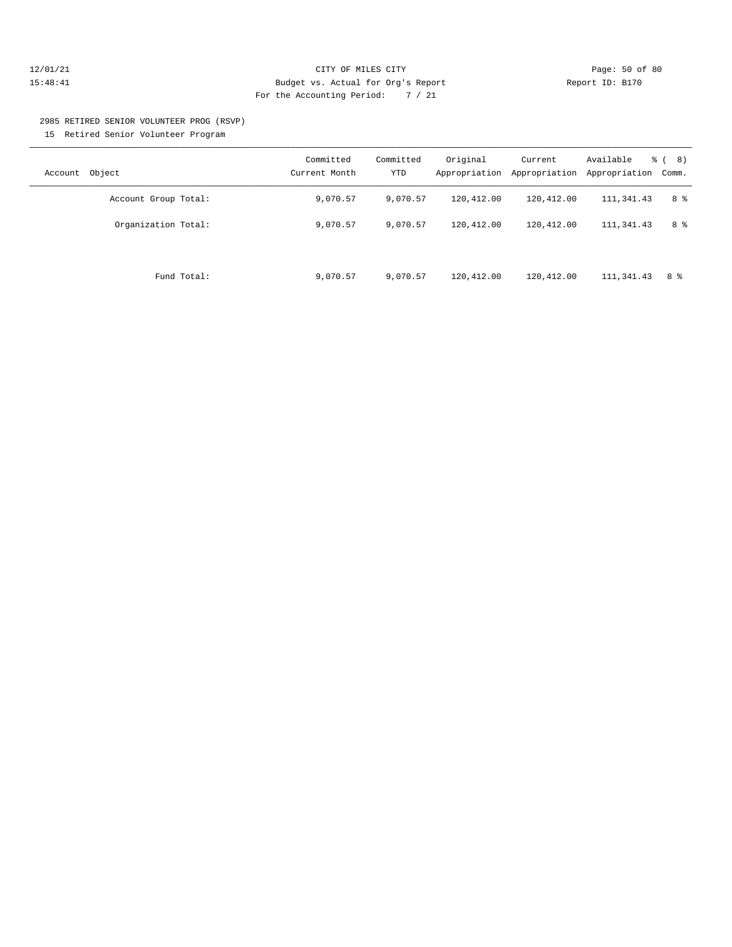#### 12/01/21 Page: 50 of 80 15:48:41 Budget vs. Actual for Org's Report Report ID: B170 For the Accounting Period: 7 / 21

# 2985 RETIRED SENIOR VOLUNTEER PROG (RSVP)

15 Retired Senior Volunteer Program

| Account Object       | Committed<br>Current Month | Committed<br><b>YTD</b> | Original<br>Appropriation | Current<br>Appropriation | Available<br>Appropriation | $\frac{6}{6}$ ( 8)<br>Comm. |
|----------------------|----------------------------|-------------------------|---------------------------|--------------------------|----------------------------|-----------------------------|
| Account Group Total: | 9,070.57                   | 9,070.57                | 120,412.00                | 120,412.00               | 111,341.43                 | 8 %                         |
| Organization Total:  | 9,070.57                   | 9,070.57                | 120,412.00                | 120,412.00               | 111, 341, 43               | 8 %                         |
| Fund Total:          | 9,070.57                   | 9,070.57                | 120,412.00                | 120,412.00               | 111,341.43                 | 8 %                         |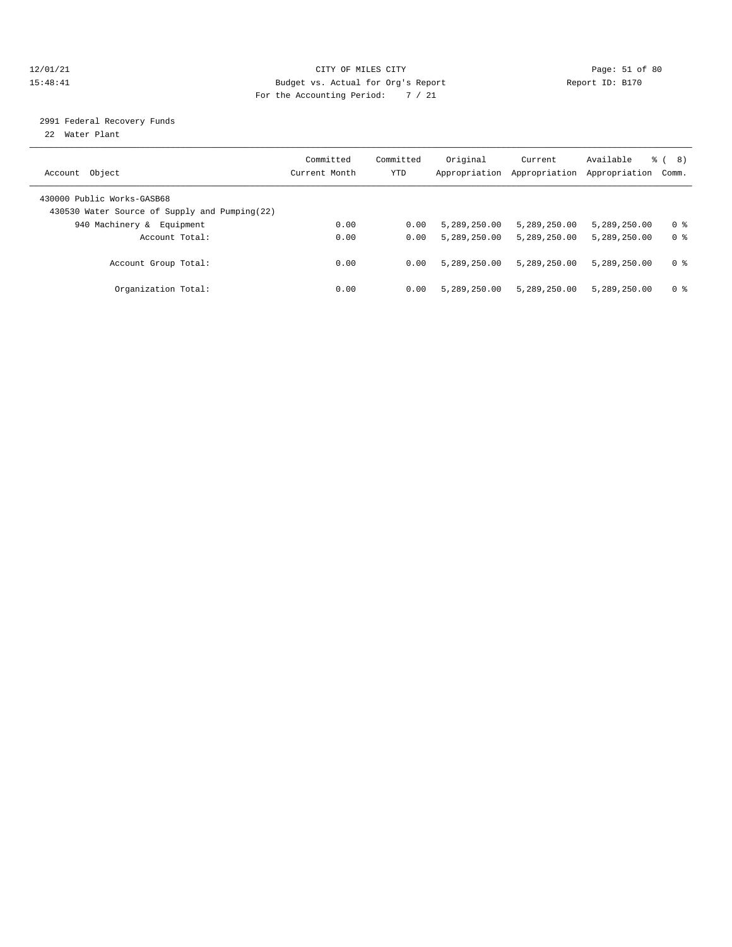#### 12/01/21 Page: 51 of 80 15:48:41 Budget vs. Actual for Org's Report Report ID: B170 For the Accounting Period: 7 / 21

### 2991 Federal Recovery Funds

22 Water Plant

| Account Object                                                              | Committed<br>Current Month | Committed<br>YTD | Original<br>Appropriation | Current<br>Appropriation | Available<br>Appropriation | 8)<br>ී (<br>Comm. |
|-----------------------------------------------------------------------------|----------------------------|------------------|---------------------------|--------------------------|----------------------------|--------------------|
| 430000 Public Works-GASB68<br>430530 Water Source of Supply and Pumping(22) |                            |                  |                           |                          |                            |                    |
| 940 Machinery &<br>Equipment                                                | 0.00                       | 0.00             | 5,289,250.00              | 5,289,250.00             | 5,289,250.00               | 0 %                |
| Account Total:                                                              | 0.00                       | 0.00             | 5,289,250.00              | 5,289,250.00             | 5,289,250.00               | 0 <sup>8</sup>     |
| Account Group Total:                                                        | 0.00                       | 0.00             | 5,289,250.00              | 5,289,250.00             | 5,289,250.00               | 0 <sup>8</sup>     |
| Organization Total:                                                         | 0.00                       | 0.00             | 5,289,250.00              | 5,289,250.00             | 5,289,250.00               | 0 %                |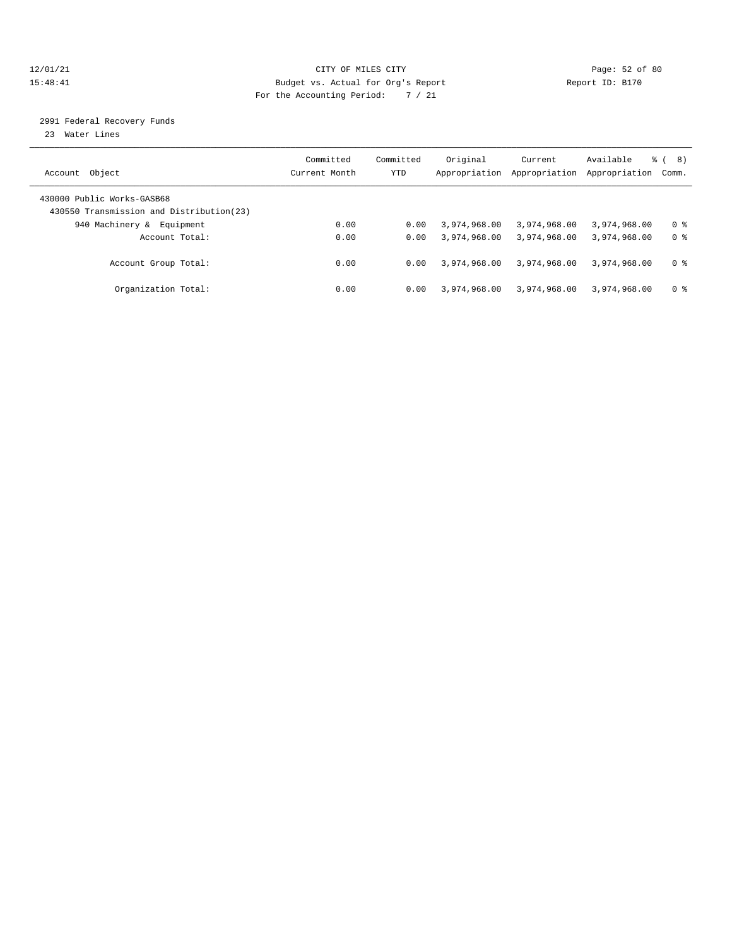#### 12/01/21 Page: 52 of 80 15:48:41 Budget vs. Actual for Org's Report Report ID: B170 For the Accounting Period: 7 / 21

### 2991 Federal Recovery Funds

23 Water Lines

| Account Object                                                          | Committed<br>Current Month | Committed<br>YTD | Original<br>Appropriation | Current<br>Appropriation | Available<br>Appropriation | 8)<br>ී (<br>Comm. |
|-------------------------------------------------------------------------|----------------------------|------------------|---------------------------|--------------------------|----------------------------|--------------------|
| 430000 Public Works-GASB68<br>430550 Transmission and Distribution (23) |                            |                  |                           |                          |                            |                    |
| 940 Machinery &<br>Equipment                                            | 0.00                       | 0.00             | 3,974,968.00              | 3,974,968.00             | 3,974,968.00               | 0 %                |
| Account Total:                                                          | 0.00                       | 0.00             | 3,974,968.00              | 3,974,968.00             | 3,974,968.00               | 0 <sup>8</sup>     |
| Account Group Total:                                                    | 0.00                       | 0.00             | 3,974,968.00              | 3,974,968.00             | 3,974,968.00               | 0 <sup>8</sup>     |
| Organization Total:                                                     | 0.00                       | 0.00             | 3,974,968.00              | 3,974,968.00             | 3,974,968.00               | 0 %                |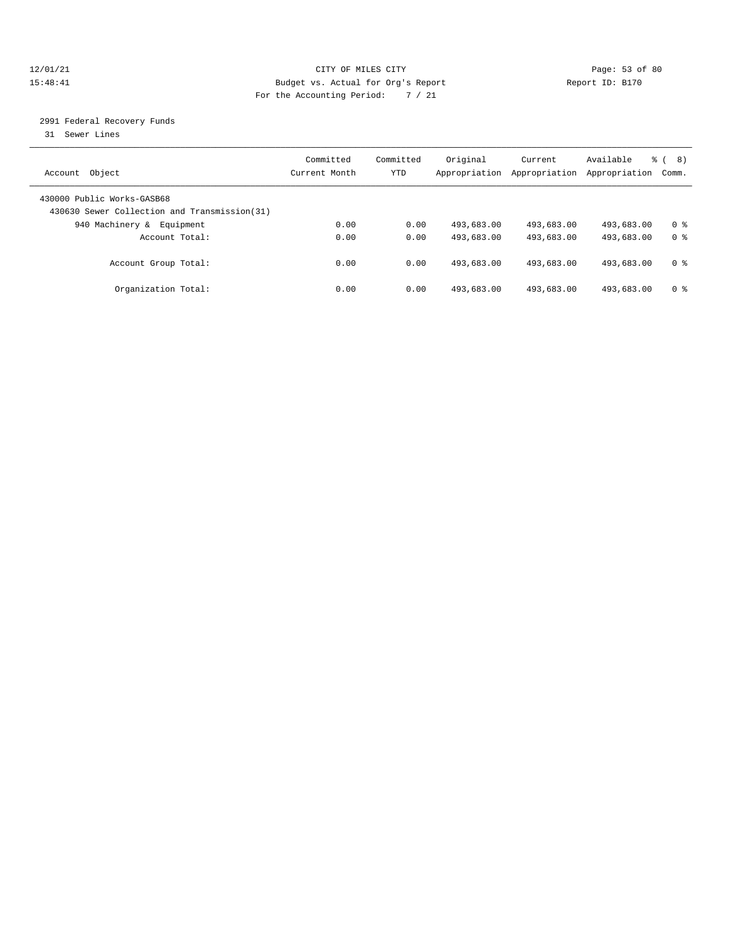#### 12/01/21 Page: 53 of 80 15:48:41 Budget vs. Actual for Org's Report Report ID: B170 For the Accounting Period: 7 / 21

### 2991 Federal Recovery Funds

31 Sewer Lines

| Account Object             |                                               | Committed<br>Current Month | Committed<br>YTD | Original<br>Appropriation | Current<br>Appropriation | Available<br>Appropriation | 8)<br>ී (<br>Comm. |
|----------------------------|-----------------------------------------------|----------------------------|------------------|---------------------------|--------------------------|----------------------------|--------------------|
| 430000 Public Works-GASB68 | 430630 Sewer Collection and Transmission (31) |                            |                  |                           |                          |                            |                    |
| 940 Machinery &            | Equipment                                     | 0.00                       | 0.00             | 493,683.00                | 493,683.00               | 493,683.00                 | 0 %                |
|                            | Account Total:                                | 0.00                       | 0.00             | 493,683.00                | 493,683.00               | 493,683.00                 | 0 <sup>8</sup>     |
|                            | Account Group Total:                          | 0.00                       | 0.00             | 493,683.00                | 493,683.00               | 493,683.00                 | 0 <sup>8</sup>     |
|                            | Organization Total:                           | 0.00                       | 0.00             | 493,683.00                | 493,683.00               | 493,683.00                 | 0 %                |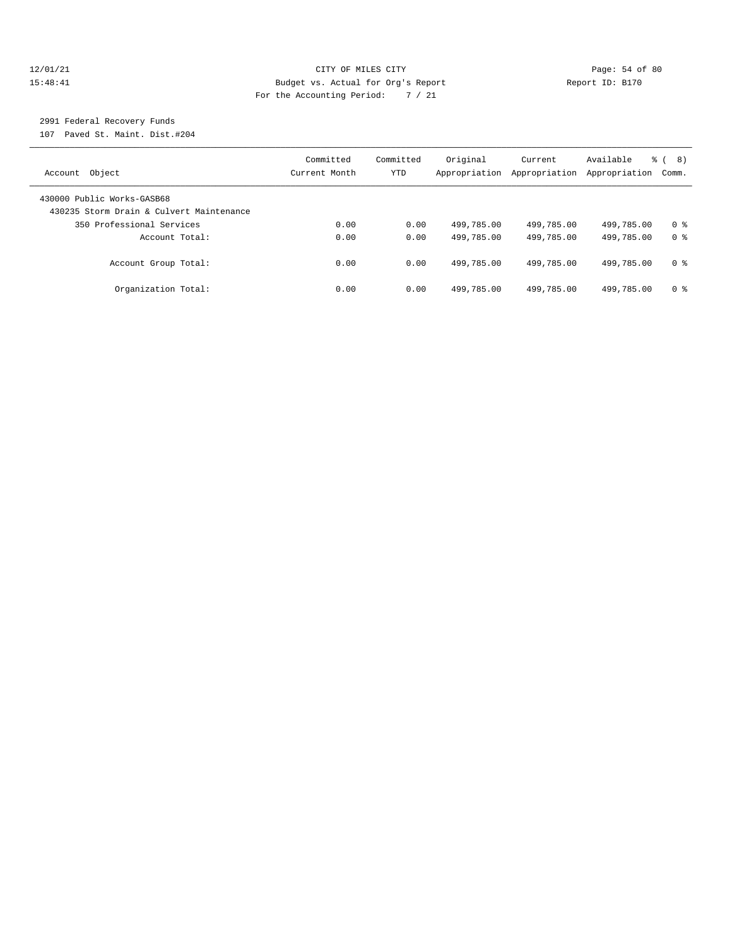#### 12/01/21 Page: 54 of 80 15:48:41 Budget vs. Actual for Org's Report Report ID: B170 For the Accounting Period: 7 / 21

## 2991 Federal Recovery Funds

107 Paved St. Maint. Dist.#204

| Account Object                                                         | Committed<br>Current Month | Committed<br>YTD | Original<br>Appropriation | Current<br>Appropriation | Available<br>Appropriation | 8)<br>ී (<br>Comm. |
|------------------------------------------------------------------------|----------------------------|------------------|---------------------------|--------------------------|----------------------------|--------------------|
| 430000 Public Works-GASB68<br>430235 Storm Drain & Culvert Maintenance |                            |                  |                           |                          |                            |                    |
| 350 Professional Services                                              | 0.00                       | 0.00             | 499,785.00                | 499,785.00               | 499,785.00                 | 0 <sup>8</sup>     |
| Account Total:                                                         | 0.00                       | 0.00             | 499,785.00                | 499,785.00               | 499,785.00                 | 0 <sup>8</sup>     |
| Account Group Total:                                                   | 0.00                       | 0.00             | 499,785.00                | 499,785.00               | 499,785.00                 | 0 %                |
| Organization Total:                                                    | 0.00                       | 0.00             | 499,785.00                | 499,785.00               | 499,785.00                 | 0 %                |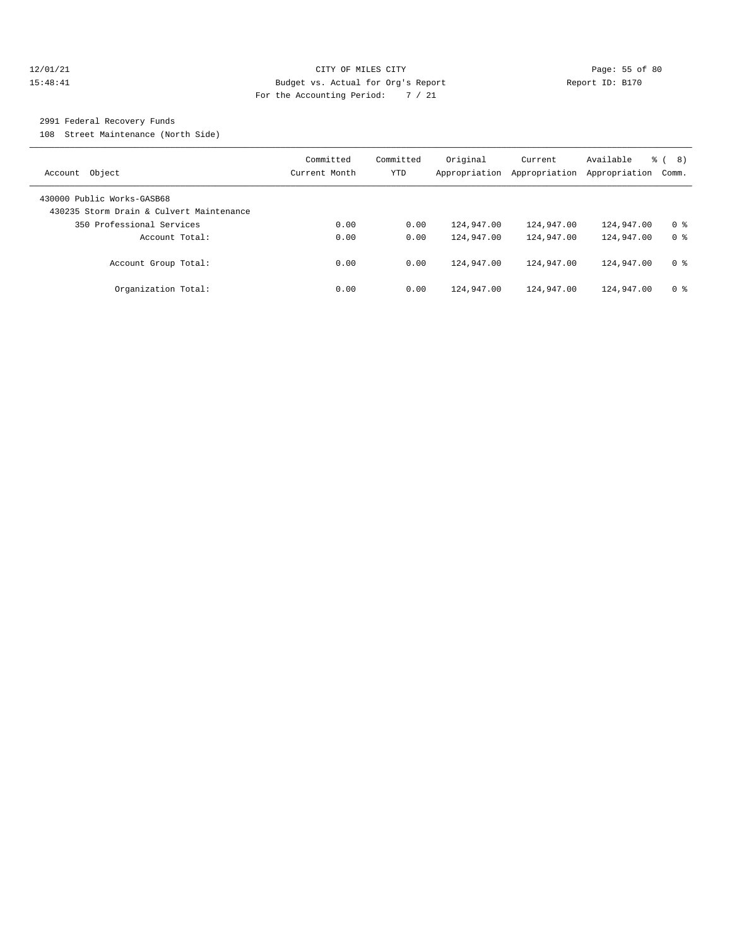#### 12/01/21 Page: 55 of 80 15:48:41 Budget vs. Actual for Org's Report Report ID: B170 For the Accounting Period: 7 / 21

### 2991 Federal Recovery Funds

108 Street Maintenance (North Side)

| Account Object                                                         | Committed<br>Current Month | Committed<br><b>YTD</b> | Original<br>Appropriation | Current<br>Appropriation | Available<br>Appropriation | 8)<br>ී (<br>Comm. |
|------------------------------------------------------------------------|----------------------------|-------------------------|---------------------------|--------------------------|----------------------------|--------------------|
| 430000 Public Works-GASB68<br>430235 Storm Drain & Culvert Maintenance |                            |                         |                           |                          |                            |                    |
| 350 Professional Services                                              | 0.00                       | 0.00                    | 124,947.00                | 124,947.00               | 124,947.00                 | 0 <sup>8</sup>     |
| Account Total:                                                         | 0.00                       | 0.00                    | 124,947.00                | 124,947.00               | 124,947.00                 | 0 <sup>8</sup>     |
| Account Group Total:                                                   | 0.00                       | 0.00                    | 124,947.00                | 124,947.00               | 124,947.00                 | 0 %                |
| Organization Total:                                                    | 0.00                       | 0.00                    | 124,947.00                | 124,947.00               | 124,947.00                 | 0 <sup>8</sup>     |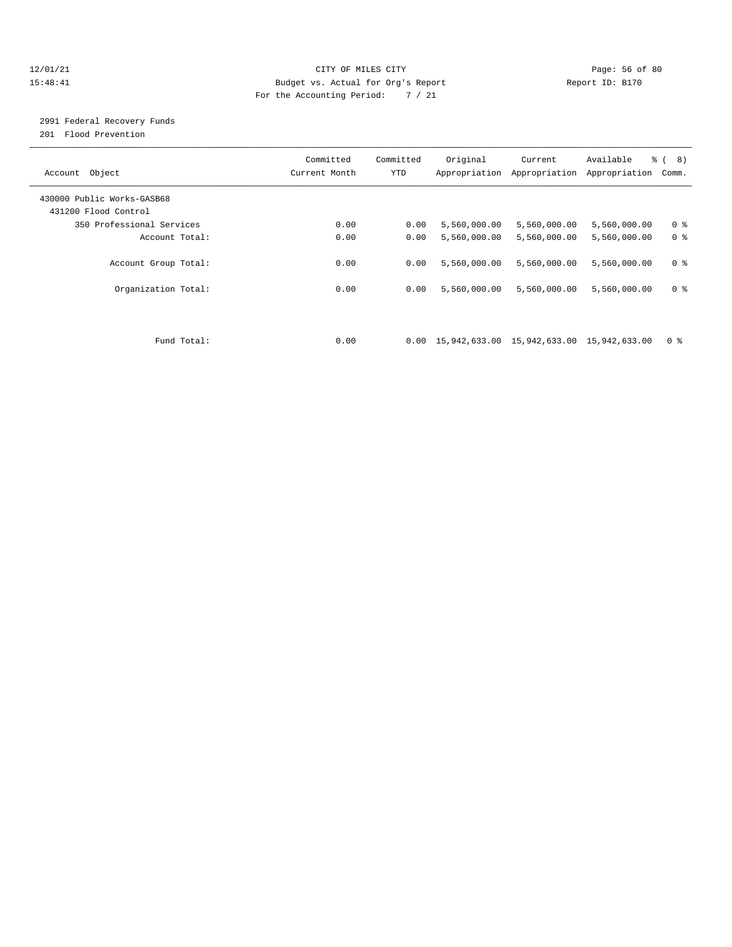#### 12/01/21 Page: 56 of 80 15:48:41 Budget vs. Actual for Org's Report Report ID: B170 For the Accounting Period: 7 / 21

## 2991 Federal Recovery Funds

201 Flood Prevention

| Account Object                                     | Committed<br>Current Month | Committed<br><b>YTD</b> | Original                                                           | Current<br>Appropriation Appropriation | Available<br>Appropriation | $\frac{6}{6}$ ( 8)<br>Comm. |
|----------------------------------------------------|----------------------------|-------------------------|--------------------------------------------------------------------|----------------------------------------|----------------------------|-----------------------------|
| 430000 Public Works-GASB68<br>431200 Flood Control |                            |                         |                                                                    |                                        |                            |                             |
| 350 Professional Services                          | 0.00                       | 0.00                    | 5,560,000.00                                                       | 5,560,000.00                           | 5,560,000.00               | 0 <sup>8</sup>              |
| Account Total:                                     | 0.00                       | 0.00                    | 5,560,000.00                                                       | 5,560,000.00                           | 5,560,000.00               | 0 <sup>8</sup>              |
| Account Group Total:                               | 0.00                       | 0.00                    | 5,560,000.00                                                       | 5,560,000.00                           | 5,560,000.00               | 0 <sup>8</sup>              |
| Organization Total:                                | 0.00                       | 0.00                    | 5,560,000.00                                                       | 5,560,000.00                           | 5,560,000.00               | 0 <sup>8</sup>              |
|                                                    |                            |                         |                                                                    |                                        |                            |                             |
| Fund Total:                                        | 0.00                       |                         | $0.00 \quad 15,942,633.00 \quad 15,942,633.00 \quad 15,942,633.00$ |                                        |                            | 0 <sup>8</sup>              |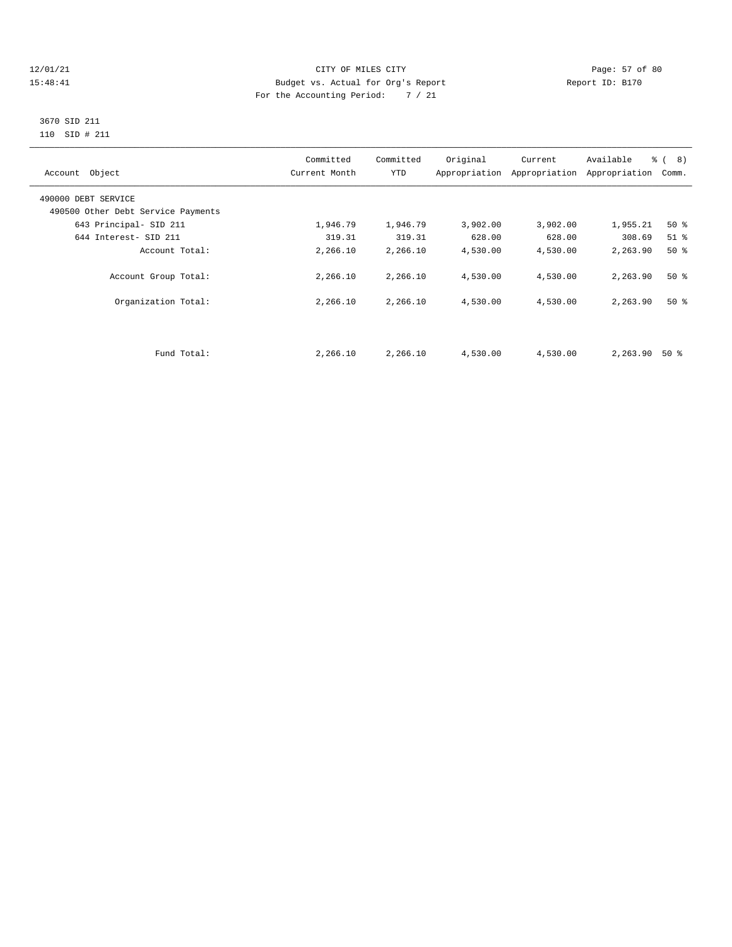#### 12/01/21 Page: 57 of 80<br>15:48:41 CITY OF MILES CITY PAGE: 2012 Page: 57 of 80<br>15:48:41 Budget vs. Actual for Org's Report Page: 2012 Report ID: B170 15:48:41 Budget vs. Actual for Org's Report For the Accounting Period: 7 / 21

#### 3670 SID 211 110 SID # 211

| Account Object                     | Committed<br>Current Month | Committed<br><b>YTD</b> | Original | Current<br>Appropriation Appropriation | Available<br>Appropriation | $\frac{6}{6}$ ( 8)<br>Comm. |
|------------------------------------|----------------------------|-------------------------|----------|----------------------------------------|----------------------------|-----------------------------|
| 490000 DEBT SERVICE                |                            |                         |          |                                        |                            |                             |
| 490500 Other Debt Service Payments |                            |                         |          |                                        |                            |                             |
| 643 Principal- SID 211             | 1,946.79                   | 1,946.79                | 3,902.00 | 3,902.00                               | 1,955.21                   | 50%                         |
| 644 Interest- SID 211              | 319.31                     | 319.31                  | 628.00   | 628.00                                 | 308.69                     | $51$ $\approx$              |
| Account Total:                     | 2,266.10                   | 2,266.10                | 4,530.00 | 4,530.00                               | 2,263.90                   | $50*$                       |
| Account Group Total:               | 2,266.10                   | 2,266.10                | 4,530.00 | 4,530.00                               | 2,263.90                   | $50*$                       |
| Organization Total:                | 2,266.10                   | 2,266.10                | 4,530.00 | 4,530.00                               | 2,263.90                   | $50*$                       |
|                                    |                            |                         |          |                                        |                            |                             |
| Fund Total:                        | 2,266.10                   | 2,266.10                | 4,530.00 | 4,530.00                               | 2,263.90                   | 50 %                        |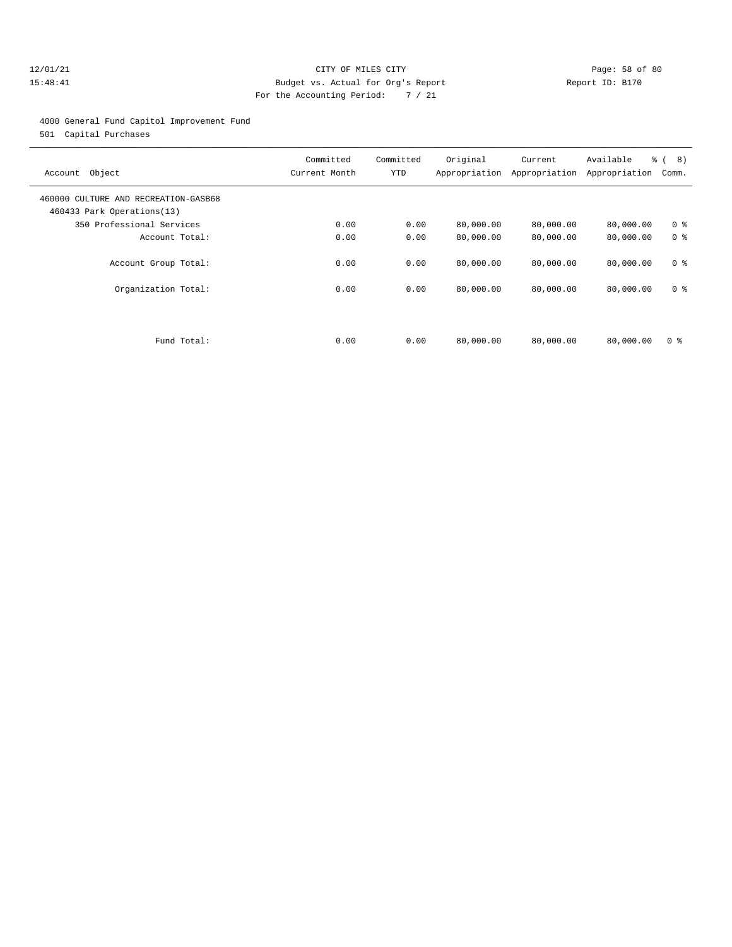#### 12/01/21 Page: 58 of 80 15:48:41 Budget vs. Actual for Org's Report Report ID: B170 For the Accounting Period: 7 / 21

4000 General Fund Capitol Improvement Fund

501 Capital Purchases

| Account Object                                                     | Committed<br>Current Month | Committed<br><b>YTD</b> | Original<br>Appropriation | Current<br>Appropriation | Available<br>Appropriation | $\frac{6}{6}$ ( 8)<br>Comm. |
|--------------------------------------------------------------------|----------------------------|-------------------------|---------------------------|--------------------------|----------------------------|-----------------------------|
| 460000 CULTURE AND RECREATION-GASB68<br>460433 Park Operations(13) |                            |                         |                           |                          |                            |                             |
| 350 Professional Services                                          | 0.00                       | 0.00                    | 80,000.00                 | 80,000.00                | 80,000.00                  | 0 <sup>8</sup>              |
| Account Total:                                                     | 0.00                       | 0.00                    | 80,000.00                 | 80,000.00                | 80,000.00                  | 0 <sup>8</sup>              |
| Account Group Total:                                               | 0.00                       | 0.00                    | 80,000.00                 | 80,000.00                | 80,000.00                  | 0 <sup>8</sup>              |
| Organization Total:                                                | 0.00                       | 0.00                    | 80,000.00                 | 80,000.00                | 80,000.00                  | 0 <sup>8</sup>              |
| Fund Total:                                                        | 0.00                       | 0.00                    | 80,000.00                 | 80,000.00                | 80,000.00                  | 0 <sup>8</sup>              |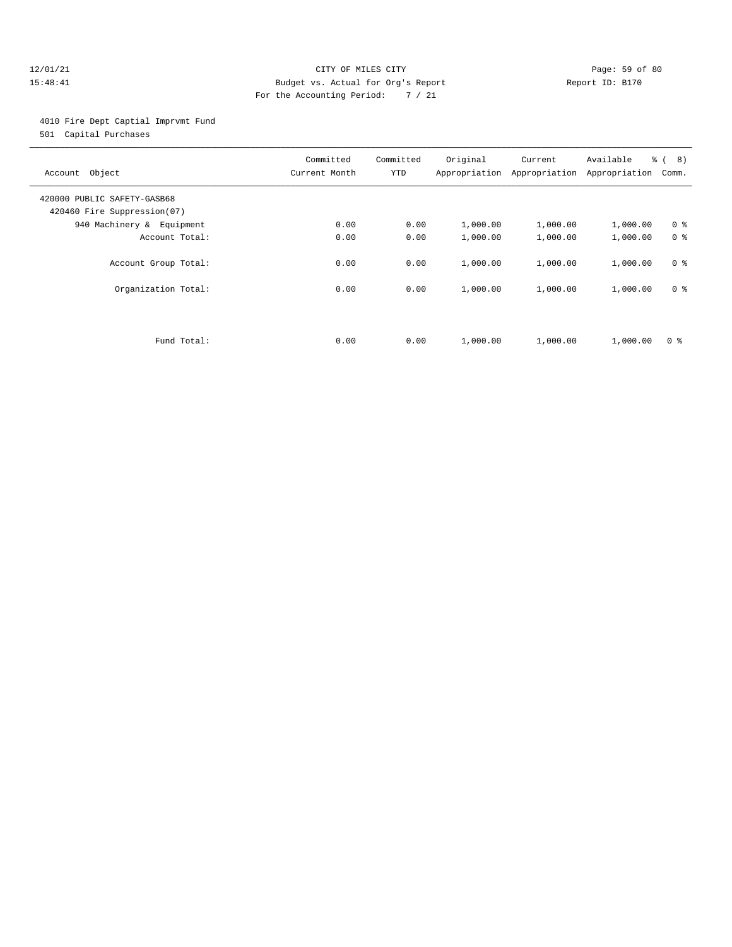#### 12/01/21 Page: 59 of 80 15:48:41 Budget vs. Actual for Org's Report Report ID: B170 For the Accounting Period: 7 / 21

4010 Fire Dept Captial Imprvmt Fund

501 Capital Purchases

| Account Object                                             | Committed<br>Current Month | Committed<br><b>YTD</b> | Original<br>Appropriation | Current<br>Appropriation | Available<br>Appropriation | $\frac{6}{6}$ ( 8)<br>Comm. |
|------------------------------------------------------------|----------------------------|-------------------------|---------------------------|--------------------------|----------------------------|-----------------------------|
| 420000 PUBLIC SAFETY-GASB68<br>420460 Fire Suppression(07) |                            |                         |                           |                          |                            |                             |
| 940 Machinery & Equipment                                  | 0.00                       | 0.00                    | 1,000.00                  | 1,000.00                 | 1,000.00                   | 0 <sup>8</sup>              |
| Account Total:                                             | 0.00                       | 0.00                    | 1,000.00                  | 1,000.00                 | 1,000.00                   | 0 <sup>8</sup>              |
| Account Group Total:                                       | 0.00                       | 0.00                    | 1,000.00                  | 1,000.00                 | 1,000.00                   | 0 <sup>8</sup>              |
| Organization Total:                                        | 0.00                       | 0.00                    | 1,000.00                  | 1,000.00                 | 1,000.00                   | 0 <sup>8</sup>              |
|                                                            |                            |                         |                           |                          |                            |                             |
| Fund Total:                                                | 0.00                       | 0.00                    | 1,000.00                  | 1,000.00                 | 1,000.00                   | 0 <sup>8</sup>              |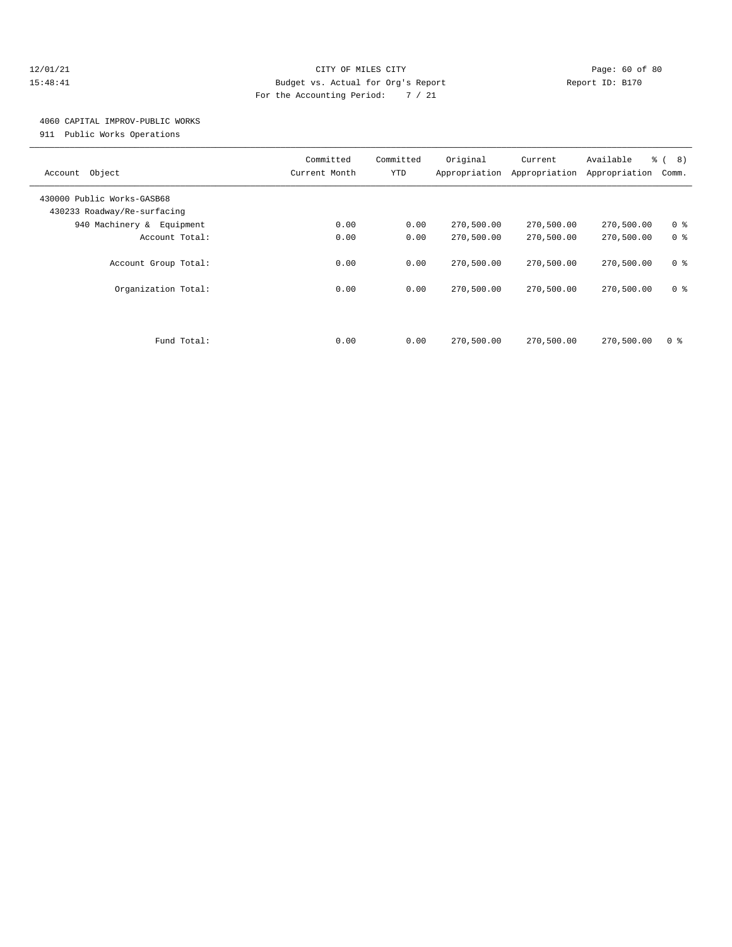#### 12/01/21 Page: 60 of 80 15:48:41 Budget vs. Actual for Org's Report Report ID: B170 For the Accounting Period: 7 / 21

## 4060 CAPITAL IMPROV-PUBLIC WORKS

911 Public Works Operations

| Account Object                                            | Committed<br>Current Month | Committed<br><b>YTD</b> | Original<br>Appropriation | Current<br>Appropriation | Available<br>Appropriation | $\frac{6}{6}$ ( 8)<br>Comm. |
|-----------------------------------------------------------|----------------------------|-------------------------|---------------------------|--------------------------|----------------------------|-----------------------------|
| 430000 Public Works-GASB68<br>430233 Roadway/Re-surfacing |                            |                         |                           |                          |                            |                             |
| 940 Machinery & Equipment                                 | 0.00                       | 0.00                    | 270,500.00                | 270,500.00               | 270,500.00                 | 0 <sup>8</sup>              |
| Account Total:                                            | 0.00                       | 0.00                    | 270,500.00                | 270,500.00               | 270,500.00                 | 0 <sup>8</sup>              |
| Account Group Total:                                      | 0.00                       | 0.00                    | 270,500.00                | 270,500.00               | 270,500.00                 | 0 <sup>8</sup>              |
| Organization Total:                                       | 0.00                       | 0.00                    | 270,500.00                | 270,500.00               | 270,500.00                 | 0 <sup>8</sup>              |
|                                                           |                            |                         |                           |                          |                            |                             |
| Fund Total:                                               | 0.00                       | 0.00                    | 270,500.00                | 270,500.00               | 270,500.00                 | 0 <sup>8</sup>              |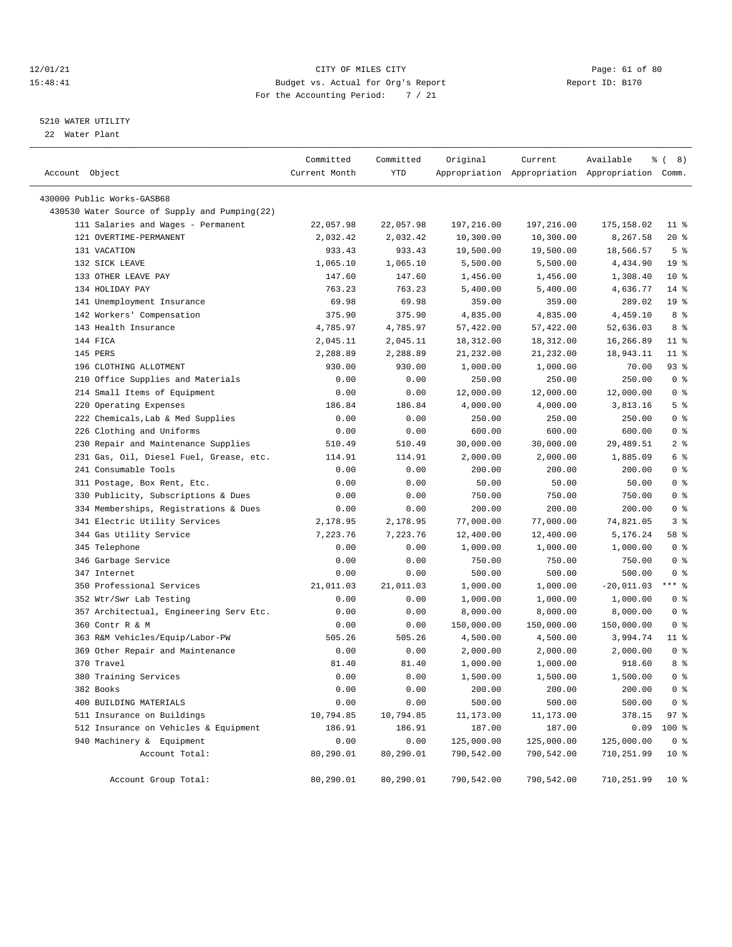#### 12/01/21 Page: 61 of 80<br>15:48:41 CITY OF MILES CITY PAGE: 2012 Page: 61 of 80<br>15:48:41 Budget vs. Actual for Org's Report Page: 2012 Report ID: B170 15:48:41 Budget vs. Actual for Org's Report For the Accounting Period: 7 / 21

#### 5210 WATER UTILITY

22 Water Plant

| Account Object                                                    | Committed<br>Current Month | Committed<br>YTD | Original              | Current    | Available<br>Appropriation Appropriation Appropriation Comm. | <b>% (8)</b>    |
|-------------------------------------------------------------------|----------------------------|------------------|-----------------------|------------|--------------------------------------------------------------|-----------------|
| 430000 Public Works-GASB68                                        |                            |                  |                       |            |                                                              |                 |
| 430530 Water Source of Supply and Pumping(22)                     |                            |                  |                       |            |                                                              |                 |
| 111 Salaries and Wages - Permanent                                | 22,057.98                  | 22,057.98        | 197,216.00            | 197,216.00 | 175,158.02                                                   | $11$ %          |
| 121 OVERTIME-PERMANENT                                            | 2,032.42                   | 2,032.42         | 10,300.00             | 10,300.00  | 8,267.58                                                     | $20*$           |
| 131 VACATION                                                      | 933.43                     | 933.43           | 19,500.00             | 19,500.00  | 18,566.57                                                    | 5 <sup>8</sup>  |
| 132 SICK LEAVE                                                    | 1,065.10                   | 1,065.10         | 5,500.00              | 5,500.00   | 4,434.90                                                     | 19 <sup>°</sup> |
| 133 OTHER LEAVE PAY                                               | 147.60                     | 147.60           | 1,456.00              | 1,456.00   | 1,308.40                                                     | $10*$           |
| 134 HOLIDAY PAY                                                   | 763.23                     | 763.23           | 5,400.00              | 5,400.00   | 4,636.77                                                     | $14$ %          |
| 141 Unemployment Insurance                                        | 69.98                      | 69.98            | 359.00                | 359.00     | 289.02                                                       | 19 <sup>°</sup> |
| 142 Workers' Compensation                                         | 375.90                     | 375.90           | 4,835.00              | 4,835.00   | 4,459.10                                                     | 8 %             |
| 143 Health Insurance                                              | 4,785.97                   | 4,785.97         | 57,422.00             | 57,422.00  | 52,636.03                                                    | 8 %             |
| 144 FICA                                                          | 2,045.11                   | 2,045.11         |                       |            | 16,266.89                                                    | $11$ %          |
| 145 PERS                                                          |                            | 2,288.89         | 18,312.00             | 18,312.00  |                                                              | $11$ %          |
| 196 CLOTHING ALLOTMENT                                            | 2,288.89<br>930.00         | 930.00           | 21,232.00<br>1,000.00 | 21,232.00  | 18,943.11<br>70.00                                           | 93%             |
|                                                                   |                            |                  |                       | 1,000.00   |                                                              | 0 <sup>8</sup>  |
| 210 Office Supplies and Materials<br>214 Small Items of Equipment | 0.00                       | 0.00             | 250.00                | 250.00     | 250.00                                                       | 0 <sup>8</sup>  |
|                                                                   | 0.00                       | 0.00             | 12,000.00             | 12,000.00  | 12,000.00                                                    | 5 <sup>8</sup>  |
| 220 Operating Expenses                                            | 186.84                     | 186.84           | 4,000.00              | 4,000.00   | 3,813.16                                                     | 0 <sup>8</sup>  |
| 222 Chemicals, Lab & Med Supplies                                 | 0.00                       | 0.00             | 250.00                | 250.00     | 250.00                                                       |                 |
| 226 Clothing and Uniforms                                         | 0.00                       | 0.00             | 600.00                | 600.00     | 600.00                                                       | 0 <sup>8</sup>  |
| 230 Repair and Maintenance Supplies                               | 510.49                     | 510.49           | 30,000.00             | 30,000.00  | 29,489.51                                                    | 2 <sup>8</sup>  |
| 231 Gas, Oil, Diesel Fuel, Grease, etc.                           | 114.91                     | 114.91           | 2,000.00              | 2,000.00   | 1,885.09                                                     | 6 %             |
| 241 Consumable Tools                                              | 0.00                       | 0.00             | 200.00                | 200.00     | 200.00                                                       | 0 <sup>8</sup>  |
| 311 Postage, Box Rent, Etc.                                       | 0.00                       | 0.00             | 50.00                 | 50.00      | 50.00                                                        | 0 <sup>8</sup>  |
| 330 Publicity, Subscriptions & Dues                               | 0.00                       | 0.00             | 750.00                | 750.00     | 750.00                                                       | 0 <sup>8</sup>  |
| 334 Memberships, Registrations & Dues                             | 0.00                       | 0.00             | 200.00                | 200.00     | 200.00                                                       | 0 <sup>8</sup>  |
| 341 Electric Utility Services                                     | 2,178.95                   | 2,178.95         | 77,000.00             | 77,000.00  | 74,821.05                                                    | 3 <sup>8</sup>  |
| 344 Gas Utility Service                                           | 7,223.76                   | 7,223.76         | 12,400.00             | 12,400.00  | 5,176.24                                                     | 58 %            |
| 345 Telephone                                                     | 0.00                       | 0.00             | 1,000.00              | 1,000.00   | 1,000.00                                                     | 0 <sup>8</sup>  |
| 346 Garbage Service                                               | 0.00                       | 0.00             | 750.00                | 750.00     | 750.00                                                       | 0 <sup>8</sup>  |
| 347 Internet                                                      | 0.00                       | 0.00             | 500.00                | 500.00     | 500.00                                                       | 0 <sup>8</sup>  |
| 350 Professional Services                                         | 21,011.03                  | 21,011.03        | 1,000.00              | 1,000.00   | $-20,011.03$                                                 | $***$ $-$       |
| 352 Wtr/Swr Lab Testing                                           | 0.00                       | 0.00             | 1,000.00              | 1,000.00   | 1,000.00                                                     | 0 <sup>8</sup>  |
| 357 Architectual, Engineering Serv Etc.                           | 0.00                       | 0.00             | 8,000.00              | 8,000.00   | 8,000.00                                                     | 0 <sup>8</sup>  |
| 360 Contr R & M                                                   | 0.00                       | 0.00             | 150,000.00            | 150,000.00 | 150,000.00                                                   | 0 <sup>8</sup>  |
| 363 R&M Vehicles/Equip/Labor-PW                                   | 505.26                     | 505.26           | 4,500.00              | 4,500.00   | 3,994.74                                                     | $11$ %          |
| 369 Other Repair and Maintenance                                  | 0.00                       | 0.00             | 2,000.00              | 2,000.00   | 2,000.00                                                     | 0 <sup>8</sup>  |
| 370 Travel                                                        | 81.40                      | 81.40            | 1,000.00              | 1,000.00   | 918.60                                                       | 8 %             |
| 380 Training Services                                             | 0.00                       | 0.00             | 1,500.00              | 1,500.00   | 1,500.00                                                     | 0 <sup>8</sup>  |
| 382 Books                                                         | 0.00                       | 0.00             | 200.00                | 200.00     | 200.00                                                       | 0 <sup>8</sup>  |
| 400 BUILDING MATERIALS                                            | 0.00                       | 0.00             | 500.00                | 500.00     | 500.00                                                       | 0 <sup>8</sup>  |
| 511 Insurance on Buildings                                        | 10,794.85                  | 10,794.85        | 11,173.00             | 11,173.00  | 378.15                                                       | 97%             |
| 512 Insurance on Vehicles & Equipment                             | 186.91                     | 186.91           | 187.00                | 187.00     | 0.09                                                         | 100 %           |
| 940 Machinery & Equipment                                         | 0.00                       | 0.00             | 125,000.00            | 125,000.00 | 125,000.00                                                   | 0 <sup>8</sup>  |
| Account Total:                                                    | 80,290.01                  | 80,290.01        | 790,542.00            | 790,542.00 | 710,251.99                                                   | $10*$           |
| Account Group Total:                                              | 80,290.01                  | 80,290.01        | 790,542.00            | 790,542.00 | 710,251.99                                                   | $10*$           |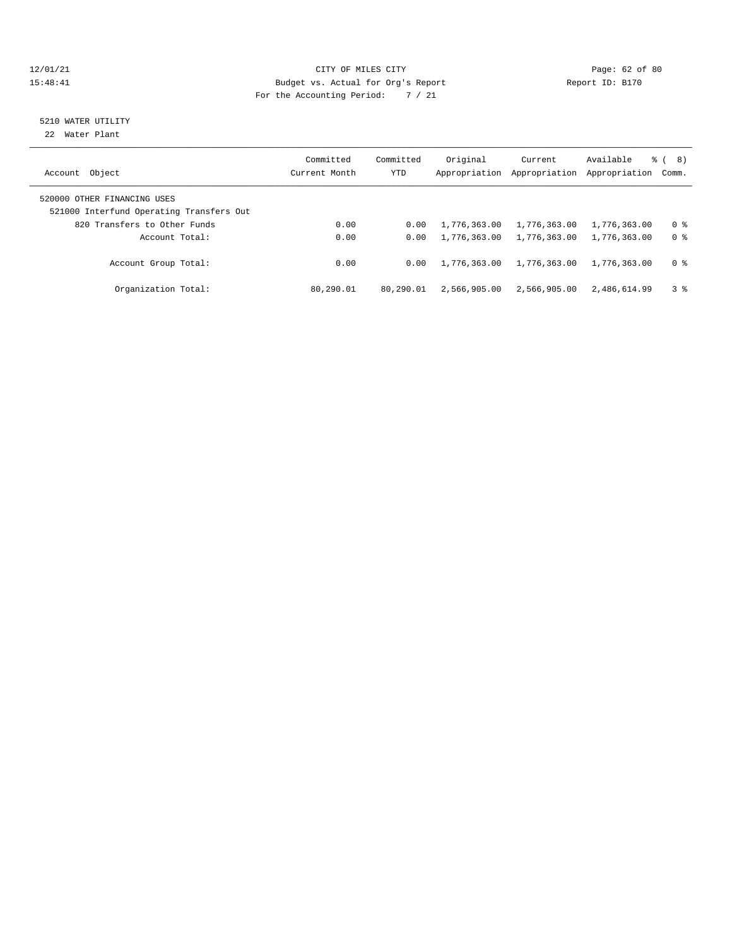#### $\begin{tabular}{lcccccc} 12/01/21 & & & \multicolumn{3}{c|}{\texttt{Page: 62 of 80}}\\ 12/01/21 & & & \multicolumn{3}{c|}{\texttt{Page: 62 of 80}}\\ 15:48:41 & & & \multicolumn{3}{c|}{\texttt{Page: 62 of 80}}\\ \end{tabular}$ 15:48:41 Budget vs. Actual for Org's Report For the Accounting Period: 7 / 21

## 5210 WATER UTILITY

22 Water Plant

|                                                                         | Committed     | Committed | Original      | Current       | Available     | 8)<br>ී (      |
|-------------------------------------------------------------------------|---------------|-----------|---------------|---------------|---------------|----------------|
| Account Object                                                          | Current Month | YTD       | Appropriation | Appropriation | Appropriation | Comm.          |
| 520000 OTHER FINANCING USES<br>521000 Interfund Operating Transfers Out |               |           |               |               |               |                |
| 820 Transfers to Other Funds                                            | 0.00          | 0.00      | 1,776,363.00  | 1,776,363.00  | 1,776,363.00  | 0 %            |
| Account Total:                                                          | 0.00          | 0.00      | 1,776,363.00  | 1,776,363.00  | 1,776,363.00  | 0 <sup>8</sup> |
| Account Group Total:                                                    | 0.00          | 0.00      | 1,776,363.00  | 1,776,363.00  | 1,776,363.00  | 0 <sup>8</sup> |
| Organization Total:                                                     | 80,290.01     | 80,290.01 | 2,566,905.00  | 2,566,905.00  | 2,486,614.99  | 3%             |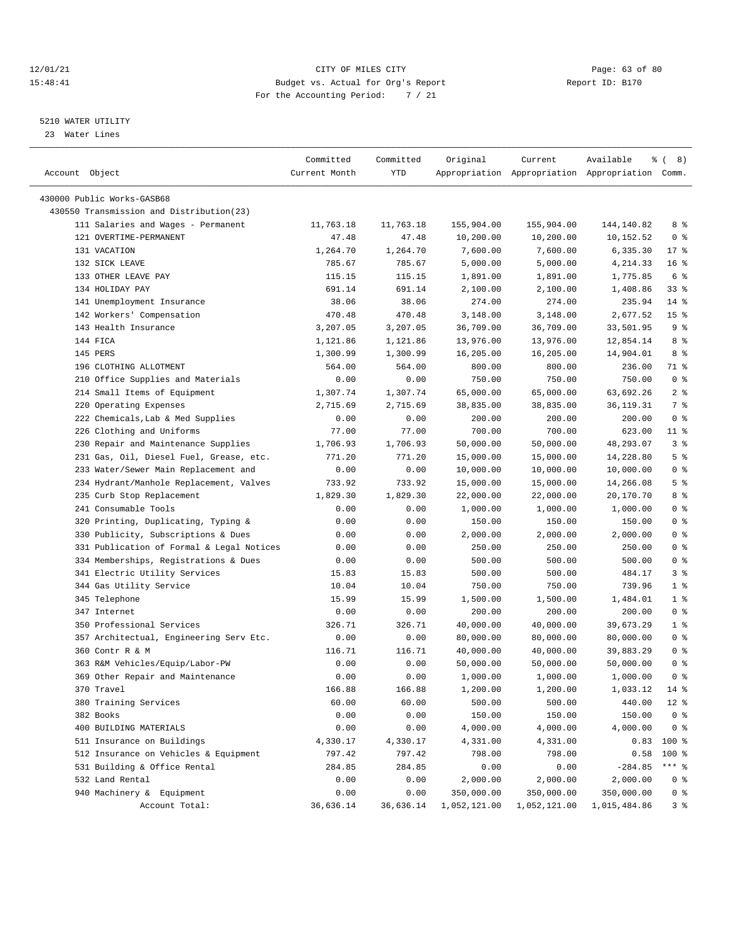#### 12/01/21 Page: 63 of 80<br>15:48:41 CITY OF MILES CITY PAGE PAGE PAGE: 63 of 80<br>15:48:41 Budget vs. Actual for Org's Report Page: 15:170 15:48:41 Budget vs. Actual for Org's Report For the Accounting Period: 7 / 21

————————————————————————————————————————————————————————————————————————————————————————————————————————————————————————————————————

#### 5210 WATER UTILITY

23 Water Lines

|                                           | Committed     | Committed | Original     | Current      | Available<br>ွေ                                 | 8)<br>$\left($  |
|-------------------------------------------|---------------|-----------|--------------|--------------|-------------------------------------------------|-----------------|
| Account Object                            | Current Month | YTD       |              |              | Appropriation Appropriation Appropriation Comm. |                 |
|                                           |               |           |              |              |                                                 |                 |
| 430000 Public Works-GASB68                |               |           |              |              |                                                 |                 |
| 430550 Transmission and Distribution(23)  |               |           |              |              |                                                 |                 |
| 111 Salaries and Wages - Permanent        | 11,763.18     | 11,763.18 | 155,904.00   | 155,904.00   | 144,140.82                                      | 8 %             |
| 121 OVERTIME-PERMANENT                    | 47.48         | 47.48     | 10,200.00    | 10,200.00    | 10,152.52                                       | 0 <sup>8</sup>  |
| 131 VACATION                              | 1,264.70      | 1,264.70  | 7,600.00     | 7,600.00     | 6,335.30                                        | $17$ %          |
| 132 SICK LEAVE                            | 785.67        | 785.67    | 5,000.00     | 5,000.00     | 4,214.33                                        | 16 <sup>°</sup> |
| 133 OTHER LEAVE PAY                       | 115.15        | 115.15    | 1,891.00     | 1,891.00     | 1,775.85                                        | 6 %             |
| 134 HOLIDAY PAY                           | 691.14        | 691.14    | 2,100.00     | 2,100.00     | 1,408.86                                        | 33%             |
| 141 Unemployment Insurance                | 38.06         | 38.06     | 274.00       | 274.00       | 235.94                                          | $14$ %          |
| 142 Workers' Compensation                 | 470.48        | 470.48    | 3,148.00     | 3,148.00     | 2,677.52                                        | 15 <sup>°</sup> |
| 143 Health Insurance                      | 3,207.05      | 3,207.05  | 36,709.00    | 36,709.00    | 33,501.95                                       | 9%              |
| 144 FICA                                  | 1,121.86      | 1,121.86  | 13,976.00    | 13,976.00    | 12,854.14                                       | 8 %             |
| 145 PERS                                  | 1,300.99      | 1,300.99  | 16,205.00    | 16,205.00    | 14,904.01                                       | 8 %             |
| 196 CLOTHING ALLOTMENT                    | 564.00        | 564.00    | 800.00       | 800.00       | 236.00                                          | 71 %            |
| 210 Office Supplies and Materials         | 0.00          | 0.00      | 750.00       | 750.00       | 750.00                                          | 0 <sup>8</sup>  |
| 214 Small Items of Equipment              | 1,307.74      | 1,307.74  | 65,000.00    | 65,000.00    | 63,692.26                                       | 2 <sup>8</sup>  |
| 220 Operating Expenses                    | 2,715.69      | 2,715.69  | 38,835.00    | 38,835.00    | 36,119.31                                       | 7 %             |
| 222 Chemicals, Lab & Med Supplies         | 0.00          | 0.00      | 200.00       | 200.00       | 200.00                                          | 0 <sup>8</sup>  |
| 226 Clothing and Uniforms                 | 77.00         | 77.00     | 700.00       | 700.00       | 623.00                                          | 11 %            |
| 230 Repair and Maintenance Supplies       | 1,706.93      | 1,706.93  | 50,000.00    | 50,000.00    | 48,293.07                                       | 3%              |
| 231 Gas, Oil, Diesel Fuel, Grease, etc.   | 771.20        | 771.20    | 15,000.00    | 15,000.00    | 14,228.80                                       | 5 <sup>8</sup>  |
| 233 Water/Sewer Main Replacement and      | 0.00          | 0.00      | 10,000.00    | 10,000.00    | 10,000.00                                       | 0 <sup>8</sup>  |
| 234 Hydrant/Manhole Replacement, Valves   | 733.92        | 733.92    | 15,000.00    | 15,000.00    | 14,266.08                                       | 5 <sup>8</sup>  |
| 235 Curb Stop Replacement                 | 1,829.30      | 1,829.30  | 22,000.00    | 22,000.00    | 20,170.70                                       | 8 %             |
| 241 Consumable Tools                      | 0.00          | 0.00      | 1,000.00     | 1,000.00     | 1,000.00                                        | 0 <sup>8</sup>  |
| 320 Printing, Duplicating, Typing &       | 0.00          | 0.00      | 150.00       | 150.00       | 150.00                                          | 0 <sup>8</sup>  |
| 330 Publicity, Subscriptions & Dues       | 0.00          | 0.00      | 2,000.00     | 2,000.00     | 2,000.00                                        | 0 <sup>8</sup>  |
| 331 Publication of Formal & Legal Notices | 0.00          | 0.00      | 250.00       | 250.00       | 250.00                                          | 0 <sup>8</sup>  |
| 334 Memberships, Registrations & Dues     | 0.00          | 0.00      | 500.00       | 500.00       | 500.00                                          | 0 <sup>8</sup>  |
| 341 Electric Utility Services             | 15.83         | 15.83     | 500.00       | 500.00       | 484.17                                          | 3%              |
| 344 Gas Utility Service                   | 10.04         | 10.04     | 750.00       | 750.00       | 739.96                                          | 1 <sup>8</sup>  |
| 345 Telephone                             | 15.99         | 15.99     | 1,500.00     | 1,500.00     | 1,484.01                                        | 1 <sup>8</sup>  |
| 347 Internet                              | 0.00          | 0.00      | 200.00       | 200.00       | 200.00                                          | 0 <sup>8</sup>  |
| 350 Professional Services                 | 326.71        | 326.71    | 40,000.00    | 40,000.00    | 39,673.29                                       | 1 <sup>8</sup>  |
| 357 Architectual, Engineering Serv Etc.   | 0.00          | 0.00      | 80,000.00    | 80,000.00    | 80,000.00                                       | 0 <sup>8</sup>  |
| 360 Contr R & M                           | 116.71        | 116.71    | 40,000.00    | 40,000.00    | 39,883.29                                       | 0 <sup>8</sup>  |
| 363 R&M Vehicles/Equip/Labor-PW           | 0.00          | 0.00      | 50,000.00    | 50,000.00    | 50,000.00                                       | 0 <sup>8</sup>  |
| 369 Other Repair and Maintenance          | 0.00          | 0.00      | 1,000.00     | 1,000.00     | 1,000.00                                        | 0 <sup>8</sup>  |
| 370 Travel                                | 166.88        | 166.88    | 1,200.00     | 1,200.00     | 1,033.12                                        | $14*$           |
| 380 Training Services                     | 60.00         | 60.00     | 500.00       | 500.00       | 440.00                                          | $12*$           |
| 382 Books                                 | 0.00          | 0.00      | 150.00       | 150.00       | 150.00                                          | 0 <sup>8</sup>  |
| 400 BUILDING MATERIALS                    | 0.00          | 0.00      | 4,000.00     | 4,000.00     | 4,000.00                                        | 0 <sup>8</sup>  |
| 511 Insurance on Buildings                | 4,330.17      | 4,330.17  | 4,331.00     | 4,331.00     | 0.83                                            | 100 %           |
| 512 Insurance on Vehicles & Equipment     | 797.42        | 797.42    | 798.00       | 798.00       | 0.58                                            | 100 %           |
| 531 Building & Office Rental              | 284.85        | 284.85    | 0.00         | 0.00         | $-284.85$                                       | $***$ $_{8}$    |
| 532 Land Rental                           | 0.00          | 0.00      | 2,000.00     | 2,000.00     | 2,000.00                                        | 0 <sup>8</sup>  |
| 940 Machinery & Equipment                 | 0.00          | 0.00      | 350,000.00   | 350,000.00   | 350,000.00                                      | 0 <sup>8</sup>  |
| Account Total:                            | 36,636.14     | 36,636.14 | 1,052,121.00 | 1,052,121.00 | 1,015,484.86                                    | 3%              |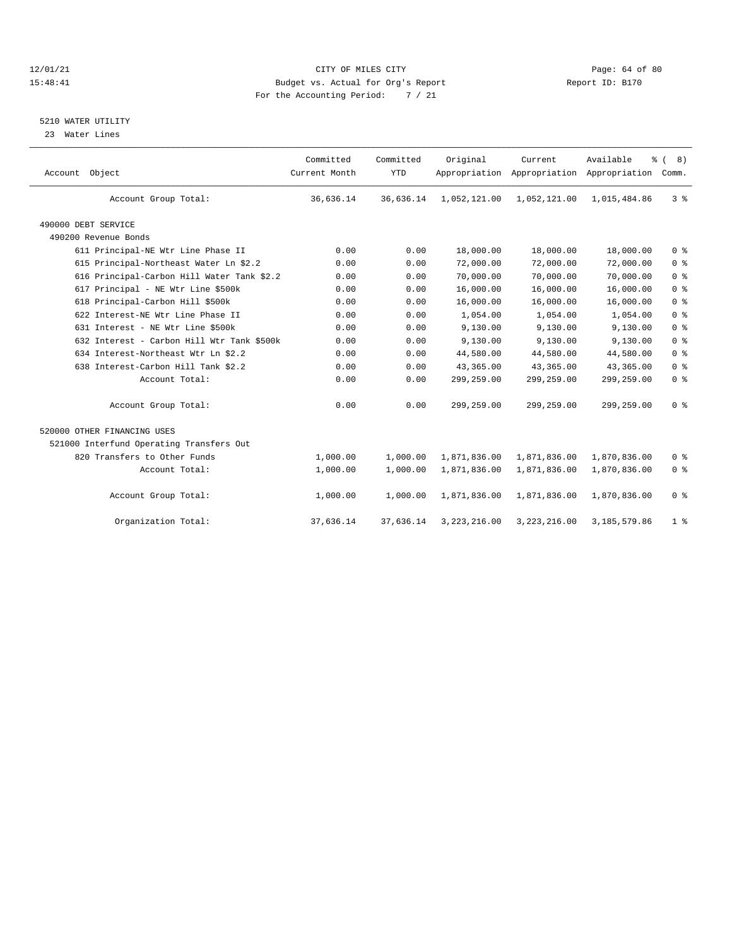#### 12/01/21 CITY OF MILES CITY CHES CITY CONTRIBUTE ASSESSMENT CONTRIBUTE ASSESSMENT PAGE: 64 of 80<br>15:48:41 Budget vs. Actual for Org's Report (1999) Report ID: B170 15:48:41 Budget vs. Actual for Org's Report For the Accounting Period: 7 / 21

### 5210 WATER UTILITY

23 Water Lines

| Account Object                             | Committed<br>Current Month | Committed<br><b>YTD</b> | Original       | Current<br>Appropriation Appropriation Appropriation | Available<br>៖ | 8)<br>Comm.    |  |
|--------------------------------------------|----------------------------|-------------------------|----------------|------------------------------------------------------|----------------|----------------|--|
| Account Group Total:                       | 36,636.14                  | 36,636.14               | 1,052,121.00   | 1,052,121.00                                         | 1,015,484.86   | 3 <sup>8</sup> |  |
| 490000 DEBT SERVICE                        |                            |                         |                |                                                      |                |                |  |
| 490200 Revenue Bonds                       |                            |                         |                |                                                      |                |                |  |
| 611 Principal-NE Wtr Line Phase II         | 0.00                       | 0.00                    | 18,000.00      | 18,000.00                                            | 18,000.00      | 0 <sup>8</sup> |  |
| 615 Principal-Northeast Water Ln \$2.2     | 0.00                       | 0.00                    | 72,000.00      | 72,000.00                                            | 72,000.00      | 0 <sup>8</sup> |  |
| 616 Principal-Carbon Hill Water Tank \$2.2 | 0.00                       | 0.00                    | 70,000.00      | 70,000.00                                            | 70,000.00      | 0 <sup>8</sup> |  |
| 617 Principal - NE Wtr Line \$500k         | 0.00                       | 0.00                    | 16,000.00      | 16,000.00                                            | 16,000.00      | 0 <sup>8</sup> |  |
| 618 Principal-Carbon Hill \$500k           | 0.00                       | 0.00                    | 16,000.00      | 16,000.00                                            | 16,000.00      | 0 <sup>8</sup> |  |
| 622 Interest-NE Wtr Line Phase II          | 0.00                       | 0.00                    | 1,054.00       | 1,054.00                                             | 1,054.00       | 0 <sup>8</sup> |  |
| 631 Interest - NE Wtr Line \$500k          | 0.00                       | 0.00                    | 9,130.00       | 9,130.00                                             | 9,130.00       | 0 <sup>8</sup> |  |
| 632 Interest - Carbon Hill Wtr Tank \$500k | 0.00                       | 0.00                    | 9,130.00       | 9,130.00                                             | 9,130.00       | 0 <sup>8</sup> |  |
| 634 Interest-Northeast Wtr Ln \$2.2        | 0.00                       | 0.00                    | 44,580.00      | 44,580.00                                            | 44,580.00      | 0 <sup>8</sup> |  |
| 638 Interest-Carbon Hill Tank \$2.2        | 0.00                       | 0.00                    | 43,365.00      | 43,365.00                                            | 43,365.00      | 0 <sup>8</sup> |  |
| Account Total:                             | 0.00                       | 0.00                    | 299,259.00     | 299,259.00                                           | 299,259.00     | 0 <sup>8</sup> |  |
| Account Group Total:                       | 0.00                       | 0.00                    | 299,259.00     | 299,259.00                                           | 299,259.00     | 0 <sup>8</sup> |  |
| 520000 OTHER FINANCING USES                |                            |                         |                |                                                      |                |                |  |
| 521000 Interfund Operating Transfers Out   |                            |                         |                |                                                      |                |                |  |
| 820 Transfers to Other Funds               | 1,000.00                   | 1,000.00                | 1,871,836.00   | 1,871,836.00                                         | 1,870,836.00   | 0 <sup>8</sup> |  |
| Account Total:                             | 1,000.00                   | 1,000.00                | 1,871,836.00   | 1,871,836.00                                         | 1,870,836.00   | 0 <sup>8</sup> |  |
| Account Group Total:                       | 1,000.00                   | 1,000.00                | 1,871,836.00   | 1,871,836.00                                         | 1,870,836.00   | 0 <sup>8</sup> |  |
| Organization Total:                        | 37,636.14                  | 37,636.14               | 3, 223, 216.00 | 3,223,216.00                                         | 3,185,579.86   | 1 <sup>8</sup> |  |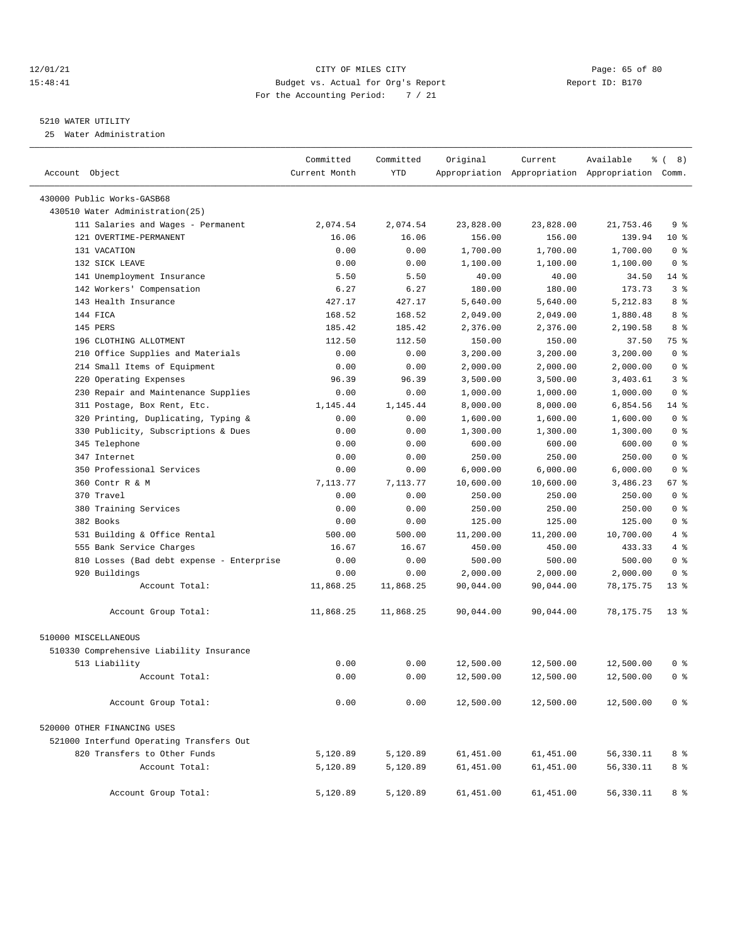#### 12/01/21 Page: 65 of 80<br>15:48:41 CITY OF MILES CITY CITY PAGE: 2012 Page: 65 of 80<br>15:48:41 Budget vs. Actual for Org's Report Page: 2012 Page: 15:170 15:48:41 Budget vs. Actual for Org's Report For the Accounting Period: 7 / 21

#### 5210 WATER UTILITY

25 Water Administration

| Account Object                            | Committed<br>Current Month | Committed<br><b>YTD</b> | Original  | Current   | Available<br>Appropriation Appropriation Appropriation Comm. | <b>% (8)</b>   |
|-------------------------------------------|----------------------------|-------------------------|-----------|-----------|--------------------------------------------------------------|----------------|
| 430000 Public Works-GASB68                |                            |                         |           |           |                                                              |                |
| 430510 Water Administration (25)          |                            |                         |           |           |                                                              |                |
| 111 Salaries and Wages - Permanent        | 2,074.54                   | 2,074.54                | 23,828.00 | 23,828.00 | 21,753.46                                                    | 9 %            |
| 121 OVERTIME-PERMANENT                    | 16.06                      | 16.06                   | 156.00    | 156.00    | 139.94                                                       | $10*$          |
| 131 VACATION                              | 0.00                       | 0.00                    | 1,700.00  | 1,700.00  | 1,700.00                                                     | 0 <sup>8</sup> |
| 132 SICK LEAVE                            | 0.00                       | 0.00                    | 1,100.00  | 1,100.00  | 1,100.00                                                     | 0 <sup>8</sup> |
| 141 Unemployment Insurance                | 5.50                       | 5.50                    | 40.00     | 40.00     | 34.50                                                        | $14*$          |
| 142 Workers' Compensation                 | 6.27                       | 6.27                    | 180.00    | 180.00    | 173.73                                                       | 38             |
| 143 Health Insurance                      | 427.17                     | 427.17                  | 5,640.00  | 5,640.00  | 5,212.83                                                     | 8 %            |
| 144 FICA                                  | 168.52                     | 168.52                  | 2,049.00  | 2,049.00  | 1,880.48                                                     | 8 %            |
| 145 PERS                                  | 185.42                     | 185.42                  | 2,376.00  | 2,376.00  | 2,190.58                                                     | 8 %            |
| 196 CLOTHING ALLOTMENT                    | 112.50                     | 112.50                  | 150.00    | 150.00    | 37.50                                                        | 75 %           |
| 210 Office Supplies and Materials         | 0.00                       | 0.00                    | 3,200.00  | 3,200.00  | 3,200.00                                                     | 0 <sup>8</sup> |
| 214 Small Items of Equipment              | 0.00                       | 0.00                    | 2,000.00  | 2,000.00  | 2,000.00                                                     | 0 <sup>8</sup> |
| 220 Operating Expenses                    | 96.39                      | 96.39                   | 3,500.00  | 3,500.00  | 3,403.61                                                     | 3%             |
| 230 Repair and Maintenance Supplies       | 0.00                       | 0.00                    | 1,000.00  | 1,000.00  | 1,000.00                                                     | 0 <sup>8</sup> |
| 311 Postage, Box Rent, Etc.               | 1,145.44                   | 1,145.44                | 8,000.00  | 8,000.00  | 6,854.56                                                     | $14*$          |
| 320 Printing, Duplicating, Typing &       | 0.00                       | 0.00                    | 1,600.00  | 1,600.00  | 1,600.00                                                     | 0 <sup>8</sup> |
| 330 Publicity, Subscriptions & Dues       | 0.00                       | 0.00                    | 1,300.00  | 1,300.00  | 1,300.00                                                     | 0 <sup>8</sup> |
| 345 Telephone                             | 0.00                       | 0.00                    | 600.00    | 600.00    | 600.00                                                       | 0 <sup>8</sup> |
| 347 Internet                              | 0.00                       | 0.00                    | 250.00    | 250.00    | 250.00                                                       | 0 <sup>8</sup> |
| 350 Professional Services                 | 0.00                       | 0.00                    | 6,000.00  | 6,000.00  | 6,000.00                                                     | 0 <sup>8</sup> |
| 360 Contr R & M                           | 7,113.77                   | 7,113.77                | 10,600.00 | 10,600.00 | 3,486.23                                                     | 67 %           |
| 370 Travel                                | 0.00                       | 0.00                    | 250.00    | 250.00    | 250.00                                                       | 0 <sup>8</sup> |
| 380 Training Services                     | 0.00                       | 0.00                    | 250.00    | 250.00    | 250.00                                                       | 0 <sup>8</sup> |
| 382 Books                                 | 0.00                       | 0.00                    | 125.00    | 125.00    | 125.00                                                       | 0 <sup>8</sup> |
| 531 Building & Office Rental              | 500.00                     | 500.00                  | 11,200.00 | 11,200.00 | 10,700.00                                                    | 4%             |
| 555 Bank Service Charges                  | 16.67                      | 16.67                   | 450.00    | 450.00    | 433.33                                                       | 4%             |
| 810 Losses (Bad debt expense - Enterprise | 0.00                       | 0.00                    | 500.00    | 500.00    | 500.00                                                       | 0 <sup>8</sup> |
| 920 Buildings                             | 0.00                       | 0.00                    | 2,000.00  | 2,000.00  | 2,000.00                                                     | 0 <sup>8</sup> |
| Account Total:                            | 11,868.25                  | 11,868.25               | 90,044.00 | 90,044.00 | 78,175.75                                                    | $13*$          |
| Account Group Total:                      | 11,868.25                  | 11,868.25               | 90,044.00 | 90,044.00 | 78, 175. 75                                                  | $13*$          |
| 510000 MISCELLANEOUS                      |                            |                         |           |           |                                                              |                |
| 510330 Comprehensive Liability Insurance  |                            |                         |           |           |                                                              |                |
| 513 Liability                             | 0.00                       | 0.00                    | 12,500.00 | 12,500.00 | 12,500.00                                                    | 0 %            |
| Account Total:                            | 0.00                       | 0.00                    | 12,500.00 | 12,500.00 | 12,500.00                                                    | 0 <sup>8</sup> |
| Account Group Total:                      | 0.00                       | 0.00                    | 12,500.00 | 12,500.00 | 12,500.00                                                    | 0 <sup>8</sup> |
| 520000 OTHER FINANCING USES               |                            |                         |           |           |                                                              |                |
| 521000 Interfund Operating Transfers Out  |                            |                         |           |           |                                                              |                |
| 820 Transfers to Other Funds              | 5,120.89                   | 5,120.89                | 61,451.00 | 61,451.00 | 56,330.11                                                    | 8 %            |
| Account Total:                            | 5,120.89                   | 5,120.89                | 61,451.00 | 61,451.00 | 56,330.11                                                    | 8 %            |
| Account Group Total:                      | 5,120.89                   | 5,120.89                | 61,451.00 | 61,451.00 | 56,330.11                                                    | 8 %            |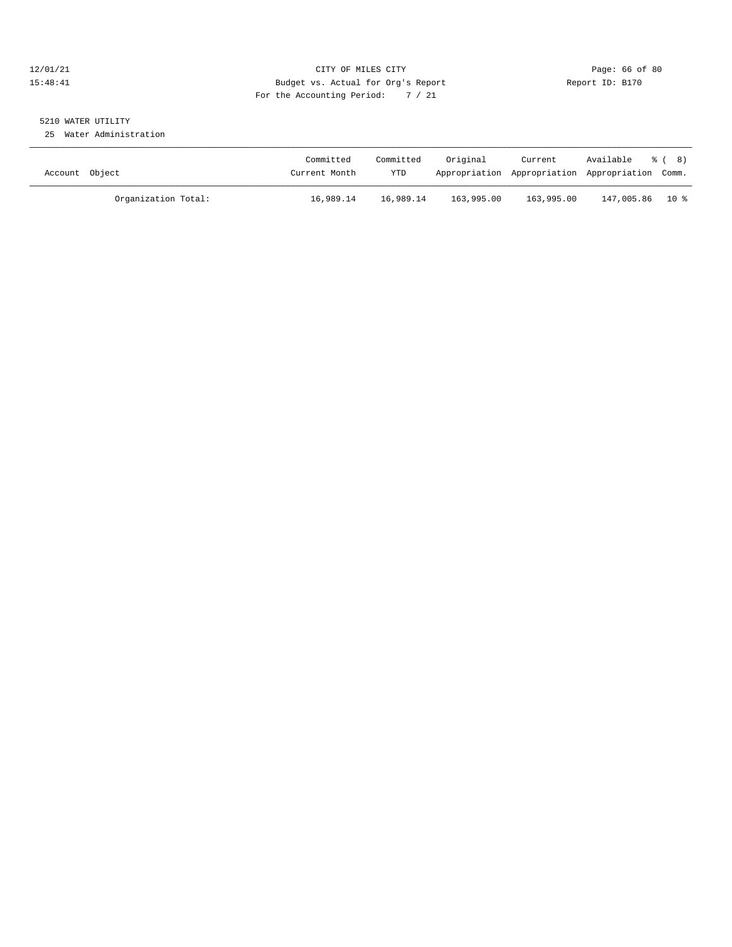#### 12/01/21 Page: 66 of 80<br>15:48:41 CITY OF MILES CITY CITY PAGE: 2009 Page: 66 of 80<br>15:48:41 Budget vs. Actual for Org's Report Page: 2009 Page: 66 of 80 15:48:41 Budget vs. Actual for Org's Report For the Accounting Period: 7 / 21

## 5210 WATER UTILITY

25 Water Administration

| Account Object |                     | Committed<br>Current Month | Committed<br>YTD | Original   | Current    | Available % (8)<br>Appropriation Appropriation Appropriation Comm. |  |
|----------------|---------------------|----------------------------|------------------|------------|------------|--------------------------------------------------------------------|--|
|                | Organization Total: | 16,989.14                  | 16,989.14        | 163,995.00 | 163,995.00 | 147,005.86 10 %                                                    |  |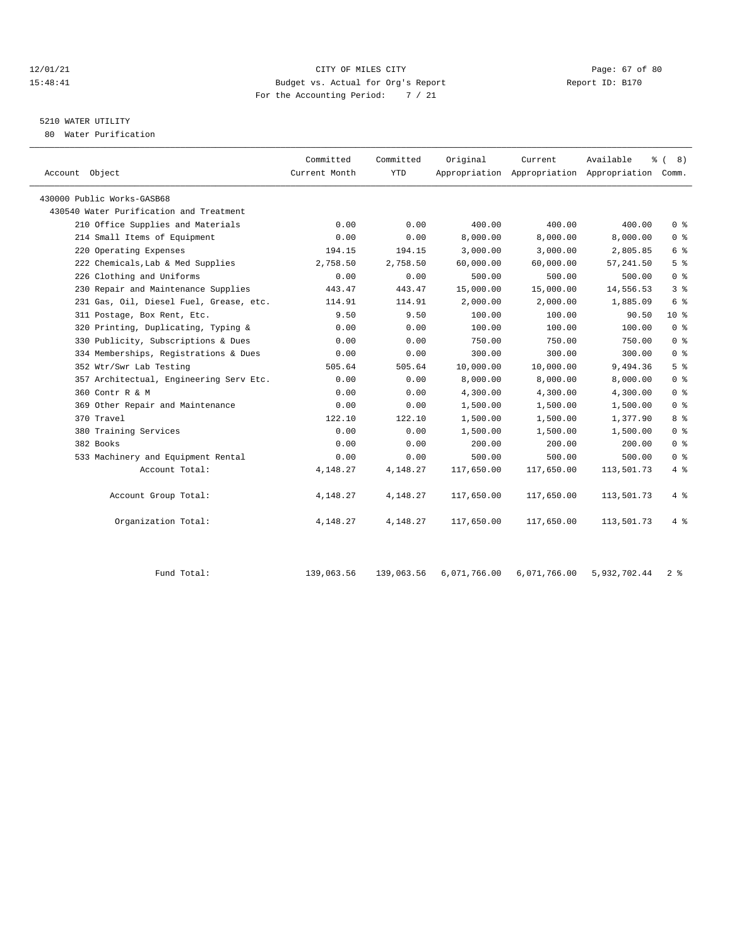#### 12/01/21 Page: 67 of 80 15:48:41 Budget vs. Actual for Org's Report Report ID: B170 For the Accounting Period: 7 / 21

### 5210 WATER UTILITY

80 Water Purification

| Account Object                          | Committed<br>Current Month | Committed<br><b>YTD</b> | Original   | Current    | Available<br>Appropriation Appropriation Appropriation Comm. | <u> ද</u> ි ( 8 )                  |
|-----------------------------------------|----------------------------|-------------------------|------------|------------|--------------------------------------------------------------|------------------------------------|
| 430000 Public Works-GASB68              |                            |                         |            |            |                                                              |                                    |
| 430540 Water Purification and Treatment |                            |                         |            |            |                                                              |                                    |
| 210 Office Supplies and Materials       | 0.00                       | 0.00                    | 400.00     | 400.00     | 400.00                                                       | $0 \text{ }$ $\text{ }$ $\text{ }$ |
| 214 Small Items of Equipment            | 0.00                       | 0.00                    | 8,000.00   | 8.000.00   | 8,000.00                                                     | 0 <sup>8</sup>                     |
| 220 Operating Expenses                  | 194.15                     | 194.15                  | 3,000.00   | 3,000.00   | 2,805.85                                                     | 6 %                                |
| 222 Chemicals, Lab & Med Supplies       | 2,758.50                   | 2,758.50                | 60,000.00  | 60,000.00  | 57, 241.50                                                   | 5 <sup>°</sup>                     |
| 226 Clothing and Uniforms               | 0.00                       | 0.00                    | 500.00     | 500.00     | 500.00                                                       | 0 <sup>8</sup>                     |
| 230 Repair and Maintenance Supplies     | 443.47                     | 443.47                  | 15,000.00  | 15,000.00  | 14,556.53                                                    | 3 <sup>8</sup>                     |
| 231 Gas, Oil, Diesel Fuel, Grease, etc. | 114.91                     | 114.91                  | 2,000.00   | 2,000.00   | 1,885.09                                                     | 6 %                                |
| 311 Postage, Box Rent, Etc.             | 9.50                       | 9.50                    | 100.00     | 100.00     | 90.50                                                        | $10*$                              |
| 320 Printing, Duplicating, Typing &     | 0.00                       | 0.00                    | 100.00     | 100.00     | 100.00                                                       | 0 <sup>8</sup>                     |
| 330 Publicity, Subscriptions & Dues     | 0.00                       | 0.00                    | 750.00     | 750.00     | 750.00                                                       | 0 <sup>8</sup>                     |
| 334 Memberships, Registrations & Dues   | 0.00                       | 0.00                    | 300.00     | 300.00     | 300.00                                                       | 0 <sup>8</sup>                     |
| 352 Wtr/Swr Lab Testing                 | 505.64                     | 505.64                  | 10,000.00  | 10,000.00  | 9,494.36                                                     | 5 <sup>8</sup>                     |
| 357 Architectual, Engineering Serv Etc. | 0.00                       | 0.00                    | 8,000.00   | 8,000.00   | 8,000.00                                                     | 0 <sup>8</sup>                     |
| 360 Contr R & M                         | 0.00                       | 0.00                    | 4,300.00   | 4,300.00   | 4,300.00                                                     | $0 \text{ }$ $\text{ }$ $\text{ }$ |
| 369 Other Repair and Maintenance        | 0.00                       | 0.00                    | 1,500.00   | 1,500.00   | 1,500.00                                                     | 0 <sup>8</sup>                     |
| 370 Travel                              | 122.10                     | 122.10                  | 1,500.00   | 1,500.00   | 1,377.90                                                     | 8 %                                |
| 380 Training Services                   | 0.00                       | 0.00                    | 1,500.00   | 1,500.00   | 1,500.00                                                     | 0 <sup>8</sup>                     |
| 382 Books                               | 0.00                       | 0.00                    | 200.00     | 200.00     | 200.00                                                       | 0 <sup>8</sup>                     |
| 533 Machinery and Equipment Rental      | 0.00                       | 0.00                    | 500.00     | 500.00     | 500.00                                                       | 0 <sup>8</sup>                     |
| Account Total:                          | 4,148.27                   | 4,148.27                | 117,650.00 | 117,650.00 | 113,501.73                                                   | 4%                                 |
| Account Group Total:                    | 4,148.27                   | 4,148.27                | 117,650.00 | 117,650.00 | 113,501.73                                                   | 4 %                                |
| Organization Total:                     | 4,148.27                   | 4,148.27                | 117,650.00 | 117,650.00 | 113,501.73                                                   | 4%                                 |
|                                         |                            |                         |            |            |                                                              |                                    |

| Fund Total: |  |  | 139,063.56  139,063.56  6,071,766.00  6,071,766.00  5,932,702.44  2  % |  |
|-------------|--|--|------------------------------------------------------------------------|--|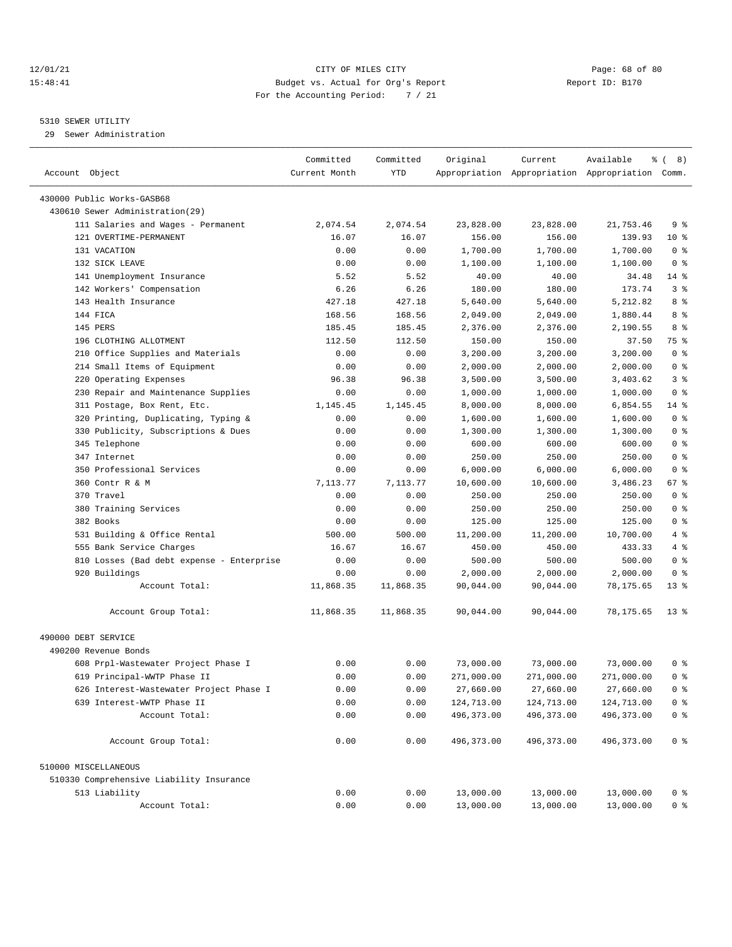#### 12/01/21 Page: 68 of 80 15:48:41 Budget vs. Actual for Org's Report Report ID: B170 For the Accounting Period: 7 / 21

————————————————————————————————————————————————————————————————————————————————————————————————————————————————————————————————————

#### 5310 SEWER UTILITY

29 Sewer Administration

|                                           | Committed     | Committed  | Original    | Current     | Available                                       | $\frac{6}{6}$ ( 8) |
|-------------------------------------------|---------------|------------|-------------|-------------|-------------------------------------------------|--------------------|
| Account Object                            | Current Month | <b>YTD</b> |             |             | Appropriation Appropriation Appropriation Comm. |                    |
| 430000 Public Works-GASB68                |               |            |             |             |                                                 |                    |
| 430610 Sewer Administration(29)           |               |            |             |             |                                                 |                    |
| 111 Salaries and Wages - Permanent        | 2,074.54      | 2,074.54   | 23,828.00   | 23,828.00   | 21,753.46                                       | 9%                 |
| 121 OVERTIME-PERMANENT                    | 16.07         | 16.07      | 156.00      | 156.00      | 139.93                                          | $10*$              |
| 131 VACATION                              | 0.00          | 0.00       | 1,700.00    | 1,700.00    | 1,700.00                                        | 0 <sup>8</sup>     |
| 132 SICK LEAVE                            | 0.00          | 0.00       | 1,100.00    | 1,100.00    | 1,100.00                                        | 0 <sup>8</sup>     |
| 141 Unemployment Insurance                | 5.52          | 5.52       | 40.00       | 40.00       | 34.48                                           | $14$ %             |
| 142 Workers' Compensation                 | 6.26          | 6.26       | 180.00      | 180.00      | 173.74                                          | 3%                 |
| 143 Health Insurance                      | 427.18        | 427.18     | 5,640.00    | 5,640.00    | 5,212.82                                        | 8 %                |
| 144 FICA                                  | 168.56        | 168.56     | 2,049.00    | 2,049.00    | 1,880.44                                        | 8 %                |
| 145 PERS                                  | 185.45        | 185.45     | 2,376.00    | 2,376.00    | 2,190.55                                        | 8 %                |
| 196 CLOTHING ALLOTMENT                    | 112.50        | 112.50     | 150.00      | 150.00      | 37.50                                           | 75 %               |
| 210 Office Supplies and Materials         | 0.00          | 0.00       | 3,200.00    | 3,200.00    | 3,200.00                                        | 0 <sup>8</sup>     |
| 214 Small Items of Equipment              | 0.00          | 0.00       | 2,000.00    | 2,000.00    | 2,000.00                                        | 0 <sup>8</sup>     |
| 220 Operating Expenses                    | 96.38         | 96.38      | 3,500.00    | 3,500.00    | 3,403.62                                        | 3%                 |
| 230 Repair and Maintenance Supplies       | 0.00          | 0.00       | 1,000.00    | 1,000.00    | 1,000.00                                        | 0 <sup>8</sup>     |
| 311 Postage, Box Rent, Etc.               | 1,145.45      | 1,145.45   | 8,000.00    | 8,000.00    | 6,854.55                                        | 14 %               |
| 320 Printing, Duplicating, Typing &       | 0.00          | 0.00       | 1,600.00    | 1,600.00    | 1,600.00                                        | 0 <sup>8</sup>     |
| 330 Publicity, Subscriptions & Dues       | 0.00          | 0.00       | 1,300.00    | 1,300.00    | 1,300.00                                        | 0 <sup>8</sup>     |
| 345 Telephone                             | 0.00          | 0.00       | 600.00      | 600.00      | 600.00                                          | 0 <sup>8</sup>     |
| 347 Internet                              | 0.00          | 0.00       | 250.00      | 250.00      | 250.00                                          | 0 <sup>8</sup>     |
| 350 Professional Services                 | 0.00          | 0.00       | 6,000.00    | 6,000.00    | 6,000.00                                        | 0 <sup>8</sup>     |
| 360 Contr R & M                           | 7,113.77      | 7,113.77   | 10,600.00   | 10,600.00   | 3,486.23                                        | 67 %               |
| 370 Travel                                | 0.00          | 0.00       | 250.00      | 250.00      | 250.00                                          | 0 <sup>8</sup>     |
| 380 Training Services                     | 0.00          | 0.00       | 250.00      | 250.00      | 250.00                                          | 0 <sup>8</sup>     |
| 382 Books                                 | 0.00          | 0.00       | 125.00      | 125.00      | 125.00                                          | 0 <sup>8</sup>     |
| 531 Building & Office Rental              | 500.00        | 500.00     | 11,200.00   | 11,200.00   | 10,700.00                                       | 4%                 |
| 555 Bank Service Charges                  | 16.67         | 16.67      | 450.00      | 450.00      | 433.33                                          | 4%                 |
| 810 Losses (Bad debt expense - Enterprise | 0.00          | 0.00       | 500.00      | 500.00      | 500.00                                          | 0 <sup>8</sup>     |
| 920 Buildings                             | 0.00          | 0.00       | 2,000.00    | 2,000.00    | 2,000.00                                        | 0 <sup>8</sup>     |
| Account Total:                            | 11,868.35     | 11,868.35  | 90,044.00   | 90,044.00   | 78,175.65                                       | $13*$              |
| Account Group Total:                      | 11,868.35     | 11,868.35  | 90,044.00   | 90,044.00   | 78,175.65                                       | $13*$              |
|                                           |               |            |             |             |                                                 |                    |
| 490000 DEBT SERVICE                       |               |            |             |             |                                                 |                    |
| 490200 Revenue Bonds                      |               |            |             |             |                                                 |                    |
| 608 Prpl-Wastewater Project Phase I       | 0.00          | 0.00       | 73,000.00   | 73,000.00   | 73,000.00                                       | 0 %                |
| 619 Principal-WWTP Phase II               | 0.00          | 0.00       | 271,000.00  | 271,000.00  | 271,000.00                                      | 0 <sup>8</sup>     |
| 626 Interest-Wastewater Project Phase I   | 0.00          | 0.00       | 27,660.00   | 27,660.00   | 27,660.00                                       | 0 <sup>8</sup>     |
| 639 Interest-WWTP Phase II                | 0.00          | 0.00       | 124,713.00  | 124,713.00  | 124,713.00                                      | 0 <sup>8</sup>     |
| Account Total:                            | 0.00          | 0.00       | 496, 373.00 | 496, 373.00 | 496, 373.00                                     | 0 <sup>8</sup>     |
| Account Group Total:                      | 0.00          | 0.00       | 496, 373.00 | 496, 373.00 | 496, 373.00                                     | 0 <sup>8</sup>     |
| 510000 MISCELLANEOUS                      |               |            |             |             |                                                 |                    |
| 510330 Comprehensive Liability Insurance  |               |            |             |             |                                                 |                    |
| 513 Liability                             | 0.00          | 0.00       | 13,000.00   | 13,000.00   | 13,000.00                                       | 0 <sup>8</sup>     |
| Account Total:                            | 0.00          | 0.00       | 13,000.00   | 13,000.00   | 13,000.00                                       | 0 <sup>8</sup>     |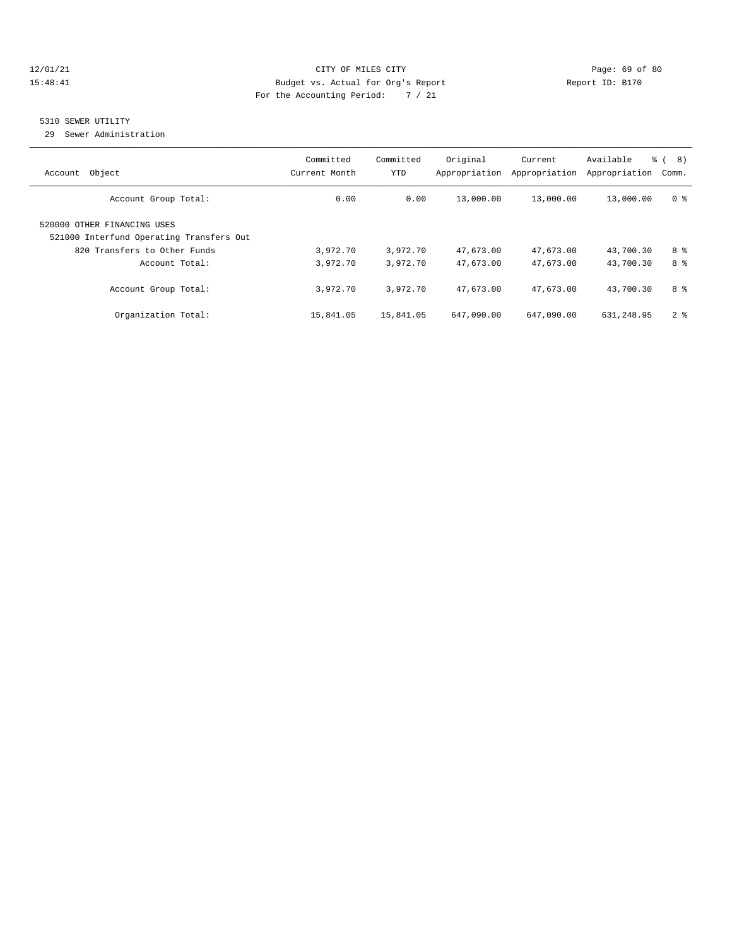#### 12/01/21 Page: 69 of 80 15:48:41 Budget vs. Actual for Org's Report Report ID: B170 For the Accounting Period: 7 / 21

#### 5310 SEWER UTILITY

29 Sewer Administration

| Object<br>Account                                                       | Committed<br>Current Month | Committed<br><b>YTD</b> | Original<br>Appropriation | Current<br>Appropriation | Available<br>Appropriation | $\approx$<br>8)<br>Comm. |
|-------------------------------------------------------------------------|----------------------------|-------------------------|---------------------------|--------------------------|----------------------------|--------------------------|
| Account Group Total:                                                    | 0.00                       | 0.00                    | 13,000.00                 | 13,000.00                | 13,000.00                  | 0 <sup>8</sup>           |
| 520000 OTHER FINANCING USES<br>521000 Interfund Operating Transfers Out |                            |                         |                           |                          |                            |                          |
| 820 Transfers to Other Funds                                            | 3,972.70                   | 3,972.70                | 47,673.00                 | 47,673.00                | 43,700.30                  | 8 %                      |
| Account Total:                                                          | 3,972.70                   | 3,972.70                | 47,673.00                 | 47,673.00                | 43,700.30                  | 8 %                      |
| Account Group Total:                                                    | 3,972.70                   | 3,972.70                | 47,673.00                 | 47,673.00                | 43,700.30                  | 8 %                      |
| Organization Total:                                                     | 15,841.05                  | 15,841.05               | 647,090.00                | 647,090.00               | 631,248.95                 | 2 <sup>8</sup>           |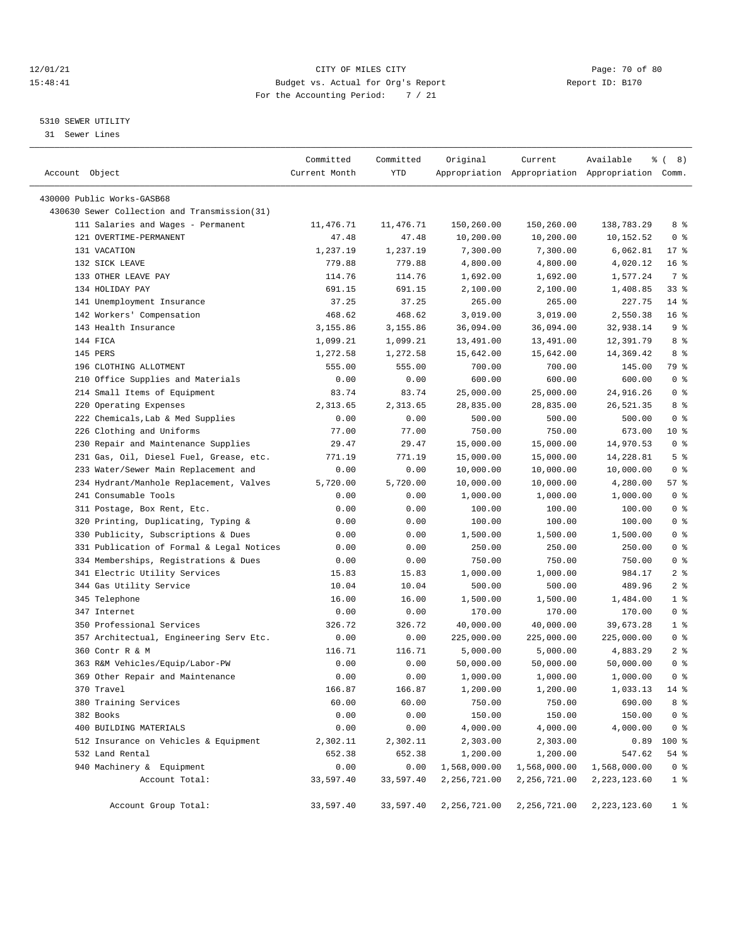#### 12/01/21 Page: 70 of 80<br>15:48:41 Page: 70 of 80<br>15:48:41 Budget vs. Actual for Org's Report Page: 70 of 80 15:48:41 Budget vs. Actual for Org's Report For the Accounting Period: 7 / 21

————————————————————————————————————————————————————————————————————————————————————————————————————————————————————————————————————

## 5310 SEWER UTILITY

31 Sewer Lines

|                                              | Committed     | Committed | Original     | Current      | Available                                       | ွေ<br>8)<br>$\sqrt{2}$ |
|----------------------------------------------|---------------|-----------|--------------|--------------|-------------------------------------------------|------------------------|
| Account Object                               | Current Month | YTD       |              |              | Appropriation Appropriation Appropriation Comm. |                        |
| 430000 Public Works-GASB68                   |               |           |              |              |                                                 |                        |
| 430630 Sewer Collection and Transmission(31) |               |           |              |              |                                                 |                        |
| 111 Salaries and Wages - Permanent           | 11,476.71     | 11,476.71 | 150,260.00   | 150,260.00   | 138,783.29                                      | 8 %                    |
| 121 OVERTIME-PERMANENT                       | 47.48         | 47.48     |              | 10,200.00    |                                                 | 0 <sup>8</sup>         |
| 131 VACATION                                 |               |           | 10,200.00    |              | 10,152.52                                       |                        |
|                                              | 1,237.19      | 1,237.19  | 7,300.00     | 7,300.00     | 6,062.81                                        | $17$ %                 |
| 132 SICK LEAVE                               | 779.88        | 779.88    | 4,800.00     | 4,800.00     | 4,020.12                                        | 16 <sup>°</sup>        |
| 133 OTHER LEAVE PAY                          | 114.76        | 114.76    | 1,692.00     | 1,692.00     | 1,577.24                                        | 7 %                    |
| 134 HOLIDAY PAY                              | 691.15        | 691.15    | 2,100.00     | 2,100.00     | 1,408.85                                        | 338                    |
| 141 Unemployment Insurance                   | 37.25         | 37.25     | 265.00       | 265.00       | 227.75                                          | $14*$                  |
| 142 Workers' Compensation                    | 468.62        | 468.62    | 3,019.00     | 3,019.00     | 2,550.38                                        | 16 <sup>°</sup>        |
| 143 Health Insurance                         | 3,155.86      | 3,155.86  | 36,094.00    | 36,094.00    | 32,938.14                                       | 9%                     |
| 144 FICA                                     | 1,099.21      | 1,099.21  | 13,491.00    | 13,491.00    | 12,391.79                                       | 8 %                    |
| 145 PERS                                     | 1,272.58      | 1,272.58  | 15,642.00    | 15,642.00    | 14,369.42                                       | 8 %                    |
| 196 CLOTHING ALLOTMENT                       | 555.00        | 555.00    | 700.00       | 700.00       | 145.00                                          | 79 %                   |
| 210 Office Supplies and Materials            | 0.00          | 0.00      | 600.00       | 600.00       | 600.00                                          | 0 <sup>8</sup>         |
| 214 Small Items of Equipment                 | 83.74         | 83.74     | 25,000.00    | 25,000.00    | 24,916.26                                       | 0 <sup>8</sup>         |
| 220 Operating Expenses                       | 2,313.65      | 2,313.65  | 28,835.00    | 28,835.00    | 26,521.35                                       | 8 %                    |
| 222 Chemicals, Lab & Med Supplies            | 0.00          | 0.00      | 500.00       | 500.00       | 500.00                                          | 0 <sup>8</sup>         |
| 226 Clothing and Uniforms                    | 77.00         | 77.00     | 750.00       | 750.00       | 673.00                                          | $10*$                  |
| 230 Repair and Maintenance Supplies          | 29.47         | 29.47     | 15,000.00    | 15,000.00    | 14,970.53                                       | 0 <sup>8</sup>         |
| 231 Gas, Oil, Diesel Fuel, Grease, etc.      | 771.19        | 771.19    | 15,000.00    | 15,000.00    | 14,228.81                                       | 5 <sup>8</sup>         |
| 233 Water/Sewer Main Replacement and         | 0.00          | 0.00      | 10,000.00    | 10,000.00    | 10,000.00                                       | 0 <sup>8</sup>         |
| 234 Hydrant/Manhole Replacement, Valves      | 5,720.00      | 5,720.00  | 10,000.00    | 10,000.00    | 4,280.00                                        | 57 %                   |
| 241 Consumable Tools                         | 0.00          | 0.00      | 1,000.00     | 1,000.00     | 1,000.00                                        | 0 <sup>8</sup>         |
| 311 Postage, Box Rent, Etc.                  | 0.00          | 0.00      | 100.00       | 100.00       | 100.00                                          | 0 <sup>8</sup>         |
| 320 Printing, Duplicating, Typing &          | 0.00          | 0.00      | 100.00       | 100.00       | 100.00                                          | 0 <sup>8</sup>         |
| 330 Publicity, Subscriptions & Dues          | 0.00          | 0.00      | 1,500.00     | 1,500.00     | 1,500.00                                        | 0 <sup>8</sup>         |
| 331 Publication of Formal & Legal Notices    | 0.00          | 0.00      | 250.00       | 250.00       | 250.00                                          | 0 <sup>8</sup>         |
| 334 Memberships, Registrations & Dues        | 0.00          | 0.00      | 750.00       | 750.00       | 750.00                                          | 0 <sup>8</sup>         |
| 341 Electric Utility Services                | 15.83         | 15.83     | 1,000.00     | 1,000.00     | 984.17                                          | 2 <sup>8</sup>         |
| 344 Gas Utility Service                      | 10.04         | 10.04     | 500.00       | 500.00       | 489.96                                          | 2 <sup>8</sup>         |
| 345 Telephone                                | 16.00         | 16.00     | 1,500.00     | 1,500.00     | 1,484.00                                        | 1 <sup>8</sup>         |
| 347 Internet                                 | 0.00          | 0.00      | 170.00       | 170.00       | 170.00                                          | 0 <sup>8</sup>         |
| 350 Professional Services                    | 326.72        | 326.72    | 40,000.00    | 40,000.00    | 39,673.28                                       | $1$ %                  |
| 357 Architectual, Engineering Serv Etc.      | 0.00          | 0.00      | 225,000.00   | 225,000.00   | 225,000.00                                      | 0 <sup>8</sup>         |
| 360 Contr R & M                              | 116.71        | 116.71    | 5,000.00     | 5,000.00     | 4,883.29                                        | 2 <sup>8</sup>         |
| 363 R&M Vehicles/Equip/Labor-PW              | 0.00          | 0.00      | 50,000.00    | 50,000.00    | 50,000.00                                       | 0 <sup>8</sup>         |
| 369 Other Repair and Maintenance             | 0.00          | 0.00      | 1,000.00     | 1,000.00     | 1,000.00                                        | 0 <sup>8</sup>         |
| 370 Travel                                   | 166.87        | 166.87    | 1,200.00     | 1,200.00     | 1,033.13                                        | $14$ %                 |
| 380 Training Services                        | 60.00         | 60.00     | 750.00       | 750.00       | 690.00                                          | 8 %                    |
| 382 Books                                    | 0.00          | 0.00      | 150.00       | 150.00       | 150.00                                          | 0 <sup>8</sup>         |
| 400 BUILDING MATERIALS                       | 0.00          | 0.00      | 4,000.00     | 4,000.00     | 4,000.00                                        | 0 <sub>8</sub>         |
| 512 Insurance on Vehicles & Equipment        | 2,302.11      | 2,302.11  | 2,303.00     | 2,303.00     | 0.89                                            | 100 %                  |
| 532 Land Rental                              | 652.38        | 652.38    | 1,200.00     | 1,200.00     | 547.62                                          | 54 %                   |
| 940 Machinery & Equipment                    | 0.00          | 0.00      | 1,568,000.00 | 1,568,000.00 | 1,568,000.00                                    | 0 <sup>8</sup>         |
| Account Total:                               | 33,597.40     | 33,597.40 | 2,256,721.00 | 2,256,721.00 | 2,223,123.60                                    | 1 <sub>8</sub>         |
|                                              |               |           |              |              |                                                 |                        |
| Account Group Total:                         | 33,597.40     | 33,597.40 | 2,256,721.00 | 2,256,721.00 | 2,223,123.60                                    | 1 <sup>8</sup>         |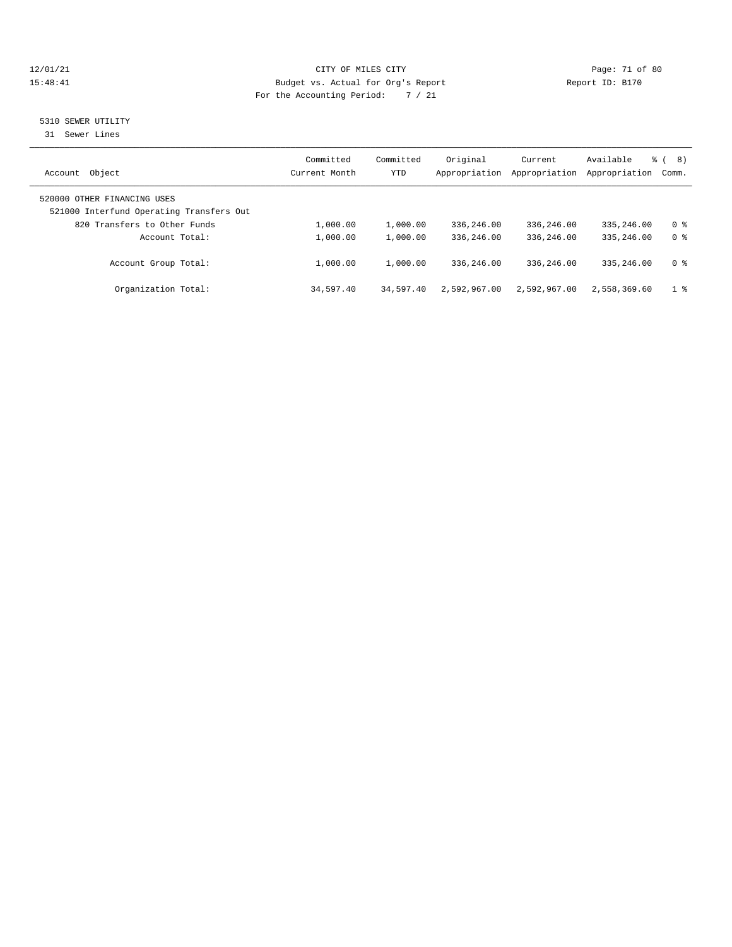#### 12/01/21 Page: 71 of 80<br>
Eudget vs. Actual for Org's Report Report Report ID: B170 15:48:41 Budget vs. Actual for Org's Report For the Accounting Period: 7 / 21

#### 5310 SEWER UTILITY

31 Sewer Lines

| Object<br>Account                                                       | Committed<br>Current Month | Committed<br>YTD | Original<br>Appropriation | Current<br>Appropriation | Available<br>Appropriation | 8)<br>$\approx$ 1<br>Comm. |
|-------------------------------------------------------------------------|----------------------------|------------------|---------------------------|--------------------------|----------------------------|----------------------------|
| 520000 OTHER FINANCING USES<br>521000 Interfund Operating Transfers Out |                            |                  |                           |                          |                            |                            |
| 820 Transfers to Other Funds                                            | 1,000.00                   | 1,000.00         | 336,246.00                | 336,246.00               | 335, 246, 00               | 0 %                        |
| Account Total:                                                          | 1,000.00                   | 1,000.00         | 336,246.00                | 336,246.00               | 335, 246, 00               | 0 <sup>8</sup>             |
| Account Group Total:                                                    | 1,000.00                   | 1,000.00         | 336,246.00                | 336,246.00               | 335, 246, 00               | 0 %                        |
| Organization Total:                                                     | 34,597.40                  | 34,597.40        | 2,592,967.00              | 2,592,967.00             | 2,558,369.60               | 1 %                        |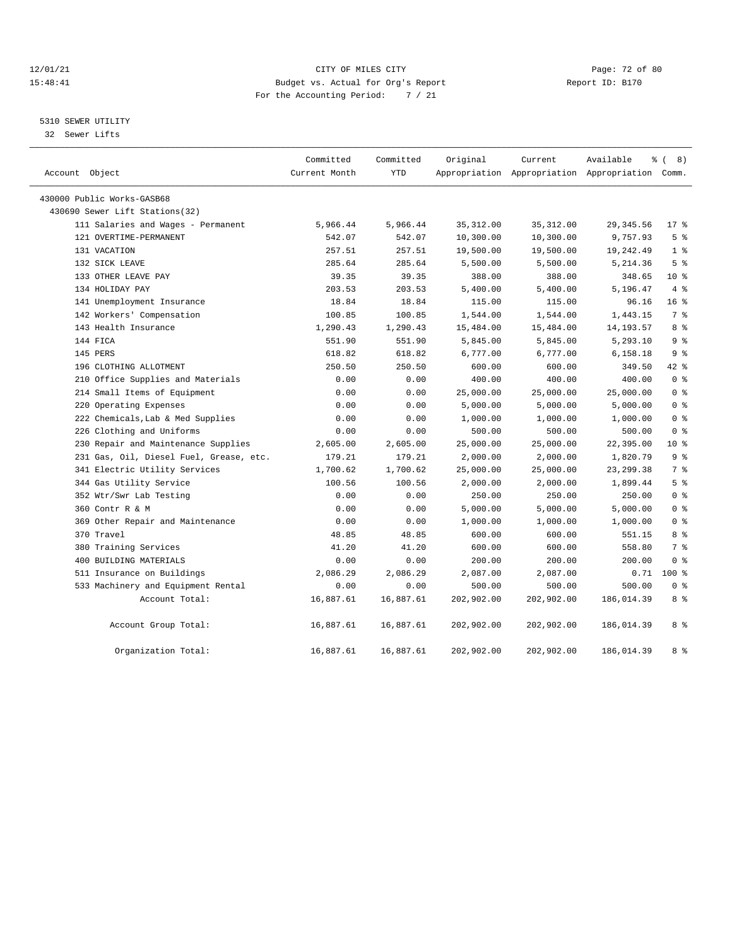#### 12/01/21 Page: 72 of 80<br>15:48:41 CITY OF MILES CITY PAGE: 20 Page: 72 of 80<br>15:48:41 Budget vs. Actual for Org's Report Page: 20 Page: 72 of 80 15:48:41 Budget vs. Actual for Org's Report For the Accounting Period: 7 / 21

## 5310 SEWER UTILITY

32 Sewer Lifts

| Account Object                          | Committed<br>Current Month | Committed<br><b>YTD</b> | Original   | Current<br>Appropriation Appropriation Appropriation Comm. | Available   | $\frac{3}{6}$ ( 8) |
|-----------------------------------------|----------------------------|-------------------------|------------|------------------------------------------------------------|-------------|--------------------|
| 430000 Public Works-GASB68              |                            |                         |            |                                                            |             |                    |
| 430690 Sewer Lift Stations(32)          |                            |                         |            |                                                            |             |                    |
| 111 Salaries and Wages - Permanent      | 5,966.44                   | 5,966.44                | 35, 312.00 | 35, 312.00                                                 | 29, 345.56  | $17*$              |
| 121 OVERTIME-PERMANENT                  | 542.07                     | 542.07                  | 10,300.00  | 10,300.00                                                  | 9,757.93    | 5 <sup>°</sup>     |
| 131 VACATION                            | 257.51                     | 257.51                  | 19,500.00  | 19,500.00                                                  | 19,242.49   | 1 <sup>8</sup>     |
| 132 SICK LEAVE                          | 285.64                     | 285.64                  | 5,500.00   | 5,500.00                                                   | 5,214.36    | 5 <sup>8</sup>     |
| 133 OTHER LEAVE PAY                     | 39.35                      | 39.35                   | 388.00     | 388.00                                                     | 348.65      | $10*$              |
| 134 HOLIDAY PAY                         | 203.53                     | 203.53                  | 5,400.00   | 5,400.00                                                   | 5,196.47    | 4%                 |
| 141 Unemployment Insurance              | 18.84                      | 18.84                   | 115.00     | 115.00                                                     | 96.16       | 16 <sup>8</sup>    |
| 142 Workers' Compensation               | 100.85                     | 100.85                  | 1,544.00   | 1,544.00                                                   | 1,443.15    | 7 %                |
| 143 Health Insurance                    | 1,290.43                   | 1,290.43                | 15,484.00  | 15,484.00                                                  | 14, 193. 57 | 8 %                |
| 144 FICA                                | 551.90                     | 551.90                  | 5,845.00   | 5,845.00                                                   | 5,293.10    | 9%                 |
| 145 PERS                                | 618.82                     | 618.82                  | 6,777.00   | 6,777.00                                                   | 6,158.18    | 9%                 |
| 196 CLOTHING ALLOTMENT                  | 250.50                     | 250.50                  | 600.00     | 600.00                                                     | 349.50      | 42 %               |
| 210 Office Supplies and Materials       | 0.00                       | 0.00                    | 400.00     | 400.00                                                     | 400.00      | 0 <sup>8</sup>     |
| 214 Small Items of Equipment            | 0.00                       | 0.00                    | 25,000.00  | 25,000.00                                                  | 25,000.00   | 0 <sup>8</sup>     |
| 220 Operating Expenses                  | 0.00                       | 0.00                    | 5,000.00   | 5,000.00                                                   | 5,000.00    | 0 <sup>8</sup>     |
| 222 Chemicals, Lab & Med Supplies       | 0.00                       | 0.00                    | 1,000.00   | 1,000.00                                                   | 1,000.00    | 0 <sup>8</sup>     |
| 226 Clothing and Uniforms               | 0.00                       | 0.00                    | 500.00     | 500.00                                                     | 500.00      | 0 <sup>8</sup>     |
| 230 Repair and Maintenance Supplies     | 2,605.00                   | 2,605.00                | 25,000.00  | 25,000.00                                                  | 22,395.00   | $10*$              |
| 231 Gas, Oil, Diesel Fuel, Grease, etc. | 179.21                     | 179.21                  | 2,000.00   | 2,000.00                                                   | 1,820.79    | 9%                 |
| 341 Electric Utility Services           | 1,700.62                   | 1,700.62                | 25,000.00  | 25,000.00                                                  | 23, 299.38  | 7 %                |
| 344 Gas Utility Service                 | 100.56                     | 100.56                  | 2,000.00   | 2,000.00                                                   | 1,899.44    | 5%                 |
| 352 Wtr/Swr Lab Testing                 | 0.00                       | 0.00                    | 250.00     | 250.00                                                     | 250.00      | 0 <sup>8</sup>     |
| 360 Contr R & M                         | 0.00                       | 0.00                    | 5,000.00   | 5,000.00                                                   | 5,000.00    | 0 <sup>8</sup>     |
| 369 Other Repair and Maintenance        | 0.00                       | 0.00                    | 1,000.00   | 1,000.00                                                   | 1,000.00    | 0 <sup>8</sup>     |
| 370 Travel                              | 48.85                      | 48.85                   | 600.00     | 600.00                                                     | 551.15      | 8 %                |
| 380 Training Services                   | 41.20                      | 41.20                   | 600.00     | 600.00                                                     | 558.80      | 7 <sup>°</sup>     |
| 400 BUILDING MATERIALS                  | 0.00                       | 0.00                    | 200.00     | 200.00                                                     | 200.00      | 0 <sup>8</sup>     |
| 511 Insurance on Buildings              | 2,086.29                   | 2,086.29                | 2,087.00   | 2,087.00                                                   | 0.71        | $100*$             |
| 533 Machinery and Equipment Rental      | 0.00                       | 0.00                    | 500.00     | 500.00                                                     | 500.00      | 0 <sup>8</sup>     |
| Account Total:                          | 16,887.61                  | 16,887.61               | 202,902.00 | 202,902.00                                                 | 186,014.39  | 8 %                |
| Account Group Total:                    | 16,887.61                  | 16,887.61               | 202,902.00 | 202,902.00                                                 | 186,014.39  | 8 %                |
| Organization Total:                     | 16,887.61                  | 16,887.61               | 202,902.00 | 202,902.00                                                 | 186,014.39  | 8 %                |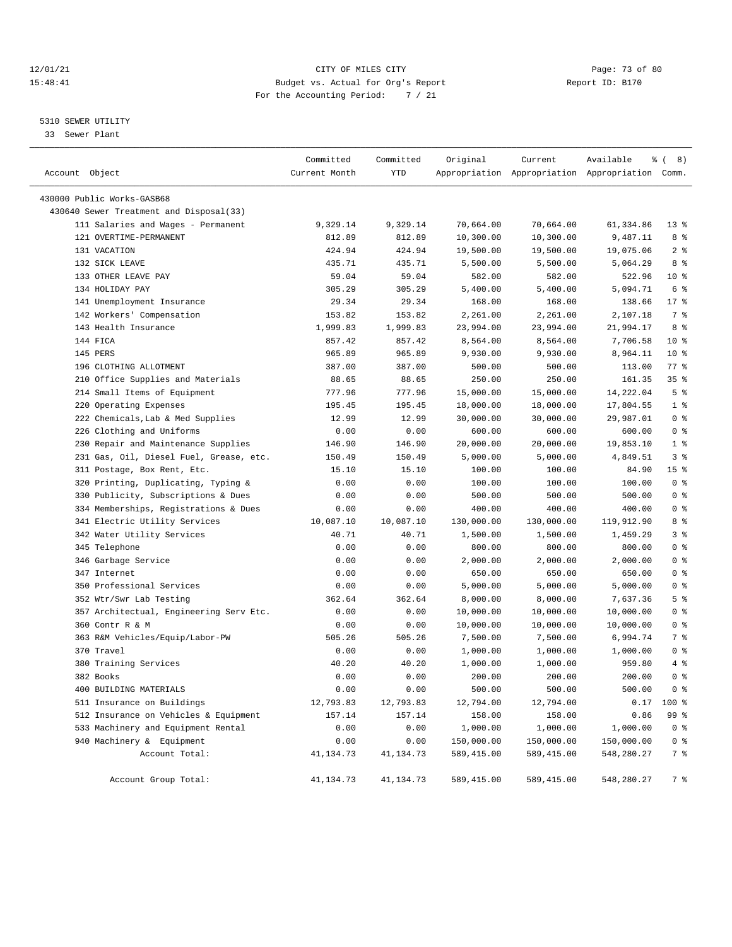## 12/01/21 Page: 73 of 80<br>15:48:41 CITY OF MILES CITY PAGE: 27 OF 80<br>15:48:41 Budget vs. Actual for Org's Report Page: 73 of 80 15:48:41 Budget vs. Actual for Org's Report For the Accounting Period: 7 / 21

————————————————————————————————————————————————————————————————————————————————————————————————————————————————————————————————————

## 5310 SEWER UTILITY

33 Sewer Plant

|                                         | Committed     | Committed  | Original   | Current     | Available                                       | $\frac{6}{6}$ ( 8) |
|-----------------------------------------|---------------|------------|------------|-------------|-------------------------------------------------|--------------------|
| Account Object                          | Current Month | <b>YTD</b> |            |             | Appropriation Appropriation Appropriation Comm. |                    |
| 430000 Public Works-GASB68              |               |            |            |             |                                                 |                    |
| 430640 Sewer Treatment and Disposal(33) |               |            |            |             |                                                 |                    |
| 111 Salaries and Wages - Permanent      | 9,329.14      | 9,329.14   | 70,664.00  | 70,664.00   | 61,334.86                                       | $13*$              |
| 121 OVERTIME-PERMANENT                  | 812.89        | 812.89     | 10,300.00  | 10,300.00   | 9,487.11                                        | 8 %                |
| 131 VACATION                            | 424.94        | 424.94     | 19,500.00  | 19,500.00   | 19,075.06                                       | 2 <sup>8</sup>     |
| 132 SICK LEAVE                          | 435.71        | 435.71     | 5,500.00   | 5,500.00    | 5,064.29                                        | 8 %                |
| 133 OTHER LEAVE PAY                     | 59.04         | 59.04      | 582.00     | 582.00      | 522.96                                          | 10 <sub>8</sub>    |
| 134 HOLIDAY PAY                         | 305.29        | 305.29     | 5,400.00   | 5,400.00    | 5,094.71                                        | 6 %                |
| 141 Unemployment Insurance              | 29.34         | 29.34      | 168.00     | 168.00      | 138.66                                          | $17*$              |
| 142 Workers' Compensation               | 153.82        | 153.82     | 2,261.00   | 2,261.00    | 2,107.18                                        | 7 %                |
| 143 Health Insurance                    | 1,999.83      | 1,999.83   | 23,994.00  | 23,994.00   | 21,994.17                                       | 8 %                |
| 144 FICA                                | 857.42        | 857.42     | 8,564.00   | 8,564.00    | 7,706.58                                        | 10 <sub>8</sub>    |
| 145 PERS                                | 965.89        | 965.89     | 9,930.00   | 9,930.00    | 8,964.11                                        | $10*$              |
| 196 CLOTHING ALLOTMENT                  | 387.00        | 387.00     | 500.00     | 500.00      | 113.00                                          | $77$ $%$           |
| 210 Office Supplies and Materials       | 88.65         | 88.65      | 250.00     | 250.00      | 161.35                                          | 35%                |
| 214 Small Items of Equipment            | 777.96        | 777.96     | 15,000.00  | 15,000.00   | 14,222.04                                       | 5 <sup>8</sup>     |
| 220 Operating Expenses                  | 195.45        | 195.45     | 18,000.00  | 18,000.00   | 17,804.55                                       | 1 <sup>8</sup>     |
| 222 Chemicals, Lab & Med Supplies       | 12.99         | 12.99      | 30,000.00  | 30,000.00   | 29,987.01                                       | 0 <sup>8</sup>     |
| 226 Clothing and Uniforms               | 0.00          | 0.00       | 600.00     | 600.00      | 600.00                                          | 0 <sup>8</sup>     |
| 230 Repair and Maintenance Supplies     | 146.90        | 146.90     | 20,000.00  | 20,000.00   | 19,853.10                                       | 1 <sup>8</sup>     |
| 231 Gas, Oil, Diesel Fuel, Grease, etc. | 150.49        | 150.49     | 5,000.00   | 5,000.00    | 4,849.51                                        | 3%                 |
| 311 Postage, Box Rent, Etc.             | 15.10         | 15.10      | 100.00     | 100.00      | 84.90                                           | 15 <sub>8</sub>    |
| 320 Printing, Duplicating, Typing &     | 0.00          | 0.00       | 100.00     | 100.00      | 100.00                                          | 0 <sup>8</sup>     |
| 330 Publicity, Subscriptions & Dues     | 0.00          | 0.00       | 500.00     | 500.00      | 500.00                                          | 0 <sup>8</sup>     |
| 334 Memberships, Registrations & Dues   | 0.00          | 0.00       | 400.00     | 400.00      | 400.00                                          | 0 <sup>8</sup>     |
| 341 Electric Utility Services           | 10,087.10     | 10,087.10  | 130,000.00 | 130,000.00  | 119,912.90                                      | 8 %                |
| 342 Water Utility Services              | 40.71         | 40.71      | 1,500.00   | 1,500.00    | 1,459.29                                        | 3%                 |
| 345 Telephone                           | 0.00          | 0.00       | 800.00     | 800.00      | 800.00                                          | 0 <sup>8</sup>     |
| 346 Garbage Service                     | 0.00          | 0.00       | 2,000.00   | 2,000.00    | 2,000.00                                        | 0 <sup>8</sup>     |
| 347 Internet                            | 0.00          | 0.00       | 650.00     | 650.00      | 650.00                                          | 0 <sup>8</sup>     |
| 350 Professional Services               | 0.00          | 0.00       | 5,000.00   | 5,000.00    | 5,000.00                                        | 0 <sup>8</sup>     |
| 352 Wtr/Swr Lab Testing                 | 362.64        | 362.64     | 8,000.00   | 8,000.00    | 7,637.36                                        | 5 <sup>8</sup>     |
| 357 Architectual, Engineering Serv Etc. | 0.00          | 0.00       | 10,000.00  | 10,000.00   | 10,000.00                                       | 0 <sup>8</sup>     |
| 360 Contr R & M                         | 0.00          | 0.00       | 10,000.00  | 10,000.00   | 10,000.00                                       | 0 <sup>8</sup>     |
| 363 R&M Vehicles/Equip/Labor-PW         | 505.26        | 505.26     | 7,500.00   | 7,500.00    | 6,994.74                                        | 7 %                |
| 370 Travel                              | 0.00          | 0.00       | 1,000.00   | 1,000.00    | 1,000.00                                        | 0 <sup>8</sup>     |
| 380 Training Services                   | 40.20         | 40.20      | 1,000.00   | 1,000.00    | 959.80                                          | 4%                 |
| 382 Books                               | 0.00          | 0.00       | 200.00     | 200.00      | 200.00                                          | 0 <sup>8</sup>     |
| 400 BUILDING MATERIALS                  | 0.00          | 0.00       | 500.00     | 500.00      | 500.00                                          | 0 <sup>8</sup>     |
| 511 Insurance on Buildings              | 12,793.83     | 12,793.83  | 12,794.00  | 12,794.00   | 0.17                                            | 100 %              |
| 512 Insurance on Vehicles & Equipment   | 157.14        | 157.14     | 158.00     | 158.00      | 0.86                                            | 99 %               |
| 533 Machinery and Equipment Rental      | 0.00          | 0.00       | 1,000.00   | 1,000.00    | 1,000.00                                        | 0 <sup>8</sup>     |
| 940 Machinery & Equipment               | 0.00          | 0.00       | 150,000.00 | 150,000.00  | 150,000.00                                      | 0 <sup>8</sup>     |
| Account Total:                          | 41, 134.73    | 41,134.73  | 589,415.00 | 589,415.00  | 548,280.27                                      | 7 %                |
| Account Group Total:                    | 41,134.73     | 41,134.73  | 589,415.00 | 589, 415.00 | 548,280.27                                      | 7 %                |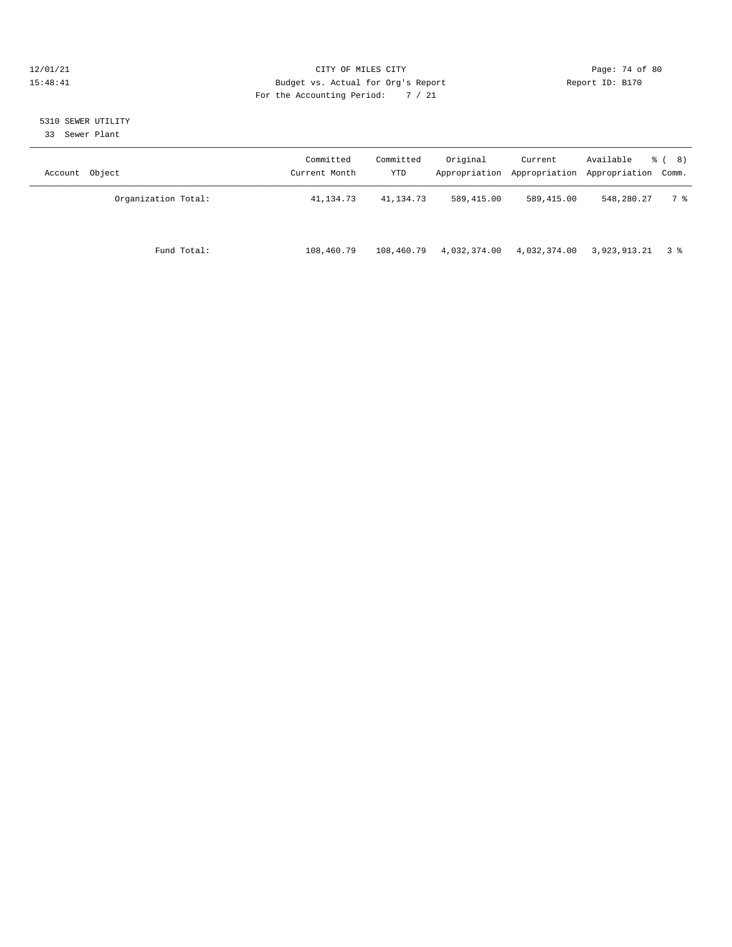## 12/01/21 Page: 74 of 80<br>15:48:41 CITY OF MILES CITY PAGE: 2012 Page: 74 of 80<br>15:48:41 Budget vs. Actual for Org's Report Page: 2013 Report ID: B170 15:48:41 Budget vs. Actual for Org's Report For the Accounting Period: 7 / 21

## 5310 SEWER UTILITY

33 Sewer Plant

| Account Object      | Committed<br>Current Month | Committed<br>YTD | Original     | Current      | Available<br>Appropriation Appropriation Appropriation Comm. | $\frac{6}{6}$ ( 8) |
|---------------------|----------------------------|------------------|--------------|--------------|--------------------------------------------------------------|--------------------|
| Organization Total: | 41,134.73                  | 41,134.73        | 589,415.00   | 589,415.00   | 548,280.27                                                   | 7 %                |
| Fund Total:         | 108,460.79                 | 108,460.79       | 4,032,374.00 | 4,032,374.00 | 3,923,913.21 3 %                                             |                    |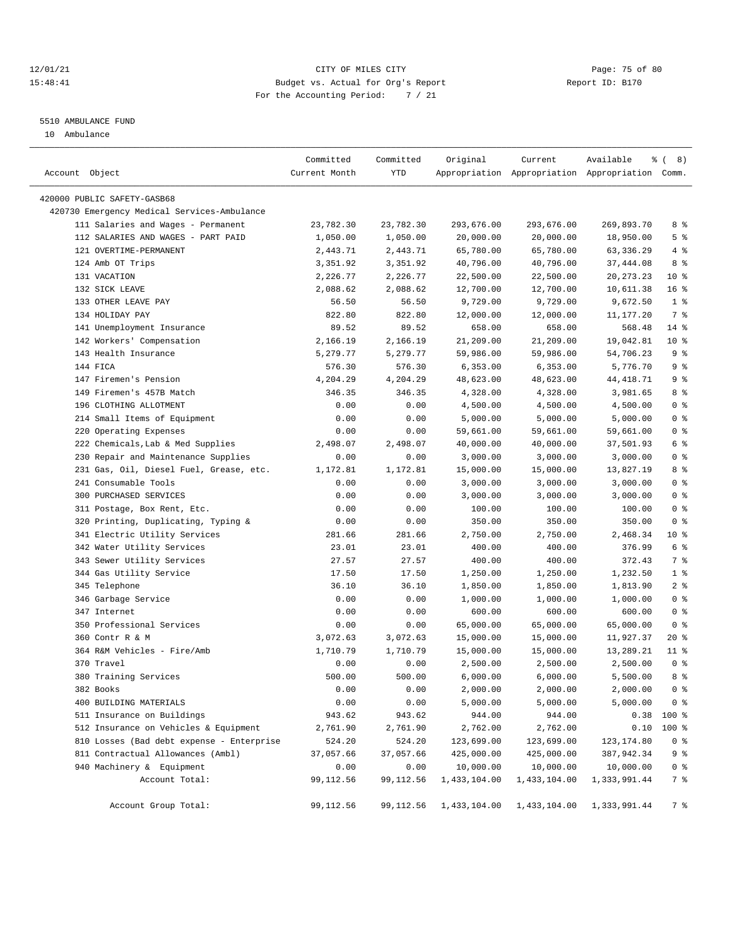## 12/01/21 Page: 75 of 80 15:48:41 Budget vs. Actual for Org's Report Report ID: B170 For the Accounting Period: 7 / 21

————————————————————————————————————————————————————————————————————————————————————————————————————————————————————————————————————

#### 5510 AMBULANCE FUND

10 Ambulance

|                                             | Committed     | Committed | Original     | Current      | Available                                       | $\frac{6}{6}$ ( 8) |
|---------------------------------------------|---------------|-----------|--------------|--------------|-------------------------------------------------|--------------------|
| Account Object                              | Current Month | YTD       |              |              | Appropriation Appropriation Appropriation Comm. |                    |
| 420000 PUBLIC SAFETY-GASB68                 |               |           |              |              |                                                 |                    |
| 420730 Emergency Medical Services-Ambulance |               |           |              |              |                                                 |                    |
| 111 Salaries and Wages - Permanent          | 23,782.30     | 23,782.30 | 293,676.00   | 293,676.00   | 269,893.70                                      | 8 %                |
| 112 SALARIES AND WAGES - PART PAID          | 1,050.00      | 1,050.00  | 20,000.00    | 20,000.00    | 18,950.00                                       | 5 <sup>8</sup>     |
| 121 OVERTIME-PERMANENT                      | 2,443.71      | 2,443.71  | 65,780.00    | 65,780.00    | 63, 336.29                                      | 4%                 |
| 124 Amb OT Trips                            | 3,351.92      | 3,351.92  | 40,796.00    | 40,796.00    | 37,444.08                                       | 8 %                |
| 131 VACATION                                | 2,226.77      | 2,226.77  | 22,500.00    | 22,500.00    | 20, 273. 23                                     | 10 <sup>°</sup>    |
| 132 SICK LEAVE                              | 2,088.62      | 2,088.62  | 12,700.00    | 12,700.00    | 10,611.38                                       | 16%                |
| 133 OTHER LEAVE PAY                         | 56.50         | 56.50     | 9,729.00     | 9,729.00     | 9,672.50                                        | 1 <sup>8</sup>     |
| 134 HOLIDAY PAY                             | 822.80        | 822.80    | 12,000.00    | 12,000.00    | 11,177.20                                       | 7 %                |
| 141 Unemployment Insurance                  | 89.52         | 89.52     | 658.00       | 658.00       | 568.48                                          | $14$ %             |
| 142 Workers' Compensation                   | 2,166.19      | 2,166.19  | 21,209.00    | 21,209.00    | 19,042.81                                       | $10*$              |
| 143 Health Insurance                        | 5,279.77      | 5,279.77  | 59,986.00    | 59,986.00    | 54,706.23                                       | 9 %                |
| 144 FICA                                    | 576.30        | 576.30    | 6,353.00     | 6,353.00     | 5,776.70                                        | 9%                 |
| 147 Firemen's Pension                       | 4,204.29      | 4,204.29  | 48,623.00    | 48,623.00    | 44, 418.71                                      | 9%                 |
| 149 Firemen's 457B Match                    | 346.35        | 346.35    | 4,328.00     | 4,328.00     | 3,981.65                                        | 8 %                |
| 196 CLOTHING ALLOTMENT                      | 0.00          | 0.00      | 4,500.00     | 4,500.00     | 4,500.00                                        | 0 <sup>8</sup>     |
| 214 Small Items of Equipment                | 0.00          | 0.00      | 5,000.00     | 5,000.00     | 5,000.00                                        | 0 <sup>8</sup>     |
| 220 Operating Expenses                      | 0.00          | 0.00      | 59,661.00    | 59,661.00    | 59,661.00                                       | 0 <sup>8</sup>     |
| 222 Chemicals, Lab & Med Supplies           | 2,498.07      | 2,498.07  | 40,000.00    | 40,000.00    | 37,501.93                                       | $6\degree$         |
| 230 Repair and Maintenance Supplies         | 0.00          | 0.00      | 3,000.00     | 3,000.00     | 3,000.00                                        | 0 <sup>8</sup>     |
| 231 Gas, Oil, Diesel Fuel, Grease, etc.     | 1,172.81      | 1,172.81  | 15,000.00    | 15,000.00    | 13,827.19                                       | 8 %                |
| 241 Consumable Tools                        | 0.00          | 0.00      | 3,000.00     | 3,000.00     | 3,000.00                                        | 0 <sup>8</sup>     |
| 300 PURCHASED SERVICES                      | 0.00          | 0.00      | 3,000.00     | 3,000.00     | 3,000.00                                        | 0 <sup>8</sup>     |
| 311 Postage, Box Rent, Etc.                 | 0.00          | 0.00      | 100.00       | 100.00       | 100.00                                          | 0 <sup>8</sup>     |
| 320 Printing, Duplicating, Typing &         | 0.00          | 0.00      | 350.00       | 350.00       | 350.00                                          | 0 <sup>8</sup>     |
| 341 Electric Utility Services               | 281.66        | 281.66    | 2,750.00     | 2,750.00     | 2,468.34                                        | $10*$              |
| 342 Water Utility Services                  | 23.01         | 23.01     | 400.00       | 400.00       | 376.99                                          | 6 %                |
| 343 Sewer Utility Services                  | 27.57         | 27.57     | 400.00       | 400.00       | 372.43                                          | 7 %                |
| 344 Gas Utility Service                     | 17.50         | 17.50     | 1,250.00     | 1,250.00     | 1,232.50                                        | 1 <sup>8</sup>     |
| 345 Telephone                               | 36.10         | 36.10     | 1,850.00     | 1,850.00     | 1,813.90                                        | 2 <sup>8</sup>     |
| 346 Garbage Service                         | 0.00          | 0.00      | 1,000.00     | 1,000.00     | 1,000.00                                        | 0 <sup>8</sup>     |
| 347 Internet                                | 0.00          | 0.00      | 600.00       | 600.00       | 600.00                                          | 0 <sup>8</sup>     |
| 350 Professional Services                   | 0.00          | 0.00      | 65,000.00    | 65,000.00    | 65,000.00                                       | 0 <sup>8</sup>     |
| 360 Contr R & M                             | 3,072.63      | 3,072.63  | 15,000.00    | 15,000.00    | 11,927.37                                       | $20*$              |
| 364 R&M Vehicles - Fire/Amb                 | 1,710.79      | 1,710.79  | 15,000.00    | 15,000.00    | 13,289.21                                       | $11$ %             |
| 370 Travel                                  | 0.00          | 0.00      | 2,500.00     | 2,500.00     | 2,500.00                                        | 0 <sup>8</sup>     |
| 380 Training Services                       | 500.00        | 500.00    | 6,000.00     | 6,000.00     | 5,500.00                                        | 8 %                |
| 382 Books                                   | 0.00          | 0.00      | 2,000.00     | 2,000.00     | 2,000.00                                        | 0 <sup>8</sup>     |
| 400 BUILDING MATERIALS                      | 0.00          | 0.00      | 5,000.00     | 5,000.00     | 5,000.00                                        | 0 <sup>8</sup>     |
| 511 Insurance on Buildings                  | 943.62        | 943.62    | 944.00       | 944.00       |                                                 | $0.38$ 100 %       |
| 512 Insurance on Vehicles & Equipment       | 2,761.90      | 2,761.90  | 2,762.00     | 2,762.00     | 0.10                                            | 100 %              |
| 810 Losses (Bad debt expense - Enterprise   | 524.20        | 524.20    | 123,699.00   | 123,699.00   | 123, 174.80                                     | 0 <sup>8</sup>     |
| 811 Contractual Allowances (Ambl)           | 37,057.66     | 37,057.66 | 425,000.00   | 425,000.00   | 387, 942.34                                     | 9 %                |
| 940 Machinery & Equipment                   | 0.00          | 0.00      | 10,000.00    | 10,000.00    | 10,000.00                                       | 0 <sub>8</sub>     |
| Account Total:                              | 99,112.56     | 99,112.56 | 1,433,104.00 | 1,433,104.00 | 1,333,991.44                                    | 7 %                |
|                                             |               |           |              |              |                                                 |                    |
| Account Group Total:                        | 99,112.56     | 99,112.56 | 1,433,104.00 | 1,433,104.00 | 1,333,991.44                                    | 7 %                |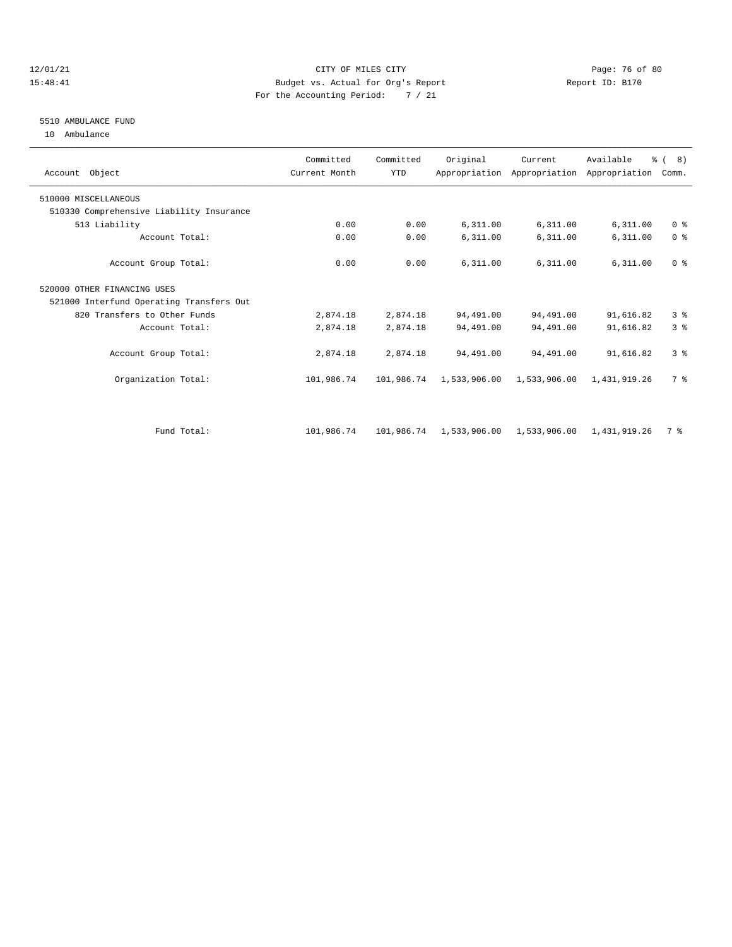## 12/01/21 Page: 76 of 80 15:48:41 Budget vs. Actual for Org's Report Report ID: B170 For the Accounting Period: 7 / 21

## 5510 AMBULANCE FUND

10 Ambulance

| Account Object                           | Committed<br>Current Month | Committed<br><b>YTD</b> | Original     | Current      | Available<br>Appropriation Appropriation Appropriation Comm. | $\frac{6}{6}$ ( 8) |  |
|------------------------------------------|----------------------------|-------------------------|--------------|--------------|--------------------------------------------------------------|--------------------|--|
| 510000 MISCELLANEOUS                     |                            |                         |              |              |                                                              |                    |  |
| 510330 Comprehensive Liability Insurance |                            |                         |              |              |                                                              |                    |  |
| 513 Liability                            | 0.00                       | 0.00                    | 6,311.00     | 6,311.00     | 6,311.00                                                     | 0 <sup>8</sup>     |  |
| Account Total:                           | 0.00                       | 0.00                    | 6,311.00     | 6,311.00     | 6,311.00                                                     | 0 <sup>8</sup>     |  |
| Account Group Total:                     | 0.00                       | 0.00                    | 6,311.00     | 6,311.00     | 6,311.00                                                     | 0 <sup>8</sup>     |  |
| 520000 OTHER FINANCING USES              |                            |                         |              |              |                                                              |                    |  |
| 521000 Interfund Operating Transfers Out |                            |                         |              |              |                                                              |                    |  |
| 820 Transfers to Other Funds             | 2,874.18                   | 2,874.18                | 94,491.00    | 94,491.00    | 91,616.82                                                    | 3%                 |  |
| Account Total:                           | 2,874.18                   | 2,874.18                | 94,491.00    | 94,491.00    | 91,616.82                                                    | 3 <sup>8</sup>     |  |
| Account Group Total:                     | 2,874.18                   | 2,874.18                | 94,491.00    | 94,491.00    | 91,616.82                                                    | 3 <sup>8</sup>     |  |
| Organization Total:                      | 101,986.74                 | 101,986.74              | 1,533,906.00 | 1,533,906.00 | 1,431,919.26                                                 | 7 %                |  |
|                                          |                            |                         |              |              |                                                              |                    |  |
| Fund Total:                              | 101,986.74                 | 101,986.74              | 1,533,906.00 | 1,533,906.00 | 1,431,919.26                                                 | 7 %                |  |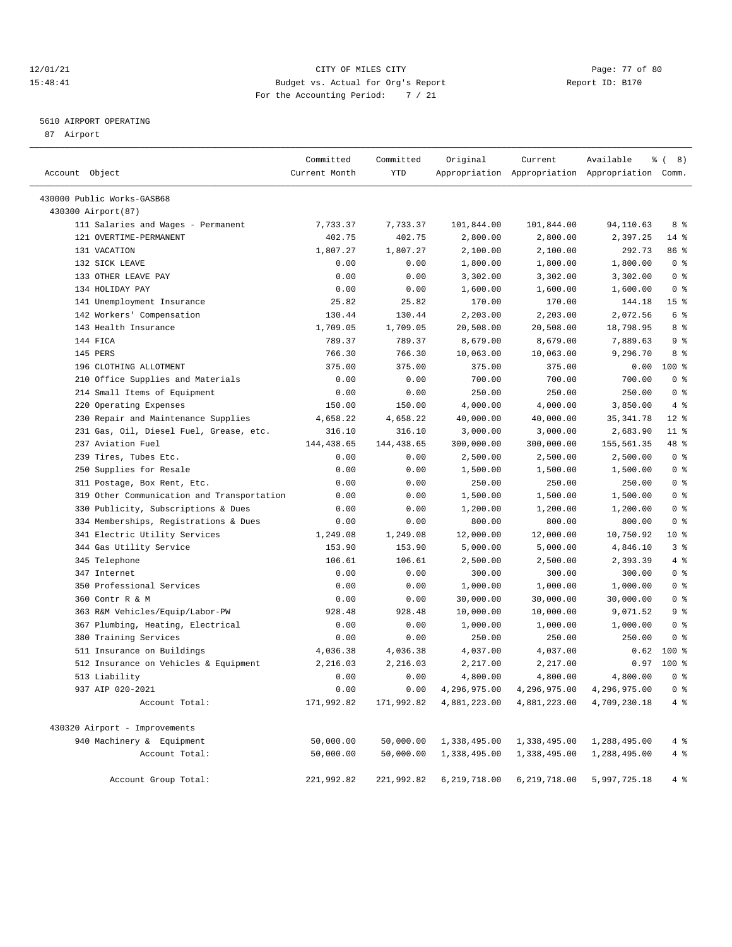## 12/01/21 Page: 77 of 80<br>15:48:41 Page: 77 of 80<br>15:48:41 Budget vs. Actual for Org's Report Report Report ID: B170 15:48:41 Budget vs. Actual for Org's Report For the Accounting Period: 7 / 21

————————————————————————————————————————————————————————————————————————————————————————————————————————————————————————————————————

## 5610 AIRPORT OPERATING

87 Airport

|                                            | Committed     | Committed  | Original     | Current                                      | Available                                       | $\frac{6}{6}$ ( 8) |
|--------------------------------------------|---------------|------------|--------------|----------------------------------------------|-------------------------------------------------|--------------------|
| Account Object                             | Current Month | YTD        |              |                                              | Appropriation Appropriation Appropriation Comm. |                    |
| 430000 Public Works-GASB68                 |               |            |              |                                              |                                                 |                    |
| 430300 Airport (87)                        |               |            |              |                                              |                                                 |                    |
| 111 Salaries and Wages - Permanent         | 7,733.37      | 7,733.37   | 101,844.00   | 101,844.00                                   | 94,110.63                                       | 8 %                |
| 121 OVERTIME-PERMANENT                     | 402.75        | 402.75     | 2,800.00     | 2,800.00                                     | 2,397.25                                        | $14$ %             |
| 131 VACATION                               | 1,807.27      | 1,807.27   | 2,100.00     | 2,100.00                                     | 292.73                                          | 86 %               |
| 132 SICK LEAVE                             | 0.00          | 0.00       | 1,800.00     | 1,800.00                                     | 1,800.00                                        | 0 <sup>8</sup>     |
| 133 OTHER LEAVE PAY                        | 0.00          | 0.00       | 3,302.00     | 3,302.00                                     | 3,302.00                                        | 0 <sup>8</sup>     |
| 134 HOLIDAY PAY                            | 0.00          | 0.00       | 1,600.00     | 1,600.00                                     | 1,600.00                                        | 0 <sup>8</sup>     |
| 141 Unemployment Insurance                 | 25.82         | 25.82      | 170.00       | 170.00                                       | 144.18                                          | 15 <sup>8</sup>    |
| 142 Workers' Compensation                  | 130.44        | 130.44     | 2,203.00     | 2,203.00                                     | 2,072.56                                        | 6 %                |
| 143 Health Insurance                       | 1,709.05      | 1,709.05   | 20,508.00    | 20,508.00                                    | 18,798.95                                       | 8 %                |
| 144 FICA                                   | 789.37        | 789.37     | 8,679.00     | 8,679.00                                     | 7,889.63                                        | 9%                 |
| 145 PERS                                   | 766.30        | 766.30     | 10,063.00    | 10,063.00                                    | 9,296.70                                        | 8 %                |
| 196 CLOTHING ALLOTMENT                     | 375.00        | 375.00     | 375.00       | 375.00                                       | 0.00                                            | $100$ %            |
| 210 Office Supplies and Materials          | 0.00          | 0.00       | 700.00       | 700.00                                       | 700.00                                          | 0 <sup>8</sup>     |
| 214 Small Items of Equipment               | 0.00          | 0.00       | 250.00       | 250.00                                       | 250.00                                          | 0 <sup>8</sup>     |
| 220 Operating Expenses                     | 150.00        | 150.00     | 4,000.00     | 4,000.00                                     | 3,850.00                                        | 4%                 |
| 230 Repair and Maintenance Supplies        | 4,658.22      | 4,658.22   | 40,000.00    | 40,000.00                                    | 35, 341.78                                      | $12*$              |
| 231 Gas, Oil, Diesel Fuel, Grease, etc.    | 316.10        | 316.10     | 3,000.00     | 3,000.00                                     | 2,683.90                                        | $11$ %             |
| 237 Aviation Fuel                          | 144, 438.65   | 144,438.65 | 300,000.00   | 300,000.00                                   | 155,561.35                                      | 48 %               |
| 239 Tires, Tubes Etc.                      | 0.00          | 0.00       | 2,500.00     | 2,500.00                                     | 2,500.00                                        | 0 <sup>8</sup>     |
| 250 Supplies for Resale                    | 0.00          | 0.00       | 1,500.00     | 1,500.00                                     | 1,500.00                                        | 0 <sup>8</sup>     |
| 311 Postage, Box Rent, Etc.                | 0.00          | 0.00       | 250.00       | 250.00                                       | 250.00                                          | 0 <sup>8</sup>     |
| 319 Other Communication and Transportation | 0.00          | 0.00       | 1,500.00     | 1,500.00                                     | 1,500.00                                        | 0 <sup>8</sup>     |
| 330 Publicity, Subscriptions & Dues        | 0.00          | 0.00       | 1,200.00     | 1,200.00                                     | 1,200.00                                        | 0 <sup>8</sup>     |
| 334 Memberships, Registrations & Dues      | 0.00          | 0.00       | 800.00       | 800.00                                       | 800.00                                          | 0 <sup>8</sup>     |
| 341 Electric Utility Services              | 1,249.08      | 1,249.08   | 12,000.00    | 12,000.00                                    | 10,750.92                                       | 10 %               |
| 344 Gas Utility Service                    | 153.90        | 153.90     | 5,000.00     | 5,000.00                                     | 4,846.10                                        | 3%                 |
| 345 Telephone                              | 106.61        | 106.61     | 2,500.00     | 2,500.00                                     | 2,393.39                                        | 4%                 |
| 347 Internet                               | 0.00          | 0.00       | 300.00       | 300.00                                       | 300.00                                          | 0 <sup>8</sup>     |
| 350 Professional Services                  | 0.00          | 0.00       | 1,000.00     | 1,000.00                                     | 1,000.00                                        | 0 <sup>8</sup>     |
| 360 Contr R & M                            | 0.00          | 0.00       | 30,000.00    | 30,000.00                                    | 30,000.00                                       | 0 <sup>8</sup>     |
| 363 R&M Vehicles/Equip/Labor-PW            | 928.48        | 928.48     | 10,000.00    | 10,000.00                                    | 9,071.52                                        | 9%                 |
| 367 Plumbing, Heating, Electrical          | 0.00          | 0.00       | 1,000.00     | 1,000.00                                     | 1,000.00                                        | 0 <sup>8</sup>     |
| 380 Training Services                      | 0.00          | 0.00       | 250.00       | 250.00                                       | 250.00                                          | 0 <sup>8</sup>     |
| 511 Insurance on Buildings                 | 4,036.38      | 4,036.38   | 4,037.00     | 4,037.00                                     | 0.62                                            | $100*$             |
| 512 Insurance on Vehicles & Equipment      | 2,216.03      | 2,216.03   | 2,217.00     | 2,217.00                                     | 0.97                                            | $100*$             |
| 513 Liability                              | 0.00          | 0.00       | 4,800.00     | 4,800.00                                     | 4,800.00                                        | 0 <sup>8</sup>     |
| 937 AIP 020-2021                           | 0.00          | 0.00       |              | 4, 296, 975.00 4, 296, 975.00 4, 296, 975.00 |                                                 | 0 <sup>8</sup>     |
| Account Total:                             | 171,992.82    | 171,992.82 | 4,881,223.00 | 4,881,223.00                                 | 4,709,230.18                                    | 4 %                |
| 430320 Airport - Improvements              |               |            |              |                                              |                                                 |                    |
| 940 Machinery & Equipment                  | 50,000.00     | 50,000.00  | 1,338,495.00 | 1,338,495.00                                 | 1,288,495.00                                    | $4\degree$         |
| Account Total:                             | 50,000.00     | 50,000.00  | 1,338,495.00 | 1,338,495.00                                 | 1,288,495.00                                    | 4 %                |
| Account Group Total:                       | 221,992.82    | 221,992.82 | 6,219,718.00 | 6,219,718.00                                 | 5,997,725.18                                    | 4%                 |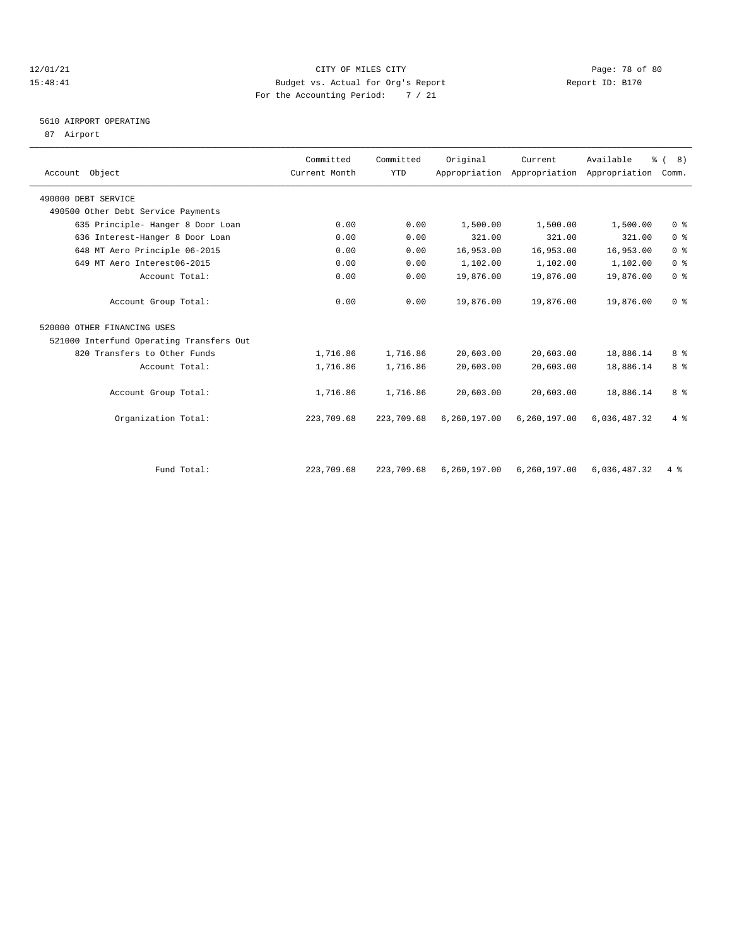## 12/01/21 Page: 78 of 80 15:48:41 Budget vs. Actual for Org's Report Report ID: B170 For the Accounting Period: 7 / 21

# 5610 AIRPORT OPERATING

87 Airport

| Account Object                           | Committed<br>Current Month | Committed<br>YTD | Original     | Current      | Available<br>Appropriation Appropriation Appropriation Comm. | $\frac{6}{6}$ ( 8 ) |
|------------------------------------------|----------------------------|------------------|--------------|--------------|--------------------------------------------------------------|---------------------|
| 490000 DEBT SERVICE                      |                            |                  |              |              |                                                              |                     |
| 490500 Other Debt Service Payments       |                            |                  |              |              |                                                              |                     |
| 635 Principle- Hanger 8 Door Loan        | 0.00                       | 0.00             | 1,500.00     | 1,500.00     | 1,500.00                                                     | 0 <sup>8</sup>      |
| 636 Interest-Hanger 8 Door Loan          | 0.00                       | 0.00             | 321.00       | 321.00       | 321.00                                                       | 0 <sup>8</sup>      |
| 648 MT Aero Principle 06-2015            | 0.00                       | 0.00             | 16,953.00    | 16,953.00    | 16,953.00                                                    | 0 <sup>8</sup>      |
| 649 MT Aero Interest06-2015              | 0.00                       | 0.00             | 1,102.00     | 1,102.00     | 1,102.00                                                     | 0 <sup>8</sup>      |
| Account Total:                           | 0.00                       | 0.00             | 19,876.00    | 19,876.00    | 19,876.00                                                    | 0 <sup>8</sup>      |
| Account Group Total:                     | 0.00                       | 0.00             | 19,876.00    | 19,876.00    | 19,876.00                                                    | 0 <sup>8</sup>      |
| 520000 OTHER FINANCING USES              |                            |                  |              |              |                                                              |                     |
| 521000 Interfund Operating Transfers Out |                            |                  |              |              |                                                              |                     |
| 820 Transfers to Other Funds             | 1,716.86                   | 1,716.86         | 20,603.00    | 20,603.00    | 18,886.14                                                    | 8 %                 |
| Account Total:                           | 1,716.86                   | 1,716.86         | 20,603.00    | 20,603.00    | 18,886.14                                                    | 8 %                 |
| Account Group Total:                     | 1,716.86                   | 1,716.86         | 20,603.00    | 20,603.00    | 18,886.14                                                    | 8 %                 |
| Organization Total:                      | 223,709.68                 | 223,709.68       | 6,260,197.00 | 6,260,197.00 | 6,036,487.32                                                 | 4%                  |
|                                          |                            |                  |              |              |                                                              |                     |
| Fund Total:                              | 223,709.68                 | 223,709.68       | 6,260,197.00 | 6,260,197.00 | 6,036,487.32                                                 | $4\degree$          |